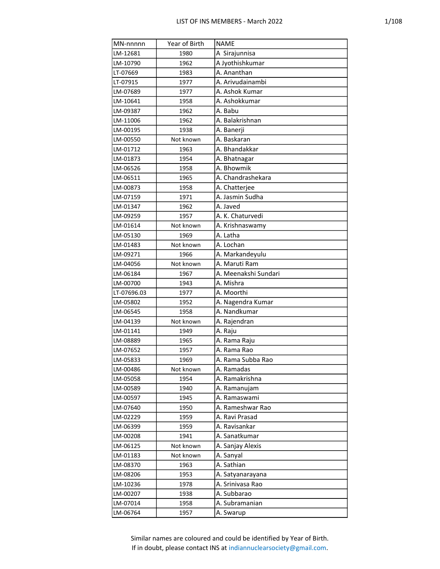| MN-nnnnn    | Year of Birth | <b>NAME</b>          |
|-------------|---------------|----------------------|
| LM-12681    | 1980          | A Sirajunnisa        |
| LM-10790    | 1962          | A Jyothishkumar      |
| LT-07669    | 1983          | A. Ananthan          |
| LT-07915    | 1977          | A. Arivudainambi     |
| LM-07689    | 1977          | A. Ashok Kumar       |
| LM-10641    | 1958          | A. Ashokkumar        |
| LM-09387    | 1962          | A. Babu              |
| LM-11006    | 1962          | A. Balakrishnan      |
| LM-00195    | 1938          | A. Banerji           |
| LM-00550    | Not known     | A. Baskaran          |
| LM-01712    | 1963          | A. Bhandakkar        |
| LM-01873    | 1954          | A. Bhatnagar         |
| LM-06526    | 1958          | A. Bhowmik           |
| LM-06511    | 1965          | A. Chandrashekara    |
| LM-00873    | 1958          | A. Chatterjee        |
| LM-07159    | 1971          | A. Jasmin Sudha      |
| LM-01347    | 1962          | A. Javed             |
| LM-09259    | 1957          | A. K. Chaturvedi     |
| LM-01614    | Not known     | A. Krishnaswamy      |
| LM-05130    | 1969          | A. Latha             |
| LM-01483    | Not known     | A. Lochan            |
| LM-09271    | 1966          | A. Markandeyulu      |
| LM-04056    | Not known     | A. Maruti Ram        |
| LM-06184    | 1967          | A. Meenakshi Sundari |
| LM-00700    | 1943          | A. Mishra            |
| LT-07696.03 | 1977          | A. Moorthi           |
| LM-05802    | 1952          | A. Nagendra Kumar    |
| LM-06545    | 1958          | A. Nandkumar         |
| LM-04139    | Not known     | A. Rajendran         |
| LM-01141    | 1949          | A. Raju              |
| LM-08889    | 1965          | A. Rama Raju         |
| LM-07652    | 1957          | A. Rama Rao          |
| LM-05833    | 1969          | A. Rama Subba Rao    |
| LM-00486    | Not known     | A. Ramadas           |
| LM-05058    | 1954          | A. Ramakrishna       |
| LM-00589    | 1940          | A. Ramanujam         |
| LM-00597    | 1945          | A. Ramaswami         |
| LM-07640    | 1950          | A. Rameshwar Rao     |
| LM-02229    | 1959          | A. Ravi Prasad       |
| LM-06399    | 1959          | A. Ravisankar        |
| LM-00208    | 1941          | A. Sanatkumar        |
| LM-06125    | Not known     | A. Sanjay Alexis     |
| LM-01183    | Not known     | A. Sanyal            |
| LM-08370    | 1963          | A. Sathian           |
| LM-08206    | 1953          | A. Satyanarayana     |
| LM-10236    | 1978          | A. Srinivasa Rao     |
| LM-00207    | 1938          | A. Subbarao          |
| LM-07014    | 1958          | A. Subramanian       |
| LM-06764    | 1957          | A. Swarup            |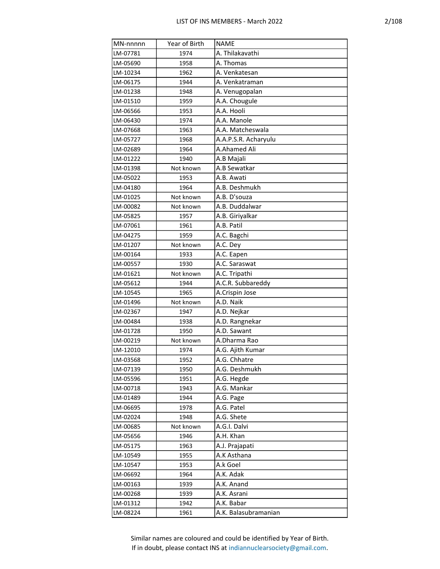| MN-nnnnn | Year of Birth | <b>NAME</b>          |
|----------|---------------|----------------------|
| LM-07781 | 1974          | A. Thilakavathi      |
| LM-05690 | 1958          | A. Thomas            |
| LM-10234 | 1962          | A. Venkatesan        |
| LM-06175 | 1944          | A. Venkatraman       |
| LM-01238 | 1948          | A. Venugopalan       |
| LM-01510 | 1959          | A.A. Chougule        |
| LM-06566 | 1953          | A.A. Hooli           |
| LM-06430 | 1974          | A.A. Manole          |
| LM-07668 | 1963          | A.A. Matcheswala     |
| LM-05727 | 1968          | A.A.P.S.R. Acharyulu |
| LM-02689 | 1964          | A.Ahamed Ali         |
| LM-01222 | 1940          | A.B Majali           |
| LM-01398 | Not known     | A.B Sewatkar         |
| LM-05022 | 1953          | A.B. Awati           |
| LM-04180 | 1964          | A.B. Deshmukh        |
| LM-01025 | Not known     | A.B. D'souza         |
| LM-00082 | Not known     | A.B. Duddalwar       |
| LM-05825 | 1957          | A.B. Giriyalkar      |
| LM-07061 | 1961          | A.B. Patil           |
| LM-04275 | 1959          | A.C. Bagchi          |
| LM-01207 | Not known     | A.C. Dey             |
| LM-00164 | 1933          | A.C. Eapen           |
| LM-00557 | 1930          | A.C. Saraswat        |
| LM-01621 | Not known     | A.C. Tripathi        |
| LM-05612 | 1944          | A.C.R. Subbareddy    |
| LM-10545 | 1965          | A.Crispin Jose       |
| LM-01496 | Not known     | A.D. Naik            |
| LM-02367 | 1947          | A.D. Nejkar          |
| LM-00484 | 1938          | A.D. Rangnekar       |
| LM-01728 | 1950          | A.D. Sawant          |
| LM-00219 | Not known     | A.Dharma Rao         |
| LM-12010 | 1974          | A.G. Ajith Kumar     |
| LM-03568 | 1952          | A.G. Chhatre         |
| LM-07139 | 1950          | A.G. Deshmukh        |
| LM-05596 | 1951          | A.G. Hegde           |
| LM-00718 | 1943          | A.G. Mankar          |
| LM-01489 | 1944          | A.G. Page            |
| LM-06695 | 1978          | A.G. Patel           |
| LM-02024 | 1948          | A.G. Shete           |
| LM-00685 | Not known     | A.G.I. Dalvi         |
| LM-05656 | 1946          | A.H. Khan            |
| LM-05175 | 1963          | A.J. Prajapati       |
| LM-10549 | 1955          | A.K Asthana          |
| LM-10547 | 1953          | A.k Goel             |
| LM-06692 | 1964          | A.K. Adak            |
| LM-00163 | 1939          | A.K. Anand           |
| LM-00268 | 1939          | A.K. Asrani          |
| LM-01312 | 1942          | A.K. Babar           |
| LM-08224 | 1961          | A.K. Balasubramanian |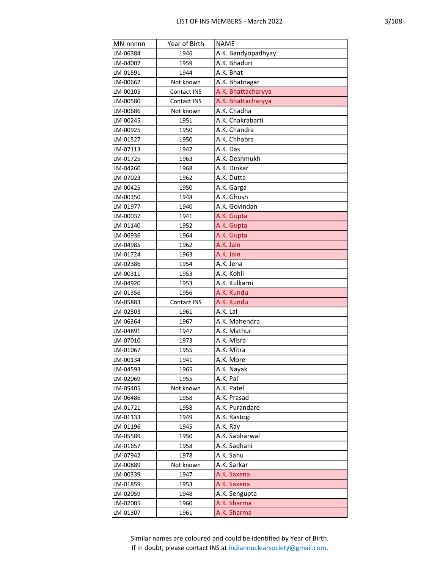| MN-nnnnn | Year of Birth | <b>NAME</b>        |
|----------|---------------|--------------------|
| LM-06384 | 1946          | A.K. Bandyopadhyay |
| LM-04007 | 1959          | A.K. Bhaduri       |
| LM-01591 | 1944          | A.K. Bhat          |
| LM-00662 | Not known     | A.K. Bhatnagar     |
| LM-00105 | Contact INS   | A.K. Bhattacharyya |
| LM-00580 | Contact INS   | A.K. Bhattacharyya |
| LM-00686 | Not known     | A.K. Chadha        |
| LM-00245 | 1951          | A.K. Chakrabarti   |
| LM-00925 | 1950          | A.K. Chandra       |
| LM-01527 | 1950          | A.K. Chhabra       |
| LM-07113 | 1947          | A.K. Das           |
| LM-01725 | 1963          | A.K. Deshmukh      |
| LM-04260 | 1968          | A.K. Dinkar        |
| LM-07023 | 1962          | A.K. Dutta         |
| LM-00425 | 1950          | A.K. Garga         |
| LM-00350 | 1948          | A.K. Ghosh         |
| LM-01977 | 1940          | A.K. Govindan      |
| LM-00037 | 1941          | A.K. Gupta         |
| LM-01140 | 1952          | A.K. Gupta         |
| LM-06936 | 1964          | A.K. Gupta         |
| LM-04985 | 1962          | A.K. Jain          |
| LM-01724 | 1963          | A.K. Jain          |
| LM-02386 | 1954          | A.K. Jena          |
| LM-00311 | 1953          | A.K. Kohli         |
| LM-04920 | 1953          | A.K. Kulkarni      |
| LM-01356 | 1956          | A.K. Kundu         |
| LM-05883 | Contact INS   | A.K. Kundu         |
| LM-02503 | 1961          | A.K. Lal           |
| LM-06364 | 1967          | A.K. Mahendra      |
| LM-04891 | 1947          | A.K. Mathur        |
| LM-07010 | 1973          | A.K. Misra         |
| LM-01067 | 1955          | A.K. Mitra         |
| LM-00134 | 1941          | A.K. More          |
| LM-04593 | 1965          | A.K. Nayak         |
| LM-02069 | 1955          | A.K. Pal           |
| LM-05405 | Not known     | A.K. Patel         |
| LM-06486 | 1958          | A.K. Prasad        |
| LM-01721 | 1958          | A.K. Purandare     |
| LM-01133 | 1949          | A.K. Rastogi       |
| LM-01196 | 1945          | A.K. Ray           |
| LM-05589 | 1950          | A.K. Sabharwal     |
| LM-01657 | 1958          | A.K. Sadhani       |
| LM-07942 | 1978          | A.K. Sahu          |
| LM-00889 | Not known     | A.K. Sarkar        |
| LM-00339 | 1947          | A.K. Saxena        |
| LM-01859 | 1953          | A.K. Saxena        |
| LM-02059 | 1948          | A.K. Sengupta      |
| LM-02005 | 1960          | A.K. Sharma        |
| LM-01307 | 1961          | A.K. Sharma        |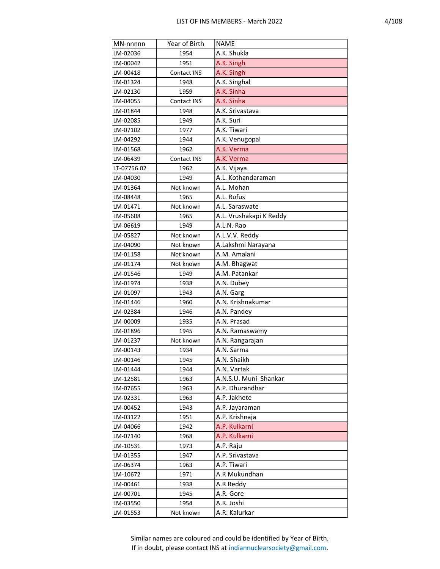| MN-nnnnn    | Year of Birth | <b>NAME</b>             |
|-------------|---------------|-------------------------|
| LM-02036    | 1954          | A.K. Shukla             |
| LM-00042    | 1951          | A.K. Singh              |
| LM-00418    | Contact INS   | A.K. Singh              |
| LM-01324    | 1948          | A.K. Singhal            |
| LM-02130    | 1959          | A.K. Sinha              |
| LM-04055    | Contact INS   | A.K. Sinha              |
| LM-01844    | 1948          | A.K. Srivastava         |
| LM-02085    | 1949          | A.K. Suri               |
| LM-07102    | 1977          | A.K. Tiwari             |
| LM-04292    | 1944          | A.K. Venugopal          |
| LM-01568    | 1962          | A.K. Verma              |
| LM-06439    | Contact INS   | A.K. Verma              |
| LT-07756.02 | 1962          | A.K. Vijaya             |
| LM-04030    | 1949          | A.L. Kothandaraman      |
| LM-01364    | Not known     | A.L. Mohan              |
| LM-08448    | 1965          | A.L. Rufus              |
| LM-01471    | Not known     | A.L. Saraswate          |
| LM-05608    | 1965          | A.L. Vrushakapi K Reddy |
| LM-06619    | 1949          | A.L.N. Rao              |
| LM-05827    | Not known     | A.L.V.V. Reddy          |
| LM-04090    | Not known     | A.Lakshmi Narayana      |
| LM-01158    | Not known     | A.M. Amalani            |
| LM-01174    | Not known     | A.M. Bhagwat            |
| LM-01546    | 1949          | A.M. Patankar           |
| LM-01974    | 1938          | A.N. Dubey              |
| LM-01097    | 1943          | A.N. Garg               |
| LM-01446    | 1960          | A.N. Krishnakumar       |
| LM-02384    | 1946          | A.N. Pandey             |
| LM-00009    | 1935          | A.N. Prasad             |
| LM-01896    | 1945          | A.N. Ramaswamy          |
| LM-01237    | Not known     | A.N. Rangarajan         |
| LM-00143    | 1934          | A.N. Sarma              |
| LM-00146    | 1945          | A.N. Shaikh             |
| LM-01444    | 1944          | A.N. Vartak             |
| LM-12581    | 1963          | A.N.S.U. Muni Shankar   |
| LM-07655    | 1963          | A.P. Dhurandhar         |
| LM-02331    | 1963          | A.P. Jakhete            |
| LM-00452    | 1943          | A.P. Jayaraman          |
| LM-03122    | 1951          | A.P. Krishnaja          |
| LM-04066    | 1942          | A.P. Kulkarni           |
| LM-07140    | 1968          | A.P. Kulkarni           |
| LM-10531    | 1973          | A.P. Raju               |
| LM-01355    | 1947          | A.P. Srivastava         |
| LM-06374    | 1963          | A.P. Tiwari             |
| LM-10672    | 1971          | A.R Mukundhan           |
| LM-00461    | 1938          | A.R Reddy               |
| LM-00701    | 1945          | A.R. Gore               |
| LM-03550    | 1954          | A.R. Joshi              |
| LM-01553    | Not known     | A.R. Kalurkar           |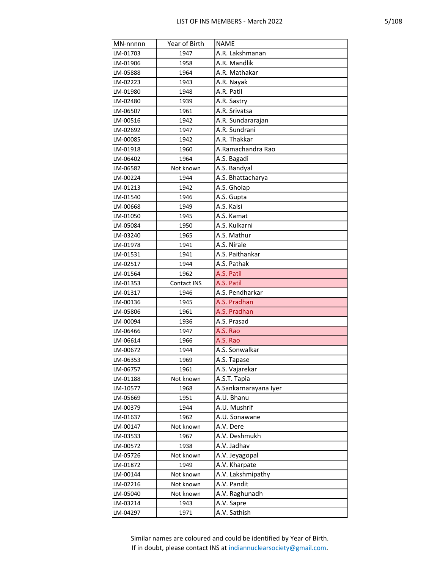| MN-nnnnn | Year of Birth | <b>NAME</b>           |
|----------|---------------|-----------------------|
| LM-01703 | 1947          | A.R. Lakshmanan       |
| LM-01906 | 1958          | A.R. Mandlik          |
| LM-05888 | 1964          | A.R. Mathakar         |
| LM-02223 | 1943          | A.R. Nayak            |
| LM-01980 | 1948          | A.R. Patil            |
| LM-02480 | 1939          | A.R. Sastry           |
| LM-06507 | 1961          | A.R. Srivatsa         |
| LM-00516 | 1942          | A.R. Sundararajan     |
| LM-02692 | 1947          | A.R. Sundrani         |
| LM-00085 | 1942          | A.R. Thakkar          |
| LM-01918 | 1960          | A.Ramachandra Rao     |
| LM-06402 | 1964          | A.S. Bagadi           |
| LM-06582 | Not known     | A.S. Bandyal          |
| LM-00224 | 1944          | A.S. Bhattacharya     |
| LM-01213 | 1942          | A.S. Gholap           |
| LM-01540 | 1946          | A.S. Gupta            |
| LM-00668 | 1949          | A.S. Kalsi            |
| LM-01050 | 1945          | A.S. Kamat            |
| LM-05084 | 1950          | A.S. Kulkarni         |
| LM-03240 | 1965          | A.S. Mathur           |
| LM-01978 | 1941          | A.S. Nirale           |
| LM-01531 | 1941          | A.S. Paithankar       |
| LM-02517 | 1944          | A.S. Pathak           |
| LM-01564 | 1962          | A.S. Patil            |
| LM-01353 | Contact INS   | A.S. Patil            |
| LM-01317 | 1946          | A.S. Pendharkar       |
| LM-00136 | 1945          | A.S. Pradhan          |
| LM-05806 | 1961          | A.S. Pradhan          |
| LM-00094 | 1936          | A.S. Prasad           |
| LM-06466 | 1947          | A.S. Rao              |
| LM-06614 | 1966          | A.S. Rao              |
| LM-00672 | 1944          | A.S. Sonwalkar        |
| LM-06353 | 1969          | A.S. Tapase           |
| LM-06757 | 1961          | A.S. Vajarekar        |
| LM-01188 | Not known     | A.S.T. Tapia          |
| LM-10577 | 1968          | A.Sankarnarayana Iyer |
| LM-05669 | 1951          | A.U. Bhanu            |
| LM-00379 | 1944          | A.U. Mushrif          |
| LM-01637 | 1962          | A.U. Sonawane         |
| LM-00147 | Not known     | A.V. Dere             |
| LM-03533 | 1967          | A.V. Deshmukh         |
| LM-00572 | 1938          | A.V. Jadhav           |
| LM-05726 | Not known     | A.V. Jeyagopal        |
| LM-01872 | 1949          | A.V. Kharpate         |
| LM-00144 | Not known     | A.V. Lakshmipathy     |
| LM-02216 | Not known     | A.V. Pandit           |
| LM-05040 | Not known     | A.V. Raghunadh        |
| LM-03214 | 1943          | A.V. Sapre            |
| LM-04297 | 1971          | A.V. Sathish          |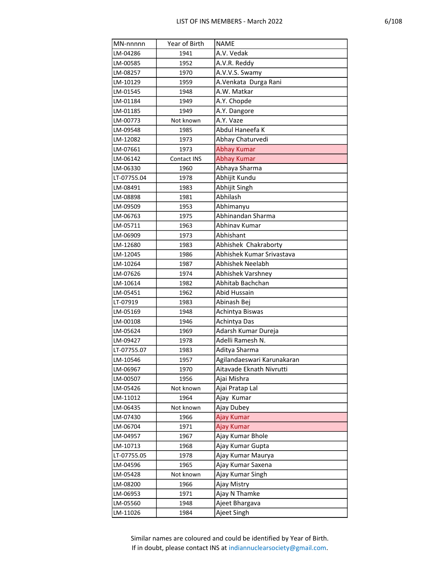| MN-nnnnn    | Year of Birth | <b>NAME</b>                |
|-------------|---------------|----------------------------|
| LM-04286    | 1941          | A.V. Vedak                 |
| LM-00585    | 1952          | A.V.R. Reddy               |
| LM-08257    | 1970          | A.V.V.S. Swamy             |
| LM-10129    | 1959          | A.Venkata Durga Rani       |
| LM-01545    | 1948          | A.W. Matkar                |
| LM-01184    | 1949          | A.Y. Chopde                |
| LM-01185    | 1949          | A.Y. Dangore               |
| LM-00773    | Not known     | A.Y. Vaze                  |
| LM-09548    | 1985          | Abdul Haneefa K            |
| LM-12082    | 1973          | Abhay Chaturvedi           |
| LM-07661    | 1973          | <b>Abhay Kumar</b>         |
| LM-06142    | Contact INS   | <b>Abhay Kumar</b>         |
| LM-06330    | 1960          | Abhaya Sharma              |
| LT-07755.04 | 1978          | Abhijit Kundu              |
| LM-08491    | 1983          | Abhijit Singh              |
| LM-08898    | 1981          | Abhilash                   |
| LM-09509    | 1953          | Abhimanyu                  |
| LM-06763    | 1975          | Abhinandan Sharma          |
| LM-05711    | 1963          | Abhinav Kumar              |
| LM-06909    | 1973          | Abhishant                  |
| LM-12680    | 1983          | Abhishek Chakraborty       |
| LM-12045    | 1986          | Abhishek Kumar Srivastava  |
| LM-10264    | 1987          | Abhishek Neelabh           |
| LM-07626    | 1974          | Abhishek Varshney          |
| LM-10614    | 1982          | Abhitab Bachchan           |
| LM-05451    | 1962          | Abid Hussain               |
| LT-07919    | 1983          | Abinash Bej                |
| LM-05169    | 1948          | Achintya Biswas            |
| LM-00108    | 1946          | Achintya Das               |
| LM-05624    | 1969          | Adarsh Kumar Dureja        |
| LM-09427    | 1978          | Adelli Ramesh N.           |
| LT-07755.07 | 1983          | Aditya Sharma              |
| LM-10546    | 1957          | Agilandaeswari Karunakaran |
| LM-06967    | 1970          | Aitavade Eknath Nivrutti   |
| LM-00507    | 1956          | Ajai Mishra                |
| LM-05426    | Not known     | Ajai Pratap Lal            |
| LM-11012    | 1964          | Ajay Kumar                 |
| LM-06435    | Not known     | Ajay Dubey                 |
| LM-07430    | 1966          | Ajay Kumar                 |
| LM-06704    | 1971          | Ajay Kumar                 |
| LM-04957    | 1967          | Ajay Kumar Bhole           |
| LM-10713    | 1968          | Ajay Kumar Gupta           |
| LT-07755.05 | 1978          | Ajay Kumar Maurya          |
| LM-04596    | 1965          | Ajay Kumar Saxena          |
| LM-05428    | Not known     | Ajay Kumar Singh           |
| LM-08200    | 1966          | Ajay Mistry                |
| LM-06953    | 1971          | Ajay N Thamke              |
| LM-05560    | 1948          | Ajeet Bhargava             |
| LM-11026    | 1984          | Ajeet Singh                |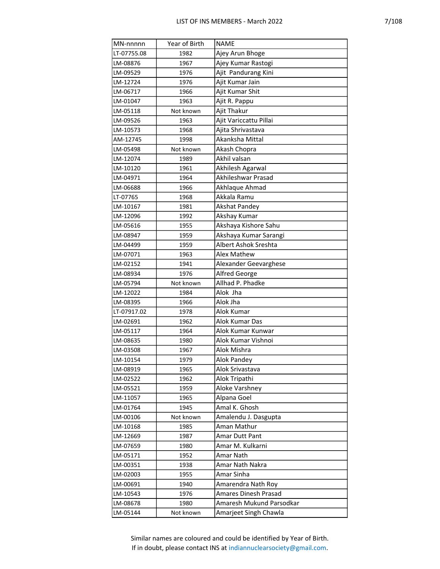| MN-nnnnn    | Year of Birth | <b>NAME</b>              |
|-------------|---------------|--------------------------|
| LT-07755.08 | 1982          | Ajey Arun Bhoge          |
| LM-08876    | 1967          | Ajey Kumar Rastogi       |
| LM-09529    | 1976          | Ajit Pandurang Kini      |
| LM-12724    | 1976          | Ajit Kumar Jain          |
| LM-06717    | 1966          | Ajit Kumar Shit          |
| LM-01047    | 1963          | Ajit R. Pappu            |
| LM-05118    | Not known     | Ajit Thakur              |
| LM-09526    | 1963          | Ajit Variccattu Pillai   |
| LM-10573    | 1968          | Ajita Shrivastava        |
| AM-12745    | 1998          | Akanksha Mittal          |
| LM-05498    | Not known     | Akash Chopra             |
| LM-12074    | 1989          | Akhil valsan             |
| LM-10120    | 1961          | Akhilesh Agarwal         |
| LM-04971    | 1964          | Akhileshwar Prasad       |
| LM-06688    | 1966          | Akhlaque Ahmad           |
| LT-07765    | 1968          | Akkala Ramu              |
| LM-10167    | 1981          | <b>Akshat Pandey</b>     |
| LM-12096    | 1992          | Akshay Kumar             |
| LM-05616    | 1955          | Akshaya Kishore Sahu     |
| LM-08947    | 1959          | Akshaya Kumar Sarangi    |
| LM-04499    | 1959          | Albert Ashok Sreshta     |
| LM-07071    | 1963          | Alex Mathew              |
| LM-02152    | 1941          | Alexander Geevarghese    |
| LM-08934    | 1976          | Alfred George            |
| LM-05794    | Not known     | Allhad P. Phadke         |
| LM-12022    | 1984          | Alok Jha                 |
| LM-08395    | 1966          | Alok Jha                 |
| LT-07917.02 | 1978          | Alok Kumar               |
| LM-02691    | 1962          | Alok Kumar Das           |
| LM-05117    | 1964          | Alok Kumar Kunwar        |
| LM-08635    | 1980          | Alok Kumar Vishnoi       |
| LM-03508    | 1967          | Alok Mishra              |
| LM-10154    | 1979          | Alok Pandey              |
| LM-08919    | 1965          | Alok Srivastava          |
| LM-02522    | 1962          | Alok Tripathi            |
| LM-05521    | 1959          | Aloke Varshney           |
| LM-11057    | 1965          | Alpana Goel              |
| LM-01764    | 1945          | Amal K. Ghosh            |
| LM-00106    | Not known     | Amalendu J. Dasgupta     |
| LM-10168    | 1985          | Aman Mathur              |
| LM-12669    | 1987          | Amar Dutt Pant           |
| LM-07659    | 1980          | Amar M. Kulkarni         |
| LM-05171    | 1952          | Amar Nath                |
| LM-00351    | 1938          | Amar Nath Nakra          |
| LM-02003    | 1955          | Amar Sinha               |
| LM-00691    | 1940          | Amarendra Nath Roy       |
| LM-10543    | 1976          | Amares Dinesh Prasad     |
| LM-08678    | 1980          | Amaresh Mukund Parsodkar |
| LM-05144    | Not known     | Amarjeet Singh Chawla    |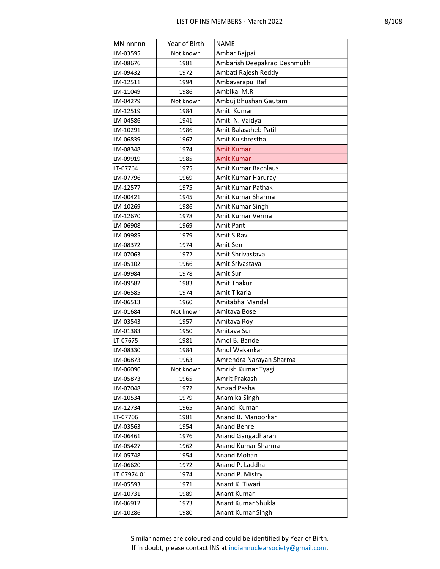| MN-nnnnn    | Year of Birth | <b>NAME</b>                 |
|-------------|---------------|-----------------------------|
| LM-03595    | Not known     | Ambar Bajpai                |
| LM-08676    | 1981          | Ambarish Deepakrao Deshmukh |
| LM-09432    | 1972          | Ambati Rajesh Reddy         |
| LM-12511    | 1994          | Ambavarapu Rafi             |
| LM-11049    | 1986          | Ambika M.R                  |
| LM-04279    | Not known     | Ambuj Bhushan Gautam        |
| LM-12519    | 1984          | Amit Kumar                  |
| LM-04586    | 1941          | Amit N. Vaidya              |
| LM-10291    | 1986          | Amit Balasaheb Patil        |
| LM-06839    | 1967          | Amit Kulshrestha            |
| LM-08348    | 1974          | <b>Amit Kumar</b>           |
| LM-09919    | 1985          | <b>Amit Kumar</b>           |
| LT-07764    | 1975          | Amit Kumar Bachlaus         |
| LM-07796    | 1969          | Amit Kumar Haruray          |
| LM-12577    | 1975          | Amit Kumar Pathak           |
| LM-00421    | 1945          | Amit Kumar Sharma           |
| LM-10269    | 1986          | Amit Kumar Singh            |
| LM-12670    | 1978          | Amit Kumar Verma            |
| LM-06908    | 1969          | <b>Amit Pant</b>            |
| LM-09985    | 1979          | Amit S Rav                  |
| LM-08372    | 1974          | Amit Sen                    |
| LM-07063    | 1972          | Amit Shrivastava            |
| LM-05102    | 1966          | Amit Srivastava             |
| LM-09984    | 1978          | Amit Sur                    |
| LM-09582    | 1983          | Amit Thakur                 |
| LM-06585    | 1974          | Amit Tikaria                |
| LM-06513    | 1960          | Amitabha Mandal             |
| LM-01684    | Not known     | Amitava Bose                |
| LM-03543    | 1957          | Amitava Roy                 |
| LM-01383    | 1950          | Amitava Sur                 |
| LT-07675    | 1981          | Amol B. Bande               |
| LM-08330    | 1984          | Amol Wakankar               |
| LM-06873    | 1963          | Amrendra Narayan Sharma     |
| LM-06096    | Not known     | Amrish Kumar Tyagi          |
| LM-05873    | 1965          | Amrit Prakash               |
| LM-07048    | 1972          | Amzad Pasha                 |
| LM-10534    | 1979          | Anamika Singh               |
| LM-12734    | 1965          | Anand Kumar                 |
| LT-07706    | 1981          | Anand B. Manoorkar          |
| LM-03563    | 1954          | <b>Anand Behre</b>          |
| LM-06461    | 1976          | Anand Gangadharan           |
| LM-05427    | 1962          | Anand Kumar Sharma          |
| LM-05748    | 1954          | Anand Mohan                 |
| LM-06620    | 1972          | Anand P. Laddha             |
| LT-07974.01 | 1974          | Anand P. Mistry             |
| LM-05593    | 1971          | Anant K. Tiwari             |
| LM-10731    | 1989          | Anant Kumar                 |
| LM-06912    | 1973          | Anant Kumar Shukla          |
| LM-10286    | 1980          | Anant Kumar Singh           |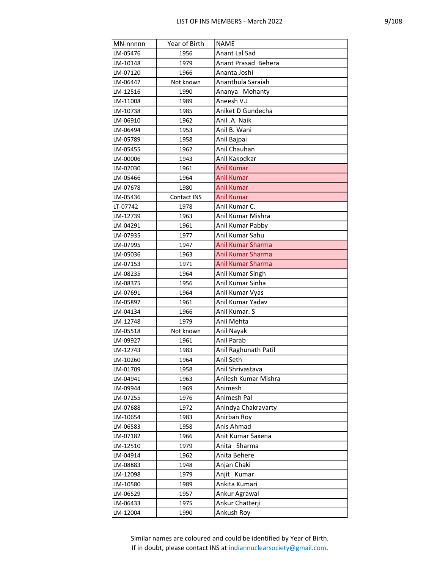| MN-nnnnn | Year of Birth | <b>NAME</b>          |
|----------|---------------|----------------------|
| LM-05476 | 1956          | Anant Lal Sad        |
| LM-10148 | 1979          | Anant Prasad Behera  |
| LM-07120 | 1966          | Ananta Joshi         |
| LM-06447 | Not known     | Ananthula Saraiah    |
| LM-12516 | 1990          | Ananya Mohanty       |
| LM-11008 | 1989          | Aneesh V.J           |
| LM-10738 | 1985          | Aniket D Gundecha    |
| LM-06910 | 1962          | Anil .A. Naik        |
| LM-06494 | 1953          | Anil B. Wani         |
| LM-05789 | 1958          | Anil Bajpai          |
| LM-05455 | 1962          | Anil Chauhan         |
| LM-00006 | 1943          | Anil Kakodkar        |
| LM-02030 | 1961          | <b>Anil Kumar</b>    |
| LM-05466 | 1964          | Anil Kumar           |
| LM-07678 | 1980          | <b>Anil Kumar</b>    |
| LM-05436 | Contact INS   | <b>Anil Kumar</b>    |
| LT-07742 | 1978          | Anil Kumar C.        |
| LM-12739 | 1963          | Anil Kumar Mishra    |
| LM-04291 | 1961          | Anil Kumar Pabby     |
| LM-07935 | 1977          | Anil Kumar Sahu      |
| LM-07995 | 1947          | Anil Kumar Sharma    |
| LM-05036 | 1963          | Anil Kumar Sharma    |
| LM-07153 | 1971          | Anil Kumar Sharma    |
| LM-08235 | 1964          | Anil Kumar Singh     |
| LM-08375 | 1956          | Anil Kumar Sinha     |
| LM-07691 | 1964          | Anil Kumar Vyas      |
| LM-05897 | 1961          | Anil Kumar Yadav     |
| LM-04134 | 1966          | Anil Kumar. S        |
| LM-12748 | 1979          | Anil Mehta           |
| LM-05518 | Not known     | Anil Nayak           |
| LM-09927 | 1961          | Anil Parab           |
| LM-12743 | 1983          | Anil Raghunath Patil |
| LM-10260 | 1964          | Anil Seth            |
| LM-01709 | 1958          | Anil Shrivastava     |
| LM-04941 | 1963          | Anilesh Kumar Mishra |
| LM-09944 | 1969          | Animesh              |
| LM-07255 | 1976          | Animesh Pal          |
| LM-07688 | 1972          | Anindya Chakravarty  |
| LM-10654 | 1983          | Anirban Roy          |
| LM-06583 | 1958          | Anis Ahmad           |
| LM-07182 | 1966          | Anit Kumar Saxena    |
| LM-12510 | 1979          | Anita Sharma         |
| LM-04914 | 1962          | Anita Behere         |
| LM-08883 | 1948          | Anjan Chaki          |
| LM-12098 | 1979          | Anjit Kumar          |
| LM-10580 | 1989          | Ankita Kumari        |
| LM-06529 | 1957          | Ankur Agrawal        |
| LM-06433 | 1975          | Ankur Chatterji      |
| LM-12004 | 1990          | Ankush Roy           |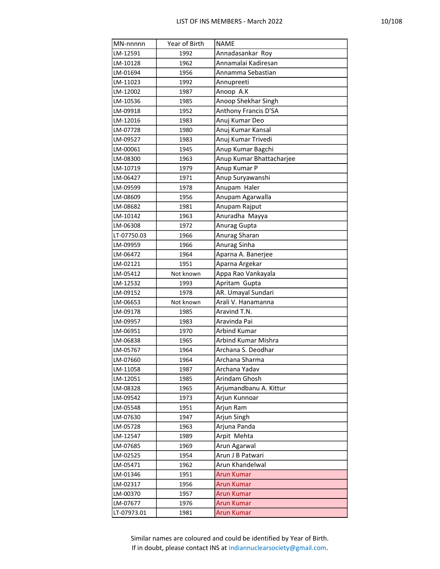| MN-nnnnn    | Year of Birth | <b>NAME</b>              |
|-------------|---------------|--------------------------|
| LM-12591    | 1992          | Annadasankar Roy         |
| LM-10128    | 1962          | Annamalai Kadiresan      |
| LM-01694    | 1956          | Annamma Sebastian        |
| LM-11023    | 1992          | Annupreeti               |
| LM-12002    | 1987          | Anoop A.K                |
| LM-10536    | 1985          | Anoop Shekhar Singh      |
| LM-09918    | 1952          | Anthony Francis D'SA     |
| LM-12016    | 1983          | Anuj Kumar Deo           |
| LM-07728    | 1980          | Anuj Kumar Kansal        |
| LM-09527    | 1983          | Anuj Kumar Trivedi       |
| LM-00061    | 1945          | Anup Kumar Bagchi        |
| LM-08300    | 1963          | Anup Kumar Bhattacharjee |
| LM-10719    | 1979          | Anup Kumar P             |
| LM-06427    | 1971          | Anup Suryawanshi         |
| LM-09599    | 1978          | Anupam Haler             |
| LM-08609    | 1956          | Anupam Agarwalla         |
| LM-08682    | 1981          | Anupam Rajput            |
| LM-10142    | 1963          | Anuradha Mayya           |
| LM-06308    | 1972          | Anurag Gupta             |
| LT-07750.03 | 1966          | Anurag Sharan            |
| LM-09959    | 1966          | Anurag Sinha             |
| LM-06472    | 1964          | Aparna A. Banerjee       |
| LM-02121    | 1951          | Aparna Argekar           |
| LM-05412    | Not known     | Appa Rao Vankayala       |
| LM-12532    | 1993          | Apritam Gupta            |
| LM-09152    | 1978          | AR. Umayal Sundari       |
| LM-06653    | Not known     | Arali V. Hanamanna       |
| LM-09178    | 1985          | Aravind T.N.             |
| LM-09957    | 1983          | Aravinda Pai             |
| LM-06951    | 1970          | <b>Arbind Kumar</b>      |
| LM-06838    | 1965          | Arbind Kumar Mishra      |
| LM-05767    | 1964          | Archana S. Deodhar       |
| LM-07660    | 1964          | Archana Sharma           |
| LM-11058    | 1987          | Archana Yadav            |
| LM-12051    | 1985          | Arindam Ghosh            |
| LM-08328    | 1965          | Arjumandbanu A. Kittur   |
| LM-09542    | 1973          | Arjun Kunnoar            |
| LM-05548    | 1951          | Arjun Ram                |
| LM-07630    | 1947          | Arjun Singh              |
| LM-05728    | 1963          | Arjuna Panda             |
| LM-12547    | 1989          | Arpit Mehta              |
| LM-07685    | 1969          | Arun Agarwal             |
| LM-02525    | 1954          | Arun J B Patwari         |
| LM-05471    | 1962          | Arun Khandelwal          |
| LM-01346    | 1951          | <b>Arun Kumar</b>        |
| LM-02317    | 1956          | <b>Arun Kumar</b>        |
| LM-00370    | 1957          | <b>Arun Kumar</b>        |
| LM-07677    | 1976          | <b>Arun Kumar</b>        |
| LT-07973.01 | 1981          | <b>Arun Kumar</b>        |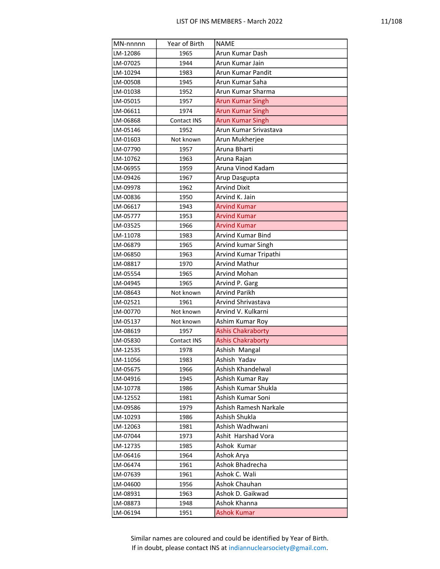| v,<br>٣. |
|----------|
|----------|

| MN-nnnnn | Year of Birth      | <b>NAME</b>              |
|----------|--------------------|--------------------------|
| LM-12086 | 1965               | Arun Kumar Dash          |
| LM-07025 | 1944               | Arun Kumar Jain          |
| LM-10294 | 1983               | Arun Kumar Pandit        |
| LM-00508 | 1945               | Arun Kumar Saha          |
| LM-01038 | 1952               | Arun Kumar Sharma        |
| LM-05015 | 1957               | <b>Arun Kumar Singh</b>  |
| LM-06611 | 1974               | <b>Arun Kumar Singh</b>  |
| LM-06868 | Contact INS        | <b>Arun Kumar Singh</b>  |
| LM-05146 | 1952               | Arun Kumar Srivastava    |
| LM-01603 | Not known          | Arun Mukherjee           |
| LM-07790 | 1957               | Aruna Bharti             |
| LM-10762 | 1963               | Aruna Rajan              |
| LM-06955 | 1959               | Aruna Vinod Kadam        |
| LM-09426 | 1967               | Arup Dasgupta            |
| LM-09978 | 1962               | <b>Arvind Dixit</b>      |
| LM-00836 | 1950               | Arvind K. Jain           |
| LM-06617 | 1943               | <b>Arvind Kumar</b>      |
| LM-05777 | 1953               | <b>Arvind Kumar</b>      |
| LM-03525 | 1966               | <b>Arvind Kumar</b>      |
| LM-11078 | 1983               | Arvind Kumar Bind        |
| LM-06879 | 1965               | Arvind kumar Singh       |
| LM-06850 | 1963               | Arvind Kumar Tripathi    |
| LM-08817 | 1970               | <b>Arvind Mathur</b>     |
| LM-05554 | 1965               | <b>Arvind Mohan</b>      |
| LM-04945 | 1965               | Arvind P. Garg           |
| LM-08643 | Not known          | Arvind Parikh            |
| LM-02521 | 1961               | Arvind Shrivastava       |
| LM-00770 | Not known          | Arvind V. Kulkarni       |
| LM-05137 | Not known          | Ashim Kumar Roy          |
| LM-08619 | 1957               | <b>Ashis Chakraborty</b> |
| LM-05830 | <b>Contact INS</b> | <b>Ashis Chakraborty</b> |
| LM-12535 | 1978               | Ashish Mangal            |
| LM-11056 | 1983               | Ashish Yadav             |
| LM-05675 | 1966               | Ashish Khandelwal        |
| LM-04916 | 1945               | Ashish Kumar Ray         |
| LM-10778 | 1986               | Ashish Kumar Shukla      |
| LM-12552 | 1981               | Ashish Kumar Soni        |
| LM-09586 | 1979               | Ashish Ramesh Narkale    |
| LM-10293 | 1986               | Ashish Shukla            |
| LM-12063 | 1981               | Ashish Wadhwani          |
| LM-07044 | 1973               | Ashit Harshad Vora       |
| LM-12735 | 1985               | Ashok Kumar              |
| LM-06416 | 1964               | Ashok Arya               |
| LM-06474 | 1961               | Ashok Bhadrecha          |
| LM-07639 | 1961               | Ashok C. Wali            |
| LM-04600 | 1956               | Ashok Chauhan            |
| LM-08931 | 1963               | Ashok D. Gaikwad         |
| LM-08873 | 1948               | Ashok Khanna             |
| LM-06194 | 1951               | Ashok Kumar              |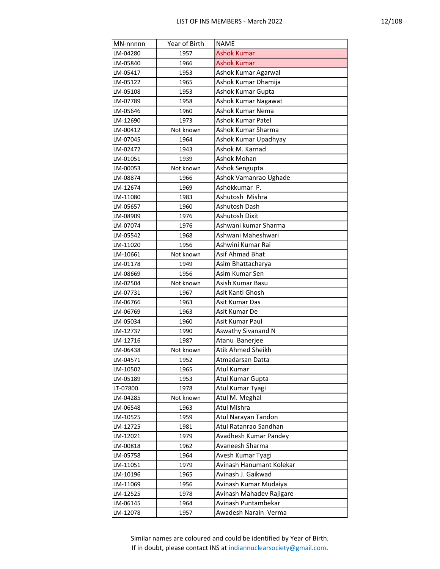| MN-nnnnn             | Year of Birth | <b>NAME</b>                                     |
|----------------------|---------------|-------------------------------------------------|
| LM-04280             | 1957          | <b>Ashok Kumar</b>                              |
| LM-05840             | 1966          | <b>Ashok Kumar</b>                              |
| LM-05417             | 1953          | Ashok Kumar Agarwal                             |
| LM-05122             | 1965          | Ashok Kumar Dhamija                             |
| LM-05108             | 1953          | Ashok Kumar Gupta                               |
| LM-07789             | 1958          | Ashok Kumar Nagawat                             |
| LM-05646             | 1960          | Ashok Kumar Nema                                |
| LM-12690             | 1973          | Ashok Kumar Patel                               |
| LM-00412             | Not known     | Ashok Kumar Sharma                              |
| LM-07045             | 1964          | Ashok Kumar Upadhyay                            |
| LM-02472             | 1943          | Ashok M. Karnad                                 |
| LM-01051             | 1939          | Ashok Mohan                                     |
| LM-00053             | Not known     | Ashok Sengupta                                  |
| LM-08874             | 1966          | Ashok Vamanrao Ughade                           |
| LM-12674             | 1969          | Ashokkumar P.                                   |
| LM-11080             | 1983          | Ashutosh Mishra                                 |
| LM-05657             | 1960          | Ashutosh Dash                                   |
| LM-08909             | 1976          | Ashutosh Dixit                                  |
| LM-07074             | 1976          | Ashwani kumar Sharma                            |
| LM-05542             | 1968          | Ashwani Maheshwari                              |
| LM-11020             | 1956          | Ashwini Kumar Rai                               |
| LM-10661             | Not known     | Asif Ahmad Bhat                                 |
| LM-01178             | 1949          | Asim Bhattacharya                               |
| LM-08669             | 1956          | Asim Kumar Sen                                  |
| LM-02504             | Not known     | Asish Kumar Basu                                |
| LM-07731             | 1967          | Asit Kanti Ghosh                                |
| LM-06766             | 1963          | Asit Kumar Das                                  |
| LM-06769             | 1963          | Asit Kumar De                                   |
| LM-05034             | 1960          | Asit Kumar Paul                                 |
| LM-12737             | 1990          | <b>Aswathy Sivanand N</b>                       |
| LM-12716             | 1987          | Atanu Banerjee                                  |
| LM-06438             | Not known     | Atik Ahmed Sheikh                               |
| LM-04571             | 1952          | Atmadarsan Datta                                |
| LM-10502             | 1965          | Atul Kumar                                      |
| LM-05189             | 1953          | Atul Kumar Gupta                                |
| LT-07800             | 1978          | Atul Kumar Tyagi                                |
| LM-04285             | Not known     | Atul M. Meghal                                  |
| LM-06548             | 1963          | Atul Mishra                                     |
| LM-10525             | 1959          | Atul Narayan Tandon                             |
| LM-12725             | 1981          | Atul Ratanrao Sandhan                           |
| LM-12021             | 1979          | Avadhesh Kumar Pandey                           |
| LM-00818             | 1962          | Avaneesh Sharma                                 |
| LM-05758             | 1964          | Avesh Kumar Tyagi                               |
| LM-11051             | 1979          | Avinash Hanumant Kolekar                        |
| LM-10196             | 1965          | Avinash J. Gaikwad                              |
| LM-11069<br>LM-12525 | 1956          | Avinash Kumar Mudaiya                           |
|                      | 1978          | Avinash Mahadev Rajigare<br>Avinash Puntambekar |
| LM-06145             | 1964          |                                                 |
| LM-12078             | 1957          | Awadesh Narain Verma                            |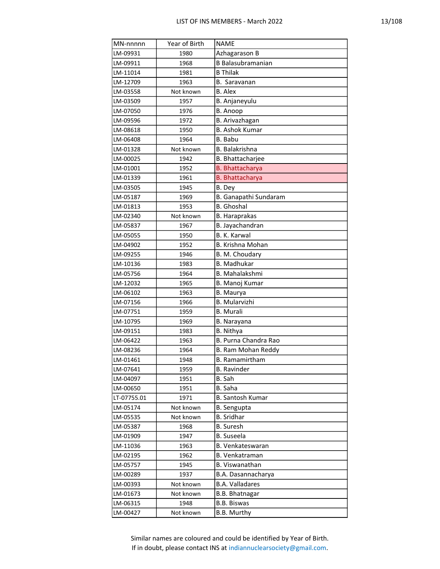| MN-nnnnn    | Year of Birth | <b>NAME</b>              |
|-------------|---------------|--------------------------|
| LM-09931    | 1980          | Azhagarason B            |
| LM-09911    | 1968          | <b>B</b> Balasubramanian |
| LM-11014    | 1981          | <b>B</b> Thilak          |
| LM-12709    | 1963          | B. Saravanan             |
| LM-03558    | Not known     | <b>B.</b> Alex           |
| LM-03509    | 1957          | B. Anjaneyulu            |
| LM-07050    | 1976          | B. Anoop                 |
| LM-09596    | 1972          | B. Arivazhagan           |
| LM-08618    | 1950          | <b>B. Ashok Kumar</b>    |
| LM-06408    | 1964          | B. Babu                  |
| LM-01328    | Not known     | <b>B.</b> Balakrishna    |
| LM-00025    | 1942          | B. Bhattacharjee         |
| LM-01001    | 1952          | <b>B.</b> Bhattacharya   |
| LM-01339    | 1961          | <b>B.</b> Bhattacharya   |
| LM-03505    | 1945          | B. Dey                   |
| LM-05187    | 1969          | B. Ganapathi Sundaram    |
| LM-01813    | 1953          | <b>B.</b> Ghoshal        |
| LM-02340    | Not known     | <b>B. Haraprakas</b>     |
| LM-05837    | 1967          | B. Jayachandran          |
| LM-05055    | 1950          | B. K. Karwal             |
| LM-04902    | 1952          | B. Krishna Mohan         |
| LM-09255    | 1946          | B. M. Choudary           |
| LM-10136    | 1983          | <b>B.</b> Madhukar       |
| LM-05756    | 1964          | B. Mahalakshmi           |
| LM-12032    | 1965          | B. Manoj Kumar           |
| LM-06102    | 1963          | <b>B.</b> Maurya         |
| LM-07156    | 1966          | <b>B.</b> Mularvizhi     |
| LM-07751    | 1959          | <b>B.</b> Murali         |
| LM-10795    | 1969          | B. Narayana              |
| LM-09151    | 1983          | B. Nithya                |
| LM-06422    | 1963          | B. Purna Chandra Rao     |
| LM-08236    | 1964          | B. Ram Mohan Reddy       |
| LM-01461    | 1948          | B. Ramamirtham           |
| LM-07641    | 1959          | <b>B.</b> Ravinder       |
| LM-04097    | 1951          | B. Sah                   |
| LM-00650    | 1951          | B. Saha                  |
| LT-07755.01 | 1971          | <b>B. Santosh Kumar</b>  |
| LM-05174    | Not known     | <b>B.</b> Sengupta       |
| LM-05535    | Not known     | <b>B.</b> Sridhar        |
| LM-05387    | 1968          | <b>B.</b> Suresh         |
| LM-01909    | 1947          | <b>B.</b> Suseela        |
| LM-11036    | 1963          | <b>B. Venkateswaran</b>  |
| LM-02195    | 1962          | <b>B. Venkatraman</b>    |
| LM-05757    | 1945          | B. Viswanathan           |
| LM-00289    | 1937          | B.A. Dasannacharya       |
| LM-00393    | Not known     | <b>B.A. Valladares</b>   |
| LM-01673    | Not known     | B.B. Bhatnagar           |
| LM-06315    | 1948          | <b>B.B. Biswas</b>       |
| LM-00427    | Not known     | B.B. Murthy              |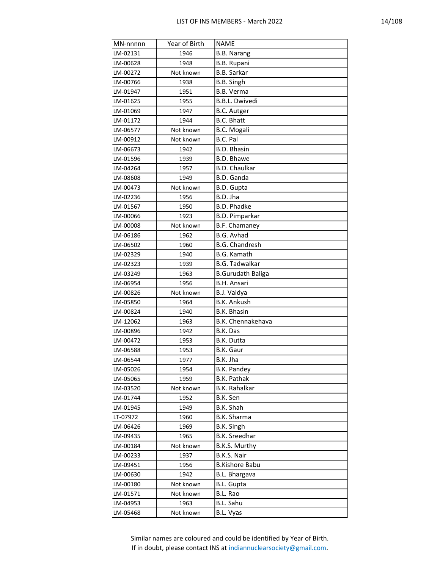| MN-nnnnn | Year of Birth | <b>NAME</b>              |
|----------|---------------|--------------------------|
| LM-02131 | 1946          | <b>B.B. Narang</b>       |
| LM-00628 | 1948          | <b>B.B. Rupani</b>       |
| LM-00272 | Not known     | <b>B.B. Sarkar</b>       |
| LM-00766 | 1938          | B.B. Singh               |
| LM-01947 | 1951          | <b>B.B. Verma</b>        |
| LM-01625 | 1955          | <b>B.B.L. Dwivedi</b>    |
| LM-01069 | 1947          | B.C. Autger              |
| LM-01172 | 1944          | <b>B.C. Bhatt</b>        |
| LM-06577 | Not known     | <b>B.C. Mogali</b>       |
| LM-00912 | Not known     | B.C. Pal                 |
| LM-06673 | 1942          | <b>B.D. Bhasin</b>       |
| LM-01596 | 1939          | <b>B.D. Bhawe</b>        |
| LM-04264 | 1957          | <b>B.D. Chaulkar</b>     |
| LM-08608 | 1949          | B.D. Ganda               |
| LM-00473 | Not known     | B.D. Gupta               |
| LM-02236 | 1956          | B.D. Jha                 |
| LM-01567 | 1950          | <b>B.D. Phadke</b>       |
| LM-00066 | 1923          | <b>B.D. Pimparkar</b>    |
| LM-00008 | Not known     | <b>B.F. Chamaney</b>     |
| LM-06186 | 1962          | <b>B.G. Avhad</b>        |
| LM-06502 | 1960          | <b>B.G. Chandresh</b>    |
| LM-02329 | 1940          | <b>B.G. Kamath</b>       |
| LM-02323 | 1939          | <b>B.G. Tadwalkar</b>    |
| LM-03249 | 1963          | <b>B.Gurudath Baliga</b> |
| LM-06954 | 1956          | <b>B.H. Ansari</b>       |
| LM-00826 | Not known     | <b>B.J. Vaidya</b>       |
| LM-05850 | 1964          | <b>B.K. Ankush</b>       |
| LM-00824 | 1940          | <b>B.K. Bhasin</b>       |
| LM-12062 | 1963          | B.K. Chennakehava        |
| LM-00896 | 1942          | B.K. Das                 |
| LM-00472 | 1953          | B.K. Dutta               |
| LM-06588 | 1953          | <b>B.K. Gaur</b>         |
| LM-06544 | 1977          | B.K. Jha                 |
| LM-05026 | 1954          | <b>B.K. Pandey</b>       |
| LM-05065 | 1959          | <b>B.K. Pathak</b>       |
| LM-03520 | Not known     | <b>B.K. Rahalkar</b>     |
| LM-01744 | 1952          | B.K. Sen                 |
| LM-01945 | 1949          | B.K. Shah                |
| LT-07972 | 1960          | B.K. Sharma              |
| LM-06426 | 1969          | B.K. Singh               |
| LM-09435 | 1965          | <b>B.K. Sreedhar</b>     |
| LM-00184 | Not known     | B.K.S. Murthy            |
| LM-00233 | 1937          | B.K.S. Nair              |
| LM-09451 | 1956          | <b>B.Kishore Babu</b>    |
| LM-00630 | 1942          | <b>B.L. Bhargava</b>     |
| LM-00180 | Not known     | <b>B.L. Gupta</b>        |
| LM-01571 | Not known     | B.L. Rao                 |
| LM-04953 | 1963          | B.L. Sahu                |
| LM-05468 | Not known     | B.L. Vyas                |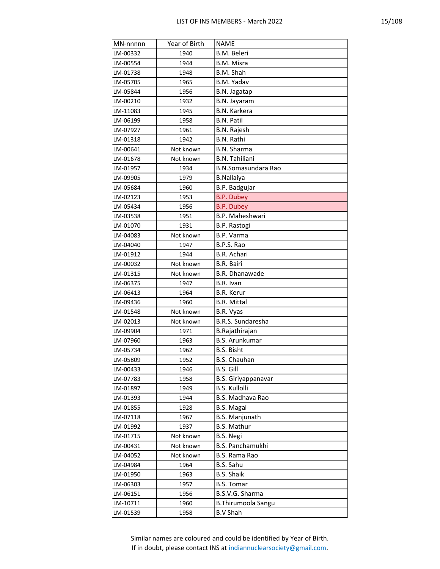| MN-nnnnn | Year of Birth | <b>NAME</b>                |
|----------|---------------|----------------------------|
| LM-00332 | 1940          | B.M. Beleri                |
| LM-00554 | 1944          | B.M. Misra                 |
| LM-01738 | 1948          | B.M. Shah                  |
| LM-05705 | 1965          | B.M. Yadav                 |
| LM-05844 | 1956          | B.N. Jagatap               |
| LM-00210 | 1932          | B.N. Jayaram               |
| LM-11083 | 1945          | <b>B.N. Karkera</b>        |
| LM-06199 | 1958          | <b>B.N. Patil</b>          |
| LM-07927 | 1961          | <b>B.N. Rajesh</b>         |
| LM-01318 | 1942          | <b>B.N. Rathi</b>          |
| LM-00641 | Not known     | <b>B.N. Sharma</b>         |
| LM-01678 | Not known     | <b>B.N. Tahiliani</b>      |
| LM-01957 | 1934          | <b>B.N.Somasundara Rao</b> |
| LM-09905 | 1979          | <b>B.Nallaiya</b>          |
| LM-05684 | 1960          | B.P. Badgujar              |
| LM-02123 | 1953          | <b>B.P. Dubey</b>          |
| LM-05434 | 1956          | <b>B.P. Dubey</b>          |
| LM-03538 | 1951          | B.P. Maheshwari            |
| LM-01070 | 1931          | B.P. Rastogi               |
| LM-04083 | Not known     | B.P. Varma                 |
| LM-04040 | 1947          | B.P.S. Rao                 |
| LM-01912 | 1944          | <b>B.R. Achari</b>         |
| LM-00032 | Not known     | <b>B.R. Bairi</b>          |
| LM-01315 | Not known     | <b>B.R. Dhanawade</b>      |
| LM-06375 | 1947          | B.R. Ivan                  |
| LM-06413 | 1964          | <b>B.R. Kerur</b>          |
| LM-09436 | 1960          | <b>B.R. Mittal</b>         |
| LM-01548 | Not known     | B.R. Vyas                  |
| LM-02013 | Not known     | <b>B.R.S. Sundaresha</b>   |
| LM-09904 | 1971          | B.Rajathirajan             |
| LM-07960 | 1963          | <b>B.S. Arunkumar</b>      |
| LM-05734 | 1962          | <b>B.S. Bisht</b>          |
| LM-05809 | 1952          | <b>B.S. Chauhan</b>        |
| LM-00433 | 1946          | <b>B.S. Gill</b>           |
| LM-07783 | 1958          | <b>B.S. Giriyappanavar</b> |
| LM-01897 | 1949          | <b>B.S. Kullolli</b>       |
| LM-01393 | 1944          | <b>B.S. Madhava Rao</b>    |
| LM-01855 | 1928          | <b>B.S. Magal</b>          |
| LM-07118 | 1967          | <b>B.S. Manjunath</b>      |
| LM-01992 | 1937          | <b>B.S. Mathur</b>         |
| LM-01715 | Not known     | B.S. Negi                  |
| LM-00431 | Not known     | B.S. Panchamukhi           |
| LM-04052 | Not known     | B.S. Rama Rao              |
| LM-04984 | 1964          | B.S. Sahu                  |
| LM-01950 | 1963          | <b>B.S. Shaik</b>          |
| LM-06303 | 1957          | <b>B.S. Tomar</b>          |
| LM-06151 | 1956          | B.S.V.G. Sharma            |
| LM-10711 | 1960          | <b>B.Thirumoola Sangu</b>  |
| LM-01539 | 1958          | <b>B.V Shah</b>            |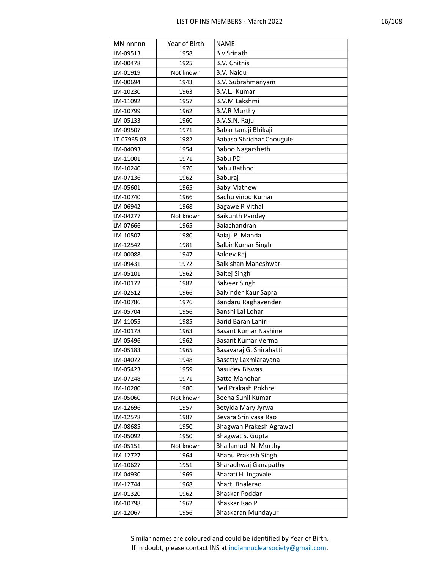| MN-nnnnn    | Year of Birth | <b>NAME</b>                            |
|-------------|---------------|----------------------------------------|
| LM-09513    | 1958          | <b>B.v Srinath</b>                     |
| LM-00478    | 1925          | <b>B.V. Chitnis</b>                    |
| LM-01919    | Not known     | <b>B.V. Naidu</b>                      |
| LM-00694    | 1943          | B.V. Subrahmanyam                      |
| LM-10230    | 1963          | B.V.L. Kumar                           |
| LM-11092    | 1957          | <b>B.V.M Lakshmi</b>                   |
| LM-10799    | 1962          | <b>B.V.R Murthy</b>                    |
| LM-05133    | 1960          | B.V.S.N. Raju                          |
| LM-09507    | 1971          | Babar tanaji Bhikaji                   |
| LT-07965.03 | 1982          | <b>Babaso Shridhar Chougule</b>        |
| LM-04093    | 1954          | Baboo Nagarsheth                       |
| LM-11001    | 1971          | Babu PD                                |
| LM-10240    | 1976          | Babu Rathod                            |
| LM-07136    | 1962          | Baburaj                                |
| LM-05601    | 1965          | <b>Baby Mathew</b>                     |
| LM-10740    | 1966          | Bachu vinod Kumar                      |
| LM-06942    | 1968          | <b>Bagawe R Vithal</b>                 |
| LM-04277    | Not known     | <b>Baikunth Pandey</b>                 |
| LM-07666    | 1965          | Balachandran                           |
| LM-10507    | 1980          | Balaji P. Mandal                       |
| LM-12542    | 1981          | <b>Balbir Kumar Singh</b>              |
| LM-00088    | 1947          | Baldev Raj                             |
| LM-09431    | 1972          | Balkishan Maheshwari                   |
| LM-05101    | 1962          | <b>Baltej Singh</b>                    |
| LM-10172    | 1982          | <b>Balveer Singh</b>                   |
| LM-02512    | 1966          | Balvinder Kaur Sapra                   |
| LM-10786    | 1976          | Bandaru Raghavender                    |
| LM-05704    | 1956          | Banshi Lal Lohar                       |
| LM-11055    | 1985          | Barid Baran Lahiri                     |
| LM-10178    | 1963          | Basant Kumar Nashine                   |
| LM-05496    | 1962          | Basant Kumar Verma                     |
| LM-05183    | 1965          | Basavaraj G. Shirahatti                |
| LM-04072    | 1948          | Basetty Laxmiarayana                   |
| LM-05423    | 1959          | <b>Basudev Biswas</b>                  |
| LM-07248    | 1971          | <b>Batte Manohar</b>                   |
| LM-10280    | 1986          | <b>Bed Prakash Pokhrel</b>             |
| LM-05060    | Not known     | Beena Sunil Kumar                      |
| LM-12696    | 1957          | Betylda Mary Jyrwa                     |
| LM-12578    | 1987          | Bevara Srinivasa Rao                   |
| LM-08685    | 1950          | Bhagwan Prakesh Agrawal                |
| LM-05092    | 1950          | Bhagwat S. Gupta                       |
| LM-05151    | Not known     | Bhallamudi N. Murthy                   |
| LM-12727    | 1964          | Bhanu Prakash Singh                    |
| LM-10627    | 1951          | Bharadhwaj Ganapathy                   |
| LM-04930    | 1969          | Bharati H. Ingavale<br>Bharti Bhalerao |
| LM-12744    | 1968          | Bhaskar Poddar                         |
| LM-01320    | 1962          | Bhaskar Rao P                          |
| LM-10798    | 1962          |                                        |
| LM-12067    | 1956          | Bhaskaran Mundayur                     |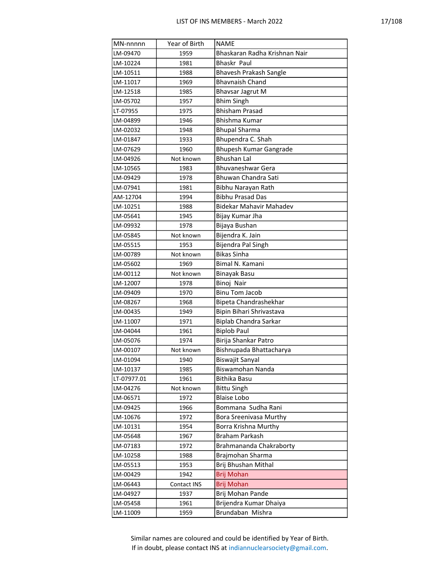| MN-nnnnn    | Year of Birth | <b>NAME</b>                    |
|-------------|---------------|--------------------------------|
| LM-09470    | 1959          | Bhaskaran Radha Krishnan Nair  |
| LM-10224    | 1981          | <b>Bhaskr Paul</b>             |
| LM-10511    | 1988          | Bhavesh Prakash Sangle         |
| LM-11017    | 1969          | <b>Bhavnaish Chand</b>         |
| LM-12518    | 1985          | <b>Bhavsar Jagrut M</b>        |
| LM-05702    | 1957          | <b>Bhim Singh</b>              |
| LT-07955    | 1975          | <b>Bhisham Prasad</b>          |
| LM-04899    | 1946          | <b>Bhishma Kumar</b>           |
| LM-02032    | 1948          | <b>Bhupal Sharma</b>           |
| LM-01847    | 1933          | Bhupendra C. Shah              |
| LM-07629    | 1960          | <b>Bhupesh Kumar Gangrade</b>  |
| LM-04926    | Not known     | <b>Bhushan Lal</b>             |
| LM-10565    | 1983          | Bhuvaneshwar Gera              |
| LM-09429    | 1978          | Bhuwan Chandra Sati            |
| LM-07941    | 1981          | Bibhu Narayan Rath             |
| AM-12704    | 1994          | <b>Bibhu Prasad Das</b>        |
| LM-10251    | 1988          | <b>Bidekar Mahavir Mahadev</b> |
| LM-05641    | 1945          | Bijay Kumar Jha                |
| LM-09932    | 1978          | Bijaya Bushan                  |
| LM-05845    | Not known     | Bijendra K. Jain               |
| LM-05515    | 1953          | Bijendra Pal Singh             |
| LM-00789    | Not known     | <b>Bikas Sinha</b>             |
| LM-05602    | 1969          | Bimal N. Kamani                |
| LM-00112    | Not known     | <b>Binayak Basu</b>            |
| LM-12007    | 1978          | Binoj Nair                     |
| LM-09409    | 1970          | <b>Binu Tom Jacob</b>          |
| LM-08267    | 1968          | Bipeta Chandrashekhar          |
| LM-00435    | 1949          | Bipin Bihari Shrivastava       |
| LM-11007    | 1971          | Biplab Chandra Sarkar          |
| LM-04044    | 1961          | <b>Biplob Paul</b>             |
| LM-05076    | 1974          | Birija Shankar Patro           |
| LM-00107    | Not known     | Bishnupada Bhattacharya        |
| LM-01094    | 1940          | Biswajit Sanyal                |
| LM-10137    | 1985          | Biswamohan Nanda               |
| LT-07977.01 | 1961          | Bithika Basu                   |
| LM-04276    | Not known     | <b>Bittu Singh</b>             |
| LM-06571    | 1972          | <b>Blaise Lobo</b>             |
| LM-09425    | 1966          | Bommana Sudha Rani             |
| LM-10676    | 1972          | <b>Bora Sreenivasa Murthy</b>  |
| LM-10131    | 1954          | Borra Krishna Murthy           |
| LM-05648    | 1967          | Braham Parkash                 |
| LM-07183    | 1972          | Brahmananda Chakraborty        |
| LM-10258    | 1988          | Brajmohan Sharma               |
| LM-05513    | 1953          | Brij Bhushan Mithal            |
| LM-00429    | 1942          | <b>Brij Mohan</b>              |
| LM-06443    | Contact INS   | <b>Brij Mohan</b>              |
| LM-04927    | 1937          | Brij Mohan Pande               |
| LM-05458    | 1961          | Brijendra Kumar Dhaiya         |
| LM-11009    | 1959          | Brundaban Mishra               |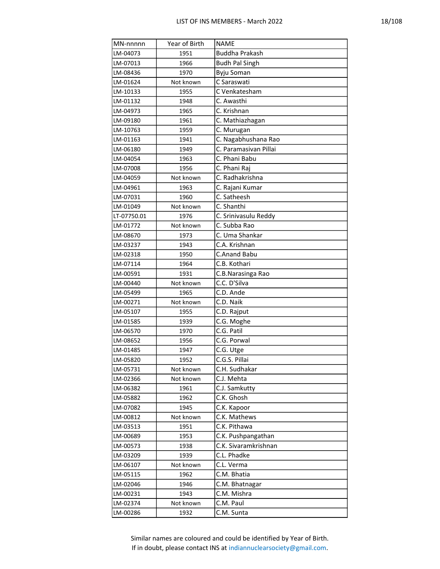| т.<br>٠ |
|---------|
|---------|

| MN-nnnnn    | Year of Birth | <b>NAME</b>           |
|-------------|---------------|-----------------------|
| LM-04073    | 1951          | <b>Buddha Prakash</b> |
| LM-07013    | 1966          | <b>Budh Pal Singh</b> |
| LM-08436    | 1970          | Byju Soman            |
| LM-01624    | Not known     | C Saraswati           |
| LM-10133    | 1955          | C Venkatesham         |
| LM-01132    | 1948          | C. Awasthi            |
| LM-04973    | 1965          | C. Krishnan           |
| LM-09180    | 1961          | C. Mathiazhagan       |
| LM-10763    | 1959          | C. Murugan            |
| LM-01163    | 1941          | C. Nagabhushana Rao   |
| LM-06180    | 1949          | C. Paramasivan Pillai |
| LM-04054    | 1963          | C. Phani Babu         |
| LM-07008    | 1956          | C. Phani Raj          |
| LM-04059    | Not known     | C. Radhakrishna       |
| LM-04961    | 1963          | C. Rajani Kumar       |
| LM-07031    | 1960          | C. Satheesh           |
| LM-01049    | Not known     | C. Shanthi            |
| LT-07750.01 | 1976          | C. Srinivasulu Reddy  |
| LM-01772    | Not known     | C. Subba Rao          |
| LM-08670    | 1973          | C. Uma Shankar        |
| LM-03237    | 1943          | C.A. Krishnan         |
| LM-02318    | 1950          | <b>C.Anand Babu</b>   |
| LM-07114    | 1964          | C.B. Kothari          |
| LM-00591    | 1931          | C.B.Narasinga Rao     |
| LM-00440    | Not known     | C.C. D'Silva          |
| LM-05499    | 1965          | C.D. Ande             |
| LM-00271    | Not known     | C.D. Naik             |
| LM-05107    | 1955          | C.D. Rajput           |
| LM-01585    | 1939          | C.G. Moghe            |
| LM-06570    | 1970          | C.G. Patil            |
| LM-08652    | 1956          | C.G. Porwal           |
| LM-01485    | 1947          | C.G. Utge             |
| LM-05820    | 1952          | C.G.S. Pillai         |
| LM-05731    | Not known     | C.H. Sudhakar         |
| LM-02366    | Not known     | C.J. Mehta            |
| LM-06382    | 1961          | C.J. Samkutty         |
| LM-05882    | 1962          | C.K. Ghosh            |
| LM-07082    | 1945          | C.K. Kapoor           |
| LM-00812    | Not known     | C.K. Mathews          |
| LM-03513    | 1951          | C.K. Pithawa          |
| LM-00689    | 1953          | C.K. Pushpangathan    |
| LM-00573    | 1938          | C.K. Sivaramkrishnan  |
| LM-03209    | 1939          | C.L. Phadke           |
| LM-06107    | Not known     | C.L. Verma            |
| LM-05115    | 1962          | C.M. Bhatia           |
| LM-02046    | 1946          | C.M. Bhatnagar        |
| LM-00231    | 1943          | C.M. Mishra           |
| LM-02374    | Not known     | C.M. Paul             |
| LM-00286    | 1932          | C.M. Sunta            |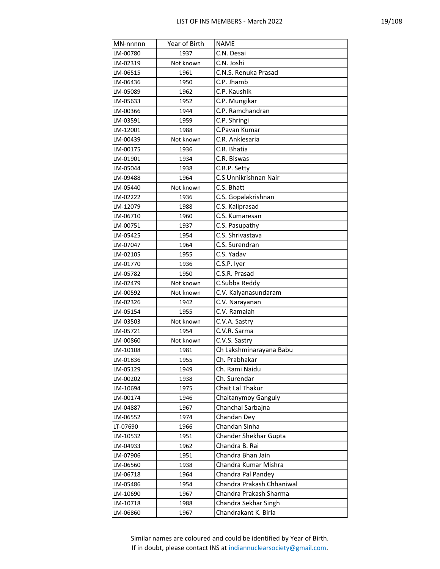| ×. |
|----|
|----|

| MN-nnnnn             | Year of Birth | <b>NAME</b>                                     |
|----------------------|---------------|-------------------------------------------------|
| LM-00780             | 1937          | C.N. Desai                                      |
| LM-02319             | Not known     | C.N. Joshi                                      |
| LM-06515             | 1961          | C.N.S. Renuka Prasad                            |
| LM-06436             | 1950          | C.P. Jhamb                                      |
| LM-05089             | 1962          | C.P. Kaushik                                    |
| LM-05633             | 1952          | C.P. Mungikar                                   |
| LM-00366             | 1944          | C.P. Ramchandran                                |
| LM-03591             | 1959          | C.P. Shringi                                    |
| LM-12001             | 1988          | C.Pavan Kumar                                   |
| LM-00439             | Not known     | C.R. Anklesaria                                 |
| LM-00175             | 1936          | C.R. Bhatia                                     |
| LM-01901             | 1934          | C.R. Biswas                                     |
| LM-05044             | 1938          | C.R.P. Setty                                    |
| LM-09488             | 1964          | C.S Unnikrishnan Nair                           |
| LM-05440             | Not known     | C.S. Bhatt                                      |
| LM-02222             | 1936          | C.S. Gopalakrishnan                             |
| LM-12079             | 1988          | C.S. Kaliprasad                                 |
| LM-06710             | 1960          | C.S. Kumaresan                                  |
| LM-00751             | 1937          | C.S. Pasupathy                                  |
| LM-05425             | 1954          | C.S. Shrivastava                                |
| LM-07047             | 1964          | C.S. Surendran                                  |
| LM-02105             | 1955          | C.S. Yadav                                      |
| LM-01770             | 1936          | C.S.P. Iyer                                     |
| LM-05782             | 1950          | C.S.R. Prasad                                   |
| LM-02479             | Not known     | C.Subba Reddy                                   |
| LM-00592             | Not known     | C.V. Kalyanasundaram                            |
| LM-02326             | 1942          | C.V. Narayanan                                  |
| LM-05154             | 1955          | C.V. Ramaiah                                    |
| LM-03503             | Not known     | C.V.A. Sastry                                   |
| LM-05721             | 1954          | C.V.R. Sarma                                    |
| LM-00860             | Not known     | C.V.S. Sastry                                   |
| LM-10108             | 1981          | Ch Lakshminarayana Babu                         |
| LM-01836             | 1955          | Ch. Prabhakar                                   |
| LM-05129             | 1949          | Ch. Rami Naidu                                  |
| LM-00202             | 1938          | Ch. Surendar                                    |
| LM-10694             | 1975          | Chait Lal Thakur                                |
| LM-00174             | 1946          | Chaitanymoy Ganguly                             |
| LM-04887             | 1967          | Chanchal Sarbajna                               |
| LM-06552             | 1974          | Chandan Dey<br>Chandan Sinha                    |
| LT-07690             | 1966          |                                                 |
| LM-10532             | 1951          | Chander Shekhar Gupta                           |
| LM-04933             | 1962          | Chandra B. Rai                                  |
| LM-07906             | 1951          | Chandra Bhan Jain                               |
| LM-06560             | 1938          | Chandra Kumar Mishra                            |
| LM-06718             | 1964          | Chandra Pal Pandey<br>Chandra Prakash Chhaniwal |
| LM-05486<br>LM-10690 | 1954          | Chandra Prakash Sharma                          |
|                      | 1967          | Chandra Sekhar Singh                            |
| LM-10718             | 1988          |                                                 |
| LM-06860             | 1967          | Chandrakant K. Birla                            |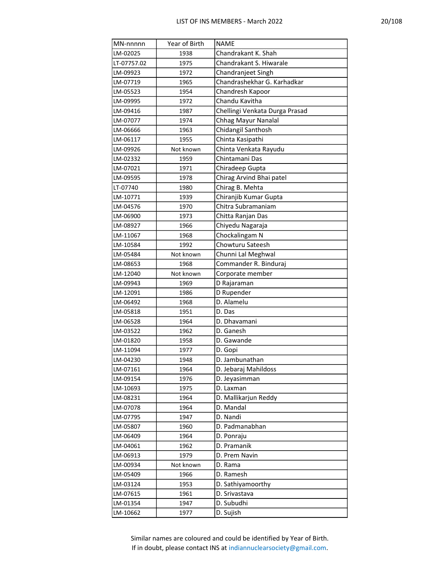| MN-nnnnn    | Year of Birth | <b>NAME</b>                    |
|-------------|---------------|--------------------------------|
| LM-02025    | 1938          | Chandrakant K. Shah            |
| LT-07757.02 | 1975          | Chandrakant S. Hiwarale        |
| LM-09923    | 1972          | Chandranjeet Singh             |
| LM-07719    | 1965          | Chandrashekhar G. Karhadkar    |
| LM-05523    | 1954          | Chandresh Kapoor               |
| LM-09995    | 1972          | Chandu Kavitha                 |
| LM-09416    | 1987          | Chellingi Venkata Durga Prasad |
| LM-07077    | 1974          | Chhag Mayur Nanalal            |
| LM-06666    | 1963          | Chidangil Santhosh             |
| LM-06117    | 1955          | Chinta Kasipathi               |
| LM-09926    | Not known     | Chinta Venkata Rayudu          |
| LM-02332    | 1959          | Chintamani Das                 |
| LM-07021    | 1971          | Chiradeep Gupta                |
| LM-09595    | 1978          | Chirag Arvind Bhai patel       |
| LT-07740    | 1980          | Chirag B. Mehta                |
| LM-10771    | 1939          | Chiranjib Kumar Gupta          |
| LM-04576    | 1970          | Chitra Subramaniam             |
| LM-06900    | 1973          | Chitta Ranjan Das              |
| LM-08927    | 1966          | Chiyedu Nagaraja               |
| LM-11067    | 1968          | Chockalingam N                 |
| LM-10584    | 1992          | Chowturu Sateesh               |
| LM-05484    | Not known     | Chunni Lal Meghwal             |
| LM-08653    | 1968          | Commander R. Binduraj          |
| LM-12040    | Not known     | Corporate member               |
| LM-09943    | 1969          | D Rajaraman                    |
| LM-12091    | 1986          | D Rupender                     |
| LM-06492    | 1968          | D. Alamelu                     |
| LM-05818    | 1951          | D. Das                         |
| LM-06528    | 1964          | D. Dhavamani                   |
| LM-03522    | 1962          | D. Ganesh                      |
| LM-01820    | 1958          | D. Gawande                     |
| LM-11094    | 1977          | D. Gopi                        |
| LM-04230    | 1948          | D. Jambunathan                 |
| LM-07161    | 1964          | D. Jebaraj Mahildoss           |
| LM-09154    | 1976          | D. Jeyasimman                  |
| LM-10693    | 1975          | D. Laxman                      |
| LM-08231    | 1964          | D. Mallikarjun Reddy           |
| LM-07078    | 1964          | D. Mandal                      |
| LM-07795    | 1947          | D. Nandi                       |
| LM-05807    | 1960          | D. Padmanabhan                 |
| LM-06409    | 1964          | D. Ponraju                     |
| LM-04061    | 1962          | D. Pramanik                    |
| LM-06913    | 1979          | D. Prem Navin                  |
| LM-00934    | Not known     | D. Rama                        |
| LM-05409    | 1966          | D. Ramesh                      |
| LM-03124    | 1953          | D. Sathiyamoorthy              |
| LM-07615    | 1961          | D. Srivastava                  |
| LM-01354    | 1947          | D. Subudhi                     |
| LM-10662    | 1977          | D. Sujish                      |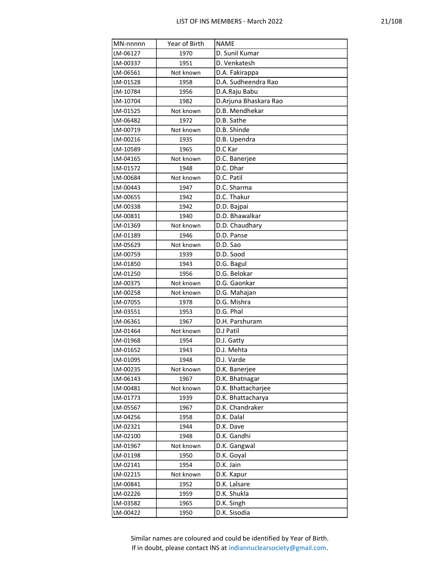| MN-nnnnn | Year of Birth | <b>NAME</b>           |
|----------|---------------|-----------------------|
| LM-06127 | 1970          | D. Sunil Kumar        |
| LM-00337 | 1951          | D. Venkatesh          |
| LM-06561 | Not known     | D.A. Fakirappa        |
| LM-01528 | 1958          | D.A. Sudheendra Rao   |
| LM-10784 | 1956          | D.A.Raju Babu         |
| LM-10704 | 1982          | D.Arjuna Bhaskara Rao |
| LM-01525 | Not known     | D.B. Mendhekar        |
| LM-06482 | 1972          | D.B. Sathe            |
| LM-00719 | Not known     | D.B. Shinde           |
| LM-00216 | 1935          | D.B. Upendra          |
| LM-10589 | 1965          | D.C Kar               |
| LM-04165 | Not known     | D.C. Banerjee         |
| LM-01572 | 1948          | D.C. Dhar             |
| LM-00684 | Not known     | D.C. Patil            |
| LM-00443 | 1947          | D.C. Sharma           |
| LM-00655 | 1942          | D.C. Thakur           |
| LM-00338 | 1942          | D.D. Bajpai           |
| LM-00831 | 1940          | D.D. Bhawalkar        |
| LM-01369 | Not known     | D.D. Chaudhary        |
| LM-01189 | 1946          | D.D. Panse            |
| LM-05629 | Not known     | D.D. Sao              |
| LM-00759 | 1939          | D.D. Sood             |
| LM-01850 | 1943          | D.G. Bagul            |
| LM-01250 | 1956          | D.G. Belokar          |
| LM-00375 | Not known     | D.G. Gaonkar          |
| LM-00258 | Not known     | D.G. Mahajan          |
| LM-07055 | 1978          | D.G. Mishra           |
| LM-03551 | 1953          | D.G. Phal             |
| LM-06361 | 1967          | D.H. Parshuram        |
| LM-01464 | Not known     | D.J Patil             |
| LM-01968 | 1954          | D.J. Gatty            |
| LM-01652 | 1943          | D.J. Mehta            |
| LM-01095 | 1948          | D.J. Varde            |
| LM-00235 | Not known     | D.K. Banerjee         |
| LM-06143 | 1967          | D.K. Bhatnagar        |
| LM-00481 | Not known     | D.K. Bhattacharjee    |
| LM-01773 | 1939          | D.K. Bhattacharya     |
| LM-05567 | 1967          | D.K. Chandraker       |
| LM-04256 | 1958          | D.K. Dalal            |
| LM-02321 | 1944          | D.K. Dave             |
| LM-02100 | 1948          | D.K. Gandhi           |
| LM-01967 | Not known     | D.K. Gangwal          |
| LM-01198 | 1950          | D.K. Goyal            |
| LM-02141 | 1954          | D.K. Jain             |
| LM-02215 | Not known     | D.K. Kapur            |
| LM-00841 | 1952          | D.K. Lalsare          |
| LM-02226 | 1959          | D.K. Shukla           |
| LM-03582 | 1965          | D.K. Singh            |
| LM-00422 | 1950          | D.K. Sisodia          |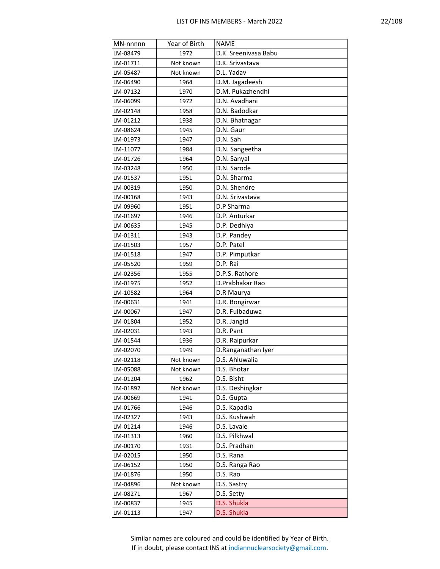| MN-nnnnn | Year of Birth | <b>NAME</b>          |
|----------|---------------|----------------------|
| LM-08479 | 1972          | D.K. Sreenivasa Babu |
| LM-01711 | Not known     | D.K. Srivastava      |
| LM-05487 | Not known     | D.L. Yadav           |
| LM-06490 | 1964          | D.M. Jagadeesh       |
| LM-07132 | 1970          | D.M. Pukazhendhi     |
| LM-06099 | 1972          | D.N. Avadhani        |
| LM-02148 | 1958          | D.N. Badodkar        |
| LM-01212 | 1938          | D.N. Bhatnagar       |
| LM-08624 | 1945          | D.N. Gaur            |
| LM-01973 | 1947          | D.N. Sah             |
| LM-11077 | 1984          | D.N. Sangeetha       |
| LM-01726 | 1964          | D.N. Sanyal          |
| LM-03248 | 1950          | D.N. Sarode          |
| LM-01537 | 1951          | D.N. Sharma          |
| LM-00319 | 1950          | D.N. Shendre         |
| LM-00168 | 1943          | D.N. Srivastava      |
| LM-09960 | 1951          | D.P Sharma           |
| LM-01697 | 1946          | D.P. Anturkar        |
| LM-00635 | 1945          | D.P. Dedhiya         |
| LM-01311 | 1943          | D.P. Pandey          |
| LM-01503 | 1957          | D.P. Patel           |
| LM-01518 | 1947          | D.P. Pimputkar       |
| LM-05520 | 1959          | D.P. Rai             |
| LM-02356 | 1955          | D.P.S. Rathore       |
| LM-01975 | 1952          | D.Prabhakar Rao      |
| LM-10582 | 1964          | D.R Maurya           |
| LM-00631 | 1941          | D.R. Bongirwar       |
| LM-00067 | 1947          | D.R. Fulbaduwa       |
| LM-01804 | 1952          | D.R. Jangid          |
| LM-02031 | 1943          | D.R. Pant            |
| LM-01544 | 1936          | D.R. Raipurkar       |
| LM-02070 | 1949          | D.Ranganathan Iyer   |
| LM-02118 | Not known     | D.S. Ahluwalia       |
| LM-05088 | Not known     | D.S. Bhotar          |
| LM-01204 | 1962          | D.S. Bisht           |
| LM-01892 | Not known     | D.S. Deshingkar      |
| LM-00669 | 1941          | D.S. Gupta           |
| LM-01766 | 1946          | D.S. Kapadia         |
| LM-02327 | 1943          | D.S. Kushwah         |
| LM-01214 | 1946          | D.S. Lavale          |
| LM-01313 | 1960          | D.S. Pilkhwal        |
| LM-00170 | 1931          | D.S. Pradhan         |
| LM-02015 | 1950          | D.S. Rana            |
| LM-06152 | 1950          | D.S. Ranga Rao       |
| LM-01876 | 1950          | D.S. Rao             |
| LM-04896 | Not known     | D.S. Sastry          |
| LM-08271 | 1967          | D.S. Setty           |
| LM-00837 | 1945          | D.S. Shukla          |
| LM-01113 | 1947          | D.S. Shukla          |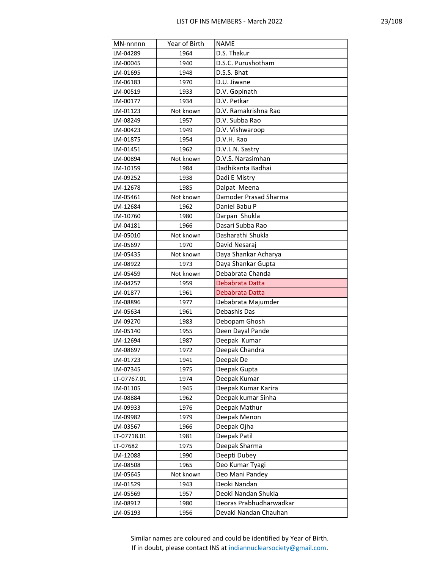| MN-nnnnn    | Year of Birth | <b>NAME</b>             |
|-------------|---------------|-------------------------|
| LM-04289    | 1964          | D.S. Thakur             |
| LM-00045    | 1940          | D.S.C. Purushotham      |
| LM-01695    | 1948          | D.S.S. Bhat             |
| LM-06183    | 1970          | D.U. Jiwane             |
| LM-00519    | 1933          | D.V. Gopinath           |
| LM-00177    | 1934          | D.V. Petkar             |
| LM-01123    | Not known     | D.V. Ramakrishna Rao    |
| LM-08249    | 1957          | D.V. Subba Rao          |
| LM-00423    | 1949          | D.V. Vishwaroop         |
| LM-01875    | 1954          | D.V.H. Rao              |
| LM-01451    | 1962          | D.V.L.N. Sastry         |
| LM-00894    | Not known     | D.V.S. Narasimhan       |
| LM-10159    | 1984          | Dadhikanta Badhai       |
| LM-09252    | 1938          | Dadi E Mistry           |
| LM-12678    | 1985          | Dalpat Meena            |
| LM-05461    | Not known     | Damoder Prasad Sharma   |
| LM-12684    | 1962          | Daniel Babu P           |
| LM-10760    | 1980          | Darpan Shukla           |
| LM-04181    | 1966          | Dasari Subba Rao        |
| LM-05010    | Not known     | Dasharathi Shukla       |
| LM-05697    | 1970          | David Nesaraj           |
| LM-05435    | Not known     | Daya Shankar Acharya    |
| LM-08922    | 1973          | Daya Shankar Gupta      |
| LM-05459    | Not known     | Debabrata Chanda        |
| LM-04257    | 1959          | Debabrata Datta         |
| LM-01877    | 1961          | Debabrata Datta         |
| LM-08896    | 1977          | Debabrata Majumder      |
| LM-05634    | 1961          | Debashis Das            |
| LM-09270    | 1983          | Debopam Ghosh           |
| LM-05140    | 1955          | Deen Dayal Pande        |
| LM-12694    | 1987          | Deepak Kumar            |
| LM-08697    | 1972          | Deepak Chandra          |
| LM-01723    | 1941          | Deepak De               |
| LM-07345    | 1975          | Deepak Gupta            |
| LT-07767.01 | 1974          | Deepak Kumar            |
| LM-01105    | 1945          | Deepak Kumar Karira     |
| LM-08884    | 1962          | Deepak kumar Sinha      |
| LM-09933    | 1976          | Deepak Mathur           |
| LM-09982    | 1979          | Deepak Menon            |
| LM-03567    | 1966          | Deepak Ojha             |
| LT-07718.01 | 1981          | Deepak Patil            |
| LT-07682    | 1975          | Deepak Sharma           |
| LM-12088    | 1990          | Deepti Dubey            |
| LM-08508    | 1965          | Deo Kumar Tyagi         |
| LM-05645    | Not known     | Deo Mani Pandey         |
| LM-01529    | 1943          | Deoki Nandan            |
| LM-05569    | 1957          | Deoki Nandan Shukla     |
| LM-08912    | 1980          | Deoras Prabhudharwadkar |
| LM-05193    | 1956          | Devaki Nandan Chauhan   |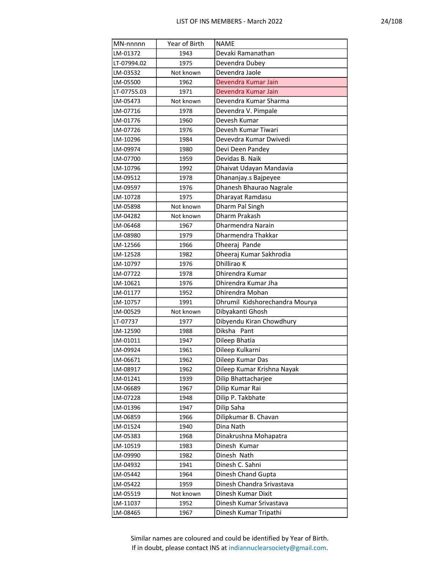| MN-nnnnn    | Year of Birth | <b>NAME</b>                    |
|-------------|---------------|--------------------------------|
| LM-01372    | 1943          | Devaki Ramanathan              |
| LT-07994.02 | 1975          | Devendra Dubey                 |
| LM-03532    | Not known     | Devendra Jaole                 |
| LM-05500    | 1962          | Devendra Kumar Jain            |
| LT-07755.03 | 1971          | Devendra Kumar Jain            |
| LM-05473    | Not known     | Devendra Kumar Sharma          |
| LM-07716    | 1978          | Devendra V. Pimpale            |
| LM-01776    | 1960          | Devesh Kumar                   |
| LM-07726    | 1976          | Devesh Kumar Tiwari            |
| LM-10296    | 1984          | Devevdra Kumar Dwivedi         |
| LM-09974    | 1980          | Devi Deen Pandey               |
| LM-07700    | 1959          | Devidas B. Naik                |
| LM-10796    | 1992          | Dhaivat Udayan Mandavia        |
| LM-09512    | 1978          | Dhananjay.s Bajpeyee           |
| LM-09597    | 1976          | Dhanesh Bhaurao Nagrale        |
| LM-10728    | 1975          | Dharayat Ramdasu               |
| LM-05898    | Not known     | Dharm Pal Singh                |
| LM-04282    | Not known     | Dharm Prakash                  |
| LM-06468    | 1967          | Dharmendra Narain              |
| LM-08980    | 1979          | Dharmendra Thakkar             |
| LM-12566    | 1966          | Dheeraj Pande                  |
| LM-12528    | 1982          | Dheeraj Kumar Sakhrodia        |
| LM-10797    | 1976          | Dhillirao K                    |
| LM-07722    | 1978          | Dhirendra Kumar                |
| LM-10621    | 1976          | Dhirendra Kumar Jha            |
| LM-01177    | 1952          | Dhirendra Mohan                |
| LM-10757    | 1991          | Dhrumil Kidshorechandra Mourya |
| LM-00529    | Not known     | Dibyakanti Ghosh               |
| LT-07737    | 1977          | Dibyendu Kiran Chowdhury       |
| LM-12590    | 1988          | Diksha<br>Pant                 |
| LM-01011    | 1947          | Dileep Bhatia                  |
| LM-09924    | 1961          | Dileep Kulkarni                |
| LM-06671    | 1962          | Dileep Kumar Das               |
| LM-08917    | 1962          | Dileep Kumar Krishna Nayak     |
| LM-01241    | 1939          | Dilip Bhattacharjee            |
| LM-06689    | 1967          | Dilip Kumar Rai                |
| LM-07228    | 1948          | Dilip P. Takbhate              |
| LM-01396    | 1947          | Dilip Saha                     |
| LM-06859    | 1966          | Dilipkumar B. Chavan           |
| LM-01524    | 1940          | Dina Nath                      |
| LM-05383    | 1968          | Dinakrushna Mohapatra          |
| LM-10519    | 1983          | Dinesh Kumar                   |
| LM-09990    | 1982          | Dinesh Nath                    |
| LM-04932    | 1941          | Dinesh C. Sahni                |
| LM-05442    | 1964          | Dinesh Chand Gupta             |
| LM-05422    | 1959          | Dinesh Chandra Srivastava      |
| LM-05519    | Not known     | Dinesh Kumar Dixit             |
| LM-11037    | 1952          | Dinesh Kumar Srivastava        |
| LM-08465    | 1967          | Dinesh Kumar Tripathi          |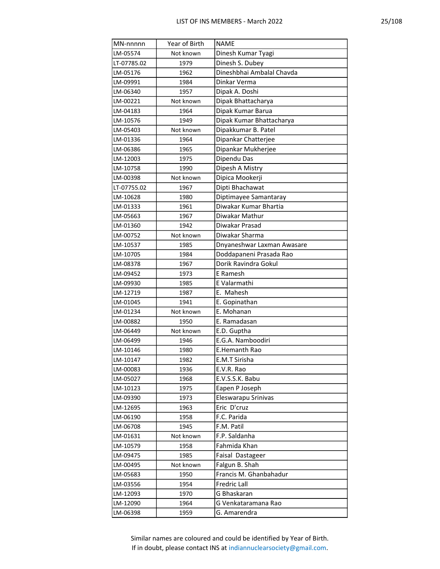| MN-nnnnn    | Year of Birth | <b>NAME</b>                |
|-------------|---------------|----------------------------|
| LM-05574    | Not known     | Dinesh Kumar Tyagi         |
| LT-07785.02 | 1979          | Dinesh S. Dubey            |
| LM-05176    | 1962          | Dineshbhai Ambalal Chavda  |
| LM-09991    | 1984          | Dinkar Verma               |
| LM-06340    | 1957          | Dipak A. Doshi             |
| LM-00221    | Not known     | Dipak Bhattacharya         |
| LM-04183    | 1964          | Dipak Kumar Barua          |
| LM-10576    | 1949          | Dipak Kumar Bhattacharya   |
| LM-05403    | Not known     | Dipakkumar B. Patel        |
| LM-01336    | 1964          | Dipankar Chatterjee        |
| LM-06386    | 1965          | Dipankar Mukherjee         |
| LM-12003    | 1975          | Dipendu Das                |
| LM-10758    | 1990          | Dipesh A Mistry            |
| LM-00398    | Not known     | Dipica Mookerji            |
| LT-07755.02 | 1967          | Dipti Bhachawat            |
| LM-10628    | 1980          | Diptimayee Samantaray      |
| LM-01333    | 1961          | Diwakar Kumar Bhartia      |
| LM-05663    | 1967          | Diwakar Mathur             |
| LM-01360    | 1942          | Diwakar Prasad             |
| LM-00752    | Not known     | Diwakar Sharma             |
| LM-10537    | 1985          | Dnyaneshwar Laxman Awasare |
| LM-10705    | 1984          | Doddapaneni Prasada Rao    |
| LM-08378    | 1967          | Dorik Ravindra Gokul       |
| LM-09452    | 1973          | E Ramesh                   |
| LM-09930    | 1985          | E Valarmathi               |
| LM-12719    | 1987          | E. Mahesh                  |
| LM-01045    | 1941          | E. Gopinathan              |
| LM-01234    | Not known     | E. Mohanan                 |
| LM-00882    | 1950          | E. Ramadasan               |
| LM-06449    | Not known     | E.D. Guptha                |
| LM-06499    | 1946          | E.G.A. Namboodiri          |
| LM-10146    | 1980          | E.Hemanth Rao              |
| LM-10147    | 1982          | E.M.T Sirisha              |
| LM-00083    | 1936          | E.V.R. Rao                 |
| LM-05027    | 1968          | E.V.S.S.K. Babu            |
| LM-10123    | 1975          | Eapen P Joseph             |
| LM-09390    | 1973          | Eleswarapu Srinivas        |
| LM-12695    | 1963          | Eric D'cruz                |
| LM-06190    | 1958          | F.C. Parida                |
| LM-06708    | 1945          | F.M. Patil                 |
| LM-01631    | Not known     | F.P. Saldanha              |
| LM-10579    | 1958          | Fahmida Khan               |
| LM-09475    | 1985          | Faisal Dastageer           |
| LM-00495    | Not known     | Falgun B. Shah             |
| LM-05683    | 1950          | Francis M. Ghanbahadur     |
| LM-03556    | 1954          | Fredric Lall               |
| LM-12093    | 1970          | G Bhaskaran                |
| LM-12090    | 1964          | G Venkataramana Rao        |
| LM-06398    | 1959          | G. Amarendra               |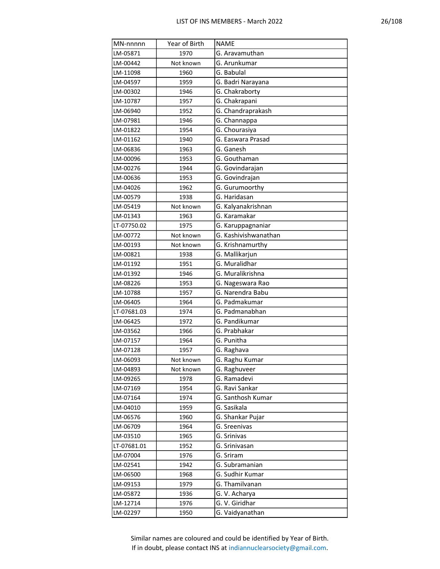| ٠ |
|---|
|---|

| MN-nnnnn    | Year of Birth | <b>NAME</b>                       |
|-------------|---------------|-----------------------------------|
| LM-05871    | 1970          | G. Aravamuthan                    |
| LM-00442    | Not known     | G. Arunkumar                      |
| LM-11098    | 1960          | G. Babulal                        |
| LM-04597    | 1959          | G. Badri Narayana                 |
| LM-00302    | 1946          | G. Chakraborty                    |
| LM-10787    | 1957          | G. Chakrapani                     |
| LM-06940    | 1952          | G. Chandraprakash                 |
| LM-07981    | 1946          | G. Channappa                      |
| LM-01822    | 1954          | G. Chourasiya                     |
| LM-01162    | 1940          | G. Easwara Prasad                 |
| LM-06836    | 1963          | G. Ganesh                         |
| LM-00096    | 1953          | G. Gouthaman                      |
| LM-00276    | 1944          | G. Govindarajan                   |
| LM-00636    | 1953          | G. Govindrajan                    |
| LM-04026    | 1962          | G. Gurumoorthy                    |
| LM-00579    | 1938          | G. Haridasan                      |
| LM-05419    | Not known     | G. Kalyanakrishnan                |
| LM-01343    | 1963          | G. Karamakar                      |
| LT-07750.02 | 1975          | G. Karuppagnaniar                 |
| LM-00772    | Not known     | G. Kashivishwanathan              |
| LM-00193    | Not known     | G. Krishnamurthy                  |
| LM-00821    | 1938          | G. Mallikarjun                    |
| LM-01192    | 1951          | G. Muralidhar                     |
| LM-01392    | 1946          | G. Muralikrishna                  |
| LM-08226    | 1953          | G. Nageswara Rao                  |
| LM-10788    | 1957          | G. Narendra Babu                  |
| LM-06405    | 1964          | G. Padmakumar                     |
| LT-07681.03 | 1974          | G. Padmanabhan                    |
| LM-06425    | 1972          | G. Pandikumar                     |
| LM-03562    | 1966          | G. Prabhakar                      |
| LM-07157    | 1964          | G. Punitha                        |
| LM-07128    | 1957          | G. Raghava                        |
| LM-06093    | Not known     | G. Raghu Kumar                    |
| LM-04893    | Not known     | G. Raghuveer                      |
| LM-09265    | 1978          | G. Ramadevi                       |
| LM-07169    | 1954          | G. Ravi Sankar                    |
| LM-07164    | 1974          | G. Santhosh Kumar                 |
| LM-04010    | 1959          | G. Sasikala                       |
| LM-06576    | 1960          | G. Shankar Pujar                  |
| LM-06709    | 1964          | G. Sreenivas                      |
| LM-03510    | 1965          | G. Srinivas                       |
| LT-07681.01 | 1952          | G. Srinivasan                     |
| LM-07004    | 1976          | G. Sriram                         |
| LM-02541    | 1942          | G. Subramanian                    |
| LM-06500    | 1968          | G. Sudhir Kumar<br>G. Thamilvanan |
| LM-09153    | 1979          | G. V. Acharya                     |
| LM-05872    | 1936          | G. V. Giridhar                    |
| LM-12714    | 1976          |                                   |
| LM-02297    | 1950          | G. Vaidyanathan                   |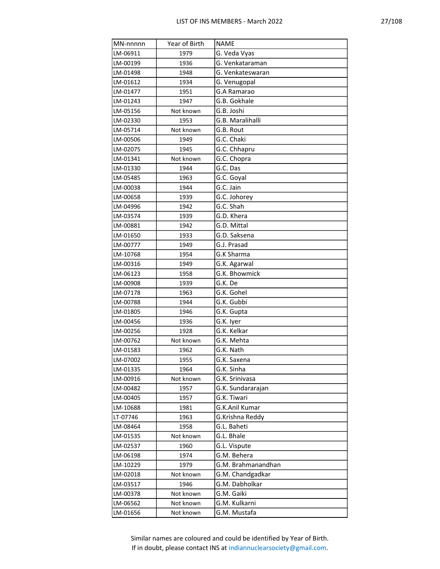| MN-nnnnn | Year of Birth | <b>NAME</b>        |
|----------|---------------|--------------------|
| LM-06911 | 1979          | G. Veda Vyas       |
| LM-00199 | 1936          | G. Venkataraman    |
| LM-01498 | 1948          | G. Venkateswaran   |
| LM-01612 | 1934          | G. Venugopal       |
| LM-01477 | 1951          | G.A Ramarao        |
| LM-01243 | 1947          | G.B. Gokhale       |
| LM-05156 | Not known     | G.B. Joshi         |
| LM-02330 | 1953          | G.B. Maralihalli   |
| LM-05714 | Not known     | G.B. Rout          |
| LM-00506 | 1949          | G.C. Chaki         |
| LM-02075 | 1945          | G.C. Chhapru       |
| LM-01341 | Not known     | G.C. Chopra        |
| LM-01330 | 1944          | G.C. Das           |
| LM-05485 | 1963          | G.C. Goyal         |
| LM-00038 | 1944          | G.C. Jain          |
| LM-00658 | 1939          | G.C. Johorey       |
| LM-04996 | 1942          | G.C. Shah          |
| LM-03574 | 1939          | G.D. Khera         |
| LM-00881 | 1942          | G.D. Mittal        |
| LM-01650 | 1933          | G.D. Saksena       |
| LM-00777 | 1949          | G.J. Prasad        |
| LM-10768 | 1954          | G.K Sharma         |
| LM-00316 | 1949          | G.K. Agarwal       |
| LM-06123 | 1958          | G.K. Bhowmick      |
| LM-00908 | 1939          | G.K. De            |
| LM-07178 | 1963          | G.K. Gohel         |
| LM-00788 | 1944          | G.K. Gubbi         |
| LM-01805 | 1946          | G.K. Gupta         |
| LM-00456 | 1936          | G.K. Iyer          |
| LM-00256 | 1928          | G.K. Kelkar        |
| LM-00762 | Not known     | G.K. Mehta         |
| LM-01583 | 1962          | G.K. Nath          |
| LM-07002 | 1955          | G.K. Saxena        |
| LM-01335 | 1964          | G.K. Sinha         |
| LM-00916 | Not known     | G.K. Srinivasa     |
| LM-00482 | 1957          | G.K. Sundararajan  |
| LM-00405 | 1957          | G.K. Tiwari        |
| LM-10688 | 1981          | G.K.Anil Kumar     |
| LT-07746 | 1963          | G.Krishna Reddy    |
| LM-08464 | 1958          | G.L. Baheti        |
| LM-01535 | Not known     | G.L. Bhale         |
| LM-02537 | 1960          | G.L. Vispute       |
| LM-06198 | 1974          | G.M. Behera        |
| LM-10229 | 1979          | G.M. Brahmanandhan |
| LM-02018 | Not known     | G.M. Chandgadkar   |
| LM-03517 | 1946          | G.M. Dabholkar     |
| LM-00378 | Not known     | G.M. Gaiki         |
| LM-06562 | Not known     | G.M. Kulkarni      |
| LM-01656 | Not known     | G.M. Mustafa       |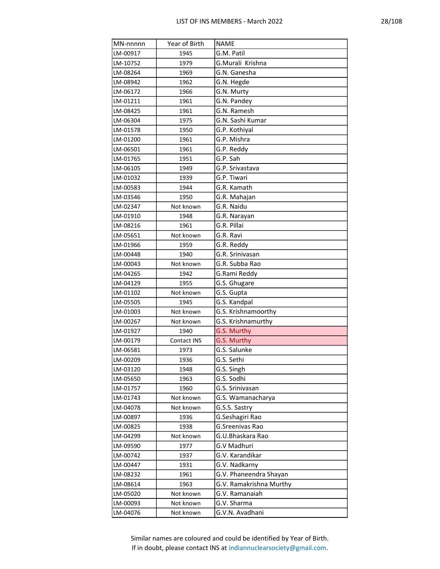| MN-nnnnn | Year of Birth | <b>NAME</b>             |
|----------|---------------|-------------------------|
| LM-00917 | 1945          | G.M. Patil              |
| LM-10752 | 1979          | G.Murali Krishna        |
| LM-08264 | 1969          | G.N. Ganesha            |
| LM-08942 | 1962          | G.N. Hegde              |
| LM-06172 | 1966          | G.N. Murty              |
| LM-01211 | 1961          | G.N. Pandey             |
| LM-08425 | 1961          | G.N. Ramesh             |
| LM-06304 | 1975          | G.N. Sashi Kumar        |
| LM-01578 | 1950          | G.P. Kothiyal           |
| LM-01200 | 1961          | G.P. Mishra             |
| LM-06501 | 1961          | G.P. Reddy              |
| LM-01765 | 1951          | G.P. Sah                |
| LM-06105 | 1949          | G.P. Srivastava         |
| LM-01032 | 1939          | G.P. Tiwari             |
| LM-00583 | 1944          | G.R. Kamath             |
| LM-03546 | 1950          | G.R. Mahajan            |
| LM-02347 | Not known     | G.R. Naidu              |
| LM-01910 | 1948          | G.R. Narayan            |
| LM-08216 | 1961          | G.R. Pillai             |
| LM-05651 | Not known     | G.R. Ravi               |
| LM-01966 | 1959          | G.R. Reddy              |
| LM-00448 | 1940          | G.R. Srinivasan         |
| LM-00043 | Not known     | G.R. Subba Rao          |
| LM-04265 | 1942          | G.Rami Reddy            |
| LM-04129 | 1955          | G.S. Ghugare            |
| LM-01102 | Not known     | G.S. Gupta              |
| LM-05505 | 1945          | G.S. Kandpal            |
| LM-01003 | Not known     | G.S. Krishnamoorthy     |
| LM-00267 | Not known     | G.S. Krishnamurthy      |
| LM-01927 | 1940          | G.S. Murthy             |
| LM-00179 | Contact INS   | G.S. Murthy             |
| LM-06581 | 1973          | G.S. Salunke            |
| LM-00209 | 1936          | G.S. Sethi              |
| LM-03120 | 1948          | G.S. Singh              |
| LM-05650 | 1963          | G.S. Sodhi              |
| LM-01757 | 1960          | G.S. Srinivasan         |
| LM-01743 | Not known     | G.S. Wamanacharya       |
| LM-04078 | Not known     | G.S.S. Sastry           |
| LM-00897 | 1936          | G.Seshagiri Rao         |
| LM-00825 | 1938          | G.Sreenivas Rao         |
| LM-04299 | Not known     | G.U.Bhaskara Rao        |
| LM-09590 | 1977          | G.V Madhuri             |
| LM-00742 | 1937          | G.V. Karandikar         |
| LM-00447 | 1931          | G.V. Nadkarny           |
| LM-08232 | 1961          | G.V. Phaneendra Shayan  |
| LM-08614 | 1963          | G.V. Ramakrishna Murthy |
| LM-05020 | Not known     | G.V. Ramanaiah          |
| LM-00093 | Not known     | G.V. Sharma             |
| LM-04076 | Not known     | G.V.N. Avadhani         |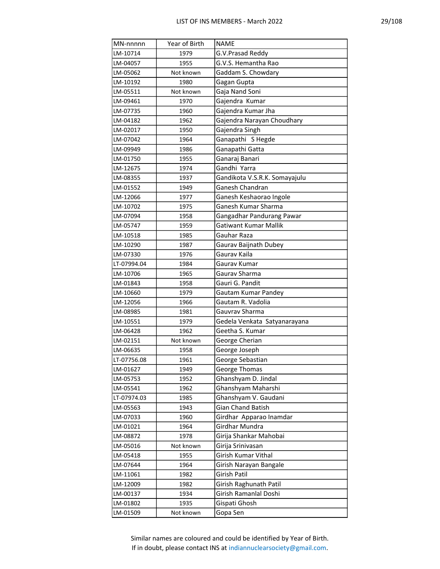| MN-nnnnn    | Year of Birth | <b>NAME</b>                                     |
|-------------|---------------|-------------------------------------------------|
| LM-10714    | 1979          | G.V.Prasad Reddy                                |
| LM-04057    | 1955          | G.V.S. Hemantha Rao                             |
| LM-05062    | Not known     | Gaddam S. Chowdary                              |
| LM-10192    | 1980          | Gagan Gupta                                     |
| LM-05511    | Not known     | Gaja Nand Soni                                  |
| LM-09461    | 1970          | Gajendra Kumar                                  |
| LM-07735    | 1960          | Gajendra Kumar Jha                              |
| LM-04182    | 1962          | Gajendra Narayan Choudhary                      |
| LM-02017    | 1950          | Gajendra Singh                                  |
| LM-07042    | 1964          | Ganapathi S Hegde                               |
| LM-09949    | 1986          | Ganapathi Gatta                                 |
| LM-01750    | 1955          | Ganaraj Banari                                  |
| LM-12675    | 1974          | Gandhi Yarra                                    |
| LM-08355    | 1937          | Gandikota V.S.R.K. Somayajulu                   |
| LM-01552    | 1949          | Ganesh Chandran                                 |
| LM-12066    | 1977          | Ganesh Keshaorao Ingole                         |
| LM-10702    | 1975          | Ganesh Kumar Sharma                             |
| LM-07094    | 1958          | Gangadhar Pandurang Pawar                       |
| LM-05747    | 1959          | <b>Gatiwant Kumar Mallik</b>                    |
| LM-10518    | 1985          | Gauhar Raza                                     |
| LM-10290    | 1987          | Gaurav Baijnath Dubey                           |
| LM-07330    | 1976          | Gaurav Kaila                                    |
| LT-07994.04 | 1984          | Gaurav Kumar                                    |
| LM-10706    | 1965          | Gaurav Sharma                                   |
| LM-01843    | 1958          | Gauri G. Pandit                                 |
| LM-10660    | 1979          | Gautam Kumar Pandey                             |
| LM-12056    | 1966          | Gautam R. Vadolia                               |
| LM-08985    | 1981          | Gauvrav Sharma                                  |
| LM-10551    | 1979          | Gedela Venkata Satyanarayana                    |
| LM-06428    | 1962          | Geetha S. Kumar                                 |
| LM-02151    | Not known     | George Cherian                                  |
| LM-06635    | 1958          | George Joseph                                   |
| LT-07756.08 | 1961          | George Sebastian                                |
| LM-01627    | 1949          | George Thomas                                   |
| LM-05753    | 1952          | Ghanshyam D. Jindal                             |
| LM-05541    | 1962          | Ghanshyam Maharshi                              |
| LT-07974.03 | 1985          | Ghanshyam V. Gaudani                            |
| LM-05563    | 1943          | Gian Chand Batish                               |
| LM-07033    | 1960          | Girdhar Apparao Inamdar                         |
| LM-01021    | 1964          | Girdhar Mundra                                  |
| LM-08872    | 1978          | Girija Shankar Mahobai                          |
| LM-05016    | Not known     | Girija Srinivasan                               |
| LM-05418    | 1955          | Girish Kumar Vithal                             |
| LM-07644    | 1964          | Girish Narayan Bangale                          |
| LM-11061    | 1982          | Girish Patil                                    |
| LM-12009    | 1982          | Girish Raghunath Patil<br>Girish Ramanlal Doshi |
| LM-00137    | 1934          |                                                 |
| LM-01802    | 1935          | Gispati Ghosh                                   |
| LM-01509    | Not known     | Gopa Sen                                        |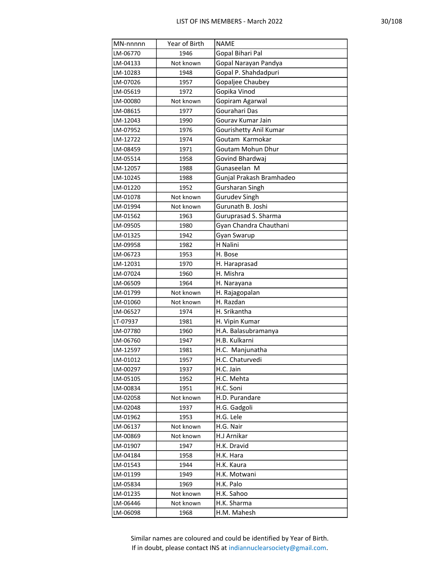| MN-nnnnn | Year of Birth | NAME                     |
|----------|---------------|--------------------------|
| LM-06770 | 1946          | Gopal Bihari Pal         |
| LM-04133 | Not known     | Gopal Narayan Pandya     |
| LM-10283 | 1948          | Gopal P. Shahdadpuri     |
| LM-07026 | 1957          | Gopaljee Chaubey         |
| LM-05619 | 1972          | Gopika Vinod             |
| LM-00080 | Not known     | Gopiram Agarwal          |
| LM-08615 | 1977          | Gourahari Das            |
| LM-12043 | 1990          | Gourav Kumar Jain        |
| LM-07952 | 1976          | Gourishetty Anil Kumar   |
| LM-12722 | 1974          | Goutam Karmokar          |
| LM-08459 | 1971          | Goutam Mohun Dhur        |
| LM-05514 | 1958          | Govind Bhardwaj          |
| LM-12057 | 1988          | Gunaseelan M             |
| LM-10245 | 1988          | Gunjal Prakash Bramhadeo |
| LM-01220 | 1952          | Gursharan Singh          |
| LM-01078 | Not known     | <b>Gurudev Singh</b>     |
| LM-01994 | Not known     | Gurunath B. Joshi        |
| LM-01562 | 1963          | Guruprasad S. Sharma     |
| LM-09505 | 1980          | Gyan Chandra Chauthani   |
| LM-01325 | 1942          | Gyan Swarup              |
| LM-09958 | 1982          | H Nalini                 |
| LM-06723 | 1953          | H. Bose                  |
| LM-12031 | 1970          | H. Haraprasad            |
| LM-07024 | 1960          | H. Mishra                |
| LM-06509 | 1964          | H. Narayana              |
| LM-01799 | Not known     | H. Rajagopalan           |
| LM-01060 | Not known     | H. Razdan                |
| LM-06527 | 1974          | H. Srikantha             |
| LT-07937 | 1981          | H. Vipin Kumar           |
| LM-07780 | 1960          | H.A. Balasubramanya      |
| LM-06760 | 1947          | H.B. Kulkarni            |
| LM-12597 | 1981          | H.C. Manjunatha          |
| LM-01012 | 1957          | H.C. Chaturvedi          |
| LM-00297 | 1937          | H.C. Jain                |
| LM-05105 | 1952          | H.C. Mehta               |
| LM-00834 | 1951          | H.C. Soni                |
| LM-02058 | Not known     | H.D. Purandare           |
| LM-02048 | 1937          | H.G. Gadgoli             |
| LM-01962 | 1953          | H.G. Lele                |
| LM-06137 | Not known     | H.G. Nair                |
| LM-00869 | Not known     | H.J Arnikar              |
| LM-01907 | 1947          | H.K. Dravid              |
| LM-04184 | 1958          | H.K. Hara                |
| LM-01543 | 1944          | H.K. Kaura               |
| LM-01199 | 1949          | H.K. Motwani             |
| LM-05834 | 1969          | H.K. Palo                |
| LM-01235 | Not known     | H.K. Sahoo               |
| LM-06446 | Not known     | H.K. Sharma              |
| LM-06098 | 1968          | H.M. Mahesh              |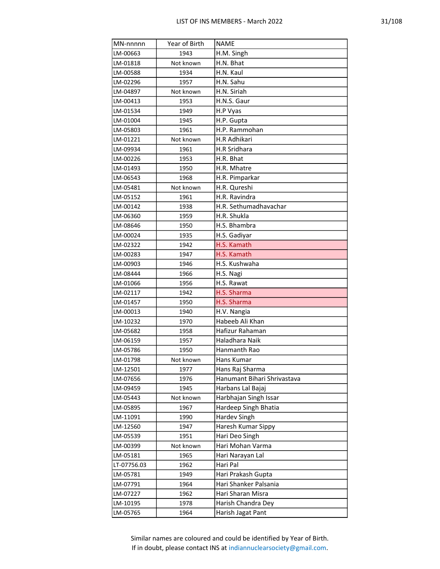|--|--|

| MN-nnnnn    | Year of Birth | <b>NAME</b>                 |
|-------------|---------------|-----------------------------|
| LM-00663    | 1943          | H.M. Singh                  |
| LM-01818    | Not known     | H.N. Bhat                   |
| LM-00588    | 1934          | H.N. Kaul                   |
| LM-02296    | 1957          | H.N. Sahu                   |
| LM-04897    | Not known     | H.N. Siriah                 |
| LM-00413    | 1953          | H.N.S. Gaur                 |
| LM-01534    | 1949          | H.P Vyas                    |
| LM-01004    | 1945          | H.P. Gupta                  |
| LM-05803    | 1961          | H.P. Rammohan               |
| LM-01221    | Not known     | H.R Adhikari                |
| LM-09934    | 1961          | H.R Sridhara                |
| LM-00226    | 1953          | H.R. Bhat                   |
| LM-01493    | 1950          | H.R. Mhatre                 |
| LM-06543    | 1968          | H.R. Pimparkar              |
| LM-05481    | Not known     | H.R. Qureshi                |
| LM-05152    | 1961          | H.R. Ravindra               |
| LM-00142    | 1938          | H.R. Sethumadhavachar       |
| LM-06360    | 1959          | H.R. Shukla                 |
| LM-08646    | 1950          | H.S. Bhambra                |
| LM-00024    | 1935          | H.S. Gadiyar                |
| LM-02322    | 1942          | H.S. Kamath                 |
| LM-00283    | 1947          | H.S. Kamath                 |
| LM-00903    | 1946          | H.S. Kushwaha               |
| LM-08444    | 1966          | H.S. Nagi                   |
| LM-01066    | 1956          | H.S. Rawat                  |
| LM-02117    | 1942          | H.S. Sharma                 |
| LM-01457    | 1950          | H.S. Sharma                 |
| LM-00013    | 1940          | H.V. Nangia                 |
| LM-10232    | 1970          | Habeeb Ali Khan             |
| LM-05682    | 1958          | Hafizur Rahaman             |
| LM-06159    | 1957          | Haladhara Naik              |
| LM-05786    | 1950          | Hanmanth Rao                |
| LM-01798    | Not known     | Hans Kumar                  |
| LM-12501    | 1977          | Hans Raj Sharma             |
| LM-07656    | 1976          | Hanumant Bihari Shrivastava |
| LM-09459    | 1945          | Harbans Lal Bajaj           |
| LM-05443    | Not known     | Harbhajan Singh Issar       |
| LM-05895    | 1967          | Hardeep Singh Bhatia        |
| LM-11091    | 1990          | Hardev Singh                |
| LM-12560    | 1947          | Haresh Kumar Sippy          |
| LM-05539    | 1951          | Hari Deo Singh              |
| LM-00399    | Not known     | Hari Mohan Varma            |
| LM-05181    | 1965          | Hari Narayan Lal            |
| LT-07756.03 | 1962          | Hari Pal                    |
| LM-05781    | 1949          | Hari Prakash Gupta          |
| LM-07791    | 1964          | Hari Shanker Palsania       |
| LM-07227    | 1962          | Hari Sharan Misra           |
| LM-10195    | 1978          | Harish Chandra Dey          |
| LM-05765    | 1964          | Harish Jagat Pant           |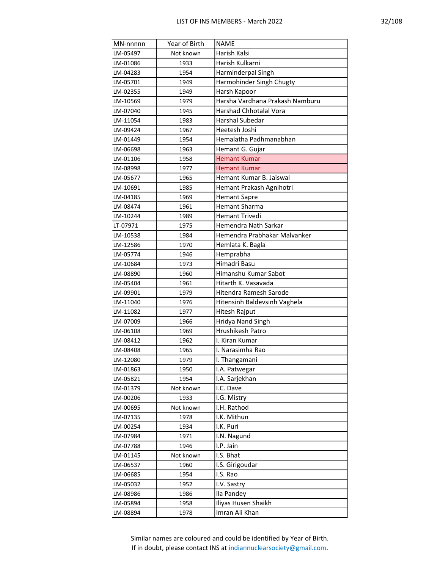|--|

| MN-nnnnn             | Year of Birth     | <b>NAME</b>                     |
|----------------------|-------------------|---------------------------------|
| LM-05497             | Not known         | Harish Kalsi                    |
| LM-01086             | 1933              | Harish Kulkarni                 |
| LM-04283             | 1954              | Harminderpal Singh              |
| LM-05701             | 1949              | Harmohinder Singh Chugty        |
| LM-02355             | 1949              | Harsh Kapoor                    |
| LM-10569             | 1979              | Harsha Vardhana Prakash Namburu |
| LM-07040             | 1945              | <b>Harshad Chhotalal Vora</b>   |
| LM-11054             | 1983              | <b>Harshal Subedar</b>          |
| LM-09424             | 1967              | Heetesh Joshi                   |
| LM-01449             | 1954              | Hemalatha Padhmanabhan          |
| LM-06698             | 1963              | Hemant G. Gujar                 |
| LM-01106             | 1958              | <b>Hemant Kumar</b>             |
| LM-08998             | 1977              | <b>Hemant Kumar</b>             |
| LM-05677             | 1965              | Hemant Kumar B. Jaiswal         |
| LM-10691             | 1985              | Hemant Prakash Agnihotri        |
| LM-04185             | 1969              | <b>Hemant Sapre</b>             |
| LM-08474             | 1961              | <b>Hemant Sharma</b>            |
| LM-10244             | 1989              | Hemant Trivedi                  |
| LT-07971             | 1975              | Hemendra Nath Sarkar            |
| LM-10538             | 1984              | Hemendra Prabhakar Malvanker    |
| LM-12586             | 1970              | Hemlata K. Bagla                |
| LM-05774             | 1946              | Hemprabha                       |
| LM-10684             | 1973              | Himadri Basu                    |
| LM-08890             | 1960              | Himanshu Kumar Sabot            |
| LM-05404             | 1961              | Hitarth K. Vasavada             |
| LM-09901             | 1979              | Hitendra Ramesh Sarode          |
| LM-11040             | 1976              | Hitensinh Baldevsinh Vaghela    |
| LM-11082             | 1977              | Hitesh Rajput                   |
| LM-07009             | 1966              | Hridya Nand Singh               |
| LM-06108             | 1969              | Hrushikesh Patro                |
| LM-08412             | 1962              | I. Kiran Kumar                  |
| LM-08408             | 1965              | I. Narasimha Rao                |
| LM-12080             | 1979              | I. Thangamani                   |
| LM-01863             | 1950              | I.A. Patwegar                   |
| LM-05821             | 1954              | I.A. Sarjekhan                  |
| LM-01379             | Not known         | I.C. Dave                       |
| LM-00206<br>LM-00695 | 1933<br>Not known | I.G. Mistry<br>I.H. Rathod      |
| LM-07135             | 1978              | I.K. Mithun                     |
| LM-00254             | 1934              | I.K. Puri                       |
| LM-07984             | 1971              | I.N. Nagund                     |
| LM-07788             | 1946              | I.P. Jain                       |
| LM-01145             | Not known         | I.S. Bhat                       |
| LM-06537             | 1960              | I.S. Girigoudar                 |
| LM-06685             | 1954              | I.S. Rao                        |
| LM-05032             | 1952              | I.V. Sastry                     |
| LM-08986             | 1986              | Ila Pandey                      |
| LM-05894             | 1958              | Iliyas Husen Shaikh             |
| LM-08894             | 1978              | Imran Ali Khan                  |
|                      |                   |                                 |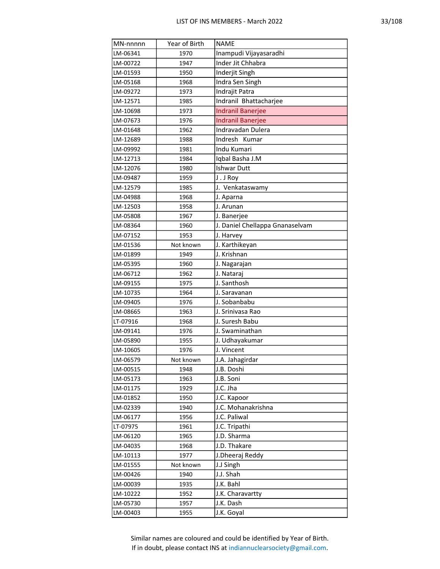| MN-nnnnn | Year of Birth | <b>NAME</b>                     |
|----------|---------------|---------------------------------|
| LM-06341 | 1970          | Inampudi Vijayasaradhi          |
| LM-00722 | 1947          | Inder Jit Chhabra               |
| LM-01593 | 1950          | Inderjit Singh                  |
| LM-05168 | 1968          | Indra Sen Singh                 |
| LM-09272 | 1973          | Indrajit Patra                  |
| LM-12571 | 1985          | Indranil Bhattacharjee          |
| LM-10698 | 1973          | <b>Indranil Banerjee</b>        |
| LM-07673 | 1976          | <b>Indranil Banerjee</b>        |
| LM-01648 | 1962          | Indravadan Dulera               |
| LM-12689 | 1988          | Indresh Kumar                   |
| LM-09992 | 1981          | Indu Kumari                     |
| LM-12713 | 1984          | Iqbal Basha J.M                 |
| LM-12076 | 1980          | Ishwar Dutt                     |
| LM-09487 | 1959          | J.JRoy                          |
| LM-12579 | 1985          | J. Venkataswamy                 |
| LM-04988 | 1968          | J. Aparna                       |
| LM-12503 | 1958          | J. Arunan                       |
| LM-05808 | 1967          | J. Banerjee                     |
| LM-08364 | 1960          | J. Daniel Chellappa Gnanaselvam |
| LM-07152 | 1953          | J. Harvey                       |
| LM-01536 | Not known     | J. Karthikeyan                  |
| LM-01899 | 1949          | J. Krishnan                     |
| LM-05395 | 1960          | J. Nagarajan                    |
| LM-06712 | 1962          | J. Nataraj                      |
| LM-09155 | 1975          | J. Santhosh                     |
| LM-10735 | 1964          | J. Saravanan                    |
| LM-09405 | 1976          | J. Sobanbabu                    |
| LM-08665 | 1963          | J. Srinivasa Rao                |
| LT-07916 | 1968          | J. Suresh Babu                  |
| LM-09141 | 1976          | J. Swaminathan                  |
| LM-05890 | 1955          | J. Udhayakumar                  |
| LM-10605 | 1976          | J. Vincent                      |
| LM-06579 | Not known     | J.A. Jahagirdar                 |
| LM-00515 | 1948          | J.B. Doshi                      |
| LM-05173 | 1963          | J.B. Soni                       |
| LM-01175 | 1929          | J.C. Jha                        |
| LM-01852 | 1950          | J.C. Kapoor                     |
| LM-02339 | 1940          | J.C. Mohanakrishna              |
| LM-06177 | 1956          | J.C. Paliwal                    |
| LT-07975 | 1961          | J.C. Tripathi                   |
| LM-06120 | 1965          | J.D. Sharma<br>J.D. Thakare     |
| LM-04035 | 1968          |                                 |
| LM-10113 | 1977          | J.Dheeraj Reddy                 |
| LM-01555 | Not known     | J.J Singh                       |
| LM-00426 | 1940          | J.J. Shah                       |
| LM-00039 | 1935          | J.K. Bahl                       |
| LM-10222 | 1952          | J.K. Charavartty<br>J.K. Dash   |
| LM-05730 | 1957          |                                 |
| LM-00403 | 1955          | J.K. Goyal                      |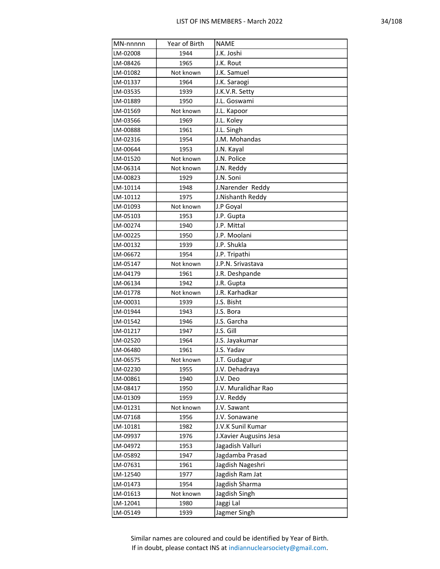|  | г. |
|--|----|
|  |    |

| MN-nnnnn | Year of Birth | <b>NAME</b>            |
|----------|---------------|------------------------|
| LM-02008 | 1944          | J.K. Joshi             |
| LM-08426 | 1965          | J.K. Rout              |
| LM-01082 | Not known     | J.K. Samuel            |
| LM-01337 | 1964          | J.K. Saraogi           |
| LM-03535 | 1939          | J.K.V.R. Setty         |
| LM-01889 | 1950          | J.L. Goswami           |
| LM-01569 | Not known     | J.L. Kapoor            |
| LM-03566 | 1969          | J.L. Koley             |
| LM-00888 | 1961          | J.L. Singh             |
| LM-02316 | 1954          | J.M. Mohandas          |
| LM-00644 | 1953          | J.N. Kayal             |
| LM-01520 | Not known     | J.N. Police            |
| LM-06314 | Not known     | J.N. Reddy             |
| LM-00823 | 1929          | J.N. Soni              |
| LM-10114 | 1948          | J.Narender Reddy       |
| LM-10112 | 1975          | J.Nishanth Reddy       |
| LM-01093 | Not known     | J.P Goyal              |
| LM-05103 | 1953          | J.P. Gupta             |
| LM-00274 | 1940          | J.P. Mittal            |
| LM-00225 | 1950          | J.P. Moolani           |
| LM-00132 | 1939          | J.P. Shukla            |
| LM-06672 | 1954          | J.P. Tripathi          |
| LM-05147 | Not known     | J.P.N. Srivastava      |
| LM-04179 | 1961          | J.R. Deshpande         |
| LM-06134 | 1942          | J.R. Gupta             |
| LM-01778 | Not known     | J.R. Karhadkar         |
| LM-00031 | 1939          | J.S. Bisht             |
| LM-01944 | 1943          | J.S. Bora              |
| LM-01542 | 1946          | J.S. Garcha            |
| LM-01217 | 1947          | J.S. Gill              |
| LM-02520 | 1964          | J.S. Jayakumar         |
| LM-06480 | 1961          | J.S. Yadav             |
| LM-06575 | Not known     | J.T. Gudagur           |
| LM-02230 | 1955          | J.V. Dehadraya         |
| LM-00861 | 1940          | J.V. Deo               |
| LM-08417 | 1950          | J.V. Muralidhar Rao    |
| LM-01309 | 1959          | J.V. Reddy             |
| LM-01231 | Not known     | J.V. Sawant            |
| LM-07168 | 1956          | J.V. Sonawane          |
| LM-10181 | 1982          | J.V.K Sunil Kumar      |
| LM-09937 | 1976          | J.Xavier Augusins Jesa |
| LM-04972 | 1953          | Jagadish Valluri       |
| LM-05892 | 1947          | Jagdamba Prasad        |
| LM-07631 | 1961          | Jagdish Nageshri       |
| LM-12540 | 1977          | Jagdish Ram Jat        |
| LM-01473 | 1954          | Jagdish Sharma         |
| LM-01613 | Not known     | Jagdish Singh          |
| LM-12041 | 1980          | Jaggi Lal              |
| LM-05149 | 1939          | Jagmer Singh           |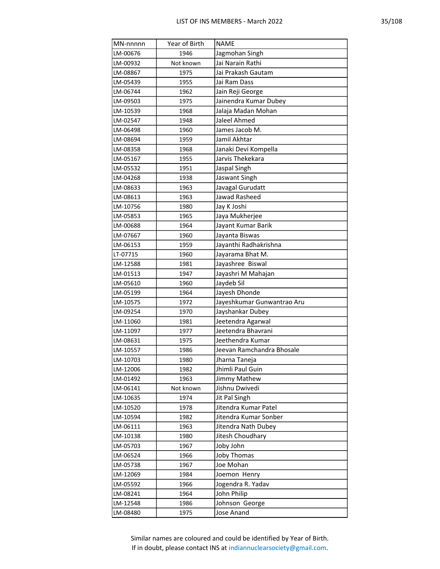| MN-nnnnn | Year of Birth | <b>NAME</b>                |
|----------|---------------|----------------------------|
| LM-00676 | 1946          | Jagmohan Singh             |
| LM-00932 | Not known     | Jai Narain Rathi           |
| LM-08867 | 1975          | Jai Prakash Gautam         |
| LM-05439 | 1955          | Jai Ram Dass               |
| LM-06744 | 1962          | Jain Reji George           |
| LM-09503 | 1975          | Jainendra Kumar Dubey      |
| LM-10539 | 1968          | Jalaja Madan Mohan         |
| LM-02547 | 1948          | Jaleel Ahmed               |
| LM-06498 | 1960          | James Jacob M.             |
| LM-08694 | 1959          | Jamil Akhtar               |
| LM-08358 | 1968          | Janaki Devi Kompella       |
| LM-05167 | 1955          | Jarvis Thekekara           |
| LM-05532 | 1951          | Jaspal Singh               |
| LM-04268 | 1938          | Jaswant Singh              |
| LM-08633 | 1963          | Javagal Gurudatt           |
| LM-08613 | 1963          | Jawad Rasheed              |
| LM-10756 | 1980          | Jay K Joshi                |
| LM-05853 | 1965          | Jaya Mukherjee             |
| LM-00688 | 1964          | Jayant Kumar Barik         |
| LM-07667 | 1960          | Jayanta Biswas             |
| LM-06153 | 1959          | Jayanthi Radhakrishna      |
| LT-07715 | 1960          | Jayarama Bhat M.           |
| LM-12588 | 1981          | Jayashree Biswal           |
| LM-01513 | 1947          | Jayashri M Mahajan         |
| LM-05610 | 1960          | Jaydeb Sil                 |
| LM-05199 | 1964          | Jayesh Dhonde              |
| LM-10575 | 1972          | Jayeshkumar Gunwantrao Aru |
| LM-09254 | 1970          | Jayshankar Dubey           |
| LM-11060 | 1981          | Jeetendra Agarwal          |
| LM-11097 | 1977          | Jeetendra Bhavrani         |
| LM-08631 | 1975          | Jeethendra Kumar           |
| LM-10557 | 1986          | Jeevan Ramchandra Bhosale  |
| LM-10703 | 1980          | Jharna Taneja              |
| LM-12006 | 1982          | Jhimli Paul Guin           |
| LM-01492 | 1963          | Jimmy Mathew               |
| LM-06141 | Not known     | Jishnu Dwivedi             |
| LM-10635 | 1974          | Jit Pal Singh              |
| LM-10520 | 1978          | Jitendra Kumar Patel       |
| LM-10594 | 1982          | Jitendra Kumar Sonber      |
| LM-06111 | 1963          | Jitendra Nath Dubey        |
| LM-10138 | 1980          | Jitesh Choudhary           |
| LM-05703 | 1967          | Joby John                  |
| LM-06524 | 1966          | <b>Joby Thomas</b>         |
| LM-05738 | 1967          | Joe Mohan                  |
| LM-12069 | 1984          | Joemon Henry               |
| LM-05592 | 1966          | Jogendra R. Yadav          |
| LM-08241 | 1964          | John Philip                |
| LM-12548 | 1986          | Johnson George             |
| LM-08480 | 1975          | Jose Anand                 |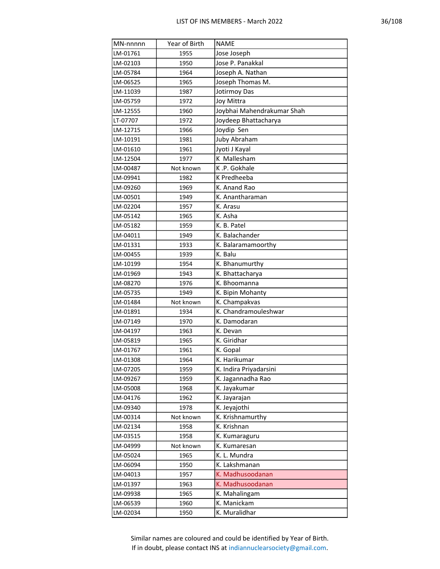| MN-nnnnn             | Year of Birth     | <b>NAME</b>                      |
|----------------------|-------------------|----------------------------------|
| LM-01761             | 1955              | Jose Joseph                      |
| LM-02103             | 1950              | Jose P. Panakkal                 |
| LM-05784             | 1964              | Joseph A. Nathan                 |
| LM-06525             | 1965              | Joseph Thomas M.                 |
| LM-11039             | 1987              | Jotirmoy Das                     |
| LM-05759             | 1972              | <b>Joy Mittra</b>                |
| LM-12555             | 1960              | Joybhai Mahendrakumar Shah       |
| LT-07707             | 1972              | Joydeep Bhattacharya             |
| LM-12715             | 1966              | Joydip Sen                       |
| LM-10191             | 1981              | <b>Juby Abraham</b>              |
| LM-01610             | 1961              | Jyoti J Kayal                    |
| LM-12504             | 1977              | K Mallesham                      |
| LM-00487             | Not known         | K.P. Gokhale                     |
| LM-09941             | 1982              | K Predheeba                      |
| LM-09260             | 1969              | K. Anand Rao                     |
| LM-00501             | 1949              | K. Anantharaman                  |
| LM-02204             | 1957              | K. Arasu                         |
| LM-05142             | 1965              | K. Asha                          |
| LM-05182             | 1959              | K. B. Patel                      |
| LM-04011             | 1949              | K. Balachander                   |
| LM-01331             | 1933              | K. Balaramamoorthy               |
| LM-00455             | 1939              | K. Balu                          |
| LM-10199             | 1954              | K. Bhanumurthy                   |
| LM-01969             | 1943              | K. Bhattacharya                  |
| LM-08270             | 1976              | K. Bhoomanna                     |
| LM-05735             | 1949              | K. Bipin Mohanty                 |
| LM-01484             | Not known         | K. Champakvas                    |
| LM-01891             | 1934              | K. Chandramouleshwar             |
| LM-07149             | 1970              | K. Damodaran                     |
| LM-04197             | 1963              | K. Devan                         |
| LM-05819             | 1965              | K. Giridhar                      |
| LM-01767             | 1961              | K. Gopal                         |
| LM-01308             | 1964              | K. Harikumar                     |
| LM-07205             | 1959              | K. Indira Priyadarsini           |
| LM-09267             | 1959              | K. Jagannadha Rao                |
| LM-05008             | 1968              | K. Jayakumar                     |
| LM-04176             | 1962              | K. Jayarajan                     |
| LM-09340             | 1978              | K. Jeyajothi<br>K. Krishnamurthy |
| LM-00314             | Not known         |                                  |
| LM-02134<br>LM-03515 | 1958<br>1958      | K. Krishnan<br>K. Kumaraguru     |
|                      |                   | K. Kumaresan                     |
| LM-04999<br>LM-05024 | Not known<br>1965 | K. L. Mundra                     |
|                      |                   | K. Lakshmanan                    |
| LM-06094<br>LM-04013 | 1950<br>1957      | K. Madhusoodanan                 |
| LM-01397             | 1963              | K. Madhusoodanan                 |
| LM-09938             | 1965              | K. Mahalingam                    |
| LM-06539             | 1960              | K. Manickam                      |
| LM-02034             |                   | K. Muralidhar                    |
|                      | 1950              |                                  |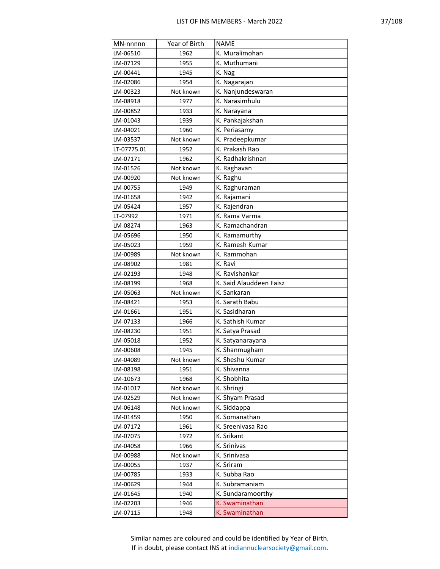| 18<br>10 |
|----------|
|----------|

| MN-nnnnn    | Year of Birth | <b>NAME</b>                     |  |  |
|-------------|---------------|---------------------------------|--|--|
| LM-06510    | 1962          | K. Muralimohan                  |  |  |
| LM-07129    | 1955          | K. Muthumani                    |  |  |
| LM-00441    | 1945          | K. Nag                          |  |  |
| LM-02086    | 1954          | K. Nagarajan                    |  |  |
| LM-00323    | Not known     | K. Nanjundeswaran               |  |  |
| LM-08918    | 1977          | K. Narasimhulu                  |  |  |
| LM-00852    | 1933          | K. Narayana                     |  |  |
| LM-01043    | 1939          | K. Pankajakshan                 |  |  |
| LM-04021    | 1960          | K. Periasamy                    |  |  |
| LM-03537    | Not known     | K. Pradeepkumar                 |  |  |
| LT-07775.01 | 1952          | K. Prakash Rao                  |  |  |
| LM-07171    | 1962          | K. Radhakrishnan                |  |  |
| LM-01526    | Not known     | K. Raghavan                     |  |  |
| LM-00920    | Not known     | K. Raghu                        |  |  |
| LM-00755    | 1949          | K. Raghuraman                   |  |  |
| LM-01658    | 1942          | K. Rajamani                     |  |  |
| LM-05424    | 1957          | K. Rajendran                    |  |  |
| LT-07992    | 1971          | K. Rama Varma                   |  |  |
| LM-08274    | 1963          | K. Ramachandran                 |  |  |
| LM-05696    | 1950          | K. Ramamurthy                   |  |  |
| LM-05023    | 1959          | K. Ramesh Kumar                 |  |  |
| LM-00989    | Not known     | K. Rammohan                     |  |  |
| LM-08902    | 1981          | K. Ravi                         |  |  |
| LM-02193    | 1948          | K. Ravishankar                  |  |  |
| LM-08199    | 1968          | K. Said Alauddeen Faisz         |  |  |
| LM-05063    | Not known     | K. Sankaran                     |  |  |
| LM-08421    | 1953          | K. Sarath Babu                  |  |  |
| LM-01661    | 1951          | K. Sasidharan                   |  |  |
| LM-07133    | 1966          | K. Sathish Kumar                |  |  |
| LM-08230    | 1951          | K. Satya Prasad                 |  |  |
| LM-05018    | 1952          | K. Satyanarayana                |  |  |
| LM-00608    | 1945          | K. Shanmugham                   |  |  |
| LM-04089    | Not known     | K. Sheshu Kumar                 |  |  |
| LM-08198    | 1951          | K. Shivanna                     |  |  |
| LM-10673    | 1968          | K. Shobhita                     |  |  |
| LM-01017    | Not known     | K. Shringi                      |  |  |
| LM-02529    | Not known     | K. Shyam Prasad                 |  |  |
| LM-06148    | Not known     | K. Siddappa                     |  |  |
| LM-01459    | 1950          | K. Somanathan                   |  |  |
| LM-07172    | 1961          | K. Sreenivasa Rao<br>K. Srikant |  |  |
| LM-07075    | 1972          |                                 |  |  |
| LM-04058    | 1966          | K. Srinivas                     |  |  |
| LM-00988    | Not known     | K. Srinivasa                    |  |  |
| LM-00055    | 1937          | K. Sriram<br>K. Subba Rao       |  |  |
| LM-00785    | 1933          | K. Subramaniam                  |  |  |
| LM-00629    | 1944<br>1940  | K. Sundaramoorthy               |  |  |
| LM-01645    | 1946          | K. Swaminathan                  |  |  |
| LM-02203    |               |                                 |  |  |
| LM-07115    | 1948          | K. Swaminathan                  |  |  |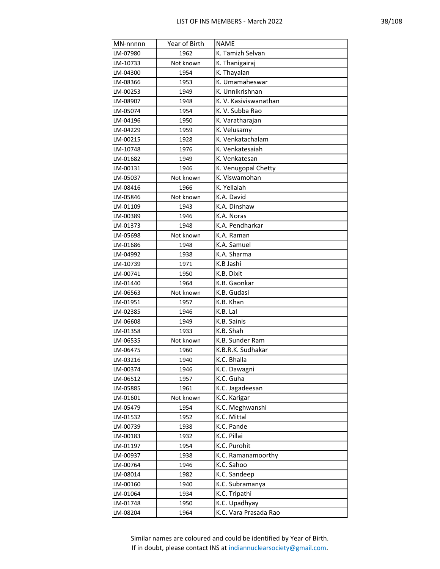| MN-nnnnn | Year of Birth | <b>NAME</b>           |  |  |
|----------|---------------|-----------------------|--|--|
| LM-07980 | 1962          | K. Tamizh Selvan      |  |  |
| LM-10733 | Not known     | K. Thanigairaj        |  |  |
| LM-04300 | 1954          | K. Thayalan           |  |  |
| LM-08366 | 1953          | K. Umamaheswar        |  |  |
| LM-00253 | 1949          | K. Unnikrishnan       |  |  |
| LM-08907 | 1948          | K. V. Kasiviswanathan |  |  |
| LM-05074 | 1954          | K. V. Subba Rao       |  |  |
| LM-04196 | 1950          | K. Varatharajan       |  |  |
| LM-04229 | 1959          | K. Velusamy           |  |  |
| LM-00215 | 1928          | K. Venkatachalam      |  |  |
| LM-10748 | 1976          | K. Venkatesaiah       |  |  |
| LM-01682 | 1949          | K. Venkatesan         |  |  |
| LM-00131 | 1946          | K. Venugopal Chetty   |  |  |
| LM-05037 | Not known     | K. Viswamohan         |  |  |
| LM-08416 | 1966          | K. Yellaiah           |  |  |
| LM-05846 | Not known     | K.A. David            |  |  |
| LM-01109 | 1943          | K.A. Dinshaw          |  |  |
| LM-00389 | 1946          | K.A. Noras            |  |  |
| LM-01373 | 1948          | K.A. Pendharkar       |  |  |
| LM-05698 | Not known     | K.A. Raman            |  |  |
| LM-01686 | 1948          | K.A. Samuel           |  |  |
| LM-04992 | 1938          | K.A. Sharma           |  |  |
| LM-10739 | 1971          | K.B Jashi             |  |  |
| LM-00741 | 1950          | K.B. Dixit            |  |  |
| LM-01440 | 1964          | K.B. Gaonkar          |  |  |
| LM-06563 | Not known     | K.B. Gudasi           |  |  |
| LM-01951 | 1957          | K.B. Khan             |  |  |
| LM-02385 | 1946          | K.B. Lal              |  |  |
| LM-06608 | 1949          | K.B. Sainis           |  |  |
| LM-01358 | 1933          | K.B. Shah             |  |  |
| LM-06535 | Not known     | K.B. Sunder Ram       |  |  |
| LM-06475 | 1960          | K.B.R.K. Sudhakar     |  |  |
| LM-03216 | 1940          | K.C. Bhalla           |  |  |
| LM-00374 | 1946          | K.C. Dawagni          |  |  |
| LM-06512 | 1957          | K.C. Guha             |  |  |
| LM-05885 | 1961          | K.C. Jagadeesan       |  |  |
| LM-01601 | Not known     | K.C. Karigar          |  |  |
| LM-05479 | 1954          | K.C. Meghwanshi       |  |  |
| LM-01532 | 1952          | K.C. Mittal           |  |  |
| LM-00739 | 1938          | K.C. Pande            |  |  |
| LM-00183 | 1932          | K.C. Pillai           |  |  |
| LM-01197 | 1954          | K.C. Purohit          |  |  |
| LM-00937 | 1938          | K.C. Ramanamoorthy    |  |  |
| LM-00764 | 1946          | K.C. Sahoo            |  |  |
| LM-08014 | 1982          | K.C. Sandeep          |  |  |
| LM-00160 | 1940          | K.C. Subramanya       |  |  |
| LM-01064 | 1934          | K.C. Tripathi         |  |  |
| LM-01748 | 1950          | K.C. Upadhyay         |  |  |
| LM-08204 | 1964          | K.C. Vara Prasada Rao |  |  |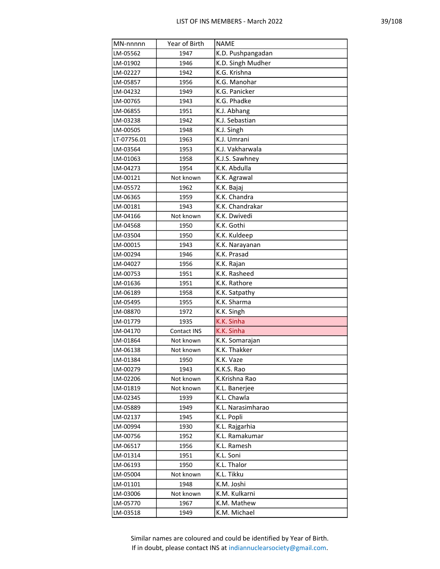| MN-nnnnn    | Year of Birth | <b>NAME</b>       |
|-------------|---------------|-------------------|
| LM-05562    | 1947          | K.D. Pushpangadan |
| LM-01902    | 1946          | K.D. Singh Mudher |
| LM-02227    | 1942          | K.G. Krishna      |
| LM-05857    | 1956          | K.G. Manohar      |
| LM-04232    | 1949          | K.G. Panicker     |
| LM-00765    | 1943          | K.G. Phadke       |
| LM-06855    | 1951          | K.J. Abhang       |
| LM-03238    | 1942          | K.J. Sebastian    |
| LM-00505    | 1948          | K.J. Singh        |
| LT-07756.01 | 1963          | K.J. Umrani       |
| LM-03564    | 1953          | K.J. Vakharwala   |
| LM-01063    | 1958          | K.J.S. Sawhney    |
| LM-04273    | 1954          | K.K. Abdulla      |
| LM-00121    | Not known     | K.K. Agrawal      |
| LM-05572    | 1962          | K.K. Bajaj        |
| LM-06365    | 1959          | K.K. Chandra      |
| LM-00181    | 1943          | K.K. Chandrakar   |
| LM-04166    | Not known     | K.K. Dwivedi      |
| LM-04568    | 1950          | K.K. Gothi        |
| LM-03504    | 1950          | K.K. Kuldeep      |
| LM-00015    | 1943          | K.K. Narayanan    |
| LM-00294    | 1946          | K.K. Prasad       |
| LM-04027    | 1956          | K.K. Rajan        |
| LM-00753    | 1951          | K.K. Rasheed      |
| LM-01636    | 1951          | K.K. Rathore      |
| LM-06189    | 1958          | K.K. Satpathy     |
| LM-05495    | 1955          | K.K. Sharma       |
| LM-08870    | 1972          | K.K. Singh        |
| LM-01779    | 1935          | K.K. Sinha        |
| LM-04170    | Contact INS   | K.K. Sinha        |
| LM-01864    | Not known     | K.K. Somarajan    |
| LM-06138    | Not known     | K.K. Thakker      |
| LM-01384    | 1950          | K.K. Vaze         |
| LM-00279    | 1943          | K.K.S. Rao        |
| LM-02206    | Not known     | K.Krishna Rao     |
| LM-01819    | Not known     | K.L. Banerjee     |
| LM-02345    | 1939          | K.L. Chawla       |
| LM-05889    | 1949          | K.L. Narasimharao |
| LM-02137    | 1945          | K.L. Popli        |
| LM-00994    | 1930          | K.L. Rajgarhia    |
| LM-00756    | 1952          | K.L. Ramakumar    |
| LM-06517    | 1956          | K.L. Ramesh       |
| LM-01314    | 1951          | K.L. Soni         |
| LM-06193    | 1950          | K.L. Thalor       |
| LM-05004    | Not known     | K.L. Tikku        |
| LM-01101    | 1948          | K.M. Joshi        |
| LM-03006    | Not known     | K.M. Kulkarni     |
| LM-05770    | 1967          | K.M. Mathew       |
| LM-03518    | 1949          | K.M. Michael      |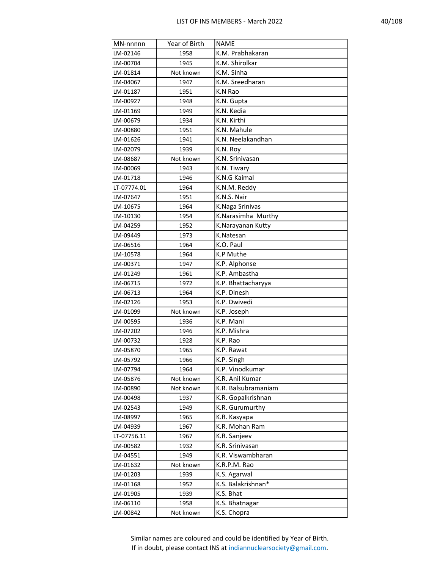| ſ<br>ſ<br>к. |
|--------------|
|--------------|

| MN-nnnnn    | Year of Birth | <b>NAME</b>         |  |  |
|-------------|---------------|---------------------|--|--|
| LM-02146    | 1958          | K.M. Prabhakaran    |  |  |
| LM-00704    | 1945          | K.M. Shirolkar      |  |  |
| LM-01814    | Not known     | K.M. Sinha          |  |  |
| LM-04067    | 1947          | K.M. Sreedharan     |  |  |
| LM-01187    | 1951          | K.N Rao             |  |  |
| LM-00927    | 1948          | K.N. Gupta          |  |  |
| LM-01169    | 1949          | K.N. Kedia          |  |  |
| LM-00679    | 1934          | K.N. Kirthi         |  |  |
| LM-00880    | 1951          | K.N. Mahule         |  |  |
| LM-01626    | 1941          | K.N. Neelakandhan   |  |  |
| LM-02079    | 1939          | K.N. Roy            |  |  |
| LM-08687    | Not known     | K.N. Srinivasan     |  |  |
| LM-00069    | 1943          | K.N. Tiwary         |  |  |
| LM-01718    | 1946          | K.N.G Kaimal        |  |  |
| LT-07774.01 | 1964          | K.N.M. Reddy        |  |  |
| LM-07647    | 1951          | K.N.S. Nair         |  |  |
| LM-10675    | 1964          | K.Naga Srinivas     |  |  |
| LM-10130    | 1954          | K.Narasimha Murthy  |  |  |
| LM-04259    | 1952          | K.Narayanan Kutty   |  |  |
| LM-09449    | 1973          | K.Natesan           |  |  |
| LM-06516    | 1964          | K.O. Paul           |  |  |
| LM-10578    | 1964          | K.P Muthe           |  |  |
| LM-00371    | 1947          | K.P. Alphonse       |  |  |
| LM-01249    | 1961          | K.P. Ambastha       |  |  |
| LM-06715    | 1972          | K.P. Bhattacharyya  |  |  |
| LM-06713    | 1964          | K.P. Dinesh         |  |  |
| LM-02126    | 1953          | K.P. Dwivedi        |  |  |
| LM-01099    | Not known     | K.P. Joseph         |  |  |
| LM-00595    | 1936          | K.P. Mani           |  |  |
| LM-07202    | 1946          | K.P. Mishra         |  |  |
| LM-00732    | 1928          | K.P. Rao            |  |  |
| LM-05870    | 1965          | K.P. Rawat          |  |  |
| LM-05792    | 1966          | K.P. Singh          |  |  |
| LM-07794    | 1964          | K.P. Vinodkumar     |  |  |
| LM-05876    | Not known     | K.R. Anil Kumar     |  |  |
| LM-00890    | Not known     | K.R. Balsubramaniam |  |  |
| LM-00498    | 1937          | K.R. Gopalkrishnan  |  |  |
| LM-02543    | 1949          | K.R. Gurumurthy     |  |  |
| LM-08997    | 1965          | K.R. Kasyapa        |  |  |
| LM-04939    | 1967          | K.R. Mohan Ram      |  |  |
| LT-07756.11 | 1967          | K.R. Sanjeev        |  |  |
| LM-00582    | 1932          | K.R. Srinivasan     |  |  |
| LM-04551    | 1949          | K.R. Viswambharan   |  |  |
| LM-01632    | Not known     | K.R.P.M. Rao        |  |  |
| LM-01203    | 1939          | K.S. Agarwal        |  |  |
| LM-01168    | 1952          | K.S. Balakrishnan*  |  |  |
| LM-01905    | 1939          | K.S. Bhat           |  |  |
| LM-06110    | 1958          | K.S. Bhatnagar      |  |  |
| LM-00842    | Not known     | K.S. Chopra         |  |  |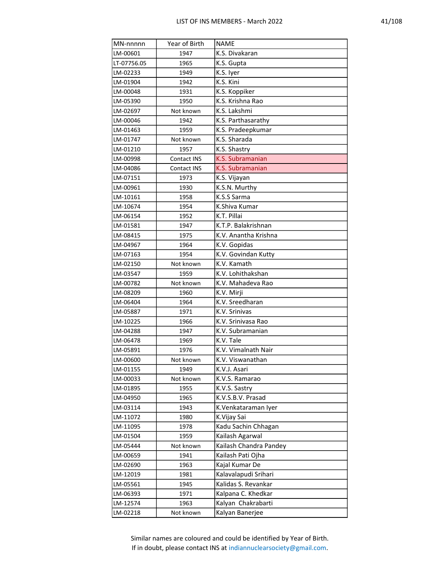| C<br>×<br>o |  |  |  |
|-------------|--|--|--|
|-------------|--|--|--|

| MN-nnnnn    | Year of Birth | <b>NAME</b>            |  |  |
|-------------|---------------|------------------------|--|--|
| LM-00601    | 1947          | K.S. Divakaran         |  |  |
| LT-07756.05 | 1965          | K.S. Gupta             |  |  |
| LM-02233    | 1949          | K.S. Iyer              |  |  |
| LM-01904    | 1942          | K.S. Kini              |  |  |
| LM-00048    | 1931          | K.S. Koppiker          |  |  |
| LM-05390    | 1950          | K.S. Krishna Rao       |  |  |
| LM-02697    | Not known     | K.S. Lakshmi           |  |  |
| LM-00046    | 1942          | K.S. Parthasarathy     |  |  |
| LM-01463    | 1959          | K.S. Pradeepkumar      |  |  |
| LM-01747    | Not known     | K.S. Sharada           |  |  |
| LM-01210    | 1957          | K.S. Shastry           |  |  |
| LM-00998    | Contact INS   | K.S. Subramanian       |  |  |
| LM-04086    | Contact INS   | K.S. Subramanian       |  |  |
| LM-07151    | 1973          | K.S. Vijayan           |  |  |
| LM-00961    | 1930          | K.S.N. Murthy          |  |  |
| LM-10161    | 1958          | K.S.S Sarma            |  |  |
| LM-10674    | 1954          | K.Shiva Kumar          |  |  |
| LM-06154    | 1952          | K.T. Pillai            |  |  |
| LM-01581    | 1947          | K.T.P. Balakrishnan    |  |  |
| LM-08415    | 1975          | K.V. Anantha Krishna   |  |  |
| LM-04967    | 1964          | K.V. Gopidas           |  |  |
| LM-07163    | 1954          | K.V. Govindan Kutty    |  |  |
| LM-02150    | Not known     | K.V. Kamath            |  |  |
| LM-03547    | 1959          | K.V. Lohithakshan      |  |  |
| LM-00782    | Not known     | K.V. Mahadeva Rao      |  |  |
| LM-08209    | 1960          | K.V. Mirji             |  |  |
| LM-06404    | 1964          | K.V. Sreedharan        |  |  |
| LM-05887    | 1971          | K.V. Srinivas          |  |  |
| LM-10225    | 1966          | K.V. Srinivasa Rao     |  |  |
| LM-04288    | 1947          | K.V. Subramanian       |  |  |
| LM-06478    | 1969          | K.V. Tale              |  |  |
| LM-05891    | 1976          | K.V. Vimalnath Nair    |  |  |
| LM-00600    | Not known     | K.V. Viswanathan       |  |  |
| LM-01155    | 1949          | K.V.J. Asari           |  |  |
| LM-00033    | Not known     | K.V.S. Ramarao         |  |  |
| LM-01895    | 1955          | K.V.S. Sastry          |  |  |
| LM-04950    | 1965          | K.V.S.B.V. Prasad      |  |  |
| LM-03114    | 1943          | K.Venkataraman Iyer    |  |  |
| LM-11072    | 1980          | K.Vijay Sai            |  |  |
| LM-11095    | 1978          | Kadu Sachin Chhagan    |  |  |
| LM-01504    | 1959          | Kailash Agarwal        |  |  |
| LM-05444    | Not known     | Kailash Chandra Pandey |  |  |
| LM-00659    | 1941          | Kailash Pati Ojha      |  |  |
| LM-02690    | 1963          | Kajal Kumar De         |  |  |
| LM-12019    | 1981          | Kalavalapudi Srihari   |  |  |
| LM-05561    | 1945          | Kalidas S. Revankar    |  |  |
| LM-06393    | 1971          | Kalpana C. Khedkar     |  |  |
| LM-12574    | 1963          | Kalyan Chakrabarti     |  |  |
| LM-02218    | Not known     | Kalyan Banerjee        |  |  |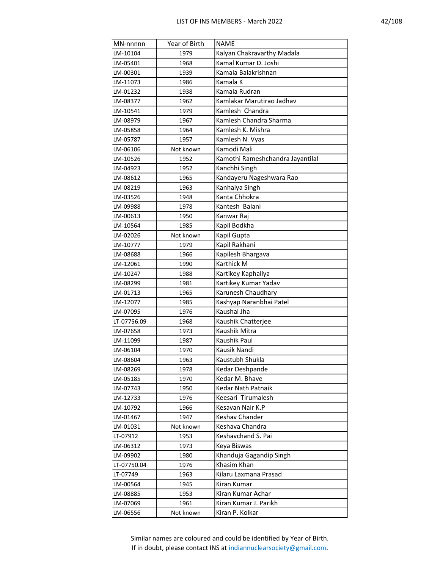| MN-nnnnn    | Year of Birth | <b>NAME</b>                      |  |  |
|-------------|---------------|----------------------------------|--|--|
| LM-10104    | 1979          | Kalyan Chakravarthy Madala       |  |  |
| LM-05401    | 1968          | Kamal Kumar D. Joshi             |  |  |
| LM-00301    | 1939          | Kamala Balakrishnan              |  |  |
| LM-11073    | 1986          | Kamala K                         |  |  |
| LM-01232    | 1938          | Kamala Rudran                    |  |  |
| LM-08377    | 1962          | Kamlakar Marutirao Jadhav        |  |  |
| LM-10541    | 1979          | Kamlesh Chandra                  |  |  |
| LM-08979    | 1967          | Kamlesh Chandra Sharma           |  |  |
| LM-05858    | 1964          | Kamlesh K. Mishra                |  |  |
| LM-05787    | 1957          | Kamlesh N. Vyas                  |  |  |
| LM-06106    | Not known     | Kamodi Mali                      |  |  |
| LM-10526    | 1952          | Kamothi Rameshchandra Jayantilal |  |  |
| LM-04923    | 1952          | Kanchhi Singh                    |  |  |
| LM-08612    | 1965          | Kandayeru Nageshwara Rao         |  |  |
| LM-08219    | 1963          | Kanhaiya Singh                   |  |  |
| LM-03526    | 1948          | Kanta Chhokra                    |  |  |
| LM-09988    | 1978          | Kantesh Balani                   |  |  |
| LM-00613    | 1950          | Kanwar Raj                       |  |  |
| LM-10564    | 1985          | Kapil Bodkha                     |  |  |
| LM-02026    | Not known     | Kapil Gupta                      |  |  |
| LM-10777    | 1979          | Kapil Rakhani                    |  |  |
| LM-08688    | 1966          | Kapilesh Bhargava                |  |  |
| LM-12061    | 1990          | Karthick M                       |  |  |
| LM-10247    | 1988          | Kartikey Kaphaliya               |  |  |
| LM-08299    | 1981          | Kartikey Kumar Yadav             |  |  |
| LM-01713    | 1965          | Karunesh Chaudhary               |  |  |
| LM-12077    | 1985          | Kashyap Naranbhai Patel          |  |  |
| LM-07095    | 1976          | Kaushal Jha                      |  |  |
| LT-07756.09 | 1968          | Kaushik Chatterjee               |  |  |
| LM-07658    | 1973          | Kaushik Mitra                    |  |  |
| LM-11099    | 1987          | Kaushik Paul                     |  |  |
| LM-06104    | 1970          | Kausik Nandi                     |  |  |
| LM-08604    | 1963          | Kaustubh Shukla                  |  |  |
| LM-08269    | 1978          | Kedar Deshpande                  |  |  |
| LM-05185    | 1970          | Kedar M. Bhave                   |  |  |
| LM-07743    | 1950          | Kedar Nath Patnaik               |  |  |
| LM-12733    | 1976          | Keesari Tirumalesh               |  |  |
| LM-10792    | 1966          | Kesavan Nair K.P                 |  |  |
| LM-01467    | 1947          | Keshav Chander                   |  |  |
| LM-01031    | Not known     | Keshava Chandra                  |  |  |
| LT-07912    | 1953          | Keshavchand S. Pai               |  |  |
| LM-06312    | 1973          | Keya Biswas                      |  |  |
| LM-09902    | 1980          | Khanduja Gagandip Singh          |  |  |
| LT-07750.04 | 1976          | Khasim Khan                      |  |  |
| LT-07749    | 1963          | Kilaru Laxmana Prasad            |  |  |
| LM-00564    | 1945          | Kiran Kumar                      |  |  |
| LM-08885    | 1953          | Kiran Kumar Achar                |  |  |
| LM-07069    | 1961          | Kiran Kumar J. Parikh            |  |  |
| LM-06556    | Not known     | Kiran P. Kolkar                  |  |  |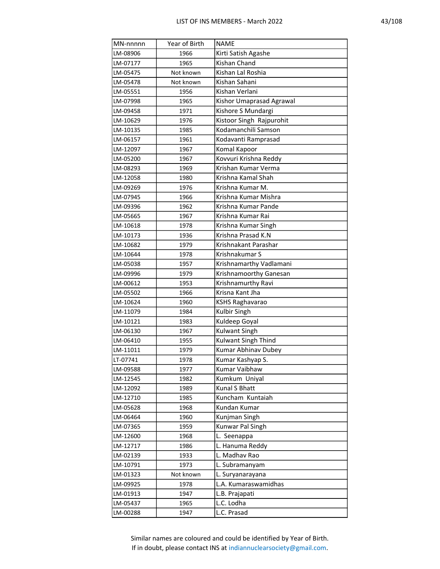| MN-nnnnn | Year of Birth | <b>NAME</b>              |  |  |
|----------|---------------|--------------------------|--|--|
| LM-08906 | 1966          | Kirti Satish Agashe      |  |  |
| LM-07177 | 1965          | Kishan Chand             |  |  |
| LM-05475 | Not known     | Kishan Lal Roshia        |  |  |
| LM-05478 | Not known     | Kishan Sahani            |  |  |
| LM-05551 | 1956          | Kishan Verlani           |  |  |
| LM-07998 | 1965          | Kishor Umaprasad Agrawal |  |  |
| LM-09458 | 1971          | Kishore S Mundargi       |  |  |
| LM-10629 | 1976          | Kistoor Singh Rajpurohit |  |  |
| LM-10135 | 1985          | Kodamanchili Samson      |  |  |
| LM-06157 | 1961          | Kodavanti Ramprasad      |  |  |
| LM-12097 | 1967          | Komal Kapoor             |  |  |
| LM-05200 | 1967          | Kovvuri Krishna Reddy    |  |  |
| LM-08293 | 1969          | Krishan Kumar Verma      |  |  |
| LM-12058 | 1980          | Krishna Kamal Shah       |  |  |
| LM-09269 | 1976          | Krishna Kumar M.         |  |  |
| LM-07945 | 1966          | Krishna Kumar Mishra     |  |  |
| LM-09396 | 1962          | Krishna Kumar Pande      |  |  |
| LM-05665 | 1967          | Krishna Kumar Rai        |  |  |
| LM-10618 | 1978          | Krishna Kumar Singh      |  |  |
| LM-10173 | 1936          | Krishna Prasad K.N       |  |  |
| LM-10682 | 1979          | Krishnakant Parashar     |  |  |
| LM-10644 | 1978          | Krishnakumar S           |  |  |
| LM-05038 | 1957          | Krishnamarthy Vadlamani  |  |  |
| LM-09996 | 1979          | Krishnamoorthy Ganesan   |  |  |
| LM-00612 | 1953          | Krishnamurthy Ravi       |  |  |
| LM-05502 | 1966          | Krisna Kant Jha          |  |  |
| LM-10624 | 1960          | KSHS Raghavarao          |  |  |
| LM-11079 | 1984          | Kulbir Singh             |  |  |
| LM-10121 | 1983          | Kuldeep Goyal            |  |  |
| LM-06130 | 1967          | <b>Kulwant Singh</b>     |  |  |
| LM-06410 | 1955          | Kulwant Singh Thind      |  |  |
| LM-11011 | 1979          | Kumar Abhinav Dubey      |  |  |
| LT-07741 | 1978          | Kumar Kashyap S.         |  |  |
| LM-09588 | 1977          | Kumar Vaibhaw            |  |  |
| LM-12545 | 1982          | Kumkum Uniyal            |  |  |
| LM-12092 | 1989          | Kunal S Bhatt            |  |  |
| LM-12710 | 1985          | Kuncham Kuntaiah         |  |  |
| LM-05628 | 1968          | Kundan Kumar             |  |  |
| LM-06464 | 1960          | Kunjman Singh            |  |  |
| LM-07365 | 1959          | Kunwar Pal Singh         |  |  |
| LM-12600 | 1968          | L. Seenappa              |  |  |
| LM-12717 | 1986          | L. Hanuma Reddy          |  |  |
| LM-02139 | 1933          | L. Madhav Rao            |  |  |
| LM-10791 | 1973          | L. Subramanyam           |  |  |
| LM-01323 | Not known     | L. Suryanarayana         |  |  |
| LM-09925 | 1978          | L.A. Kumaraswamidhas     |  |  |
| LM-01913 | 1947          | L.B. Prajapati           |  |  |
| LM-05437 | 1965          | L.C. Lodha               |  |  |
| LM-00288 | 1947          | L.C. Prasad              |  |  |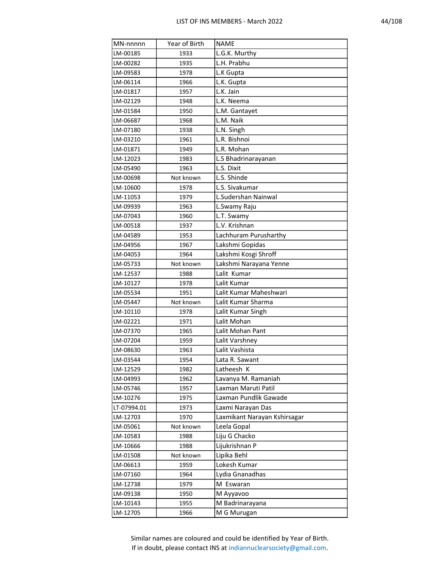| ٠ | R<br>C |
|---|--------|
|   |        |

| MN-nnnnn    | Year of Birth | <b>NAME</b>                  |
|-------------|---------------|------------------------------|
| LM-00185    | 1933          | L.G.K. Murthy                |
| LM-00282    | 1935          | L.H. Prabhu                  |
| LM-09583    | 1978          | L.K Gupta                    |
| LM-06114    | 1966          | L.K. Gupta                   |
| LM-01817    | 1957          | L.K. Jain                    |
| LM-02129    | 1948          | L.K. Neema                   |
| LM-01584    | 1950          | L.M. Gantayet                |
| LM-06687    | 1968          | L.M. Naik                    |
| LM-07180    | 1938          | L.N. Singh                   |
| LM-03210    | 1961          | L.R. Bishnoi                 |
| LM-01871    | 1949          | L.R. Mohan                   |
| LM-12023    | 1983          | L.S Bhadrinarayanan          |
| LM-05490    | 1963          | L.S. Dixit                   |
| LM-00698    | Not known     | L.S. Shinde                  |
| LM-10600    | 1978          | L.S. Sivakumar               |
| LM-11053    | 1979          | L.Sudershan Nainwal          |
| LM-09939    | 1963          | L.Swamy Raju                 |
| LM-07043    | 1960          | L.T. Swamy                   |
| LM-00518    | 1937          | L.V. Krishnan                |
| LM-04589    | 1953          | Lachhuram Purusharthy        |
| LM-04956    | 1967          | Lakshmi Gopidas              |
| LM-04053    | 1964          | Lakshmi Kosgi Shroff         |
| LM-05733    | Not known     | Lakshmi Narayana Yenne       |
| LM-12537    | 1988          | Lalit Kumar                  |
| LM-10127    | 1978          | Lalit Kumar                  |
| LM-05534    | 1951          | Lalit Kumar Maheshwari       |
| LM-05447    | Not known     | Lalit Kumar Sharma           |
| LM-10110    | 1978          | Lalit Kumar Singh            |
| LM-02221    | 1971          | Lalit Mohan                  |
| LM-07370    | 1965          | Lalit Mohan Pant             |
| LM-07204    | 1959          | Lalit Varshney               |
| LM-08630    | 1963          | Lalit Vashista               |
| LM-03544    | 1954          | Lata R. Sawant               |
| LM-12529    | 1982          | Latheesh K                   |
| LM-04993    | 1962          | Lavanya M. Ramaniah          |
| LM-05746    | 1957          | Laxman Maruti Patil          |
| LM-10276    | 1975          | Laxman Pundlik Gawade        |
| LT-07994.01 | 1973          | Laxmi Narayan Das            |
| LM-12703    | 1970          | Laxmikant Narayan Kshirsagar |
| LM-05061    | Not known     | Leela Gopal                  |
| LM-10583    | 1988          | Liju G Chacko                |
| LM-10666    | 1988          | Lijukrishnan P               |
| LM-01508    | Not known     | Lipika Behl                  |
| LM-06613    | 1959          | Lokesh Kumar                 |
| LM-07160    | 1964          | Lydia Gnanadhas              |
| LM-12738    | 1979          | M Eswaran                    |
| LM-09138    | 1950          | M Ayyavoo                    |
| LM-10143    | 1955          | M Badrinarayana              |
| LM-12705    | 1966          | M G Murugan                  |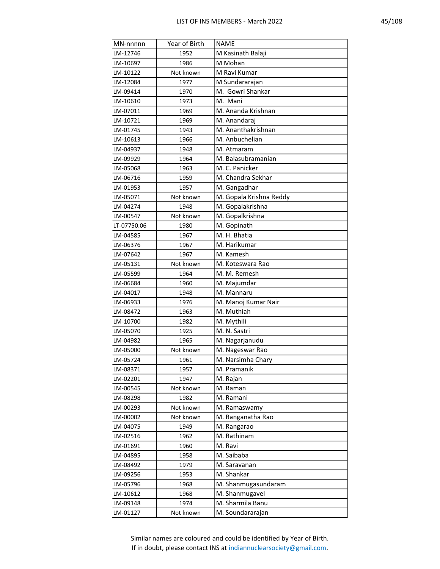| ۰. |
|----|
|----|

| MN-nnnnn    | Year of Birth | <b>NAME</b>             |
|-------------|---------------|-------------------------|
| LM-12746    | 1952          | M Kasinath Balaji       |
| LM-10697    | 1986          | M Mohan                 |
| LM-10122    | Not known     | M Ravi Kumar            |
| LM-12084    | 1977          | M Sundararajan          |
| LM-09414    | 1970          | M. Gowri Shankar        |
| LM-10610    | 1973          | M. Mani                 |
| LM-07011    | 1969          | M. Ananda Krishnan      |
| LM-10721    | 1969          | M. Anandaraj            |
| LM-01745    | 1943          | M. Ananthakrishnan      |
| LM-10613    | 1966          | M. Anbuchelian          |
| LM-04937    | 1948          | M. Atmaram              |
| LM-09929    | 1964          | M. Balasubramanian      |
| LM-05068    | 1963          | M. C. Panicker          |
| LM-06716    | 1959          | M. Chandra Sekhar       |
| LM-01953    | 1957          | M. Gangadhar            |
| LM-05071    | Not known     | M. Gopala Krishna Reddy |
| LM-04274    | 1948          | M. Gopalakrishna        |
| LM-00547    | Not known     | M. Gopalkrishna         |
| LT-07750.06 | 1980          | M. Gopinath             |
| LM-04585    | 1967          | M. H. Bhatia            |
| LM-06376    | 1967          | M. Harikumar            |
| LM-07642    | 1967          | M. Kamesh               |
| LM-05131    | Not known     | M. Koteswara Rao        |
| LM-05599    | 1964          | M. M. Remesh            |
| LM-06684    | 1960          | M. Majumdar             |
| LM-04017    | 1948          | M. Mannaru              |
| LM-06933    | 1976          | M. Manoj Kumar Nair     |
| LM-08472    | 1963          | M. Muthiah              |
| LM-10700    | 1982          | M. Mythili              |
| LM-05070    | 1925          | M. N. Sastri            |
| LM-04982    | 1965          | M. Nagarjanudu          |
| LM-05000    | Not known     | M. Nageswar Rao         |
| LM-05724    | 1961          | M. Narsimha Chary       |
| LM-08371    | 1957          | M. Pramanik             |
| LM-02201    | 1947          | M. Rajan                |
| LM-00545    | Not known     | M. Raman                |
| LM-08298    | 1982          | M. Ramani               |
| LM-00293    | Not known     | M. Ramaswamy            |
| LM-00002    | Not known     | M. Ranganatha Rao       |
| LM-04075    | 1949          | M. Rangarao             |
| LM-02516    | 1962          | M. Rathinam             |
| LM-01691    | 1960          | M. Ravi                 |
| LM-04895    | 1958          | M. Saibaba              |
| LM-08492    | 1979          | M. Saravanan            |
| LM-09256    | 1953          | M. Shankar              |
| LM-05796    | 1968          | M. Shanmugasundaram     |
| LM-10612    | 1968          | M. Shanmugavel          |
| LM-09148    | 1974          | M. Sharmila Banu        |
| LM-01127    | Not known     | M. Soundararajan        |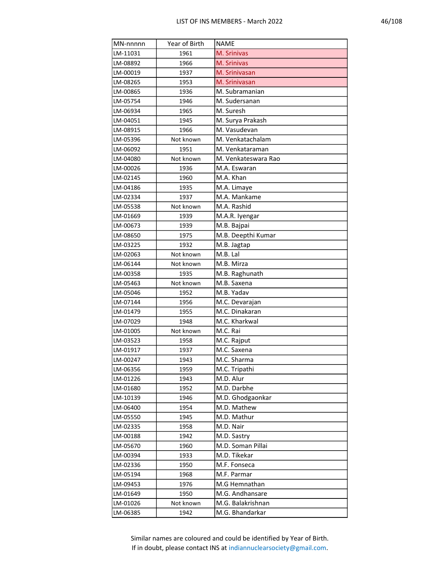| MN-nnnnn | Year of Birth | <b>NAME</b>         |
|----------|---------------|---------------------|
| LM-11031 | 1961          | M. Srinivas         |
| LM-08892 | 1966          | M. Srinivas         |
| LM-00019 | 1937          | M. Srinivasan       |
| LM-08265 | 1953          | M. Srinivasan       |
| LM-00865 | 1936          | M. Subramanian      |
| LM-05754 | 1946          | M. Sudersanan       |
| LM-06934 | 1965          | M. Suresh           |
| LM-04051 | 1945          | M. Surya Prakash    |
| LM-08915 | 1966          | M. Vasudevan        |
| LM-05396 | Not known     | M. Venkatachalam    |
| LM-06092 | 1951          | M. Venkataraman     |
| LM-04080 | Not known     | M. Venkateswara Rao |
| LM-00026 | 1936          | M.A. Eswaran        |
| LM-02145 | 1960          | M.A. Khan           |
| LM-04186 | 1935          | M.A. Limaye         |
| LM-02334 | 1937          | M.A. Mankame        |
| LM-05538 | Not known     | M.A. Rashid         |
| LM-01669 | 1939          | M.A.R. Iyengar      |
| LM-00673 | 1939          | M.B. Bajpai         |
| LM-08650 | 1975          | M.B. Deepthi Kumar  |
| LM-03225 | 1932          | M.B. Jagtap         |
| LM-02063 | Not known     | M.B. Lal            |
| LM-06144 | Not known     | M.B. Mirza          |
| LM-00358 | 1935          | M.B. Raghunath      |
| LM-05463 | Not known     | M.B. Saxena         |
| LM-05046 | 1952          | M.B. Yadav          |
| LM-07144 | 1956          | M.C. Devarajan      |
| LM-01479 | 1955          | M.C. Dinakaran      |
| LM-07029 | 1948          | M.C. Kharkwal       |
| LM-01005 | Not known     | M.C. Rai            |
| LM-03523 | 1958          | M.C. Rajput         |
| LM-01917 | 1937          | M.C. Saxena         |
| LM-00247 | 1943          | M.C. Sharma         |
| LM-06356 | 1959          | M.C. Tripathi       |
| LM-01226 | 1943          | M.D. Alur           |
| LM-01680 | 1952          | M.D. Darbhe         |
| LM-10139 | 1946          | M.D. Ghodgaonkar    |
| LM-06400 | 1954          | M.D. Mathew         |
| LM-05550 | 1945          | M.D. Mathur         |
| LM-02335 | 1958          | M.D. Nair           |
| LM-00188 | 1942          | M.D. Sastry         |
| LM-05670 | 1960          | M.D. Soman Pillai   |
| LM-00394 | 1933          | M.D. Tikekar        |
| LM-02336 | 1950          | M.F. Fonseca        |
| LM-05194 | 1968          | M.F. Parmar         |
| LM-09453 | 1976          | M.G Hemnathan       |
| LM-01649 | 1950          | M.G. Andhansare     |
| LM-01026 | Not known     | M.G. Balakrishnan   |
| LM-06385 | 1942          | M.G. Bhandarkar     |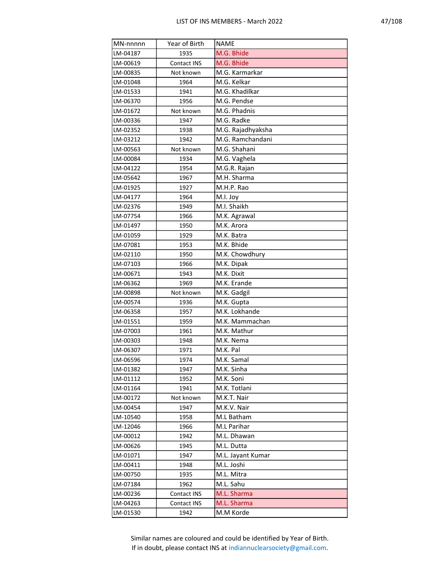| MN-nnnnn | Year of Birth | <b>NAME</b>       |
|----------|---------------|-------------------|
| LM-04187 | 1935          | M.G. Bhide        |
| LM-00619 | Contact INS   | M.G. Bhide        |
| LM-00835 | Not known     | M.G. Karmarkar    |
| LM-01048 | 1964          | M.G. Kelkar       |
| LM-01533 | 1941          | M.G. Khadilkar    |
| LM-06370 | 1956          | M.G. Pendse       |
| LM-01672 | Not known     | M.G. Phadnis      |
| LM-00336 | 1947          | M.G. Radke        |
| LM-02352 | 1938          | M.G. Rajadhyaksha |
| LM-03212 | 1942          | M.G. Ramchandani  |
| LM-00563 | Not known     | M.G. Shahani      |
| LM-00084 | 1934          | M.G. Vaghela      |
| LM-04122 | 1954          | M.G.R. Rajan      |
| LM-05642 | 1967          | M.H. Sharma       |
| LM-01925 | 1927          | M.H.P. Rao        |
| LM-04177 | 1964          | M.I. Joy          |
| LM-02376 | 1949          | M.I. Shaikh       |
| LM-07754 | 1966          | M.K. Agrawal      |
| LM-01497 | 1950          | M.K. Arora        |
| LM-01059 | 1929          | M.K. Batra        |
| LM-07081 | 1953          | M.K. Bhide        |
| LM-02110 | 1950          | M.K. Chowdhury    |
| LM-07103 | 1966          | M.K. Dipak        |
| LM-00671 | 1943          | M.K. Dixit        |
| LM-06362 | 1969          | M.K. Erande       |
| LM-00898 | Not known     | M.K. Gadgil       |
| LM-00574 | 1936          | M.K. Gupta        |
| LM-06358 | 1957          | M.K. Lokhande     |
| LM-01551 | 1959          | M.K. Mammachan    |
| LM-07003 | 1961          | M.K. Mathur       |
| LM-00303 | 1948          | M.K. Nema         |
| LM-06307 | 1971          | M.K. Pal          |
| LM-06596 | 1974          | M.K. Samal        |
| LM-01382 | 1947          | M.K. Sinha        |
| LM-01112 | 1952          | M.K. Soni         |
| LM-01164 | 1941          | M.K. Totlani      |
| LM-00172 | Not known     | M.K.T. Nair       |
| LM-00454 | 1947          | M.K.V. Nair       |
| LM-10540 | 1958          | M.L Batham        |
| LM-12046 | 1966          | M.L Parihar       |
| LM-00012 | 1942          | M.L. Dhawan       |
| LM-00626 | 1945          | M.L. Dutta        |
| LM-01071 | 1947          | M.L. Jayant Kumar |
| LM-00411 | 1948          | M.L. Joshi        |
| LM-00750 | 1935          | M.L. Mitra        |
| LM-07184 | 1962          | M.L. Sahu         |
| LM-00236 | Contact INS   | M.L. Sharma       |
| LM-04263 | Contact INS   | M.L. Sharma       |
| LM-01530 | 1942          | M.M Korde         |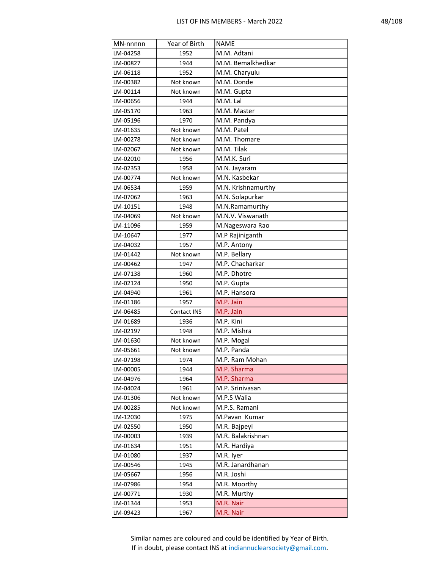| Q<br>C | 18 |
|--------|----|
|--------|----|

| MN-nnnnn | Year of Birth | <b>NAME</b>        |
|----------|---------------|--------------------|
| LM-04258 | 1952          | M.M. Adtani        |
| LM-00827 | 1944          | M.M. Bemalkhedkar  |
| LM-06118 | 1952          | M.M. Charyulu      |
| LM-00382 | Not known     | M.M. Donde         |
| LM-00114 | Not known     | M.M. Gupta         |
| LM-00656 | 1944          | M.M. Lal           |
| LM-05170 | 1963          | M.M. Master        |
| LM-05196 | 1970          | M.M. Pandya        |
| LM-01635 | Not known     | M.M. Patel         |
| LM-00278 | Not known     | M.M. Thomare       |
| LM-02067 | Not known     | M.M. Tilak         |
| LM-02010 | 1956          | M.M.K. Suri        |
| LM-02353 | 1958          | M.N. Jayaram       |
| LM-00774 | Not known     | M.N. Kasbekar      |
| LM-06534 | 1959          | M.N. Krishnamurthy |
| LM-07062 | 1963          | M.N. Solapurkar    |
| LM-10151 | 1948          | M.N.Ramamurthy     |
| LM-04069 | Not known     | M.N.V. Viswanath   |
| LM-11096 | 1959          | M.Nageswara Rao    |
| LM-10647 | 1977          | M.P Rajiniganth    |
| LM-04032 | 1957          | M.P. Antony        |
| LM-01442 | Not known     | M.P. Bellary       |
| LM-00462 | 1947          | M.P. Chacharkar    |
| LM-07138 | 1960          | M.P. Dhotre        |
| LM-02124 | 1950          | M.P. Gupta         |
| LM-04940 | 1961          | M.P. Hansora       |
| LM-01186 | 1957          | M.P. Jain          |
| LM-06485 | Contact INS   | M.P. Jain          |
| LM-01689 | 1936          | M.P. Kini          |
| LM-02197 | 1948          | M.P. Mishra        |
| LM-01630 | Not known     | M.P. Mogal         |
| LM-05661 | Not known     | M.P. Panda         |
| LM-07198 | 1974          | M.P. Ram Mohan     |
| LM-00005 | 1944          | M.P. Sharma        |
| LM-04976 | 1964          | M.P. Sharma        |
| LM-04024 | 1961          | M.P. Srinivasan    |
| LM-01306 | Not known     | M.P.S Walia        |
| LM-00285 | Not known     | M.P.S. Ramani      |
| LM-12030 | 1975          | M.Pavan Kumar      |
| LM-02550 | 1950          | M.R. Bajpeyi       |
| LM-00003 | 1939          | M.R. Balakrishnan  |
| LM-01634 | 1951          | M.R. Hardiya       |
| LM-01080 | 1937          | M.R. Iyer          |
| LM-00546 | 1945          | M.R. Janardhanan   |
| LM-05667 | 1956          | M.R. Joshi         |
| LM-07986 | 1954          | M.R. Moorthy       |
| LM-00771 | 1930          | M.R. Murthy        |
| LM-01344 | 1953          | M.R. Nair          |
| LM-09423 | 1967          | M.R. Nair          |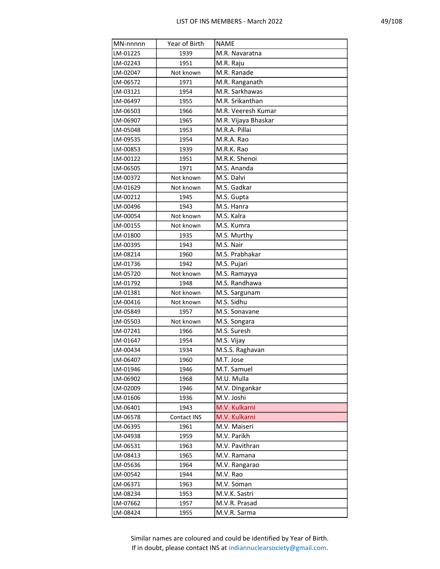| о<br>C<br>υ<br>o |
|------------------|
|------------------|

| MN-nnnnn | Year of Birth | <b>NAME</b>         |
|----------|---------------|---------------------|
| LM-01225 | 1939          | M.R. Navaratna      |
| LM-02243 | 1951          | M.R. Raju           |
| LM-02047 | Not known     | M.R. Ranade         |
| LM-06572 | 1971          | M.R. Ranganath      |
| LM-03121 | 1954          | M.R. Sarkhawas      |
| LM-06497 | 1955          | M.R. Srikanthan     |
| LM-06503 | 1966          | M.R. Veeresh Kumar  |
| LM-06907 | 1965          | M.R. Vijaya Bhaskar |
| LM-05048 | 1953          | M.R.A. Pillai       |
| LM-09535 | 1954          | M.R.A. Rao          |
| LM-00853 | 1939          | M.R.K. Rao          |
| LM-00122 | 1951          | M.R.K. Shenoi       |
| LM-06505 | 1971          | M.S. Ananda         |
| LM-00372 | Not known     | M.S. Dalvi          |
| LM-01629 | Not known     | M.S. Gadkar         |
| LM-00212 | 1945          | M.S. Gupta          |
| LM-00496 | 1943          | M.S. Hanra          |
| LM-00054 | Not known     | M.S. Kalra          |
| LM-00155 | Not known     | M.S. Kumra          |
| LM-01800 | 1935          | M.S. Murthy         |
| LM-00395 | 1943          | M.S. Nair           |
| LM-08214 | 1960          | M.S. Prabhakar      |
| LM-01736 | 1942          | M.S. Pujari         |
| LM-05720 | Not known     | M.S. Ramayya        |
| LM-01792 | 1948          | M.S. Randhawa       |
| LM-01381 | Not known     | M.S. Sargunam       |
| LM-00416 | Not known     | M.S. Sidhu          |
| LM-05849 | 1957          | M.S. Sonavane       |
| LM-05503 | Not known     | M.S. Songara        |
| LM-07241 | 1966          | M.S. Suresh         |
| LM-01647 | 1954          | M.S. Vijay          |
| LM-00434 | 1934          | M.S.S. Raghavan     |
| LM-06407 | 1960          | M.T. Jose           |
| LM-01946 | 1946          | M.T. Samuel         |
| LM-06902 | 1968          | M.U. Mulla          |
| LM-02009 | 1946          | M.V. Dingankar      |
| LM-01606 | 1936          | M.V. Joshi          |
| LM-06401 | 1943          | M.V. Kulkarni       |
| LM-06578 | Contact INS   | M.V. Kulkarni       |
| LM-06395 | 1961          | M.V. Maiseri        |
| LM-04938 | 1959          | M.V. Parikh         |
| LM-06531 | 1963          | M.V. Pavithran      |
| LM-08413 | 1965          | M.V. Ramana         |
| LM-05636 | 1964          | M.V. Rangarao       |
| LM-00542 | 1944          | M.V. Rao            |
| LM-06371 | 1963          | M.V. Soman          |
| LM-08234 | 1953          | M.V.K. Sastri       |
| LM-07662 | 1957          | M.V.R. Prasad       |
| LM-08424 | 1955          | M.V.R. Sarma        |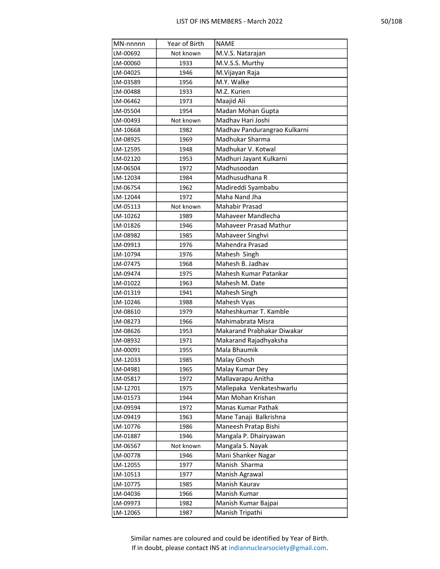| MN-nnnnn | Year of Birth | <b>NAME</b>                   |
|----------|---------------|-------------------------------|
| LM-00692 | Not known     | M.V.S. Natarajan              |
| LM-00060 | 1933          | M.V.S.S. Murthy               |
| LM-04025 | 1946          | M.Vijayan Raja                |
| LM-03589 | 1956          | M.Y. Walke                    |
| LM-00488 | 1933          | M.Z. Kurien                   |
| LM-06462 | 1973          | Maajid Ali                    |
| LM-05504 | 1954          | Madan Mohan Gupta             |
| LM-00493 | Not known     | Madhav Hari Joshi             |
| LM-10668 | 1982          | Madhav Pandurangrao Kulkarni  |
| LM-08925 | 1969          | Madhukar Sharma               |
| LM-12595 | 1948          | Madhukar V. Kotwal            |
| LM-02120 | 1953          | Madhuri Jayant Kulkarni       |
| LM-06504 | 1972          | Madhusoodan                   |
| LM-12034 | 1984          | Madhusudhana R                |
| LM-06754 | 1962          | Madireddi Syambabu            |
| LM-12044 | 1972          | Maha Nand Jha                 |
| LM-05113 | Not known     | <b>Mahabir Prasad</b>         |
| LM-10262 | 1989          | Mahaveer Mandlecha            |
| LM-01826 | 1946          | Mahaveer Prasad Mathur        |
| LM-08982 | 1985          | Mahaveer Singhvi              |
| LM-09913 | 1976          | Mahendra Prasad               |
| LM-10794 | 1976          | Mahesh Singh                  |
| LM-07475 | 1968          | Mahesh B. Jadhav              |
| LM-09474 | 1975          | Mahesh Kumar Patankar         |
| LM-01022 | 1963          | Mahesh M. Date                |
| LM-01319 | 1941          | Mahesh Singh                  |
| LM-10246 | 1988          | Mahesh Vyas                   |
| LM-08610 | 1979          | Maheshkumar T. Kamble         |
| LM-08273 | 1966          | Mahimabrata Misra             |
| LM-08626 | 1953          | Makarand Prabhakar Diwakar    |
| LM-08932 | 1971          | Makarand Rajadhyaksha         |
| LM-00091 | 1955          | Mala Bhaumik                  |
| LM-12033 | 1985          | Malay Ghosh                   |
| LM-04981 | 1965          | Malay Kumar Dey               |
| LM-05817 | 1972          | Mallavarapu Anitha            |
| LM-12701 | 1975          | Mallepaka Venkateshwarlu      |
| LM-01573 | 1944          | Man Mohan Krishan             |
| LM-09594 | 1972          | Manas Kumar Pathak            |
| LM-09419 | 1963          | Mane Tanaji Balkrishna        |
| LM-10776 | 1986          | Maneesh Pratap Bishi          |
| LM-01887 | 1946          | Mangala P. Dhairyawan         |
| LM-06567 | Not known     | Mangala S. Nayak              |
| LM-00778 | 1946          | Mani Shanker Nagar            |
| LM-12055 | 1977          | Manish Sharma                 |
| LM-10513 | 1977          | Manish Agrawal                |
| LM-10775 | 1985          | Manish Kaurav<br>Manish Kumar |
| LM-04036 | 1966          | Manish Kumar Bajpai           |
| LM-09973 | 1982          |                               |
| LM-12065 | 1987          | Manish Tripathi               |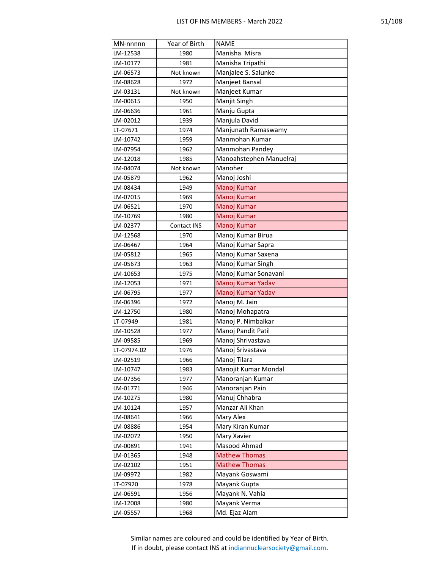| ł,<br>×. |  |  |  |
|----------|--|--|--|
|----------|--|--|--|

| MN-nnnnn    | Year of Birth      | <b>NAME</b>             |
|-------------|--------------------|-------------------------|
| LM-12538    | 1980               | Manisha Misra           |
| LM-10177    | 1981               | Manisha Tripathi        |
| LM-06573    | Not known          | Manjalee S. Salunke     |
| LM-08628    | 1972               | Manjeet Bansal          |
| LM-03131    | Not known          | Manjeet Kumar           |
| LM-00615    | 1950               | Manjit Singh            |
| LM-06636    | 1961               | Manju Gupta             |
| LM-02012    | 1939               | Manjula David           |
| LT-07671    | 1974               | Manjunath Ramaswamy     |
| LM-10742    | 1959               | Manmohan Kumar          |
| LM-07954    | 1962               | Manmohan Pandey         |
| LM-12018    | 1985               | Manoahstephen Manuelraj |
| LM-04074    | Not known          | Manoher                 |
| LM-05879    | 1962               | Manoj Joshi             |
| LM-08434    | 1949               | Manoj Kumar             |
| LM-07015    | 1969               | Manoj Kumar             |
| LM-06521    | 1970               | Manoj Kumar             |
| LM-10769    | 1980               | Manoj Kumar             |
| LM-02377    | <b>Contact INS</b> | Manoj Kumar             |
| LM-12568    | 1970               | Manoj Kumar Birua       |
| LM-06467    | 1964               | Manoj Kumar Sapra       |
| LM-05812    | 1965               | Manoj Kumar Saxena      |
| LM-05673    | 1963               | Manoj Kumar Singh       |
| LM-10653    | 1975               | Manoj Kumar Sonavani    |
| LM-12053    | 1971               | Manoj Kumar Yadav       |
| LM-06795    | 1977               | Manoj Kumar Yadav       |
| LM-06396    | 1972               | Manoj M. Jain           |
| LM-12750    | 1980               | Manoj Mohapatra         |
| LT-07949    | 1981               | Manoj P. Nimbalkar      |
| LM-10528    | 1977               | Manoj Pandit Patil      |
| LM-09585    | 1969               | Manoj Shrivastava       |
| LT-07974.02 | 1976               | Manoj Srivastava        |
| LM-02519    | 1966               | Manoj Tilara            |
| LM-10747    | 1983               | Manojit Kumar Mondal    |
| LM-07356    | 1977               | Manoranjan Kumar        |
| LM-01771    | 1946               | Manoranjan Pain         |
| LM-10275    | 1980               | Manuj Chhabra           |
| LM-10124    | 1957               | Manzar Ali Khan         |
| LM-08641    | 1966               | Mary Alex               |
| LM-08886    | 1954               | Mary Kiran Kumar        |
| LM-02072    | 1950               | Mary Xavier             |
| LM-00891    | 1941               | Masood Ahmad            |
| LM-01365    | 1948               | <b>Mathew Thomas</b>    |
| LM-02102    | 1951               | <b>Mathew Thomas</b>    |
| LM-09972    | 1982               | Mayank Goswami          |
| LT-07920    | 1978               | Mayank Gupta            |
| LM-06591    | 1956               | Mayank N. Vahia         |
| LM-12008    | 1980               | Mayank Verma            |
| LM-05557    | 1968               | Md. Ejaz Alam           |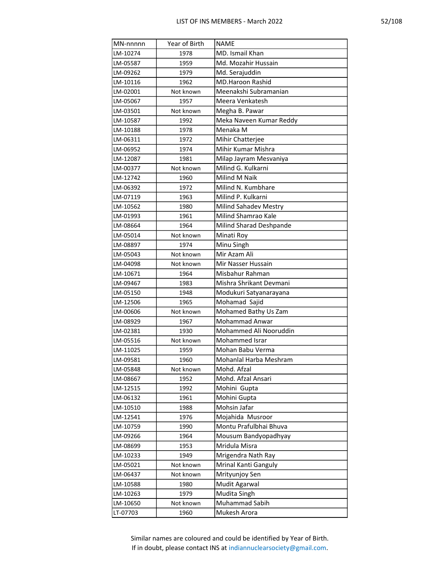|--|

| MN-nnnnn             | Year of Birth          | <b>NAME</b>                                    |
|----------------------|------------------------|------------------------------------------------|
| LM-10274             | 1978                   | MD. Ismail Khan                                |
| LM-05587             | 1959                   | Md. Mozahir Hussain                            |
| LM-09262             | 1979                   | Md. Serajuddin                                 |
| LM-10116             | 1962                   | <b>MD.Haroon Rashid</b>                        |
| LM-02001             | Not known              | Meenakshi Subramanian                          |
| LM-05067             | 1957                   | Meera Venkatesh                                |
| LM-03501             | Not known              | Megha B. Pawar                                 |
| LM-10587             | 1992                   | Meka Naveen Kumar Reddy                        |
| LM-10188             | 1978                   | Menaka M                                       |
| LM-06311             | 1972                   | Mihir Chatterjee                               |
| LM-06952             | 1974                   | Mihir Kumar Mishra                             |
| LM-12087             | 1981                   | Milap Jayram Mesvaniya                         |
| LM-00377             | Not known              | Milind G. Kulkarni                             |
| LM-12742             | 1960                   | Milind M Naik                                  |
| LM-06392             | 1972                   | Milind N. Kumbhare                             |
| LM-07119             | 1963                   | Milind P. Kulkarni                             |
| LM-10562             | 1980                   | <b>Milind Sahadev Mestry</b>                   |
| LM-01993             | 1961                   | Milind Shamrao Kale                            |
| LM-08664             | 1964                   | Milind Sharad Deshpande                        |
| LM-05014             | Not known              | Minati Roy                                     |
| LM-08897             | 1974                   | Minu Singh                                     |
| LM-05043             | Not known              | Mir Azam Ali                                   |
| LM-04098             | Not known              | Mir Nasser Hussain                             |
| LM-10671             | 1964                   | Misbahur Rahman                                |
| LM-09467             | 1983                   | Mishra Shrikant Devmani                        |
| LM-05150             | 1948                   | Modukuri Satyanarayana                         |
| LM-12506             | 1965                   | Mohamad Sajid                                  |
| LM-00606             | Not known              | Mohamed Bathy Us Zam                           |
| LM-08929             | 1967                   | <b>Mohammad Anwar</b>                          |
| LM-02381             | 1930                   | Mohammed Ali Nooruddin                         |
| LM-05516             | Not known              | Mohammed Israr                                 |
| LM-11025             | 1959                   | Mohan Babu Verma                               |
| LM-09581             | 1960                   | Mohanlal Harba Meshram                         |
| LM-05848             | Not known              | Mohd. Afzal                                    |
| LM-08667             | 1952                   | Mohd. Afzal Ansari                             |
| LM-12515             | 1992                   | Mohini Gupta                                   |
| LM-06132             | 1961                   | Mohini Gupta                                   |
| LM-10510             | 1988                   | Mohsin Jafar                                   |
| LM-12541             | 1976                   | Mojahida Musroor                               |
| LM-10759             | 1990                   | Montu Prafulbhai Bhuva<br>Mousum Bandyopadhyay |
| LM-09266<br>LM-08699 | 1964                   | Mridula Misra                                  |
|                      | 1953                   |                                                |
| LM-10233             | 1949                   | Mrigendra Nath Ray<br>Mrinal Kanti Ganguly     |
| LM-05021<br>LM-06437 | Not known<br>Not known | Mrityunjoy Sen                                 |
| LM-10588             | 1980                   | Mudit Agarwal                                  |
| LM-10263             | 1979                   | Mudita Singh                                   |
| LM-10650             | Not known              | Muhammad Sabih                                 |
| LT-07703             | 1960                   | Mukesh Arora                                   |
|                      |                        |                                                |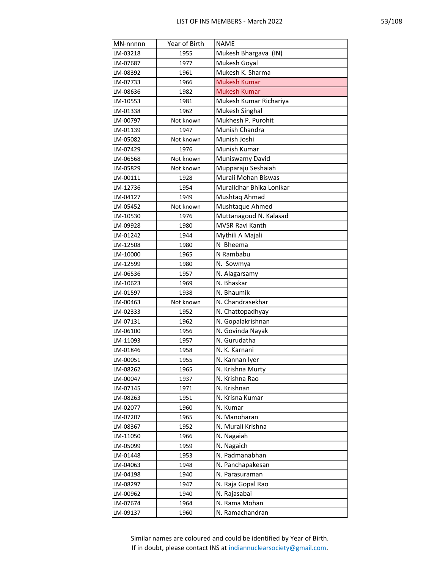| MN-nnnnn | Year of Birth | <b>NAME</b>              |
|----------|---------------|--------------------------|
| LM-03218 | 1955          | Mukesh Bhargava (IN)     |
| LM-07687 | 1977          | Mukesh Goyal             |
| LM-08392 | 1961          | Mukesh K. Sharma         |
| LM-07733 | 1966          | <b>Mukesh Kumar</b>      |
| LM-08636 | 1982          | <b>Mukesh Kumar</b>      |
| LM-10553 | 1981          | Mukesh Kumar Richariya   |
| LM-01338 | 1962          | Mukesh Singhal           |
| LM-00797 | Not known     | Mukhesh P. Purohit       |
| LM-01139 | 1947          | Munish Chandra           |
| LM-05082 | Not known     | Munish Joshi             |
| LM-07429 | 1976          | Munish Kumar             |
| LM-06568 | Not known     | Muniswamy David          |
| LM-05829 | Not known     | Mupparaju Seshaiah       |
| LM-00111 | 1928          | Murali Mohan Biswas      |
| LM-12736 | 1954          | Muralidhar Bhika Lonikar |
| LM-04127 | 1949          | Mushtaq Ahmad            |
| LM-05452 | Not known     | Mushtaque Ahmed          |
| LM-10530 | 1976          | Muttanagoud N. Kalasad   |
| LM-09928 | 1980          | <b>MVSR Ravi Kanth</b>   |
| LM-01242 | 1944          | Mythili A Majali         |
| LM-12508 | 1980          | N Bheema                 |
| LM-10000 | 1965          | N Rambabu                |
| LM-12599 | 1980          | N. Sowmya                |
| LM-06536 | 1957          | N. Alagarsamy            |
| LM-10623 | 1969          | N. Bhaskar               |
| LM-01597 | 1938          | N. Bhaumik               |
| LM-00463 | Not known     | N. Chandrasekhar         |
| LM-02333 | 1952          | N. Chattopadhyay         |
| LM-07131 | 1962          | N. Gopalakrishnan        |
| LM-06100 | 1956          | N. Govinda Nayak         |
| LM-11093 | 1957          | N. Gurudatha             |
| LM-01846 | 1958          | N. K. Karnani            |
| LM-00051 | 1955          | N. Kannan Iver           |
| LM-08262 | 1965          | N. Krishna Murty         |
| LM-00047 | 1937          | N. Krishna Rao           |
| LM-07145 | 1971          | N. Krishnan              |
| LM-08263 | 1951          | N. Krisna Kumar          |
| LM-02077 | 1960          | N. Kumar                 |
| LM-07207 | 1965          | N. Manoharan             |
| LM-08367 | 1952          | N. Murali Krishna        |
| LM-11050 | 1966          | N. Nagaiah               |
| LM-05099 | 1959          | N. Nagaich               |
| LM-01448 | 1953          | N. Padmanabhan           |
| LM-04063 | 1948          | N. Panchapakesan         |
| LM-04198 | 1940          | N. Parasuraman           |
| LM-08297 | 1947          | N. Raja Gopal Rao        |
| LM-00962 | 1940          | N. Rajasabai             |
| LM-07674 | 1964          | N. Rama Mohan            |
| LM-09137 | 1960          | N. Ramachandran          |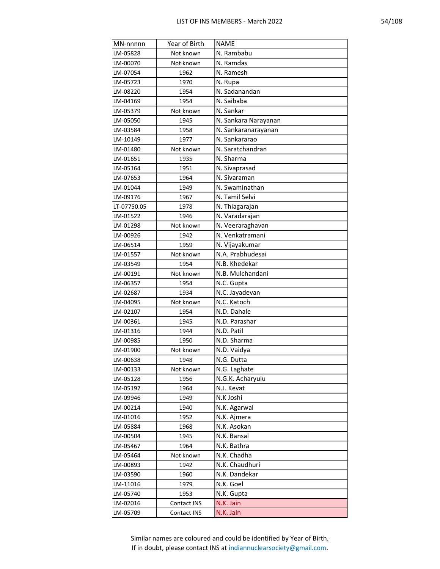| MN-nnnnn    | Year of Birth | <b>NAME</b>          |
|-------------|---------------|----------------------|
| LM-05828    | Not known     | N. Rambabu           |
| LM-00070    | Not known     | N. Ramdas            |
| LM-07054    | 1962          | N. Ramesh            |
| LM-05723    | 1970          | N. Rupa              |
| LM-08220    | 1954          | N. Sadanandan        |
| LM-04169    | 1954          | N. Saibaba           |
| LM-05379    | Not known     | N. Sankar            |
| LM-05050    | 1945          | N. Sankara Narayanan |
| LM-03584    | 1958          | N. Sankaranarayanan  |
| LM-10149    | 1977          | N. Sankararao        |
| LM-01480    | Not known     | N. Saratchandran     |
| LM-01651    | 1935          | N. Sharma            |
| LM-05164    | 1951          | N. Sivaprasad        |
| LM-07653    | 1964          | N. Sivaraman         |
| LM-01044    | 1949          | N. Swaminathan       |
| LM-09176    | 1967          | N. Tamil Selvi       |
| LT-07750.05 | 1978          | N. Thiagarajan       |
| LM-01522    | 1946          | N. Varadarajan       |
| LM-01298    | Not known     | N. Veeraraghavan     |
| LM-00926    | 1942          | N. Venkatramani      |
| LM-06514    | 1959          | N. Vijayakumar       |
| LM-01557    | Not known     | N.A. Prabhudesai     |
| LM-03549    | 1954          | N.B. Khedekar        |
| LM-00191    | Not known     | N.B. Mulchandani     |
| LM-06357    | 1954          | N.C. Gupta           |
| LM-02687    | 1934          | N.C. Jayadevan       |
| LM-04095    | Not known     | N.C. Katoch          |
| LM-02107    | 1954          | N.D. Dahale          |
| LM-00361    | 1945          | N.D. Parashar        |
| LM-01316    | 1944          | N.D. Patil           |
| LM-00985    | 1950          | N.D. Sharma          |
| LM-01900    | Not known     | N.D. Vaidya          |
| LM-00638    | 1948          | N.G. Dutta           |
| LM-00133    | Not known     | N.G. Laghate         |
| LM-05128    | 1956          | N.G.K. Acharyulu     |
| LM-05192    | 1964          | N.J. Kevat           |
| LM-09946    | 1949          | N.K Joshi            |
| LM-00214    | 1940          | N.K. Agarwal         |
| LM-01016    | 1952          | N.K. Ajmera          |
| LM-05884    | 1968          | N.K. Asokan          |
| LM-00504    | 1945          | N.K. Bansal          |
| LM-05467    | 1964          | N.K. Bathra          |
| LM-05464    | Not known     | N.K. Chadha          |
| LM-00893    | 1942          | N.K. Chaudhuri       |
| LM-03590    | 1960          | N.K. Dandekar        |
| LM-11016    | 1979          | N.K. Goel            |
| LM-05740    | 1953          | N.K. Gupta           |
| LM-02016    | Contact INS   | N.K. Jain            |
| LM-05709    | Contact INS   | N.K. Jain            |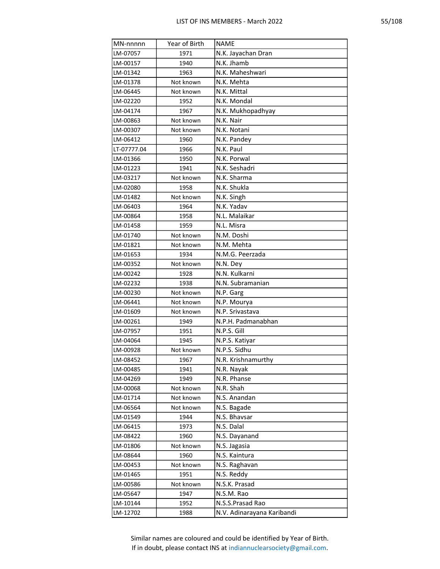|--|--|

| MN-nnnnn    | Year of Birth | <b>NAME</b>                |
|-------------|---------------|----------------------------|
| LM-07057    | 1971          | N.K. Jayachan Dran         |
| LM-00157    | 1940          | N.K. Jhamb                 |
| LM-01342    | 1963          | N.K. Maheshwari            |
| LM-01378    | Not known     | N.K. Mehta                 |
| LM-06445    | Not known     | N.K. Mittal                |
| LM-02220    | 1952          | N.K. Mondal                |
| LM-04174    | 1967          | N.K. Mukhopadhyay          |
| LM-00863    | Not known     | N.K. Nair                  |
| LM-00307    | Not known     | N.K. Notani                |
| LM-06412    | 1960          | N.K. Pandey                |
| LT-07777.04 | 1966          | N.K. Paul                  |
| LM-01366    | 1950          | N.K. Porwal                |
| LM-01223    | 1941          | N.K. Seshadri              |
| LM-03217    | Not known     | N.K. Sharma                |
| LM-02080    | 1958          | N.K. Shukla                |
| LM-01482    | Not known     | N.K. Singh                 |
| LM-06403    | 1964          | N.K. Yadav                 |
| LM-00864    | 1958          | N.L. Malaikar              |
| LM-01458    | 1959          | N.L. Misra                 |
| LM-01740    | Not known     | N.M. Doshi                 |
| LM-01821    | Not known     | N.M. Mehta                 |
| LM-01653    | 1934          | N.M.G. Peerzada            |
| LM-00352    | Not known     | N.N. Dey                   |
| LM-00242    | 1928          | N.N. Kulkarni              |
| LM-02232    | 1938          | N.N. Subramanian           |
| LM-00230    | Not known     | N.P. Garg                  |
| LM-06441    | Not known     | N.P. Mourya                |
| LM-01609    | Not known     | N.P. Srivastava            |
| LM-00261    | 1949          | N.P.H. Padmanabhan         |
| LM-07957    | 1951          | N.P.S. Gill                |
| LM-04064    | 1945          | N.P.S. Katiyar             |
| LM-00928    | Not known     | N.P.S. Sidhu               |
| LM-08452    | 1967          | N.R. Krishnamurthy         |
| LM-00485    | 1941          | N.R. Nayak                 |
| LM-04269    | 1949          | N.R. Phanse                |
| LM-00068    | Not known     | N.R. Shah                  |
| LM-01714    | Not known     | N.S. Anandan               |
| LM-06564    | Not known     | N.S. Bagade                |
| LM-01549    | 1944          | N.S. Bhavsar               |
| LM-06415    | 1973          | N.S. Dalal                 |
| LM-08422    | 1960          | N.S. Dayanand              |
| LM-01806    | Not known     | N.S. Jagasia               |
| LM-08644    | 1960          | N.S. Kaintura              |
| LM-00453    | Not known     | N.S. Raghavan              |
| LM-01465    | 1951          | N.S. Reddy                 |
| LM-00586    | Not known     | N.S.K. Prasad              |
| LM-05647    | 1947          | N.S.M. Rao                 |
| LM-10144    | 1952          | N.S.S.Prasad Rao           |
| LM-12702    | 1988          | N.V. Adinarayana Karibandi |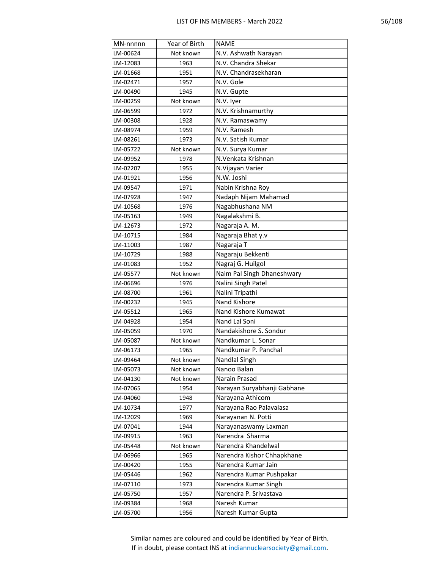| MN-nnnnn | Year of Birth | <b>NAME</b>                 |
|----------|---------------|-----------------------------|
| LM-00624 | Not known     | N.V. Ashwath Narayan        |
| LM-12083 | 1963          | N.V. Chandra Shekar         |
| LM-01668 | 1951          | N.V. Chandrasekharan        |
| LM-02471 | 1957          | N.V. Gole                   |
| LM-00490 | 1945          | N.V. Gupte                  |
| LM-00259 | Not known     | N.V. Iyer                   |
| LM-06599 | 1972          | N.V. Krishnamurthy          |
| LM-00308 | 1928          | N.V. Ramaswamy              |
| LM-08974 | 1959          | N.V. Ramesh                 |
| LM-08261 | 1973          | N.V. Satish Kumar           |
| LM-05722 | Not known     | N.V. Surya Kumar            |
| LM-09952 | 1978          | N.Venkata Krishnan          |
| LM-02207 | 1955          | N. Vijayan Varier           |
| LM-01921 | 1956          | N.W. Joshi                  |
| LM-09547 | 1971          | Nabin Krishna Roy           |
| LM-07928 | 1947          | Nadaph Nijam Mahamad        |
| LM-10568 | 1976          | Nagabhushana NM             |
| LM-05163 | 1949          | Nagalakshmi B.              |
| LM-12673 | 1972          | Nagaraja A. M.              |
| LM-10715 | 1984          | Nagaraja Bhat y.v           |
| LM-11003 | 1987          | Nagaraja T                  |
| LM-10729 | 1988          | Nagaraju Bekkenti           |
| LM-01083 | 1952          | Nagraj G. Huilgol           |
| LM-05577 | Not known     | Naim Pal Singh Dhaneshwary  |
| LM-06696 | 1976          | Nalini Singh Patel          |
| LM-08700 | 1961          | Nalini Tripathi             |
| LM-00232 | 1945          | Nand Kishore                |
| LM-05512 | 1965          | Nand Kishore Kumawat        |
| LM-04928 | 1954          | Nand Lal Soni               |
| LM-05059 | 1970          | Nandakishore S. Sondur      |
| LM-05087 | Not known     | Nandkumar L. Sonar          |
| LM-06173 | 1965          | Nandkumar P. Panchal        |
| LM-09464 | Not known     | Nandlal Singh               |
| LM-05073 | Not known     | Nanoo Balan                 |
| LM-04130 | Not known     | Narain Prasad               |
| LM-07065 | 1954          | Narayan Suryabhanji Gabhane |
| LM-04060 | 1948          | Narayana Athicom            |
| LM-10734 | 1977          | Narayana Rao Palavalasa     |
| LM-12029 | 1969          | Narayanan N. Potti          |
| LM-07041 | 1944          | Narayanaswamy Laxman        |
| LM-09915 | 1963          | Narendra Sharma             |
| LM-05448 | Not known     | Narendra Khandelwal         |
| LM-06966 | 1965          | Narendra Kishor Chhapkhane  |
| LM-00420 | 1955          | Narendra Kumar Jain         |
| LM-05446 | 1962          | Narendra Kumar Pushpakar    |
| LM-07110 | 1973          | Narendra Kumar Singh        |
| LM-05750 | 1957          | Narendra P. Srivastava      |
| LM-09384 | 1968          | Naresh Kumar                |
| LM-05700 | 1956          | Naresh Kumar Gupta          |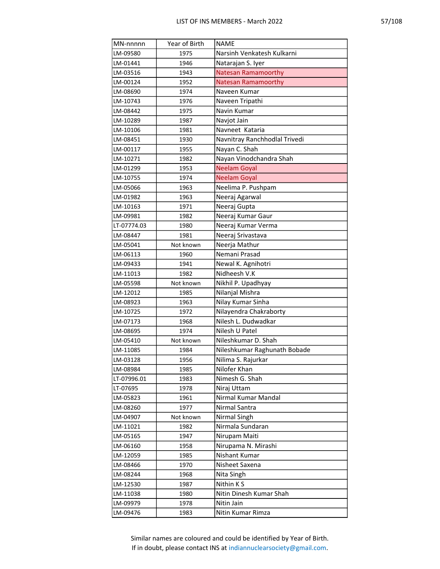| MN-nnnnn    | Year of Birth | <b>NAME</b>                   |
|-------------|---------------|-------------------------------|
| LM-09580    | 1975          | Narsinh Venkatesh Kulkarni    |
| LM-01441    | 1946          | Natarajan S. Iyer             |
| LM-03516    | 1943          | <b>Natesan Ramamoorthy</b>    |
| LM-00124    | 1952          | <b>Natesan Ramamoorthy</b>    |
| LM-08690    | 1974          | Naveen Kumar                  |
| LM-10743    | 1976          | Naveen Tripathi               |
| LM-08442    | 1975          | Navin Kumar                   |
| LM-10289    | 1987          | Navjot Jain                   |
| LM-10106    | 1981          | Navneet Kataria               |
| LM-08451    | 1930          | Navnitray Ranchhodlal Trivedi |
| LM-00117    | 1955          | Nayan C. Shah                 |
| LM-10271    | 1982          | Nayan Vinodchandra Shah       |
| LM-01299    | 1953          | <b>Neelam Goyal</b>           |
| LM-10755    | 1974          | <b>Neelam Goyal</b>           |
| LM-05066    | 1963          | Neelima P. Pushpam            |
| LM-01982    | 1963          | Neeraj Agarwal                |
| LM-10163    | 1971          | Neeraj Gupta                  |
| LM-09981    | 1982          | Neeraj Kumar Gaur             |
| LT-07774.03 | 1980          | Neeraj Kumar Verma            |
| LM-08447    | 1981          | Neeraj Srivastava             |
| LM-05041    | Not known     | Neerja Mathur                 |
| LM-06113    | 1960          | Nemani Prasad                 |
| LM-09433    | 1941          | Newal K. Agnihotri            |
| LM-11013    | 1982          | Nidheesh V.K                  |
| LM-05598    | Not known     | Nikhil P. Upadhyay            |
| LM-12012    | 1985          | Nilanjal Mishra               |
| LM-08923    | 1963          | Nilay Kumar Sinha             |
| LM-10725    | 1972          | Nilayendra Chakraborty        |
| LM-07173    | 1968          | Nilesh L. Dudwadkar           |
| LM-08695    | 1974          | Nilesh U Patel                |
| LM-05410    | Not known     | Nileshkumar D. Shah           |
| LM-11085    | 1984          | Nileshkumar Raghunath Bobade  |
| LM-03128    | 1956          | Nilima S. Rajurkar            |
| LM-08984    | 1985          | Nilofer Khan                  |
| LT-07996.01 | 1983          | Nimesh G. Shah                |
| LT-07695    | 1978          | Niraj Uttam                   |
| LM-05823    | 1961          | Nirmal Kumar Mandal           |
| LM-08260    | 1977          | Nirmal Santra                 |
| LM-04907    | Not known     | Nirmal Singh                  |
| LM-11021    | 1982          | Nirmala Sundaran              |
| LM-05165    | 1947          | Nirupam Maiti                 |
| LM-06160    | 1958          | Nirupama N. Mirashi           |
| LM-12059    | 1985          | Nishant Kumar                 |
| LM-08466    | 1970          | Nisheet Saxena                |
| LM-08244    | 1968          | Nita Singh                    |
| LM-12530    | 1987          | Nithin KS                     |
| LM-11038    | 1980          | Nitin Dinesh Kumar Shah       |
| LM-09979    | 1978          | Nitin Jain                    |
| LM-09476    | 1983          | Nitin Kumar Rimza             |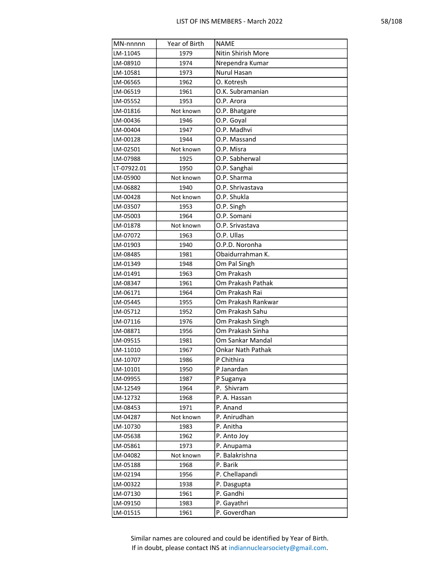| MN-nnnnn    | Year of Birth | <b>NAME</b>        |
|-------------|---------------|--------------------|
| LM-11045    | 1979          | Nitin Shirish More |
| LM-08910    | 1974          | Nrependra Kumar    |
| LM-10581    | 1973          | <b>Nurul Hasan</b> |
| LM-06565    | 1962          | O. Kotresh         |
| LM-06519    | 1961          | O.K. Subramanian   |
| LM-05552    | 1953          | O.P. Arora         |
| LM-01816    | Not known     | O.P. Bhatgare      |
| LM-00436    | 1946          | O.P. Goyal         |
| LM-00404    | 1947          | O.P. Madhvi        |
| LM-00128    | 1944          | O.P. Massand       |
| LM-02501    | Not known     | O.P. Misra         |
| LM-07988    | 1925          | O.P. Sabherwal     |
| LT-07922.01 | 1950          | O.P. Sanghai       |
| LM-05900    | Not known     | O.P. Sharma        |
| LM-06882    | 1940          | O.P. Shrivastava   |
| LM-00428    | Not known     | O.P. Shukla        |
| LM-03507    | 1953          | O.P. Singh         |
| LM-05003    | 1964          | O.P. Somani        |
| LM-01878    | Not known     | O.P. Srivastava    |
| LM-07072    | 1963          | O.P. Ullas         |
| LM-01903    | 1940          | O.P.D. Noronha     |
| LM-08485    | 1981          | Obaidurrahman K.   |
| LM-01349    | 1948          | Om Pal Singh       |
| LM-01491    | 1963          | Om Prakash         |
| LM-08347    | 1961          | Om Prakash Pathak  |
| LM-06171    | 1964          | Om Prakash Rai     |
| LM-05445    | 1955          | Om Prakash Rankwar |
| LM-05712    | 1952          | Om Prakash Sahu    |
| LM-07116    | 1976          | Om Prakash Singh   |
| LM-08871    | 1956          | Om Prakash Sinha   |
| LM-09515    | 1981          | Om Sankar Mandal   |
| LM-11010    | 1967          | Onkar Nath Pathak  |
| LM-10707    | 1986          | P Chithira         |
| LM-10101    | 1950          | P Janardan         |
| LM-09955    | 1987          | P Suganya          |
| LM-12549    | 1964          | P. Shivram         |
| LM-12732    | 1968          | P. A. Hassan       |
| LM-08453    | 1971          | P. Anand           |
| LM-04287    | Not known     | P. Anirudhan       |
| LM-10730    | 1983          | P. Anitha          |
| LM-05638    | 1962          | P. Anto Joy        |
| LM-05861    | 1973          | P. Anupama         |
| LM-04082    | Not known     | P. Balakrishna     |
| LM-05188    | 1968          | P. Barik           |
| LM-02194    | 1956          | P. Chellapandi     |
| LM-00322    | 1938          | P. Dasgupta        |
| LM-07130    | 1961          | P. Gandhi          |
| LM-09150    | 1983          | P. Gayathri        |
| LM-01515    | 1961          | P. Goverdhan       |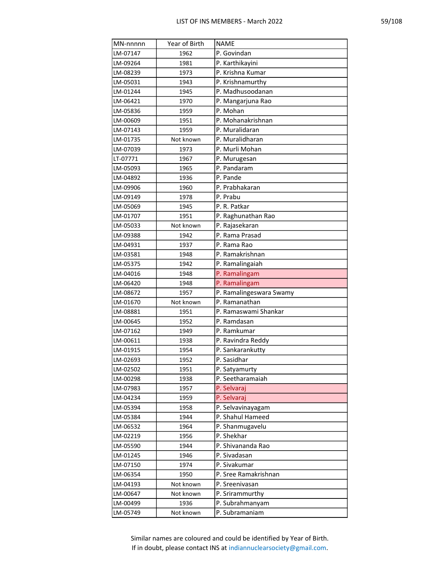|--|

| MN-nnnnn | Year of Birth | <b>NAME</b>             |
|----------|---------------|-------------------------|
| LM-07147 | 1962          | P. Govindan             |
| LM-09264 | 1981          | P. Karthikayini         |
| LM-08239 | 1973          | P. Krishna Kumar        |
| LM-05031 | 1943          | P. Krishnamurthy        |
| LM-01244 | 1945          | P. Madhusoodanan        |
| LM-06421 | 1970          | P. Mangarjuna Rao       |
| LM-05836 | 1959          | P. Mohan                |
| LM-00609 | 1951          | P. Mohanakrishnan       |
| LM-07143 | 1959          | P. Muralidaran          |
| LM-01735 | Not known     | P. Muralidharan         |
| LM-07039 | 1973          | P. Murli Mohan          |
| LT-07771 | 1967          | P. Murugesan            |
| LM-05093 | 1965          | P. Pandaram             |
| LM-04892 | 1936          | P. Pande                |
| LM-09906 | 1960          | P. Prabhakaran          |
| LM-09149 | 1978          | P. Prabu                |
| LM-05069 | 1945          | P. R. Patkar            |
| LM-01707 | 1951          | P. Raghunathan Rao      |
| LM-05033 | Not known     | P. Rajasekaran          |
| LM-09388 | 1942          | P. Rama Prasad          |
| LM-04931 | 1937          | P. Rama Rao             |
| LM-03581 | 1948          | P. Ramakrishnan         |
| LM-05375 | 1942          | P. Ramalingaiah         |
| LM-04016 | 1948          | P. Ramalingam           |
| LM-06420 | 1948          | P. Ramalingam           |
| LM-08672 | 1957          | P. Ramalingeswara Swamy |
| LM-01670 | Not known     | P. Ramanathan           |
| LM-08881 | 1951          | P. Ramaswami Shankar    |
| LM-00645 | 1952          | P. Ramdasan             |
| LM-07162 | 1949          | P. Ramkumar             |
| LM-00611 | 1938          | P. Ravindra Reddy       |
| LM-01915 | 1954          | P. Sankarankutty        |
| LM-02693 | 1952          | P. Sasidhar             |
| LM-02502 | 1951          | P. Satyamurty           |
| LM-00298 | 1938          | P. Seetharamaiah        |
| LM-07983 | 1957          | P. Selvaraj             |
| LM-04234 | 1959          | P. Selvaraj             |
| LM-05394 | 1958          | P. Selvavinayagam       |
| LM-05384 | 1944          | P. Shahul Hameed        |
| LM-06532 | 1964          | P. Shanmugavelu         |
| LM-02219 | 1956          | P. Shekhar              |
| LM-05590 | 1944          | P. Shivananda Rao       |
| LM-01245 | 1946          | P. Sivadasan            |
| LM-07150 | 1974          | P. Sivakumar            |
| LM-06354 | 1950          | P. Sree Ramakrishnan    |
| LM-04193 | Not known     | P. Sreenivasan          |
| LM-00647 | Not known     | P. Srirammurthy         |
| LM-00499 | 1936          | P. Subrahmanyam         |
| LM-05749 | Not known     | P. Subramaniam          |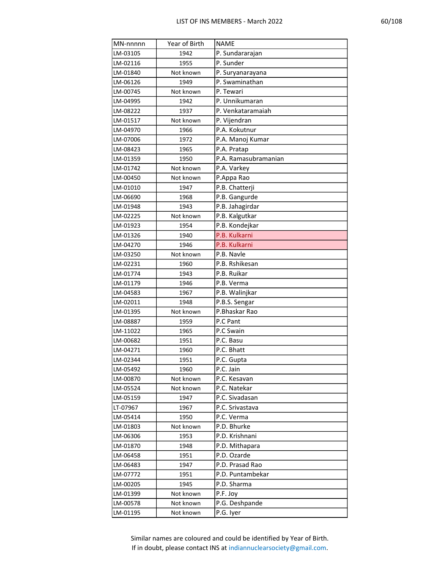| ۰<br>ı<br>۰. |
|--------------|
|--------------|

| MN-nnnnn | Year of Birth | <b>NAME</b>          |
|----------|---------------|----------------------|
| LM-03105 | 1942          | P. Sundararajan      |
| LM-02116 | 1955          | P. Sunder            |
| LM-01840 | Not known     | P. Suryanarayana     |
| LM-06126 | 1949          | P. Swaminathan       |
| LM-00745 | Not known     | P. Tewari            |
| LM-04995 | 1942          | P. Unnikumaran       |
| LM-08222 | 1937          | P. Venkataramaiah    |
| LM-01517 | Not known     | P. Vijendran         |
| LM-04970 | 1966          | P.A. Kokutnur        |
| LM-07006 | 1972          | P.A. Manoj Kumar     |
| LM-08423 | 1965          | P.A. Pratap          |
| LM-01359 | 1950          | P.A. Ramasubramanian |
| LM-01742 | Not known     | P.A. Varkey          |
| LM-00450 | Not known     | P.Appa Rao           |
| LM-01010 | 1947          | P.B. Chatterji       |
| LM-06690 | 1968          | P.B. Gangurde        |
| LM-01948 | 1943          | P.B. Jahagirdar      |
| LM-02225 | Not known     | P.B. Kalgutkar       |
| LM-01923 | 1954          | P.B. Kondejkar       |
| LM-01326 | 1940          | P.B. Kulkarni        |
| LM-04270 | 1946          | P.B. Kulkarni        |
| LM-03250 | Not known     | P.B. Navle           |
| LM-02231 | 1960          | P.B. Rshikesan       |
| LM-01774 | 1943          | P.B. Ruikar          |
| LM-01179 | 1946          | P.B. Verma           |
| LM-04583 | 1967          | P.B. Walinjkar       |
| LM-02011 | 1948          | P.B.S. Sengar        |
| LM-01395 | Not known     | P.Bhaskar Rao        |
| LM-08887 | 1959          | P.C Pant             |
| LM-11022 | 1965          | P.C Swain            |
| LM-00682 | 1951          | P.C. Basu            |
| LM-04271 | 1960          | P.C. Bhatt           |
| LM-02344 | 1951          | P.C. Gupta           |
| LM-05492 | 1960          | P.C. Jain            |
| LM-00870 | Not known     | P.C. Kesavan         |
| LM-05524 | Not known     | P.C. Natekar         |
| LM-05159 | 1947          | P.C. Sivadasan       |
| LT-07967 | 1967          | P.C. Srivastava      |
| LM-05414 | 1950          | P.C. Verma           |
| LM-01803 | Not known     | P.D. Bhurke          |
| LM-06306 | 1953          | P.D. Krishnani       |
| LM-01870 | 1948          | P.D. Mithapara       |
| LM-06458 | 1951          | P.D. Ozarde          |
| LM-06483 | 1947          | P.D. Prasad Rao      |
| LM-07772 | 1951          | P.D. Puntambekar     |
| LM-00205 | 1945          | P.D. Sharma          |
| LM-01399 | Not known     | P.F. Joy             |
| LM-00578 | Not known     | P.G. Deshpande       |
| LM-01195 | Not known     | P.G. Iyer            |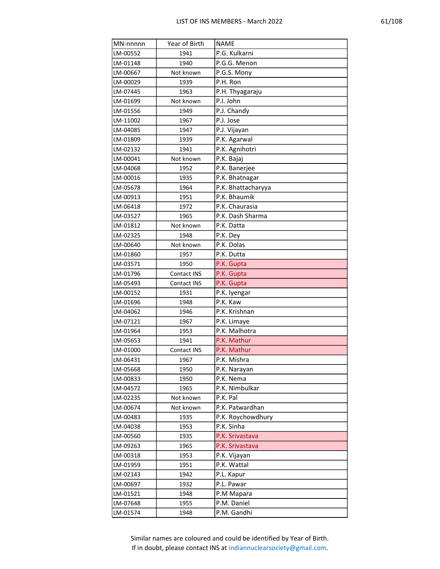| ۳. |  |
|----|--|
|----|--|

| MN-nnnnn | Year of Birth | <b>NAME</b>        |
|----------|---------------|--------------------|
| LM-00552 | 1941          | P.G. Kulkarni      |
| LM-01148 | 1940          | P.G.G. Menon       |
| LM-00667 | Not known     | P.G.S. Mony        |
| LM-00029 | 1939          | P.H. Ron           |
| LM-07445 | 1963          | P.H. Thyagaraju    |
| LM-01699 | Not known     | P.I. John          |
| LM-01556 | 1949          | P.J. Chandy        |
| LM-11002 | 1967          | P.J. Jose          |
| LM-04085 | 1947          | P.J. Vijayan       |
| LM-01809 | 1939          | P.K. Agarwal       |
| LM-02132 | 1941          | P.K. Agnihotri     |
| LM-00041 | Not known     | P.K. Bajaj         |
| LM-04068 | 1952          | P.K. Banerjee      |
| LM-00016 | 1935          | P.K. Bhatnagar     |
| LM-05678 | 1964          | P.K. Bhattacharyya |
| LM-00913 | 1951          | P.K. Bhaumik       |
| LM-06418 | 1972          | P.K. Chaurasia     |
| LM-03527 | 1965          | P.K. Dash Sharma   |
| LM-01812 | Not known     | P.K. Datta         |
| LM-02325 | 1948          | P.K. Dey           |
| LM-00640 | Not known     | P.K. Dolas         |
| LM-01860 | 1957          | P.K. Dutta         |
| LM-03571 | 1950          | P.K. Gupta         |
| LM-01796 | Contact INS   | P.K. Gupta         |
| LM-05493 | Contact INS   | P.K. Gupta         |
| LM-00152 | 1931          | P.K. Iyengar       |
| LM-01696 | 1948          | P.K. Kaw           |
| LM-04062 | 1946          | P.K. Krishnan      |
| LM-07121 | 1967          | P.K. Limaye        |
| LM-01964 | 1953          | P.K. Malhotra      |
| LM-05653 | 1941          | P.K. Mathur        |
| LM-01000 | Contact INS   | P.K. Mathur        |
| LM-06431 | 1967          | P.K. Mishra        |
| LM-05668 | 1950          | P.K. Narayan       |
| LM-00833 | 1950          | P.K. Nema          |
| LM-04572 | 1965          | P.K. Nimbulkar     |
| LM-02235 | Not known     | P.K. Pal           |
| LM-00674 | Not known     | P.K. Patwardhan    |
| LM-00483 | 1935          | P.K. Roychowdhury  |
| LM-04038 | 1953          | P.K. Sinha         |
| LM-00560 | 1935          | P.K. Srivastava    |
| LM-09263 | 1965          | P.K. Srivastava    |
| LM-00318 | 1953          | P.K. Vijayan       |
| LM-01959 | 1951          | P.K. Wattal        |
| LM-02143 | 1942          | P.L. Kapur         |
| LM-00697 | 1932          | P.L. Pawar         |
| LM-01521 | 1948          | P.M Mapara         |
| LM-07648 | 1955          | P.M. Daniel        |
| LM-01574 | 1948          | P.M. Gandhi        |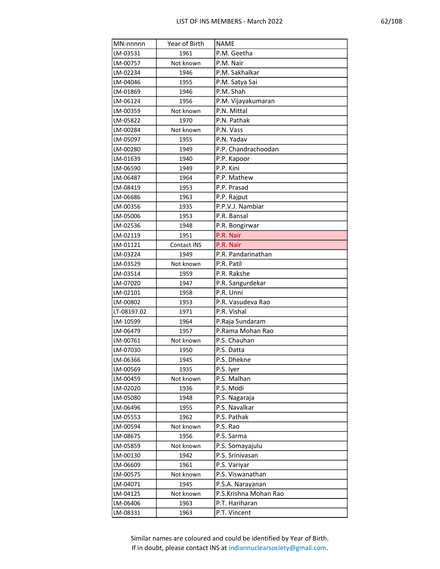| r. |
|----|
|----|

| MN-nnnnn    | Year of Birth | <b>NAME</b>           |
|-------------|---------------|-----------------------|
| LM-03531    | 1961          | P.M. Geetha           |
| LM-00757    | Not known     | P.M. Nair             |
| LM-02234    | 1946          | P.M. Sakhalkar        |
| LM-04046    | 1955          | P.M. Satya Sai        |
| LM-01869    | 1946          | P.M. Shah             |
| LM-06124    | 1956          | P.M. Vijayakumaran    |
| LM-00359    | Not known     | P.N. Mittal           |
| LM-05822    | 1970          | P.N. Pathak           |
| LM-00284    | Not known     | P.N. Vass             |
| LM-05097    | 1955          | P.N. Yadav            |
| LM-00280    | 1949          | P.P. Chandrachoodan   |
| LM-01639    | 1940          | P.P. Kapoor           |
| LM-06590    | 1949          | P.P. Kini             |
| LM-06487    | 1964          | P.P. Mathew           |
| LM-08419    | 1953          | P.P. Prasad           |
| LM-06686    | 1963          | P.P. Rajput           |
| LM-00356    | 1935          | P.P.V.J. Nambiar      |
| LM-05006    | 1953          | P.R. Bansal           |
| LM-02536    | 1948          | P.R. Bongirwar        |
| LM-02119    | 1951          | P.R. Nair             |
| LM-01121    | Contact INS   | P.R. Nair             |
| LM-03224    | 1949          | P.R. Pandarinathan    |
| LM-03529    | Not known     | P.R. Patil            |
| LM-03514    | 1959          | P.R. Rakshe           |
| LM-07020    | 1947          | P.R. Sangurdekar      |
| LM-02101    | 1958          | P.R. Unni             |
| LM-00802    | 1953          | P.R. Vasudeva Rao     |
| LT-08197.02 | 1971          | P.R. Vishal           |
| LM-10599    | 1964          | P.Raja Sundaram       |
| LM-06479    | 1957          | P.Rama Mohan Rao      |
| LM-00761    | Not known     | P.S. Chauhan          |
| LM-07030    | 1950          | P.S. Datta            |
| LM-06366    | 1945          | P.S. Dhekne           |
| LM-00569    | 1935          | P.S. Iyer             |
| LM-00459    | Not known     | P.S. Malhan           |
| LM-02020    | 1936          | P.S. Modi             |
| LM-05080    | 1948          | P.S. Nagaraja         |
| LM-06496    | 1955          | P.S. Navalkar         |
| LM-05553    | 1962          | P.S. Pathak           |
| LM-00594    | Not known     | P.S. Rao              |
| LM-08675    | 1956          | P.S. Sarma            |
| LM-05859    | Not known     | P.S. Somayajulu       |
| LM-00130    | 1942          | P.S. Srinivasan       |
| LM-06609    | 1961          | P.S. Variyar          |
| LM-00575    | Not known     | P.S. Viswanathan      |
| LM-04071    | 1945          | P.S.A. Narayanan      |
| LM-04125    | Not known     | P.S.Krishna Mohan Rao |
| LM-06406    | 1963          | P.T. Hariharan        |
| LM-08331    | 1963          | P.T. Vincent          |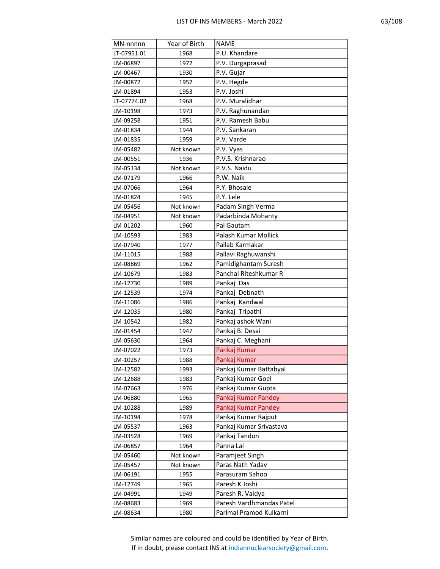| г |
|---|
|---|

| MN-nnnnn             | Year of Birth | <b>NAME</b>                               |
|----------------------|---------------|-------------------------------------------|
| LT-07951.01          | 1968          | P.U. Khandare                             |
| LM-06897             | 1972          | P.V. Durgaprasad                          |
| LM-00467             | 1930          | P.V. Gujar                                |
| LM-00872             | 1952          | P.V. Hegde                                |
| LM-01894             | 1953          | P.V. Joshi                                |
| LT-07774.02          | 1968          | P.V. Muralidhar                           |
| LM-10198             | 1973          | P.V. Raghunandan                          |
| LM-09258             | 1951          | P.V. Ramesh Babu                          |
| LM-01834             | 1944          | P.V. Sankaran                             |
| LM-01835             | 1959          | P.V. Varde                                |
| LM-05482             | Not known     | P.V. Vyas                                 |
| LM-00551             | 1936          | P.V.S. Krishnarao                         |
| LM-05134             | Not known     | P.V.S. Naidu                              |
| LM-07179             | 1966          | P.W. Naik                                 |
| LM-07066             | 1964          | P.Y. Bhosale                              |
| LM-01824             | 1945          | P.Y. Lele                                 |
| LM-05456             | Not known     | Padam Singh Verma                         |
| LM-04951             | Not known     | Padarbinda Mohanty                        |
| LM-01202             | 1960          | Pal Gautam                                |
| LM-10593             | 1983          | Palash Kumar Mollick                      |
| LM-07940             | 1977          | Pallab Karmakar                           |
| LM-11015             | 1988          | Pallavi Raghuwanshi                       |
| LM-08869             | 1962          | Pamidighantam Suresh                      |
| LM-10679             | 1983          | Panchal Riteshkumar R                     |
| LM-12730             | 1989          | Pankaj Das                                |
| LM-12539             | 1974          | Pankaj Debnath                            |
| LM-11086             | 1986          | Pankaj Kandwal                            |
| LM-12035             | 1980          | Pankaj Tripathi                           |
| LM-10542             | 1982          | Pankaj ashok Wani                         |
| LM-01454             | 1947          | Pankaj B. Desai                           |
| LM-05630             | 1964          | Pankaj C. Meghani                         |
| LM-07022             | 1973          | Pankaj Kumar                              |
| LM-10257             | 1988          | Pankaj Kumar                              |
| LM-12582             | 1993          | Pankaj Kumar Battabyal                    |
| LM-12688             | 1983          | Pankaj Kumar Goel                         |
| LM-07663<br>LM-06880 | 1976          | Pankaj Kumar Gupta<br>Pankaj Kumar Pandey |
| LM-10288             | 1965<br>1989  | Pankaj Kumar Pandey                       |
| LM-10194             | 1978          | Pankaj Kumar Rajput                       |
| LM-05537             | 1963          | Pankaj Kumar Srivastava                   |
| LM-03528             | 1969          | Pankaj Tandon                             |
| LM-06857             | 1964          | Panna Lal                                 |
| LM-05460             | Not known     | Paramjeet Singh                           |
| LM-05457             | Not known     | Paras Nath Yadav                          |
| LM-06191             | 1955          | Parasuram Sahoo                           |
| LM-12749             | 1965          | Paresh K Joshi                            |
| LM-04991             | 1949          | Paresh R. Vaidya                          |
| LM-08683             | 1969          | Paresh Vardhmandas Patel                  |
| LM-08634             | 1980          | Parimal Pramod Kulkarni                   |
|                      |               |                                           |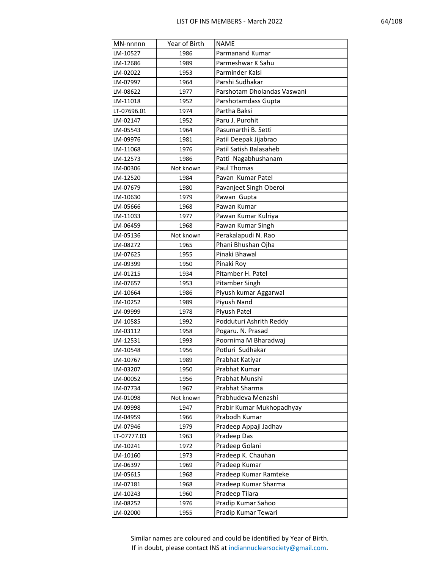| MN-nnnnn    | Year of Birth | <b>NAME</b>                 |
|-------------|---------------|-----------------------------|
| LM-10527    | 1986          | Parmanand Kumar             |
| LM-12686    | 1989          | Parmeshwar K Sahu           |
| LM-02022    | 1953          | Parminder Kalsi             |
| LM-07997    | 1964          | Parshi Sudhakar             |
| LM-08622    | 1977          | Parshotam Dholandas Vaswani |
| LM-11018    | 1952          | Parshotamdass Gupta         |
| LT-07696.01 | 1974          | Partha Baksi                |
| LM-02147    | 1952          | Paru J. Purohit             |
| LM-05543    | 1964          | Pasumarthi B. Setti         |
| LM-09976    | 1981          | Patil Deepak Jijabrao       |
| LM-11068    | 1976          | Patil Satish Balasaheb      |
| LM-12573    | 1986          | Patti Nagabhushanam         |
| LM-00306    | Not known     | <b>Paul Thomas</b>          |
| LM-12520    | 1984          | Pavan Kumar Patel           |
| LM-07679    | 1980          | Pavanjeet Singh Oberoi      |
| LM-10630    | 1979          | Pawan Gupta                 |
| LM-05666    | 1968          | Pawan Kumar                 |
| LM-11033    | 1977          | Pawan Kumar Kulriya         |
| LM-06459    | 1968          | Pawan Kumar Singh           |
| LM-05136    | Not known     | Perakalapudi N. Rao         |
| LM-08272    | 1965          | Phani Bhushan Ojha          |
| LM-07625    | 1955          | Pinaki Bhawal               |
| LM-09399    | 1950          | Pinaki Roy                  |
| LM-01215    | 1934          | Pitamber H. Patel           |
| LM-07657    | 1953          | Pitamber Singh              |
| LM-10664    | 1986          | Piyush kumar Aggarwal       |
| LM-10252    | 1989          | Piyush Nand                 |
| LM-09999    | 1978          | Piyush Patel                |
| LM-10585    | 1992          | Podduturi Ashrith Reddy     |
| LM-03112    | 1958          | Pogaru. N. Prasad           |
| LM-12531    | 1993          | Poornima M Bharadwaj        |
| LM-10548    | 1956          | Potluri Sudhakar            |
| LM-10767    | 1989          | Prabhat Katiyar             |
| LM-03207    | 1950          | Prabhat Kumar               |
| LM-00052    | 1956          | Prabhat Munshi              |
| LM-07734    | 1967          | Prabhat Sharma              |
| LM-01098    | Not known     | Prabhudeva Menashi          |
| LM-09998    | 1947          | Prabir Kumar Mukhopadhyay   |
| LM-04959    | 1966          | Prabodh Kumar               |
| LM-07946    | 1979          | Pradeep Appaji Jadhav       |
| LT-07777.03 | 1963          | Pradeep Das                 |
| LM-10241    | 1972          | Pradeep Golani              |
| LM-10160    | 1973          | Pradeep K. Chauhan          |
| LM-06397    | 1969          | Pradeep Kumar               |
| LM-05615    | 1968          | Pradeep Kumar Ramteke       |
| LM-07181    | 1968          | Pradeep Kumar Sharma        |
| LM-10243    | 1960          | Pradeep Tilara              |
| LM-08252    | 1976          | Pradip Kumar Sahoo          |
| LM-02000    | 1955          | Pradip Kumar Tewari         |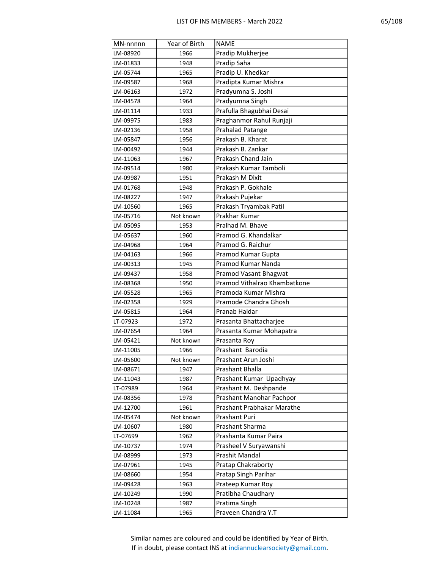| MN-nnnnn | Year of Birth | <b>NAME</b>                  |
|----------|---------------|------------------------------|
| LM-08920 | 1966          | Pradip Mukherjee             |
| LM-01833 | 1948          | Pradip Saha                  |
| LM-05744 | 1965          | Pradip U. Khedkar            |
| LM-09587 | 1968          | Pradipta Kumar Mishra        |
| LM-06163 | 1972          | Pradyumna S. Joshi           |
| LM-04578 | 1964          | Pradyumna Singh              |
| LM-01114 | 1933          | Prafulla Bhagubhai Desai     |
| LM-09975 | 1983          | Praghanmor Rahul Runjaji     |
| LM-02136 | 1958          | Prahalad Patange             |
| LM-05847 | 1956          | Prakash B. Kharat            |
| LM-00492 | 1944          | Prakash B. Zankar            |
| LM-11063 | 1967          | Prakash Chand Jain           |
| LM-09514 | 1980          | Prakash Kumar Tamboli        |
| LM-09987 | 1951          | Prakash M Dixit              |
| LM-01768 | 1948          | Prakash P. Gokhale           |
| LM-08227 | 1947          | Prakash Pujekar              |
| LM-10560 | 1965          | Prakash Tryambak Patil       |
| LM-05716 | Not known     | Prakhar Kumar                |
| LM-05095 | 1953          | Pralhad M. Bhave             |
| LM-05637 | 1960          | Pramod G. Khandalkar         |
| LM-04968 | 1964          | Pramod G. Raichur            |
| LM-04163 | 1966          | Pramod Kumar Gupta           |
| LM-00313 | 1945          | Pramod Kumar Nanda           |
| LM-09437 | 1958          | Pramod Vasant Bhagwat        |
| LM-08368 | 1950          | Pramod Vithalrao Khambatkone |
| LM-05528 | 1965          | Pramoda Kumar Mishra         |
| LM-02358 | 1929          | Pramode Chandra Ghosh        |
| LM-05815 | 1964          | Pranab Haldar                |
| LT-07923 | 1972          | Prasanta Bhattacharjee       |
| LM-07654 | 1964          | Prasanta Kumar Mohapatra     |
| LM-05421 | Not known     | Prasanta Roy                 |
| LM-11005 | 1966          | Prashant Barodia             |
| LM-05600 | Not known     | Prashant Arun Joshi          |
| LM-08671 | 1947          | Prashant Bhalla              |
| LM-11043 | 1987          | Prashant Kumar Upadhyay      |
| LT-07989 | 1964          | Prashant M. Deshpande        |
| LM-08356 | 1978          | Prashant Manohar Pachpor     |
| LM-12700 | 1961          | Prashant Prabhakar Marathe   |
| LM-05474 | Not known     | Prashant Puri                |
| LM-10607 | 1980          | Prashant Sharma              |
| LT-07699 | 1962          | Prashanta Kumar Paira        |
| LM-10737 | 1974          | Prasheel V Suryawanshi       |
| LM-08999 | 1973          | Prashit Mandal               |
| LM-07961 | 1945          | Pratap Chakraborty           |
| LM-08660 | 1954          | Pratap Singh Parihar         |
| LM-09428 | 1963          | Prateep Kumar Roy            |
| LM-10249 | 1990          | Pratibha Chaudhary           |
| LM-10248 | 1987          | Pratima Singh                |
| LM-11084 | 1965          | Praveen Chandra Y.T          |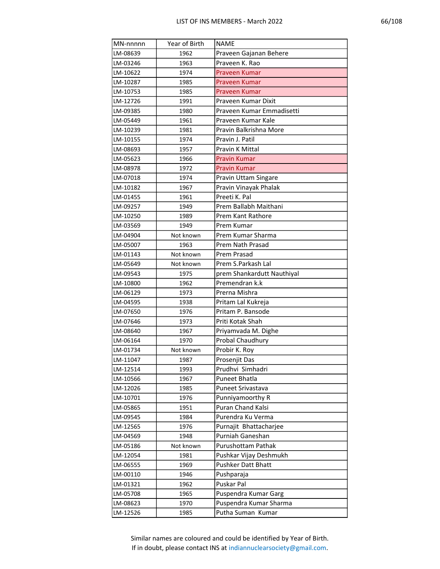| MN-nnnnn | Year of Birth | <b>NAME</b>                |
|----------|---------------|----------------------------|
| LM-08639 | 1962          | Praveen Gajanan Behere     |
| LM-03246 | 1963          | Praveen K. Rao             |
| LM-10622 | 1974          | Praveen Kumar              |
| LM-10287 | 1985          | Praveen Kumar              |
| LM-10753 | 1985          | Praveen Kumar              |
| LM-12726 | 1991          | Praveen Kumar Dixit        |
| LM-09385 | 1980          | Praveen Kumar Emmadisetti  |
| LM-05449 | 1961          | Praveen Kumar Kale         |
| LM-10239 | 1981          | Pravin Balkrishna More     |
| LM-10155 | 1974          | Pravin J. Patil            |
| LM-08693 | 1957          | Pravin K Mittal            |
| LM-05623 | 1966          | <b>Pravin Kumar</b>        |
| LM-08978 | 1972          | Pravin Kumar               |
| LM-07018 | 1974          | Pravin Uttam Singare       |
| LM-10182 | 1967          | Pravin Vinayak Phalak      |
| LM-01455 | 1961          | Preeti K. Pal              |
| LM-09257 | 1949          | Prem Ballabh Maithani      |
| LM-10250 | 1989          | Prem Kant Rathore          |
| LM-03569 | 1949          | Prem Kumar                 |
| LM-04904 | Not known     | Prem Kumar Sharma          |
| LM-05007 | 1963          | Prem Nath Prasad           |
| LM-01143 | Not known     | Prem Prasad                |
| LM-05649 | Not known     | Prem S.Parkash Lal         |
| LM-09543 | 1975          | prem Shankardutt Nauthiyal |
| LM-10800 | 1962          | Premendran k.k             |
| LM-06129 | 1973          | Prerna Mishra              |
| LM-04595 | 1938          | Pritam Lal Kukreja         |
| LM-07650 | 1976          | Pritam P. Bansode          |
| LM-07646 | 1973          | Priti Kotak Shah           |
| LM-08640 | 1967          | Priyamvada M. Dighe        |
| LM-06164 | 1970          | Probal Chaudhury           |
| LM-01734 | Not known     | Probir K. Roy              |
| LM-11047 | 1987          | Prosenjit Das              |
| LM-12514 | 1993          | Prudhvi Simhadri           |
| LM-10566 | 1967          | Puneet Bhatla              |
| LM-12026 | 1985          | Puneet Srivastava          |
| LM-10701 | 1976          | Punniyamoorthy R           |
| LM-05865 | 1951          | Puran Chand Kalsi          |
| LM-09545 | 1984          | Purendra Ku Verma          |
| LM-12565 | 1976          | Purnajit Bhattacharjee     |
| LM-04569 | 1948          | Purniah Ganeshan           |
| LM-05186 | Not known     | Purushottam Pathak         |
| LM-12054 | 1981          | Pushkar Vijay Deshmukh     |
| LM-06555 | 1969          | Pushker Datt Bhatt         |
| LM-00110 | 1946          | Pushparaja                 |
| LM-01321 | 1962          | Puskar Pal                 |
| LM-05708 | 1965          | Puspendra Kumar Garg       |
| LM-08623 | 1970          | Puspendra Kumar Sharma     |
| LM-12526 | 1985          | Putha Suman Kumar          |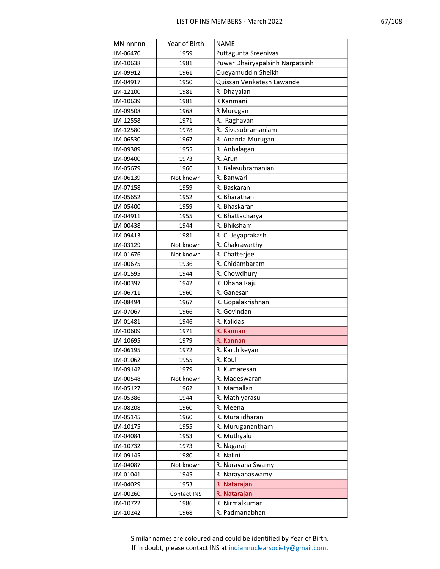| MN-nnnnn | Year of Birth | <b>NAME</b>                     |
|----------|---------------|---------------------------------|
| LM-06470 | 1959          | Puttagunta Sreenivas            |
| LM-10638 | 1981          | Puwar Dhairyapalsinh Narpatsinh |
| LM-09912 | 1961          | Queyamuddin Sheikh              |
| LM-04917 | 1950          | Quissan Venkatesh Lawande       |
| LM-12100 | 1981          | R Dhayalan                      |
| LM-10639 | 1981          | R Kanmani                       |
| LM-09508 | 1968          | R Murugan                       |
| LM-12558 | 1971          | R. Raghavan                     |
| LM-12580 | 1978          | R. Sivasubramaniam              |
| LM-06530 | 1967          | R. Ananda Murugan               |
| LM-09389 | 1955          | R. Anbalagan                    |
| LM-09400 | 1973          | R. Arun                         |
| LM-05679 | 1966          | R. Balasubramanian              |
| LM-06139 | Not known     | R. Banwari                      |
| LM-07158 | 1959          | R. Baskaran                     |
| LM-05652 | 1952          | R. Bharathan                    |
| LM-05400 | 1959          | R. Bhaskaran                    |
| LM-04911 | 1955          | R. Bhattacharya                 |
| LM-00438 | 1944          | R. Bhiksham                     |
| LM-09413 | 1981          | R. C. Jeyaprakash               |
| LM-03129 | Not known     | R. Chakravarthy                 |
| LM-01676 | Not known     | R. Chatterjee                   |
| LM-00675 | 1936          | R. Chidambaram                  |
| LM-01595 | 1944          | R. Chowdhury                    |
| LM-00397 | 1942          | R. Dhana Raju                   |
| LM-06711 | 1960          | R. Ganesan                      |
| LM-08494 | 1967          | R. Gopalakrishnan               |
| LM-07067 | 1966          | R. Govindan                     |
| LM-01481 | 1946          | R. Kalidas                      |
| LM-10609 | 1971          | R. Kannan                       |
| LM-10695 | 1979          | R. Kannan                       |
| LM-06195 | 1972          | R. Karthikeyan                  |
| LM-01062 | 1955          | R. Koul                         |
| LM-09142 | 1979          | R. Kumaresan                    |
| LM-00548 | Not known     | R. Madeswaran                   |
| LM-05127 | 1962          | R. Mamallan                     |
| LM-05386 | 1944          | R. Mathiyarasu                  |
| LM-08208 | 1960          | R. Meena                        |
| LM-05145 | 1960          | R. Muralidharan                 |
| LM-10175 | 1955          | R. Muruganantham                |
| LM-04084 | 1953          | R. Muthyalu                     |
| LM-10732 | 1973          | R. Nagaraj                      |
| LM-09145 | 1980          | R. Nalini                       |
| LM-04087 | Not known     | R. Narayana Swamy               |
| LM-01041 | 1945          | R. Narayanaswamy                |
| LM-04029 | 1953          | R. Natarajan                    |
| LM-00260 | Contact INS   | R. Natarajan                    |
| LM-10722 | 1986          | R. Nirmalkumar                  |
| LM-10242 | 1968          | R. Padmanabhan                  |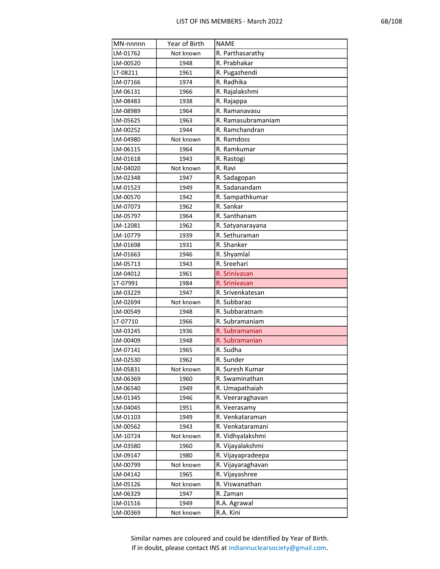| г |
|---|
|---|

| MN-nnnnn             | Year of Birth | <b>NAME</b>                        |
|----------------------|---------------|------------------------------------|
| LM-01762             | Not known     | R. Parthasarathy                   |
| LM-00520             | 1948          | R. Prabhakar                       |
| LT-08211             | 1961          | R. Pugazhendi                      |
| LM-07166             | 1974          | R. Radhika                         |
| LM-06131             | 1966          | R. Rajalakshmi                     |
| LM-08483             | 1938          | R. Rajappa                         |
| LM-08989             | 1964          | R. Ramanavasu                      |
| LM-05625             | 1963          | R. Ramasubramaniam                 |
| LM-00252             | 1944          | R. Ramchandran                     |
| LM-04980             | Not known     | R. Ramdoss                         |
| LM-06115             | 1964          | R. Ramkumar                        |
| LM-01618             | 1943          | R. Rastogi                         |
| LM-04020             | Not known     | R. Ravi                            |
| LM-02348             | 1947          | R. Sadagopan                       |
| LM-01523             | 1949          | R. Sadanandam                      |
| LM-00570             | 1942          | R. Sampathkumar                    |
| LM-07073             | 1962          | R. Sankar                          |
| LM-05797             | 1964          | R. Santhanam                       |
| LM-12081             | 1962          | R. Satyanarayana                   |
| LM-10779             | 1939          | R. Sethuraman                      |
| LM-01698             | 1931          | R. Shanker                         |
| LM-01663             | 1946          | R. Shyamlal                        |
| LM-05713             | 1943          | R. Sreehari                        |
| LM-04012             | 1961          | R. Srinivasan                      |
| LT-07991             | 1984          | R. Srinivasan                      |
| LM-03229             | 1947          | R. Srivenkatesan                   |
| LM-02694             | Not known     | R. Subbarao                        |
| LM-00549             | 1948          | R. Subbaratnam                     |
| LT-07710             | 1966          | R. Subramaniam                     |
| LM-03245             | 1936          | R. Subramanian                     |
| LM-00409             | 1948          | R. Subramanian                     |
| LM-07141             | 1965          | R. Sudha                           |
| LM-02530             | 1962          | R. Sunder                          |
| LM-05831             | Not known     | R. Suresh Kumar<br>R. Swaminathan  |
| LM-06369             | 1960          |                                    |
| LM-06540<br>LM-01345 | 1949<br>1946  | R. Umapathaiah<br>R. Veeraraghavan |
| LM-04045             | 1951          | R. Veerasamy                       |
| LM-01103             | 1949          | R. Venkataraman                    |
| LM-00562             | 1943          | R. Venkataramani                   |
| LM-10724             | Not known     | R. Vidhyalakshmi                   |
| LM-03580             | 1960          | R. Vijayalakshmi                   |
| LM-09147             | 1980          | R. Vijayapradeepa                  |
| LM-00799             | Not known     | R. Vijayaraghavan                  |
| LM-04142             | 1965          | R. Vijayashree                     |
| LM-05126             | Not known     | R. Viswanathan                     |
| LM-06329             | 1947          | R. Zaman                           |
| LM-01516             | 1949          | R.A. Agrawal                       |
| LM-00369             | Not known     | R.A. Kini                          |
|                      |               |                                    |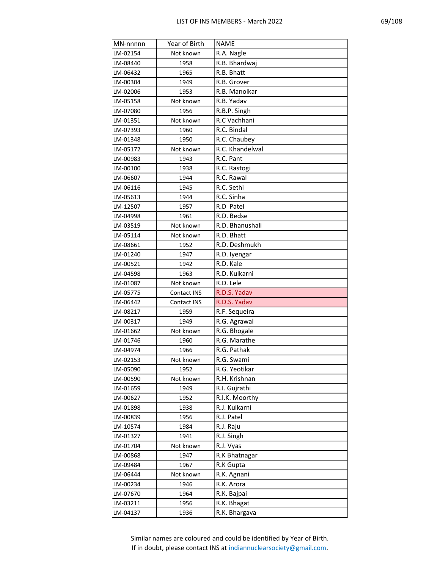|--|

| MN-nnnnn | Year of Birth | <b>NAME</b>     |
|----------|---------------|-----------------|
| LM-02154 | Not known     | R.A. Nagle      |
| LM-08440 | 1958          | R.B. Bhardwaj   |
| LM-06432 | 1965          | R.B. Bhatt      |
| LM-00304 | 1949          | R.B. Grover     |
| LM-02006 | 1953          | R.B. Manolkar   |
| LM-05158 | Not known     | R.B. Yadav      |
| LM-07080 | 1956          | R.B.P. Singh    |
| LM-01351 | Not known     | R.C Vachhani    |
| LM-07393 | 1960          | R.C. Bindal     |
| LM-01348 | 1950          | R.C. Chaubey    |
| LM-05172 | Not known     | R.C. Khandelwal |
| LM-00983 | 1943          | R.C. Pant       |
| LM-00100 | 1938          | R.C. Rastogi    |
| LM-06607 | 1944          | R.C. Rawal      |
| LM-06116 | 1945          | R.C. Sethi      |
| LM-05613 | 1944          | R.C. Sinha      |
| LM-12507 | 1957          | R.D Patel       |
| LM-04998 | 1961          | R.D. Bedse      |
| LM-03519 | Not known     | R.D. Bhanushali |
| LM-05114 | Not known     | R.D. Bhatt      |
| LM-08661 | 1952          | R.D. Deshmukh   |
| LM-01240 | 1947          | R.D. Iyengar    |
| LM-00521 | 1942          | R.D. Kale       |
| LM-04598 | 1963          | R.D. Kulkarni   |
| LM-01087 | Not known     | R.D. Lele       |
| LM-05775 | Contact INS   | R.D.S. Yadav    |
| LM-06442 | Contact INS   | R.D.S. Yadav    |
| LM-08217 | 1959          | R.F. Sequeira   |
| LM-00317 | 1949          | R.G. Agrawal    |
| LM-01662 | Not known     | R.G. Bhogale    |
| LM-01746 | 1960          | R.G. Marathe    |
| LM-04974 | 1966          | R.G. Pathak     |
| LM-02153 | Not known     | R.G. Swami      |
| LM-05090 | 1952          | R.G. Yeotikar   |
| LM-00590 | Not known     | R.H. Krishnan   |
| LM-01659 | 1949          | R.I. Gujrathi   |
| LM-00627 | 1952          | R.I.K. Moorthy  |
| LM-01898 | 1938          | R.J. Kulkarni   |
| LM-00839 | 1956          | R.J. Patel      |
| LM-10574 | 1984          | R.J. Raju       |
| LM-01327 | 1941          | R.J. Singh      |
| LM-01704 | Not known     | R.J. Vyas       |
| LM-00868 | 1947          | R.K Bhatnagar   |
| LM-09484 | 1967          | R.K Gupta       |
| LM-06444 | Not known     | R.K. Agnani     |
| LM-00234 | 1946          | R.K. Arora      |
| LM-07670 | 1964          | R.K. Bajpai     |
| LM-03211 | 1956          | R.K. Bhagat     |
| LM-04137 | 1936          | R.K. Bhargava   |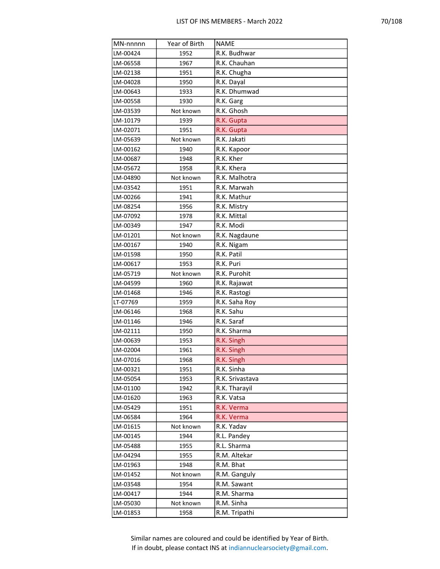| MN-nnnnn | Year of Birth | <b>NAME</b>     |
|----------|---------------|-----------------|
| LM-00424 | 1952          | R.K. Budhwar    |
| LM-06558 | 1967          | R.K. Chauhan    |
| LM-02138 | 1951          | R.K. Chugha     |
| LM-04028 | 1950          | R.K. Dayal      |
| LM-00643 | 1933          | R.K. Dhumwad    |
| LM-00558 | 1930          | R.K. Garg       |
| LM-03539 | Not known     | R.K. Ghosh      |
| LM-10179 | 1939          | R.K. Gupta      |
| LM-02071 | 1951          | R.K. Gupta      |
| LM-05639 | Not known     | R.K. Jakati     |
| LM-00162 | 1940          | R.K. Kapoor     |
| LM-00687 | 1948          | R.K. Kher       |
| LM-05672 | 1958          | R.K. Khera      |
| LM-04890 | Not known     | R.K. Malhotra   |
| LM-03542 | 1951          | R.K. Marwah     |
| LM-00266 | 1941          | R.K. Mathur     |
| LM-08254 | 1956          | R.K. Mistry     |
| LM-07092 | 1978          | R.K. Mittal     |
| LM-00349 | 1947          | R.K. Modi       |
| LM-01201 | Not known     | R.K. Nagdaune   |
| LM-00167 | 1940          | R.K. Nigam      |
| LM-01598 | 1950          | R.K. Patil      |
| LM-00617 | 1953          | R.K. Puri       |
| LM-05719 | Not known     | R.K. Purohit    |
| LM-04599 | 1960          | R.K. Rajawat    |
| LM-01468 | 1946          | R.K. Rastogi    |
| LT-07769 | 1959          | R.K. Saha Roy   |
| LM-06146 | 1968          | R.K. Sahu       |
| LM-01146 | 1946          | R.K. Saraf      |
| LM-02111 | 1950          | R.K. Sharma     |
| LM-00639 | 1953          | R.K. Singh      |
| LM-02004 | 1961          | R.K. Singh      |
| LM-07016 | 1968          | R.K. Singh      |
| LM-00321 | 1951          | R.K. Sinha      |
| LM-05054 | 1953          | R.K. Srivastava |
| LM-01100 | 1942          | R.K. Tharayil   |
| LM-01620 | 1963          | R.K. Vatsa      |
| LM-05429 | 1951          | R.K. Verma      |
| LM-06584 | 1964          | R.K. Verma      |
| LM-01615 | Not known     | R.K. Yadav      |
| LM-00145 | 1944          | R.L. Pandey     |
| LM-05488 | 1955          | R.L. Sharma     |
| LM-04294 | 1955          | R.M. Altekar    |
| LM-01963 | 1948          | R.M. Bhat       |
| LM-01452 | Not known     | R.M. Ganguly    |
| LM-03548 | 1954          | R.M. Sawant     |
| LM-00417 | 1944          | R.M. Sharma     |
| LM-05030 | Not known     | R.M. Sinha      |
| LM-01853 | 1958          | R.M. Tripathi   |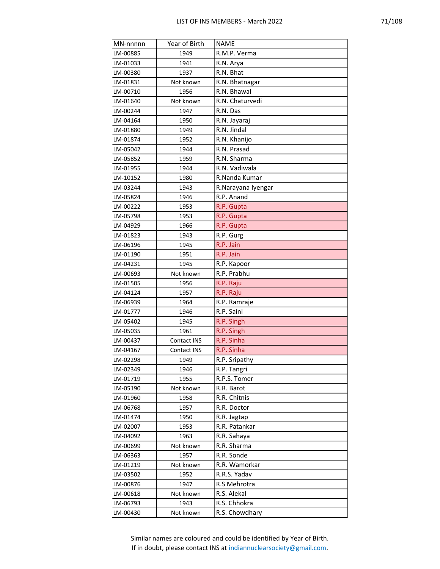| MN-nnnnn | Year of Birth | <b>NAME</b>        |
|----------|---------------|--------------------|
| LM-00885 | 1949          | R.M.P. Verma       |
| LM-01033 | 1941          | R.N. Arya          |
| LM-00380 | 1937          | R.N. Bhat          |
| LM-01831 | Not known     | R.N. Bhatnagar     |
| LM-00710 | 1956          | R.N. Bhawal        |
| LM-01640 | Not known     | R.N. Chaturvedi    |
| LM-00244 | 1947          | R.N. Das           |
| LM-04164 | 1950          | R.N. Jayaraj       |
| LM-01880 | 1949          | R.N. Jindal        |
| LM-01874 | 1952          | R.N. Khanijo       |
| LM-05042 | 1944          | R.N. Prasad        |
| LM-05852 | 1959          | R.N. Sharma        |
| LM-01955 | 1944          | R.N. Vadiwala      |
| LM-10152 | 1980          | R.Nanda Kumar      |
| LM-03244 | 1943          | R.Narayana Iyengar |
| LM-05824 | 1946          | R.P. Anand         |
| LM-00222 | 1953          | R.P. Gupta         |
| LM-05798 | 1953          | R.P. Gupta         |
| LM-04929 | 1966          | R.P. Gupta         |
| LM-01823 | 1943          | R.P. Gurg          |
| LM-06196 | 1945          | R.P. Jain          |
| LM-01190 | 1951          | R.P. Jain          |
| LM-04231 | 1945          | R.P. Kapoor        |
| LM-00693 | Not known     | R.P. Prabhu        |
| LM-01505 | 1956          | R.P. Raju          |
| LM-04124 | 1957          | R.P. Raju          |
| LM-06939 | 1964          | R.P. Ramraje       |
| LM-01777 | 1946          | R.P. Saini         |
| LM-05402 | 1945          | R.P. Singh         |
| LM-05035 | 1961          | R.P. Singh         |
| LM-00437 | Contact INS   | R.P. Sinha         |
| LM-04167 | Contact INS   | R.P. Sinha         |
| LM-02298 | 1949          | R.P. Sripathy      |
| LM-02349 | 1946          | R.P. Tangri        |
| LM-01719 | 1955          | R.P.S. Tomer       |
| LM-05190 | Not known     | R.R. Barot         |
| LM-01960 | 1958          | R.R. Chitnis       |
| LM-06768 | 1957          | R.R. Doctor        |
| LM-01474 | 1950          | R.R. Jagtap        |
| LM-02007 | 1953          | R.R. Patankar      |
| LM-04092 | 1963          | R.R. Sahaya        |
| LM-00699 | Not known     | R.R. Sharma        |
| LM-06363 | 1957          | R.R. Sonde         |
| LM-01219 | Not known     | R.R. Wamorkar      |
| LM-03502 | 1952          | R.R.S. Yadav       |
| LM-00876 | 1947          | R.S Mehrotra       |
| LM-00618 | Not known     | R.S. Alekal        |
| LM-06793 | 1943          | R.S. Chhokra       |
| LM-00430 | Not known     | R.S. Chowdhary     |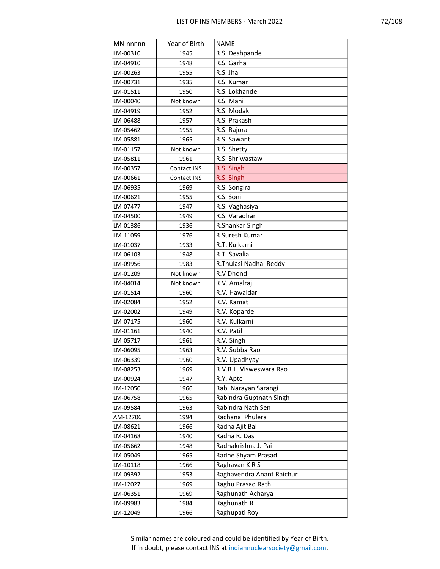| MN-nnnnn | Year of Birth | <b>NAME</b>               |
|----------|---------------|---------------------------|
| LM-00310 | 1945          | R.S. Deshpande            |
| LM-04910 | 1948          | R.S. Garha                |
| LM-00263 | 1955          | R.S. Jha                  |
| LM-00731 | 1935          | R.S. Kumar                |
| LM-01511 | 1950          | R.S. Lokhande             |
| LM-00040 | Not known     | R.S. Mani                 |
| LM-04919 | 1952          | R.S. Modak                |
| LM-06488 | 1957          | R.S. Prakash              |
| LM-05462 | 1955          | R.S. Rajora               |
| LM-05881 | 1965          | R.S. Sawant               |
| LM-01157 | Not known     | R.S. Shetty               |
| LM-05811 | 1961          | R.S. Shriwastaw           |
| LM-00357 | Contact INS   | R.S. Singh                |
| LM-00661 | Contact INS   | R.S. Singh                |
| LM-06935 | 1969          | R.S. Songira              |
| LM-00621 | 1955          | R.S. Soni                 |
| LM-07477 | 1947          | R.S. Vaghasiya            |
| LM-04500 | 1949          | R.S. Varadhan             |
| LM-01386 | 1936          | R.Shankar Singh           |
| LM-11059 | 1976          | R.Suresh Kumar            |
| LM-01037 | 1933          | R.T. Kulkarni             |
| LM-06103 | 1948          | R.T. Savalia              |
| LM-09956 | 1983          | R. Thulasi Nadha Reddy    |
| LM-01209 | Not known     | R.V Dhond                 |
| LM-04014 | Not known     | R.V. Amalraj              |
| LM-01514 | 1960          | R.V. Hawaldar             |
| LM-02084 | 1952          | R.V. Kamat                |
| LM-02002 | 1949          | R.V. Koparde              |
| LM-07175 | 1960          | R.V. Kulkarni             |
| LM-01161 | 1940          | R.V. Patil                |
| LM-05717 | 1961          | R.V. Singh                |
| LM-06095 | 1963          | R.V. Subba Rao            |
| LM-06339 | 1960          | R.V. Upadhyay             |
| LM-08253 | 1969          | R.V.R.L. Visweswara Rao   |
| LM-00924 | 1947          | R.Y. Apte                 |
| LM-12050 | 1966          | Rabi Narayan Sarangi      |
| LM-06758 | 1965          | Rabindra Guptnath Singh   |
| LM-09584 | 1963          | Rabindra Nath Sen         |
| AM-12706 | 1994          | Rachana Phulera           |
| LM-08621 | 1966          | Radha Ajit Bal            |
| LM-04168 | 1940          | Radha R. Das              |
| LM-05662 | 1948          | Radhakrishna J. Pai       |
| LM-05049 | 1965          | Radhe Shyam Prasad        |
| LM-10118 | 1966          | Raghavan KRS              |
| LM-09392 | 1953          | Raghavendra Anant Raichur |
| LM-12027 | 1969          | Raghu Prasad Rath         |
| LM-06351 | 1969          | Raghunath Acharya         |
| LM-09983 | 1984          | Raghunath R               |
| LM-12049 | 1966          | Raghupati Roy             |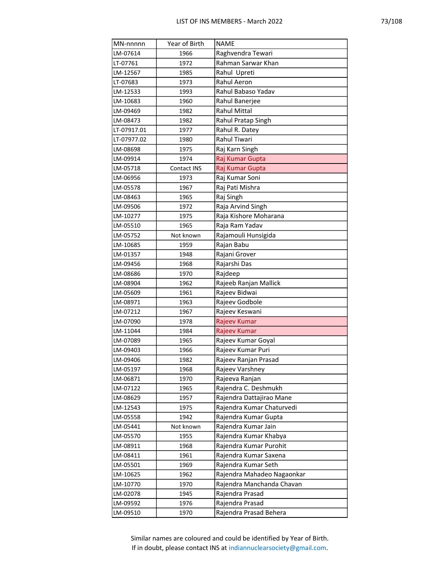| MN-nnnnn    | Year of Birth | <b>NAME</b>                |
|-------------|---------------|----------------------------|
| LM-07614    | 1966          | Raghvendra Tewari          |
| LT-07761    | 1972          | Rahman Sarwar Khan         |
| LM-12567    | 1985          | Rahul Upreti               |
| LT-07683    | 1973          | Rahul Aeron                |
| LM-12533    | 1993          | Rahul Babaso Yadav         |
| LM-10683    | 1960          | Rahul Banerjee             |
| LM-09469    | 1982          | <b>Rahul Mittal</b>        |
| LM-08473    | 1982          | Rahul Pratap Singh         |
| LT-07917.01 | 1977          | Rahul R. Datey             |
| LT-07977.02 | 1980          | Rahul Tiwari               |
| LM-08698    | 1975          | Raj Karn Singh             |
| LM-09914    | 1974          | Raj Kumar Gupta            |
| LM-05718    | Contact INS   | Raj Kumar Gupta            |
| LM-06956    | 1973          | Raj Kumar Soni             |
| LM-05578    | 1967          | Raj Pati Mishra            |
| LM-08463    | 1965          | Raj Singh                  |
| LM-09506    | 1972          | Raja Arvind Singh          |
| LM-10277    | 1975          | Raja Kishore Moharana      |
| LM-05510    | 1965          | Raja Ram Yadav             |
| LM-05752    | Not known     | Rajamouli Hunsigida        |
| LM-10685    | 1959          | Rajan Babu                 |
| LM-01357    | 1948          | Rajani Grover              |
| LM-09456    | 1968          | Rajarshi Das               |
| LM-08686    | 1970          | Rajdeep                    |
| LM-08904    | 1962          | Rajeeb Ranjan Mallick      |
| LM-05609    | 1961          | Rajeev Bidwai              |
| LM-08971    | 1963          | Rajeev Godbole             |
| LM-07212    | 1967          | Rajeev Keswani             |
| LM-07090    | 1978          | Rajeev Kumar               |
| LM-11044    | 1984          | Rajeev Kumar               |
| LM-07089    | 1965          | Rajeev Kumar Goyal         |
| LM-09403    | 1966          | Rajeev Kumar Puri          |
| LM-09406    | 1982          | Rajeev Ranjan Prasad       |
| LM-05197    | 1968          | Rajeev Varshney            |
| LM-06871    | 1970          | Rajeeva Ranjan             |
| LM-07122    | 1965          | Rajendra C. Deshmukh       |
| LM-08629    | 1957          | Rajendra Dattajirao Mane   |
| LM-12543    | 1975          | Rajendra Kumar Chaturvedi  |
| LM-05558    | 1942          | Rajendra Kumar Gupta       |
| LM-05441    | Not known     | Rajendra Kumar Jain        |
| LM-05570    | 1955          | Rajendra Kumar Khabya      |
| LM-08911    | 1968          | Rajendra Kumar Purohit     |
| LM-08411    | 1961          | Rajendra Kumar Saxena      |
| LM-05501    | 1969          | Rajendra Kumar Seth        |
| LM-10625    | 1962          | Rajendra Mahadeo Nagaonkar |
| LM-10770    | 1970          | Rajendra Manchanda Chavan  |
| LM-02078    | 1945          | Rajendra Prasad            |
| LM-09592    | 1976          | Rajendra Prasad            |
| LM-09510    | 1970          | Rajendra Prasad Behera     |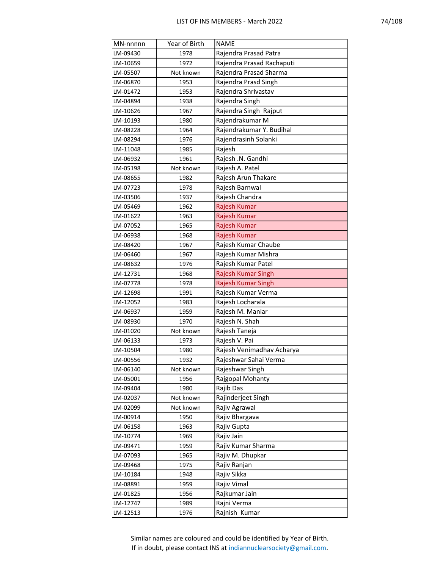| MN-nnnnn | Year of Birth | <b>NAME</b>               |
|----------|---------------|---------------------------|
| LM-09430 | 1978          | Rajendra Prasad Patra     |
| LM-10659 | 1972          | Rajendra Prasad Rachaputi |
| LM-05507 | Not known     | Rajendra Prasad Sharma    |
| LM-06870 | 1953          | Rajendra Prasd Singh      |
| LM-01472 | 1953          | Rajendra Shrivastav       |
| LM-04894 | 1938          | Rajendra Singh            |
| LM-10626 | 1967          | Rajendra Singh Rajput     |
| LM-10193 | 1980          | Rajendrakumar M           |
| LM-08228 | 1964          | Rajendrakumar Y. Budihal  |
| LM-08294 | 1976          | Rajendrasinh Solanki      |
| LM-11048 | 1985          | Rajesh                    |
| LM-06932 | 1961          | Rajesh .N. Gandhi         |
| LM-05198 | Not known     | Rajesh A. Patel           |
| LM-08655 | 1982          | Rajesh Arun Thakare       |
| LM-07723 | 1978          | Rajesh Barnwal            |
| LM-03506 | 1937          | Rajesh Chandra            |
| LM-05469 | 1962          | Rajesh Kumar              |
| LM-01622 | 1963          | Rajesh Kumar              |
| LM-07052 | 1965          | Rajesh Kumar              |
| LM-06938 | 1968          | Rajesh Kumar              |
| LM-08420 | 1967          | Rajesh Kumar Chaube       |
| LM-06460 | 1967          | Rajesh Kumar Mishra       |
| LM-08632 | 1976          | Rajesh Kumar Patel        |
| LM-12731 | 1968          | Rajesh Kumar Singh        |
| LM-07778 | 1978          | Rajesh Kumar Singh        |
| LM-12698 | 1991          | Rajesh Kumar Verma        |
| LM-12052 | 1983          | Rajesh Locharala          |
| LM-06937 | 1959          | Rajesh M. Maniar          |
| LM-08930 | 1970          | Rajesh N. Shah            |
| LM-01020 | Not known     | Rajesh Taneja             |
| LM-06133 | 1973          | Rajesh V. Pai             |
| LM-10504 | 1980          | Rajesh Venimadhav Acharya |
| LM-00556 | 1932          | Rajeshwar Sahai Verma     |
| LM-06140 | Not known     | Rajeshwar Singh           |
| LM-05001 | 1956          | Rajgopal Mohanty          |
| LM-09404 | 1980          | Rajib Das                 |
| LM-02037 | Not known     | Rajinderjeet Singh        |
| LM-02099 | Not known     | Rajiv Agrawal             |
| LM-00914 | 1950          | Rajiv Bhargava            |
| LM-06158 | 1963          | Rajiv Gupta               |
| LM-10774 | 1969          | Rajiv Jain                |
| LM-09471 | 1959          | Rajiv Kumar Sharma        |
| LM-07093 | 1965          | Rajiv M. Dhupkar          |
| LM-09468 | 1975          | Rajiv Ranjan              |
| LM-10184 | 1948          | Rajiv Sikka               |
| LM-08891 | 1959          | Rajiv Vimal               |
| LM-01825 | 1956          | Rajkumar Jain             |
| LM-12747 | 1989          | Rajni Verma               |
| LM-12513 | 1976          | Rajnish Kumar             |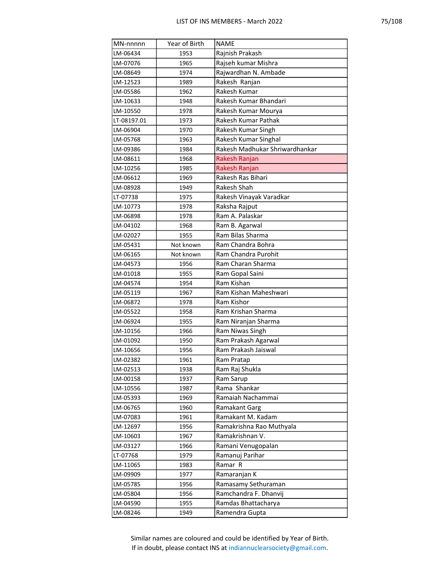| MN-nnnnn    | Year of Birth | <b>NAME</b>                    |
|-------------|---------------|--------------------------------|
| LM-06434    | 1953          | Rajnish Prakash                |
| LM-07076    | 1965          | Rajseh kumar Mishra            |
| LM-08649    | 1974          | Rajwardhan N. Ambade           |
| LM-12523    | 1989          | Rakesh Ranjan                  |
| LM-05586    | 1962          | Rakesh Kumar                   |
| LM-10633    | 1948          | Rakesh Kumar Bhandari          |
| LM-10550    | 1978          | Rakesh Kumar Mourya            |
| LT-08197.01 | 1973          | Rakesh Kumar Pathak            |
| LM-06904    | 1970          | Rakesh Kumar Singh             |
| LM-05768    | 1963          | Rakesh Kumar Singhal           |
| LM-09386    | 1984          | Rakesh Madhukar Shriwardhankar |
| LM-08611    | 1968          | Rakesh Ranjan                  |
| LM-10256    | 1985          | Rakesh Ranjan                  |
| LM-06612    | 1969          | Rakesh Ras Bihari              |
| LM-08928    | 1949          | Rakesh Shah                    |
| LT-07738    | 1975          | Rakesh Vinayak Varadkar        |
| LM-10773    | 1978          | Raksha Rajput                  |
| LM-06898    | 1978          | Ram A. Palaskar                |
| LM-04102    | 1968          | Ram B. Agarwal                 |
| LM-02027    | 1955          | Ram Bilas Sharma               |
| LM-05431    | Not known     | Ram Chandra Bohra              |
| LM-06165    | Not known     | Ram Chandra Purohit            |
| LM-04573    | 1956          | Ram Charan Sharma              |
| LM-01018    | 1955          | Ram Gopal Saini                |
| LM-04574    | 1954          | Ram Kishan                     |
| LM-05119    | 1967          | Ram Kishan Maheshwari          |
| LM-06872    | 1978          | Ram Kishor                     |
| LM-05522    | 1958          | Ram Krishan Sharma             |
| LM-06924    | 1955          | Ram Niranjan Sharma            |
| LM-10156    | 1966          | Ram Niwas Singh                |
| LM-01092    | 1950          | Ram Prakash Agarwal            |
| LM-10656    | 1956          | Ram Prakash Jaiswal            |
| LM-02382    | 1961          | Ram Pratap                     |
| LM-02513    | 1938          | Ram Raj Shukla                 |
| LM-00158    | 1937          | Ram Sarup                      |
| LM-10556    | 1987          | Rama Shankar                   |
| LM-05393    | 1969          | Ramaiah Nachammai              |
| LM-06765    | 1960          | Ramakant Garg                  |
| LM-07083    | 1961          | Ramakant M. Kadam              |
| LM-12697    | 1956          | Ramakrishna Rao Muthyala       |
| LM-10603    | 1967          | Ramakrishnan V.                |
| LM-03127    | 1966          | Ramani Venugopalan             |
| LT-07768    | 1979          | Ramanuj Parihar                |
| LM-11065    | 1983          | Ramar R                        |
| LM-09909    | 1977          | Ramaranjan K                   |
| LM-05785    | 1956          | Ramasamy Sethuraman            |
| LM-05804    | 1956          | Ramchandra F. Dhanvij          |
| LM-04590    | 1955          | Ramdas Bhattacharya            |
| LM-08246    | 1949          | Ramendra Gupta                 |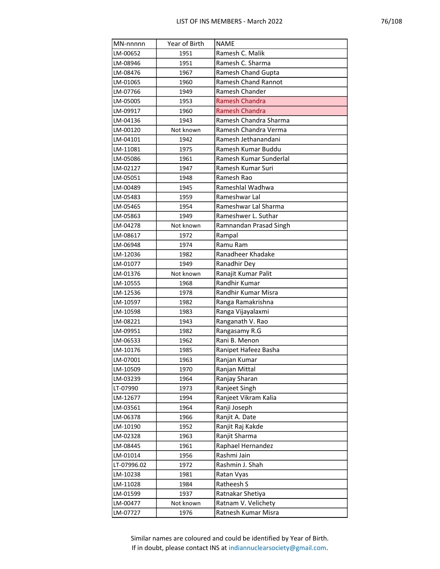| MN-nnnnn    | Year of Birth | <b>NAME</b>                |
|-------------|---------------|----------------------------|
| LM-00652    | 1951          | Ramesh C. Malik            |
| LM-08946    | 1951          | Ramesh C. Sharma           |
| LM-08476    | 1967          | Ramesh Chand Gupta         |
| LM-01065    | 1960          | <b>Ramesh Chand Rannot</b> |
| LM-07766    | 1949          | Ramesh Chander             |
| LM-05005    | 1953          | <b>Ramesh Chandra</b>      |
| LM-09917    | 1960          | <b>Ramesh Chandra</b>      |
| LM-04136    | 1943          | Ramesh Chandra Sharma      |
| LM-00120    | Not known     | Ramesh Chandra Verma       |
| LM-04101    | 1942          | Ramesh Jethanandani        |
| LM-11081    | 1975          | Ramesh Kumar Buddu         |
| LM-05086    | 1961          | Ramesh Kumar Sunderlal     |
| LM-02127    | 1947          | Ramesh Kumar Suri          |
| LM-05051    | 1948          | Ramesh Rao                 |
| LM-00489    | 1945          | Rameshlal Wadhwa           |
| LM-05483    | 1959          | Rameshwar Lal              |
| LM-05465    | 1954          | Rameshwar Lal Sharma       |
| LM-05863    | 1949          | Rameshwer L. Suthar        |
| LM-04278    | Not known     | Ramnandan Prasad Singh     |
| LM-08617    | 1972          | Rampal                     |
| LM-06948    | 1974          | Ramu Ram                   |
| LM-12036    | 1982          | Ranadheer Khadake          |
| LM-01077    | 1949          | Ranadhir Dey               |
| LM-01376    | Not known     | Ranajit Kumar Palit        |
| LM-10555    | 1968          | Randhir Kumar              |
| LM-12536    | 1978          | Randhir Kumar Misra        |
| LM-10597    | 1982          | Ranga Ramakrishna          |
| LM-10598    | 1983          | Ranga Vijayalaxmi          |
| LM-08221    | 1943          | Ranganath V. Rao           |
| LM-09951    | 1982          | Rangasamy R.G              |
| LM-06533    | 1962          | Rani B. Menon              |
| LM-10176    | 1985          | Ranipet Hafeez Basha       |
| LM-07001    | 1963          | Ranjan Kumar               |
| LM-10509    | 1970          | Ranjan Mittal              |
| LM-03239    | 1964          | Ranjay Sharan              |
| LT-07990    | 1973          | Ranjeet Singh              |
| LM-12677    | 1994          | Ranjeet Vikram Kalia       |
| LM-03561    | 1964          | Ranji Joseph               |
| LM-06378    | 1966          | Ranjit A. Date             |
| LM-10190    | 1952          | Ranjit Raj Kakde           |
| LM-02328    | 1963          | Ranjit Sharma              |
| LM-08445    | 1961          | Raphael Hernandez          |
| LM-01014    | 1956          | Rashmi Jain                |
| LT-07996.02 | 1972          | Rashmin J. Shah            |
| LM-10238    | 1981          | Ratan Vyas                 |
| LM-11028    | 1984          | Ratheesh S                 |
| LM-01599    | 1937          | Ratnakar Shetiya           |
| LM-00477    | Not known     | Ratnam V. Velichety        |
| LM-07727    | 1976          | Ratnesh Kumar Misra        |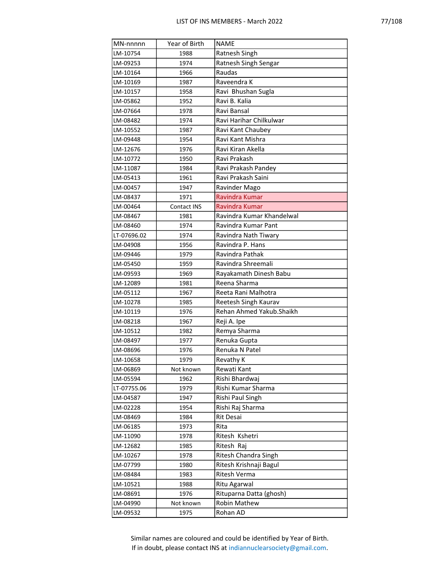| MN-nnnnn             | Year of Birth | <b>NAME</b>                             |
|----------------------|---------------|-----------------------------------------|
| LM-10754             | 1988          | Ratnesh Singh                           |
| LM-09253             | 1974          | Ratnesh Singh Sengar                    |
| LM-10164             | 1966          | Raudas                                  |
| LM-10169             | 1987          | Raveendra K                             |
| LM-10157             | 1958          | Ravi Bhushan Sugla                      |
| LM-05862             | 1952          | Ravi B. Kalia                           |
| LM-07664             | 1978          | Ravi Bansal                             |
| LM-08482             | 1974          | Ravi Harihar Chilkulwar                 |
| LM-10552             | 1987          | Ravi Kant Chaubey                       |
| LM-09448             | 1954          | Ravi Kant Mishra                        |
| LM-12676             | 1976          | Ravi Kiran Akella                       |
| LM-10772             | 1950          | Ravi Prakash                            |
| LM-11087             | 1984          | Ravi Prakash Pandey                     |
| LM-05413             | 1961          | Ravi Prakash Saini                      |
| LM-00457             | 1947          | Ravinder Mago                           |
| LM-08437             | 1971          | Ravindra Kumar                          |
| LM-00464             | Contact INS   | Ravindra Kumar                          |
| LM-08467             | 1981          | Ravindra Kumar Khandelwal               |
| LM-08460             | 1974          | Ravindra Kumar Pant                     |
| LT-07696.02          | 1974          | Ravindra Nath Tiwary                    |
| LM-04908             | 1956          | Ravindra P. Hans                        |
| LM-09446             | 1979          | Ravindra Pathak                         |
| LM-05450             | 1959          | Ravindra Shreemali                      |
| LM-09593             | 1969          | Rayakamath Dinesh Babu                  |
| LM-12089             | 1981          | Reena Sharma                            |
| LM-05112             | 1967          | Reeta Rani Malhotra                     |
| LM-10278             | 1985          | Reetesh Singh Kaurav                    |
| LM-10119             | 1976          | Rehan Ahmed Yakub. Shaikh               |
| LM-08218             | 1967          | Reji A. Ipe                             |
| LM-10512             | 1982          | Remya Sharma                            |
| LM-08497             | 1977          | Renuka Gupta                            |
| LM-08696             | 1976          | Renuka N Patel                          |
| LM-10658             | 1979          | Revathy K                               |
| LM-06869             | Not known     | Rewati Kant                             |
| LM-05594             | 1962          | Rishi Bhardwaj                          |
| LT-07755.06          | 1979          | Rishi Kumar Sharma                      |
| LM-04587             | 1947          | Rishi Paul Singh                        |
| LM-02228             | 1954          | Rishi Raj Sharma                        |
| LM-08469             | 1984          | Rit Desai                               |
| LM-06185             | 1973          | Rita                                    |
| LM-11090             | 1978          | Ritesh Kshetri                          |
| LM-12682             | 1985          | Ritesh Raj                              |
| LM-10267             | 1978          | Ritesh Chandra Singh                    |
| LM-07799             | 1980          | Ritesh Krishnaji Bagul<br>Ritesh Verma  |
| LM-08484             | 1983          |                                         |
| LM-10521             | 1988<br>1976  | Ritu Agarwal                            |
| LM-08691<br>LM-04990 | Not known     | Rituparna Datta (ghosh)<br>Robin Mathew |
|                      |               |                                         |
| LM-09532             | 1975          | Rohan AD                                |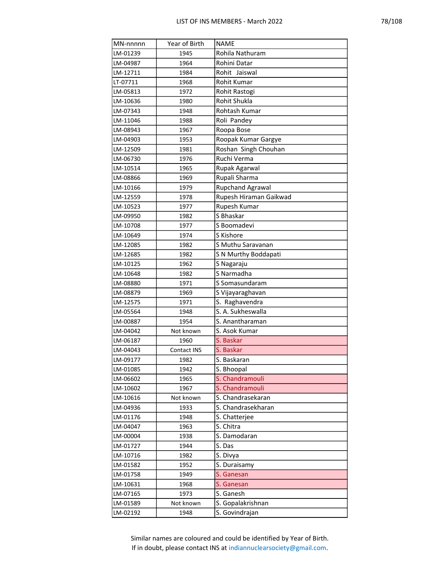|--|

| MN-nnnnn | Year of Birth | <b>NAME</b>             |
|----------|---------------|-------------------------|
| LM-01239 | 1945          | Rohila Nathuram         |
| LM-04987 | 1964          | Rohini Datar            |
| LM-12711 | 1984          | Rohit Jaiswal           |
| LT-07711 | 1968          | Rohit Kumar             |
| LM-05813 | 1972          | Rohit Rastogi           |
| LM-10636 | 1980          | Rohit Shukla            |
| LM-07343 | 1948          | Rohtash Kumar           |
| LM-11046 | 1988          | Roli Pandey             |
| LM-08943 | 1967          | Roopa Bose              |
| LM-04903 | 1953          | Roopak Kumar Gargye     |
| LM-12509 | 1981          | Roshan Singh Chouhan    |
| LM-06730 | 1976          | Ruchi Verma             |
| LM-10514 | 1965          | Rupak Agarwal           |
| LM-08866 | 1969          | Rupali Sharma           |
| LM-10166 | 1979          | <b>Rupchand Agrawal</b> |
| LM-12559 | 1978          | Rupesh Hiraman Gaikwad  |
| LM-10523 | 1977          | Rupesh Kumar            |
| LM-09950 | 1982          | S Bhaskar               |
| LM-10708 | 1977          | S Boomadevi             |
| LM-10649 | 1974          | S Kishore               |
| LM-12085 | 1982          | S Muthu Saravanan       |
| LM-12685 | 1982          | S N Murthy Boddapati    |
| LM-10125 | 1962          | S Nagaraju              |
| LM-10648 | 1982          | S Narmadha              |
| LM-08880 | 1971          | S Somasundaram          |
| LM-08879 | 1969          | S Vijayaraghavan        |
| LM-12575 | 1971          | S. Raghavendra          |
| LM-05564 | 1948          | S. A. Sukheswalla       |
| LM-00887 | 1954          | S. Anantharaman         |
| LM-04042 | Not known     | S. Asok Kumar           |
| LM-06187 | 1960          | S. Baskar               |
| LM-04043 | Contact INS   | S. Baskar               |
| LM-09177 | 1982          | S. Baskaran             |
| LM-01085 | 1942          | S. Bhoopal              |
| LM-06602 | 1965          | S. Chandramouli         |
| LM-10602 | 1967          | S. Chandramouli         |
| LM-10616 | Not known     | S. Chandrasekaran       |
| LM-04936 | 1933          | S. Chandrasekharan      |
| LM-01176 | 1948          | S. Chatterjee           |
| LM-04047 | 1963          | S. Chitra               |
| LM-00004 | 1938          | S. Damodaran            |
| LM-01727 | 1944          | S. Das                  |
| LM-10716 | 1982          | S. Divya                |
| LM-01582 | 1952          | S. Duraisamy            |
| LM-01758 | 1949          | S. Ganesan              |
| LM-10631 | 1968          | S. Ganesan              |
| LM-07165 | 1973          | S. Ganesh               |
| LM-01589 | Not known     | S. Gopalakrishnan       |
| LM-02192 | 1948          | S. Govindrajan          |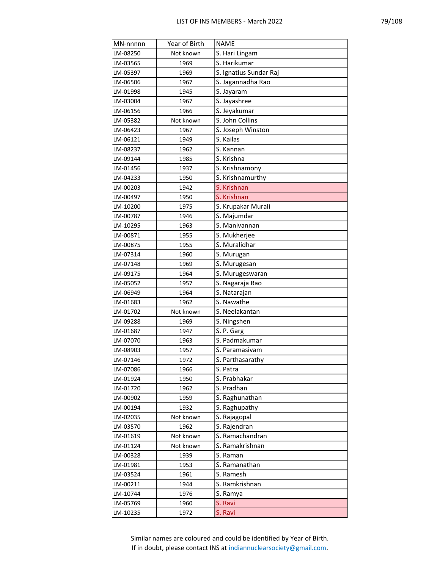|--|--|--|--|

| MN-nnnnn | Year of Birth | <b>NAME</b>            |
|----------|---------------|------------------------|
| LM-08250 | Not known     | S. Hari Lingam         |
| LM-03565 | 1969          | S. Harikumar           |
| LM-05397 | 1969          | S. Ignatius Sundar Raj |
| LM-06506 | 1967          | S. Jagannadha Rao      |
| LM-01998 | 1945          | S. Jayaram             |
| LM-03004 | 1967          | S. Jayashree           |
| LM-06156 | 1966          | S. Jeyakumar           |
| LM-05382 | Not known     | S. John Collins        |
| LM-06423 | 1967          | S. Joseph Winston      |
| LM-06121 | 1949          | S. Kailas              |
| LM-08237 | 1962          | S. Kannan              |
| LM-09144 | 1985          | S. Krishna             |
| LM-01456 | 1937          | S. Krishnamony         |
| LM-04233 | 1950          | S. Krishnamurthy       |
| LM-00203 | 1942          | S. Krishnan            |
| LM-00497 | 1950          | S. Krishnan            |
| LM-10200 | 1975          | S. Krupakar Murali     |
| LM-00787 | 1946          | S. Majumdar            |
| LM-10295 | 1963          | S. Manivannan          |
| LM-00871 | 1955          | S. Mukherjee           |
| LM-00875 | 1955          | S. Muralidhar          |
| LM-07314 | 1960          | S. Murugan             |
| LM-07148 | 1969          | S. Murugesan           |
| LM-09175 | 1964          | S. Murugeswaran        |
| LM-05052 | 1957          | S. Nagaraja Rao        |
| LM-06949 | 1964          | S. Natarajan           |
| LM-01683 | 1962          | S. Nawathe             |
| LM-01702 | Not known     | S. Neelakantan         |
| LM-09288 | 1969          | S. Ningshen            |
| LM-01687 | 1947          | S. P. Garg             |
| LM-07070 | 1963          | S. Padmakumar          |
| LM-08903 | 1957          | S. Paramasivam         |
| LM-07146 | 1972          | S. Parthasarathy       |
| LM-07086 | 1966          | S. Patra               |
| LM-01924 | 1950          | S. Prabhakar           |
| LM-01720 | 1962          | S. Pradhan             |
| LM-00902 | 1959          | S. Raghunathan         |
| LM-00194 | 1932          | S. Raghupathy          |
| LM-02035 | Not known     | S. Rajagopal           |
| LM-03570 | 1962          | S. Rajendran           |
| LM-01619 | Not known     | S. Ramachandran        |
| LM-01124 | Not known     | S. Ramakrishnan        |
| LM-00328 | 1939          | S. Raman               |
| LM-01981 | 1953          | S. Ramanathan          |
| LM-03524 | 1961          | S. Ramesh              |
| LM-00211 | 1944          | S. Ramkrishnan         |
| LM-10744 | 1976          | S. Ramya               |
| LM-05769 | 1960          | S. Ravi                |
| LM-10235 | 1972          | S. Ravi                |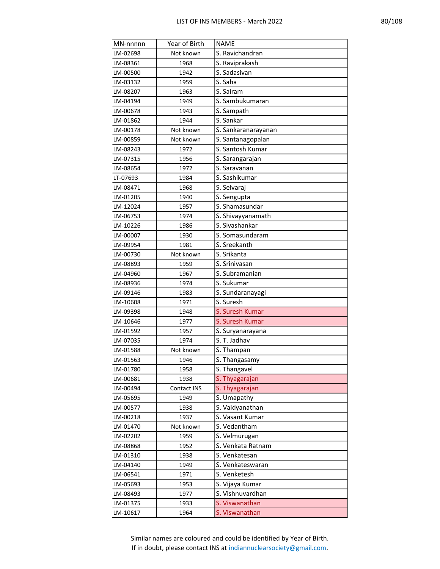| ŗ<br>х. |
|---------|
|---------|

| MN-nnnnn             | Year of Birth       | <b>NAME</b>                    |
|----------------------|---------------------|--------------------------------|
| LM-02698             | Not known           | S. Ravichandran                |
| LM-08361             | 1968                | S. Raviprakash                 |
| LM-00500             | 1942                | S. Sadasivan                   |
| LM-03132             | 1959                | S. Saha                        |
| LM-08207             | 1963                | S. Sairam                      |
| LM-04194             | 1949                | S. Sambukumaran                |
| LM-00678             | 1943                | S. Sampath                     |
| LM-01862             | 1944                | S. Sankar                      |
| LM-00178             | Not known           | S. Sankaranarayanan            |
| LM-00859             | Not known           | S. Santanagopalan              |
| LM-08243             | 1972                | S. Santosh Kumar               |
| LM-07315             | 1956                | S. Sarangarajan                |
| LM-08654             | 1972                | S. Saravanan                   |
| LT-07693             | 1984                | S. Sashikumar                  |
| LM-08471             | 1968                | S. Selvaraj                    |
| LM-01205             | 1940                | S. Sengupta                    |
| LM-12024             | 1957                | S. Shamasundar                 |
| LM-06753             | 1974                | S. Shivayyanamath              |
| LM-10226             | 1986                | S. Sivashankar                 |
| LM-00007             | 1930                | S. Somasundaram                |
| LM-09954             | 1981                | S. Sreekanth                   |
| LM-00730             | Not known           | S. Srikanta                    |
| LM-08893             | 1959                | S. Srinivasan                  |
| LM-04960             | 1967                | S. Subramanian                 |
| LM-08936             | 1974                | S. Sukumar                     |
| LM-09146             | 1983                | S. Sundaranayagi               |
| LM-10608             | 1971                | S. Suresh                      |
| LM-09398             | 1948                | S. Suresh Kumar                |
| LM-10646             | 1977                | S. Suresh Kumar                |
| LM-01592             | 1957                | S. Suryanarayana               |
| LM-07035             | 1974                | S. T. Jadhav                   |
| LM-01588             | Not known           | S. Thampan                     |
| LM-01563             | 1946                | S. Thangasamy                  |
| LM-01780             | 1958                | S. Thangavel                   |
| LM-00681             | 1938                | S. Thyagarajan                 |
| LM-00494<br>LM-05695 | Contact INS<br>1949 | S. Thyagarajan                 |
| LM-00577             |                     | S. Umapathy<br>S. Vaidyanathan |
| LM-00218             | 1938<br>1937        | S. Vasant Kumar                |
| LM-01470             | Not known           | S. Vedantham                   |
| LM-02202             | 1959                | S. Velmurugan                  |
| LM-08868             | 1952                | S. Venkata Ratnam              |
| LM-01310             | 1938                | S. Venkatesan                  |
| LM-04140             | 1949                | S. Venkateswaran               |
| LM-06541             | 1971                | S. Venketesh                   |
| LM-05693             | 1953                | S. Vijaya Kumar                |
| LM-08493             | 1977                | S. Vishnuvardhan               |
| LM-01375             | 1933                | S. Viswanathan                 |
| LM-10617             | 1964                | S. Viswanathan                 |
|                      |                     |                                |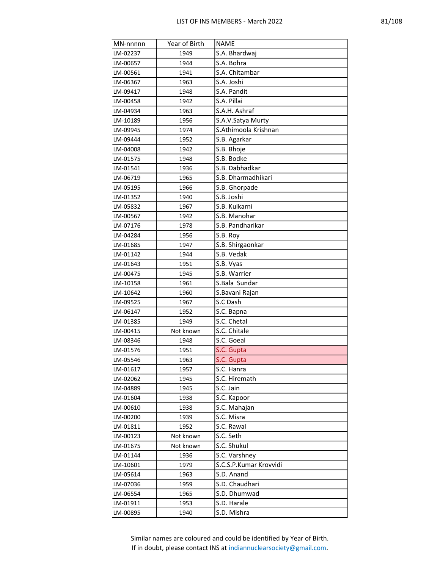| MN-nnnnn | Year of Birth | <b>NAME</b>                |
|----------|---------------|----------------------------|
| LM-02237 | 1949          | S.A. Bhardwaj              |
| LM-00657 | 1944          | S.A. Bohra                 |
| LM-00561 | 1941          | S.A. Chitambar             |
| LM-06367 | 1963          | S.A. Joshi                 |
| LM-09417 | 1948          | S.A. Pandit                |
| LM-00458 | 1942          | S.A. Pillai                |
| LM-04934 | 1963          | S.A.H. Ashraf              |
| LM-10189 | 1956          | S.A.V.Satya Murty          |
| LM-09945 | 1974          | S.Athimoola Krishnan       |
| LM-09444 | 1952          | S.B. Agarkar               |
| LM-04008 | 1942          | S.B. Bhoje                 |
| LM-01575 | 1948          | S.B. Bodke                 |
| LM-01541 | 1936          | S.B. Dabhadkar             |
| LM-06719 | 1965          | S.B. Dharmadhikari         |
| LM-05195 | 1966          | S.B. Ghorpade              |
| LM-01352 | 1940          | S.B. Joshi                 |
| LM-05832 | 1967          | S.B. Kulkarni              |
| LM-00567 | 1942          | S.B. Manohar               |
| LM-07176 | 1978          | S.B. Pandharikar           |
| LM-04284 | 1956          | S.B. Roy                   |
| LM-01685 | 1947          | S.B. Shirgaonkar           |
| LM-01142 | 1944          | S.B. Vedak                 |
| LM-01643 | 1951          | S.B. Vyas                  |
| LM-00475 | 1945          | S.B. Warrier               |
| LM-10158 | 1961          | S.Bala Sundar              |
| LM-10642 | 1960          | S.Bavani Rajan             |
| LM-09525 | 1967          | S.C Dash                   |
| LM-06147 | 1952          | S.C. Bapna                 |
| LM-01385 | 1949          | S.C. Chetal                |
| LM-00415 | Not known     | S.C. Chitale               |
| LM-08346 | 1948          | S.C. Goeal                 |
| LM-01576 | 1951          | S.C. Gupta                 |
| LM-05546 | 1963          | S.C. Gupta                 |
| LM-01617 | 1957          | S.C. Hanra                 |
| LM-02062 | 1945          | S.C. Hiremath              |
| LM-04889 | 1945          | S.C. Jain                  |
| LM-01604 | 1938          | S.C. Kapoor                |
| LM-00610 | 1938          | S.C. Mahajan<br>S.C. Misra |
| LM-00200 | 1939          |                            |
| LM-01811 | 1952          | S.C. Rawal                 |
| LM-00123 | Not known     | S.C. Seth                  |
| LM-01675 | Not known     | S.C. Shukul                |
| LM-01144 | 1936          | S.C. Varshney              |
| LM-10601 | 1979          | S.C.S.P.Kumar Krovvidi     |
| LM-05614 | 1963          | S.D. Anand                 |
| LM-07036 | 1959          | S.D. Chaudhari             |
| LM-06554 | 1965          | S.D. Dhumwad               |
| LM-01911 | 1953          | S.D. Harale                |
| LM-00895 | 1940          | S.D. Mishra                |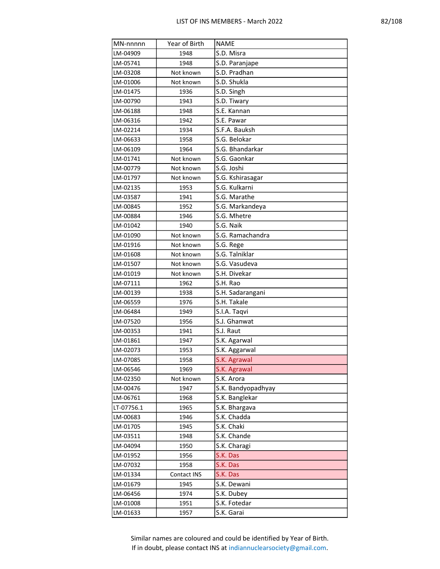| MN-nnnnn   | Year of Birth | <b>NAME</b>        |
|------------|---------------|--------------------|
| LM-04909   | 1948          | S.D. Misra         |
| LM-05741   | 1948          | S.D. Paranjape     |
| LM-03208   | Not known     | S.D. Pradhan       |
| LM-01006   | Not known     | S.D. Shukla        |
| LM-01475   | 1936          | S.D. Singh         |
| LM-00790   | 1943          | S.D. Tiwary        |
| LM-06188   | 1948          | S.E. Kannan        |
| LM-06316   | 1942          | S.E. Pawar         |
| LM-02214   | 1934          | S.F.A. Bauksh      |
| LM-06633   | 1958          | S.G. Belokar       |
| LM-06109   | 1964          | S.G. Bhandarkar    |
| LM-01741   | Not known     | S.G. Gaonkar       |
| LM-00779   | Not known     | S.G. Joshi         |
| LM-01797   | Not known     | S.G. Kshirasagar   |
| LM-02135   | 1953          | S.G. Kulkarni      |
| LM-03587   | 1941          | S.G. Marathe       |
| LM-00845   | 1952          | S.G. Markandeya    |
| LM-00884   | 1946          | S.G. Mhetre        |
| LM-01042   | 1940          | S.G. Naik          |
| LM-01090   | Not known     | S.G. Ramachandra   |
| LM-01916   | Not known     | S.G. Rege          |
| LM-01608   | Not known     | S.G. Talniklar     |
| LM-01507   | Not known     | S.G. Vasudeva      |
| LM-01019   | Not known     | S.H. Divekar       |
| LM-07111   | 1962          | S.H. Rao           |
| LM-00139   | 1938          | S.H. Sadarangani   |
| LM-06559   | 1976          | S.H. Takale        |
| LM-06484   | 1949          | S.I.A. Taqvi       |
| LM-07520   | 1956          | S.J. Ghanwat       |
| LM-00353   | 1941          | S.J. Raut          |
| LM-01861   | 1947          | S.K. Agarwal       |
| LM-02073   | 1953          | S.K. Aggarwal      |
| LM-07085   | 1958          | S.K. Agrawal       |
| LM-06546   | 1969          | S.K. Agrawal       |
| LM-02350   | Not known     | S.K. Arora         |
| LM-00476   | 1947          | S.K. Bandyopadhyay |
| LM-06761   | 1968          | S.K. Banglekar     |
| LT-07756.1 | 1965          | S.K. Bhargava      |
| LM-00683   | 1946          | S.K. Chadda        |
| LM-01705   | 1945          | S.K. Chaki         |
| LM-03511   | 1948          | S.K. Chande        |
| LM-04094   | 1950          | S.K. Charagi       |
| LM-01952   | 1956          | S.K. Das           |
| LM-07032   | 1958          | S.K. Das           |
| LM-01334   | Contact INS   | S.K. Das           |
| LM-01679   | 1945          | S.K. Dewani        |
| LM-06456   | 1974          | S.K. Dubey         |
| LM-01008   | 1951          | S.K. Fotedar       |
| LM-01633   | 1957          | S.K. Garai         |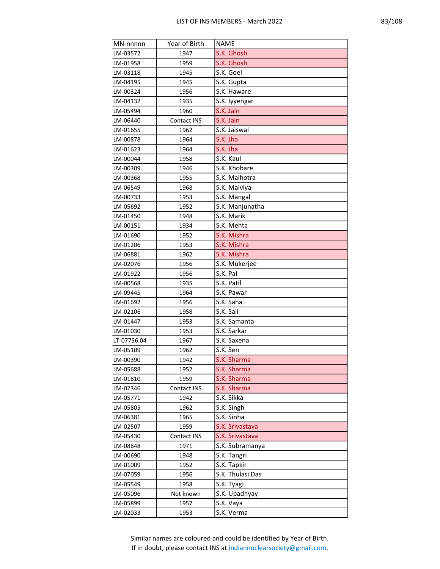| MN-nnnnn    | Year of Birth | <b>NAME</b>      |
|-------------|---------------|------------------|
| LM-03572    | 1947          | S.K. Ghosh       |
| LM-01958    | 1959          | S.K. Ghosh       |
| LM-03118    | 1945          | S.K. Goel        |
| LM-04195    | 1945          | S.K. Gupta       |
| LM-00324    | 1956          | S.K. Haware      |
| LM-04132    | 1935          | S.K. lyyengar    |
| LM-05494    | 1960          | S.K. Jain        |
| LM-06440    | Contact INS   | S.K. Jain        |
| LM-01655    | 1962          | S.K. Jaiswal     |
| LM-00878    | 1964          | S.K. Jha         |
| LM-01623    | 1964          | S.K. Jha         |
| LM-00044    | 1958          | S.K. Kaul        |
| LM-00309    | 1946          | S.K. Khobare     |
| LM-00368    | 1955          | S.K. Malhotra    |
| LM-06549    | 1968          | S.K. Malviya     |
| LM-00733    | 1953          | S.K. Mangal      |
| LM-05692    | 1952          | S.K. Manjunatha  |
| LM-01450    | 1948          | S.K. Marik       |
| LM-00151    | 1934          | S.K. Mehta       |
| LM-01690    | 1952          | S.K. Mishra      |
| LM-01206    | 1953          | S.K. Mishra      |
| LM-06881    | 1962          | S.K. Mishra      |
| LM-02076    | 1956          | S.K. Mukerjee    |
| LM-01922    | 1956          | S.K. Pal         |
| LM-00568    | 1935          | S.K. Patil       |
| LM-09445    | 1964          | S.K. Pawar       |
| LM-01692    | 1956          | S.K. Saha        |
| LM-02106    | 1958          | S.K. Sali        |
| LM-01447    | 1953          | S.K. Samanta     |
| LM-01030    | 1953          | S.K. Sarkar      |
| LT-07756.04 | 1967          | S.K. Saxena      |
| LM-05109    | 1962          | S.K. Sen         |
| LM-00390    | 1942          | S.K. Sharma      |
| LM-05688    | 1952          | S.K. Sharma      |
| LM-01810    | 1959          | S.K. Sharma      |
| LM-02346    | Contact INS   | S.K. Sharma      |
| LM-05771    | 1942          | S.K. Sikka       |
| LM-05805    | 1962          | S.K. Singh       |
| LM-06381    | 1965          | S.K. Sinha       |
| LM-02507    | 1959          | S.K. Srivastava  |
| LM-05430    | Contact INS   | S.K. Srivastava  |
| LM-08648    | 1971          | S.K. Subramanya  |
| LM-00690    | 1948          | S.K. Tangri      |
| LM-01009    | 1952          | S.K. Tapkir      |
| LM-07059    | 1956          | S.K. Thulasi Das |
| LM-05549    | 1958          | S.K. Tyagi       |
| LM-05096    | Not known     | S.K. Upadhyay    |
| LM-05899    | 1957          | S.K. Vaya        |
| LM-02033    | 1953          | S.K. Verma       |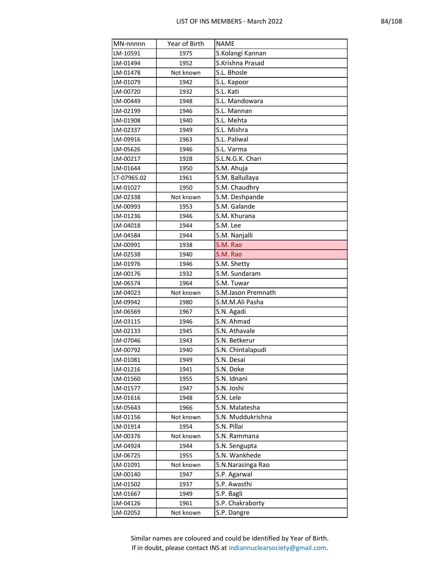| MN-nnnnn    | Year of Birth | <b>NAME</b>        |
|-------------|---------------|--------------------|
| LM-10591    | 1975          | S.Kolangi Kannan   |
| LM-01494    | 1952          | S.Krishna Prasad   |
| LM-01478    | Not known     | S.L. Bhosle        |
| LM-01079    | 1942          | S.L. Kapoor        |
| LM-00720    | 1932          | S.L. Kati          |
| LM-00449    | 1948          | S.L. Mandowara     |
| LM-02199    | 1946          | S.L. Mannan        |
| LM-01908    | 1940          | S.L. Mehta         |
| LM-02337    | 1949          | S.L. Mishra        |
| LM-09916    | 1963          | S.L. Paliwal       |
| LM-05626    | 1946          | S.L. Varma         |
| LM-00217    | 1928          | S.L.N.G.K. Chari   |
| LM-01644    | 1950          | S.M. Ahuja         |
| LT-07965.02 | 1961          | S.M. Ballullaya    |
| LM-01027    | 1950          | S.M. Chaudhry      |
| LM-02338    | Not known     | S.M. Deshpande     |
| LM-00993    | 1953          | S.M. Galande       |
| LM-01236    | 1946          | S.M. Khurana       |
| LM-04018    | 1944          | S.M. Lee           |
| LM-04584    | 1944          | S.M. Nanjalli      |
| LM-00991    | 1938          | S.M. Rao           |
| LM-02538    | 1940          | S.M. Rao           |
| LM-01976    | 1946          | S.M. Shetty        |
| LM-00176    | 1932          | S.M. Sundaram      |
| LM-06574    | 1964          | S.M. Tuwar         |
| LM-04023    | Not known     | S.M.Jason Premnath |
| LM-09942    | 1980          | S.M.M.Ali Pasha    |
| LM-06569    | 1967          | S.N. Agadi         |
| LM-03115    | 1946          | S.N. Ahmad         |
| LM-02133    | 1945          | S.N. Athavale      |
| LM-07046    | 1943          | S.N. Betkerur      |
| LM-00792    | 1940          | S.N. Chintalapudi  |
| LM-01081    | 1949          | S.N. Desai         |
| LM-01216    | 1941          | S.N. Doke          |
| LM-01560    | 1955          | S.N. Idnani        |
| LM-01577    | 1947          | S.N. Joshi         |
| LM-01616    | 1948          | S.N. Lele          |
| LM-05643    | 1966          | S.N. Malatesha     |
| LM-01156    | Not known     | S.N. Muddukrishna  |
| LM-01914    | 1954          | S.N. Pillai        |
| LM-00376    | Not known     | S.N. Rammana       |
| LM-04924    | 1944          | S.N. Sengupta      |
| LM-06725    | 1955          | S.N. Wankhede      |
| LM-01091    | Not known     | S.N.Narasinga Rao  |
| LM-00140    | 1947          | S.P. Agarwal       |
| LM-01502    | 1937          | S.P. Awasthi       |
| LM-01667    | 1949          | S.P. Bagli         |
| LM-04126    | 1961          | S.P. Chakraborty   |
| LM-02052    | Not known     | S.P. Dangre        |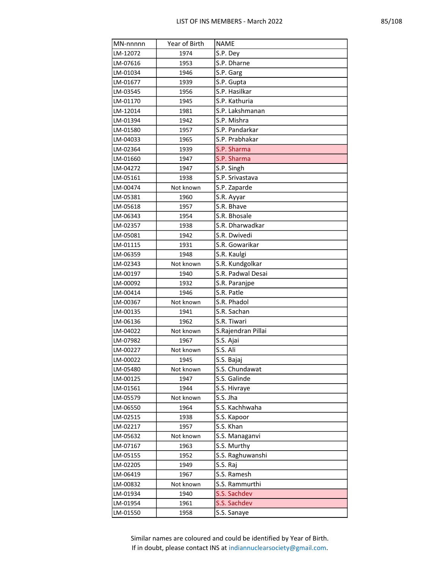| MN-nnnnn | Year of Birth | <b>NAME</b>        |
|----------|---------------|--------------------|
| LM-12072 | 1974          | S.P. Dey           |
| LM-07616 | 1953          | S.P. Dharne        |
| LM-01034 | 1946          | S.P. Garg          |
| LM-01677 | 1939          | S.P. Gupta         |
| LM-03545 | 1956          | S.P. Hasilkar      |
| LM-01170 | 1945          | S.P. Kathuria      |
| LM-12014 | 1981          | S.P. Lakshmanan    |
| LM-01394 | 1942          | S.P. Mishra        |
| LM-01580 | 1957          | S.P. Pandarkar     |
| LM-04033 | 1965          | S.P. Prabhakar     |
| LM-02364 | 1939          | S.P. Sharma        |
| LM-01660 | 1947          | S.P. Sharma        |
| LM-04272 | 1947          | S.P. Singh         |
| LM-05161 | 1938          | S.P. Srivastava    |
| LM-00474 | Not known     | S.P. Zaparde       |
| LM-05381 | 1960          | S.R. Ayyar         |
| LM-05618 | 1957          | S.R. Bhave         |
| LM-06343 | 1954          | S.R. Bhosale       |
| LM-02357 | 1938          | S.R. Dharwadkar    |
| LM-05081 | 1942          | S.R. Dwivedi       |
| LM-01115 | 1931          | S.R. Gowarikar     |
| LM-06359 | 1948          | S.R. Kaulgi        |
| LM-02343 | Not known     | S.R. Kundgolkar    |
| LM-00197 | 1940          | S.R. Padwal Desai  |
| LM-00092 | 1932          | S.R. Paranjpe      |
| LM-00414 | 1946          | S.R. Patle         |
| LM-00367 | Not known     | S.R. Phadol        |
| LM-00135 | 1941          | S.R. Sachan        |
| LM-06136 | 1962          | S.R. Tiwari        |
| LM-04022 | Not known     | S.Rajendran Pillai |
| LM-07982 | 1967          | S.S. Ajai          |
| LM-00227 | Not known     | S.S. Ali           |
| LM-00022 | 1945          | S.S. Bajaj         |
| LM-05480 | Not known     | S.S. Chundawat     |
| LM-00125 | 1947          | S.S. Galinde       |
| LM-01561 | 1944          | S.S. Hivraye       |
| LM-05579 | Not known     | S.S. Jha           |
| LM-06550 | 1964          | S.S. Kachhwaha     |
| LM-02515 | 1938          | S.S. Kapoor        |
| LM-02217 | 1957          | S.S. Khan          |
| LM-05632 | Not known     | S.S. Managanvi     |
| LM-07167 | 1963          | S.S. Murthy        |
| LM-05155 | 1952          | S.S. Raghuwanshi   |
| LM-02205 | 1949          | S.S. Raj           |
| LM-06419 | 1967          | S.S. Ramesh        |
| LM-00832 | Not known     | S.S. Rammurthi     |
| LM-01934 | 1940          | S.S. Sachdev       |
| LM-01954 | 1961          | S.S. Sachdev       |
| LM-01550 | 1958          | S.S. Sanaye        |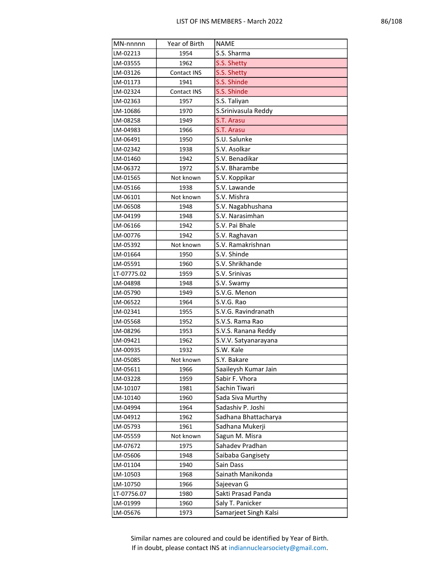|  | ŗ,<br>т. |
|--|----------|
|--|----------|

| MN-nnnnn    | Year of Birth | <b>NAME</b>           |
|-------------|---------------|-----------------------|
| LM-02213    | 1954          | S.S. Sharma           |
| LM-03555    | 1962          | S.S. Shetty           |
| LM-03126    | Contact INS   | S.S. Shetty           |
| LM-01173    | 1941          | S.S. Shinde           |
| LM-02324    | Contact INS   | S.S. Shinde           |
| LM-02363    | 1957          | S.S. Taliyan          |
| LM-10686    | 1970          | S.Srinivasula Reddy   |
| LM-08258    | 1949          | S.T. Arasu            |
| LM-04983    | 1966          | S.T. Arasu            |
| LM-06491    | 1950          | S.U. Salunke          |
| LM-02342    | 1938          | S.V. Asolkar          |
| LM-01460    | 1942          | S.V. Benadikar        |
| LM-06372    | 1972          | S.V. Bharambe         |
| LM-01565    | Not known     | S.V. Koppikar         |
| LM-05166    | 1938          | S.V. Lawande          |
| LM-06101    | Not known     | S.V. Mishra           |
| LM-06508    | 1948          | S.V. Nagabhushana     |
| LM-04199    | 1948          | S.V. Narasimhan       |
| LM-06166    | 1942          | S.V. Pai Bhale        |
| LM-00776    | 1942          | S.V. Raghavan         |
| LM-05392    | Not known     | S.V. Ramakrishnan     |
| LM-01664    | 1950          | S.V. Shinde           |
| LM-05591    | 1960          | S.V. Shrikhande       |
| LT-07775.02 | 1959          | S.V. Srinivas         |
| LM-04898    | 1948          | S.V. Swamy            |
| LM-05790    | 1949          | S.V.G. Menon          |
| LM-06522    | 1964          | S.V.G. Rao            |
| LM-02341    | 1955          | S.V.G. Ravindranath   |
| LM-05568    | 1952          | S.V.S. Rama Rao       |
| LM-08296    | 1953          | S.V.S. Ranana Reddy   |
| LM-09421    | 1962          | S.V.V. Satyanarayana  |
| LM-00935    | 1932          | S.W. Kale             |
| LM-05085    | Not known     | S.Y. Bakare           |
| LM-05611    | 1966          | Saaileysh Kumar Jain  |
| LM-03228    | 1959          | Sabir F. Vhora        |
| LM-10107    | 1981          | Sachin Tiwari         |
| LM-10140    | 1960          | Sada Siva Murthy      |
| LM-04994    | 1964          | Sadashiv P. Joshi     |
| LM-04912    | 1962          | Sadhana Bhattacharya  |
| LM-05793    | 1961          | Sadhana Mukerji       |
| LM-05559    | Not known     | Sagun M. Misra        |
| LM-07672    | 1975          | Sahadev Pradhan       |
| LM-05606    | 1948          | Saibaba Gangisety     |
| LM-01104    | 1940          | Sain Dass             |
| LM-10503    | 1968          | Sainath Manikonda     |
| LM-10750    | 1966          | Sajeevan G            |
| LT-07756.07 | 1980          | Sakti Prasad Panda    |
| LM-01999    | 1960          | Saly T. Panicker      |
| LM-05676    | 1973          | Samarjeet Singh Kalsi |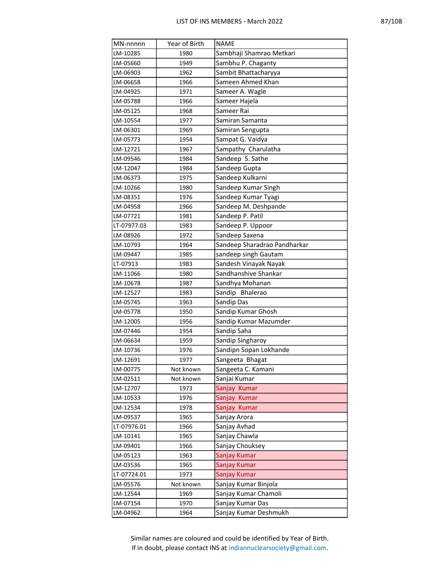| MN-nnnnn    | Year of Birth | <b>NAME</b>                  |
|-------------|---------------|------------------------------|
| LM-10285    | 1980          | Sambhaji Shamrao Metkari     |
| LM-05660    | 1949          | Sambhu P. Chaganty           |
| LM-06903    | 1962          | Sambit Bhattacharyya         |
| LM-06658    | 1966          | Sameen Ahmed Khan            |
| LM-04925    | 1971          | Sameer A. Wagle              |
| LM-05788    | 1966          | Sameer Hajela                |
| LM-05125    | 1968          | Sameer Rai                   |
| LM-10554    | 1977          | Samiran Samanta              |
| LM-06301    | 1969          | Samiran Sengupta             |
| LM-05773    | 1954          | Sampat G. Vaidya             |
| LM-12721    | 1967          | Sampathy Charulatha          |
| LM-09546    | 1984          | Sandeep S. Sathe             |
| LM-12047    | 1984          | Sandeep Gupta                |
| LM-06373    | 1975          | Sandeep Kulkarni             |
| LM-10266    | 1980          | Sandeep Kumar Singh          |
| LM-08351    | 1976          | Sandeep Kumar Tyagi          |
| LM-04958    | 1966          | Sandeep M. Deshpande         |
| LM-07721    | 1981          | Sandeep P. Patil             |
| LT-07977.03 | 1983          | Sandeep P. Uppoor            |
| LM-08926    | 1972          | Sandeep Saxena               |
| LM-10793    | 1964          | Sandeep Sharadrao Pandharkar |
| LM-09447    | 1985          | sandeep singh Gautam         |
| LT-07913    | 1983          | Sandesh Vinayak Nayak        |
| LM-11066    | 1980          | Sandhanshive Shankar         |
| LM-10678    | 1987          | Sandhya Mohanan              |
| LM-12527    | 1983          | Sandip Bhalerao              |
| LM-05745    | 1963          | Sandip Das                   |
| LM-05778    | 1950          | Sandip Kumar Ghosh           |
| LM-12005    | 1956          | Sandip Kumar Mazumder        |
| LM-07446    | 1954          | Sandip Saha                  |
| LM-06634    | 1959          | Sandip Singharoy             |
| LM-10736    | 1976          | Sandipn Sopan Lokhande       |
| LM-12691    | 1977          | Sangeeta Bhagat              |
| LM-00775    | Not known     | Sangeeta C. Kamani           |
| LM-02511    | Not known     | Sanjai Kumar                 |
| LM-12707    | 1973          | Sanjay Kumar                 |
| LM-10533    | 1976          | Sanjay Kumar                 |
| LM-12534    | 1978          | Sanjay Kumar                 |
| LM-09537    | 1965          | Sanjay Arora                 |
| LT-07976.01 | 1966          | Sanjay Avhad                 |
| LM-10141    | 1965          | Sanjay Chawla                |
| LM-09401    | 1966          | Sanjay Chouksey              |
| LM-05123    | 1963          | Sanjay Kumar                 |
| LM-03536    | 1965          | Sanjay Kumar                 |
| LT-07724.01 | 1973          | Sanjay Kumar                 |
| LM-05576    | Not known     | Sanjay Kumar Binjola         |
| LM-12544    | 1969          | Sanjay Kumar Chamoli         |
| LM-07154    | 1970          | Sanjay Kumar Das             |
| LM-04962    | 1964          | Sanjay Kumar Deshmukh        |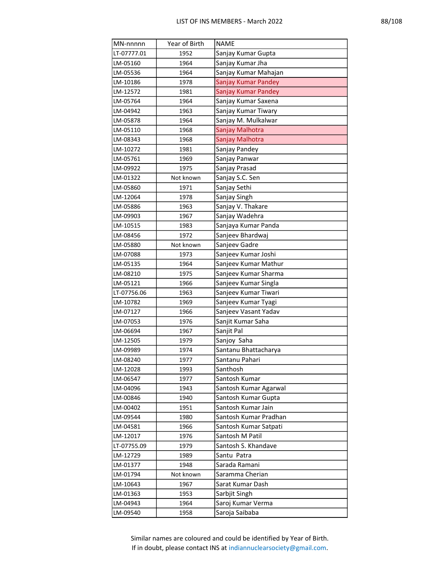| MN-nnnnn    | Year of Birth | <b>NAME</b>           |
|-------------|---------------|-----------------------|
| LT-07777.01 | 1952          | Sanjay Kumar Gupta    |
| LM-05160    | 1964          | Sanjay Kumar Jha      |
| LM-05536    | 1964          | Sanjay Kumar Mahajan  |
| LM-10186    | 1978          | Sanjay Kumar Pandey   |
| LM-12572    | 1981          | Sanjay Kumar Pandey   |
| LM-05764    | 1964          | Sanjay Kumar Saxena   |
| LM-04942    | 1963          | Sanjay Kumar Tiwary   |
| LM-05878    | 1964          | Sanjay M. Mulkalwar   |
| LM-05110    | 1968          | Sanjay Malhotra       |
| LM-08343    | 1968          | Sanjay Malhotra       |
| LM-10272    | 1981          | Sanjay Pandey         |
| LM-05761    | 1969          | Sanjay Panwar         |
| LM-09922    | 1975          | Sanjay Prasad         |
| LM-01322    | Not known     | Sanjay S.C. Sen       |
| LM-05860    | 1971          | Sanjay Sethi          |
| LM-12064    | 1978          | Sanjay Singh          |
| LM-05886    | 1963          | Sanjay V. Thakare     |
| LM-09903    | 1967          | Sanjay Wadehra        |
| LM-10515    | 1983          | Sanjaya Kumar Panda   |
| LM-08456    | 1972          | Sanjeev Bhardwaj      |
| LM-05880    | Not known     | Sanjeev Gadre         |
| LM-07088    | 1973          | Sanjeev Kumar Joshi   |
| LM-05135    | 1964          | Sanjeev Kumar Mathur  |
| LM-08210    | 1975          | Sanjeev Kumar Sharma  |
| LM-05121    | 1966          | Sanjeev Kumar Singla  |
| LT-07756.06 | 1963          | Sanjeev Kumar Tiwari  |
| LM-10782    | 1969          | Sanjeev Kumar Tyagi   |
| LM-07127    | 1966          | Sanjeev Vasant Yadav  |
| LM-07053    | 1976          | Sanjit Kumar Saha     |
| LM-06694    | 1967          | Sanjit Pal            |
| LM-12505    | 1979          | Sanjoy Saha           |
| LM-09989    | 1974          | Santanu Bhattacharya  |
| LM-08240    | 1977          | Santanu Pahari        |
| LM-12028    | 1993          | Santhosh              |
| LM-06547    | 1977          | Santosh Kumar         |
| LM-04096    | 1943          | Santosh Kumar Agarwal |
| LM-00846    | 1940          | Santosh Kumar Gupta   |
| LM-00402    | 1951          | Santosh Kumar Jain    |
| LM-09544    | 1980          | Santosh Kumar Pradhan |
| LM-04581    | 1966          | Santosh Kumar Satpati |
| LM-12017    | 1976          | Santosh M Patil       |
| LT-07755.09 | 1979          | Santosh S. Khandave   |
| LM-12729    | 1989          | Santu Patra           |
| LM-01377    | 1948          | Sarada Ramani         |
| LM-01794    | Not known     | Saramma Cherian       |
| LM-10643    | 1967          | Sarat Kumar Dash      |
| LM-01363    | 1953          | Sarbjit Singh         |
| LM-04943    | 1964          | Saroj Kumar Verma     |
| LM-09540    | 1958          | Saroja Saibaba        |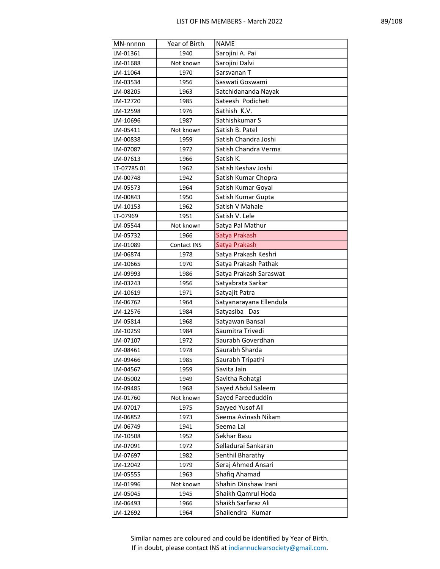| MN-nnnnn    | Year of Birth | <b>NAME</b>             |
|-------------|---------------|-------------------------|
| LM-01361    | 1940          | Sarojini A. Pai         |
| LM-01688    | Not known     | Sarojini Dalvi          |
| LM-11064    | 1970          | Sarsvanan T             |
| LM-03534    | 1956          | Saswati Goswami         |
| LM-08205    | 1963          | Satchidananda Nayak     |
| LM-12720    | 1985          | Sateesh Podicheti       |
| LM-12598    | 1976          | Sathish K.V.            |
| LM-10696    | 1987          | Sathishkumar S          |
| LM-05411    | Not known     | Satish B. Patel         |
| LM-00838    | 1959          | Satish Chandra Joshi    |
| LM-07087    | 1972          | Satish Chandra Verma    |
| LM-07613    | 1966          | Satish K.               |
| LT-07785.01 | 1962          | Satish Keshav Joshi     |
| LM-00748    | 1942          | Satish Kumar Chopra     |
| LM-05573    | 1964          | Satish Kumar Goyal      |
| LM-00843    | 1950          | Satish Kumar Gupta      |
| LM-10153    | 1962          | Satish V Mahale         |
| LT-07969    | 1951          | Satish V. Lele          |
| LM-05544    | Not known     | Satya Pal Mathur        |
| LM-05732    | 1966          | Satya Prakash           |
| LM-01089    | Contact INS   | Satya Prakash           |
| LM-06874    | 1978          | Satya Prakash Keshri    |
| LM-10665    | 1970          | Satya Prakash Pathak    |
| LM-09993    | 1986          | Satya Prakash Saraswat  |
| LM-03243    | 1956          | Satyabrata Sarkar       |
| LM-10619    | 1971          | Satyajit Patra          |
| LM-06762    | 1964          | Satyanarayana Ellendula |
| LM-12576    | 1984          | Satyasiba Das           |
| LM-05814    | 1968          | Satyawan Bansal         |
| LM-10259    | 1984          | Saumitra Trivedi        |
| LM-07107    | 1972          | Saurabh Goverdhan       |
| LM-08461    | 1978          | Saurabh Sharda          |
| LM-09466    | 1985          | Saurabh Tripathi        |
| LM-04567    | 1959          | Savita Jain             |
| LM-05002    | 1949          | Savitha Rohatgi         |
| LM-09485    | 1968          | Sayed Abdul Saleem      |
| LM-01760    | Not known     | Sayed Fareeduddin       |
| LM-07017    | 1975          | Sayyed Yusof Ali        |
| LM-06852    | 1973          | Seema Avinash Nikam     |
| LM-06749    | 1941          | Seema Lal               |
| LM-10508    | 1952          | Sekhar Basu             |
| LM-07091    | 1972          | Selladurai Sankaran     |
| LM-07697    | 1982          | Senthil Bharathy        |
| LM-12042    | 1979          | Seraj Ahmed Ansari      |
| LM-05555    | 1963          | Shafiq Ahamad           |
| LM-01996    | Not known     | Shahin Dinshaw Irani    |
| LM-05045    | 1945          | Shaikh Qamrul Hoda      |
| LM-06493    | 1966          | Shaikh Sarfaraz Ali     |
| LM-12692    | 1964          | Shailendra Kumar        |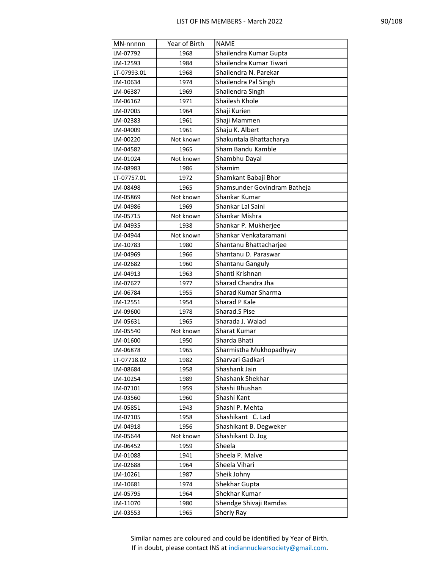| MN-nnnnn    | Year of Birth | <b>NAME</b>                  |
|-------------|---------------|------------------------------|
| LM-07792    | 1968          | Shailendra Kumar Gupta       |
| LM-12593    | 1984          | Shailendra Kumar Tiwari      |
| LT-07993.01 | 1968          | Shailendra N. Parekar        |
| LM-10634    | 1974          | Shailendra Pal Singh         |
| LM-06387    | 1969          | Shailendra Singh             |
| LM-06162    | 1971          | Shailesh Khole               |
| LM-07005    | 1964          | Shaji Kurien                 |
| LM-02383    | 1961          | Shaji Mammen                 |
| LM-04009    | 1961          | Shaju K. Albert              |
| LM-00220    | Not known     | Shakuntala Bhattacharya      |
| LM-04582    | 1965          | Sham Bandu Kamble            |
| LM-01024    | Not known     | Shambhu Dayal                |
| LM-08983    | 1986          | Shamim                       |
| LT-07757.01 | 1972          | Shamkant Babaji Bhor         |
| LM-08498    | 1965          | Shamsunder Govindram Batheja |
| LM-05869    | Not known     | Shankar Kumar                |
| LM-04986    | 1969          | Shankar Lal Saini            |
| LM-05715    | Not known     | Shankar Mishra               |
| LM-04935    | 1938          | Shankar P. Mukherjee         |
| LM-04944    | Not known     | Shankar Venkataramani        |
| LM-10783    | 1980          | Shantanu Bhattacharjee       |
| LM-04969    | 1966          | Shantanu D. Paraswar         |
| LM-02682    | 1960          | Shantanu Ganguly             |
| LM-04913    | 1963          | Shanti Krishnan              |
| LM-07627    | 1977          | Sharad Chandra Jha           |
| LM-06784    | 1955          | Sharad Kumar Sharma          |
| LM-12551    | 1954          | Sharad P Kale                |
| LM-09600    | 1978          | Sharad.S Pise                |
| LM-05631    | 1965          | Sharada J. Walad             |
| LM-05540    | Not known     | Sharat Kumar                 |
| LM-01600    | 1950          | Sharda Bhati                 |
| LM-06878    | 1965          | Sharmistha Mukhopadhyay      |
| LT-07718.02 | 1982          | Sharvari Gadkari             |
| LM-08684    | 1958          | Shashank Jain                |
| LM-10254    | 1989          | Shashank Shekhar             |
| LM-07101    | 1959          | Shashi Bhushan               |
| LM-03560    | 1960          | Shashi Kant                  |
| LM-05851    | 1943          | Shashi P. Mehta              |
| LM-07105    | 1958          | Shashikant C. Lad            |
| LM-04918    | 1956          | Shashikant B. Degweker       |
| LM-05644    | Not known     | Shashikant D. Jog            |
| LM-06452    | 1959          | Sheela                       |
| LM-01088    | 1941          | Sheela P. Malve              |
| LM-02688    | 1964          | Sheela Vihari                |
| LM-10261    | 1987          | Sheik Johny                  |
| LM-10681    | 1974          | Shekhar Gupta                |
| LM-05795    | 1964          | Shekhar Kumar                |
| LM-11070    | 1980          | Shendge Shivaji Ramdas       |
| LM-03553    | 1965          | Sherly Ray                   |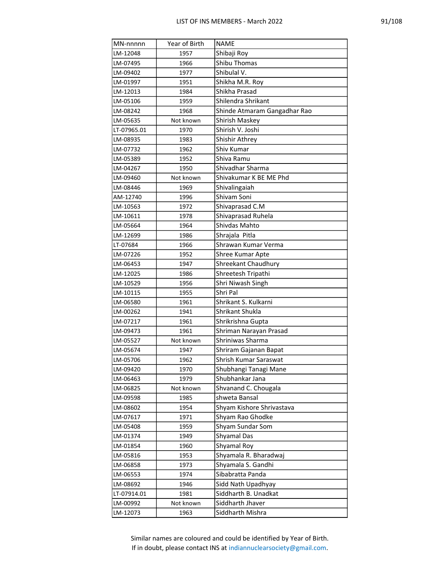|--|--|--|--|--|--|

| MN-nnnnn    | Year of Birth | <b>NAME</b>                  |
|-------------|---------------|------------------------------|
| LM-12048    | 1957          | Shibaji Roy                  |
| LM-07495    | 1966          | Shibu Thomas                 |
| LM-09402    | 1977          | Shibulal V.                  |
| LM-01997    | 1951          | Shikha M.R. Roy              |
| LM-12013    | 1984          | Shikha Prasad                |
| LM-05106    | 1959          | Shilendra Shrikant           |
| LM-08242    | 1968          | Shinde Atmaram Gangadhar Rao |
| LM-05635    | Not known     | Shirish Maskey               |
| LT-07965.01 | 1970          | Shirish V. Joshi             |
| LM-08935    | 1983          | Shishir Athrey               |
| LM-07732    | 1962          | Shiv Kumar                   |
| LM-05389    | 1952          | Shiva Ramu                   |
| LM-04267    | 1950          | Shivadhar Sharma             |
| LM-09460    | Not known     | Shivakumar K BE ME Phd       |
| LM-08446    | 1969          | Shivalingaiah                |
| AM-12740    | 1996          | Shivam Soni                  |
| LM-10563    | 1972          | Shivaprasad C.M              |
| LM-10611    | 1978          | Shivaprasad Ruhela           |
| LM-05664    | 1964          | Shivdas Mahto                |
| LM-12699    | 1986          | Shrajala Pitla               |
| LT-07684    | 1966          | Shrawan Kumar Verma          |
| LM-07226    | 1952          | Shree Kumar Apte             |
| LM-06453    | 1947          | <b>Shreekant Chaudhury</b>   |
| LM-12025    | 1986          | Shreetesh Tripathi           |
| LM-10529    | 1956          | Shri Niwash Singh            |
| LM-10115    | 1955          | Shri Pal                     |
| LM-06580    | 1961          | Shrikant S. Kulkarni         |
| LM-00262    | 1941          | Shrikant Shukla              |
| LM-07217    | 1961          | Shrikrishna Gupta            |
| LM-09473    | 1961          | Shriman Narayan Prasad       |
| LM-05527    | Not known     | Shriniwas Sharma             |
| LM-05674    | 1947          | Shriram Gajanan Bapat        |
| LM-05706    | 1962          | Shrish Kumar Saraswat        |
| LM-09420    | 1970          | Shubhangi Tanagi Mane        |
| LM-06463    | 1979          | Shubhankar Jana              |
| LM-06825    | Not known     | Shvanand C. Chougala         |
| LM-09598    | 1985          | shweta Bansal                |
| LM-08602    | 1954          | Shyam Kishore Shrivastava    |
| LM-07617    | 1971          | Shyam Rao Ghodke             |
| LM-05408    | 1959          | Shyam Sundar Som             |
| LM-01374    | 1949          | Shyamal Das                  |
| LM-01854    | 1960          | Shyamal Roy                  |
| LM-05816    | 1953          | Shyamala R. Bharadwaj        |
| LM-06858    | 1973          | Shyamala S. Gandhi           |
| LM-06553    | 1974          | Sibabratta Panda             |
| LM-08692    | 1946          | Sidd Nath Upadhyay           |
| LT-07914.01 | 1981          | Siddharth B. Unadkat         |
| LM-00992    | Not known     | Siddharth Jhaver             |
| LM-12073    | 1963          | Siddharth Mishra             |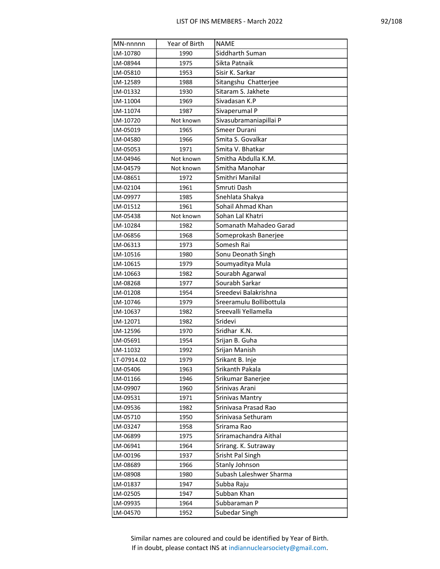|--|

| MN-nnnnn             | Year of Birth | <b>NAME</b>                                |
|----------------------|---------------|--------------------------------------------|
| LM-10780             | 1990          | Siddharth Suman                            |
| LM-08944             | 1975          | Sikta Patnaik                              |
| LM-05810             | 1953          | Sisir K. Sarkar                            |
| LM-12589             | 1988          | Sitangshu Chatterjee                       |
| LM-01332             | 1930          | Sitaram S. Jakhete                         |
| LM-11004             | 1969          | Sivadasan K.P                              |
| LM-11074             | 1987          | Sivaperumal P                              |
| LM-10720             | Not known     | Sivasubramaniapillai P                     |
| LM-05019             | 1965          | Smeer Durani                               |
| LM-04580             | 1966          | Smita S. Govalkar                          |
| LM-05053             | 1971          | Smita V. Bhatkar                           |
| LM-04946             | Not known     | Smitha Abdulla K.M.                        |
| LM-04579             | Not known     | Smitha Manohar                             |
| LM-08651             | 1972          | Smithri Manilal                            |
| LM-02104             | 1961          | Smruti Dash                                |
| LM-09977             | 1985          | Snehlata Shakya                            |
| LM-01512             | 1961          | Sohail Ahmad Khan                          |
| LM-05438             | Not known     | Sohan Lal Khatri                           |
| LM-10284             | 1982          | Somanath Mahadeo Garad                     |
| LM-06856             | 1968          | Someprokash Banerjee                       |
| LM-06313             | 1973          | Somesh Rai                                 |
| LM-10516             | 1980          | Sonu Deonath Singh                         |
| LM-10615             | 1979          | Soumyaditya Mula                           |
| LM-10663             | 1982          | Sourabh Agarwal                            |
| LM-08268             | 1977          | Sourabh Sarkar                             |
| LM-01208             | 1954          | Sreedevi Balakrishna                       |
| LM-10746             | 1979          | Sreeramulu Bollibottula                    |
| LM-10637             | 1982          | Sreevalli Yellamella                       |
| LM-12071             | 1982          | Sridevi                                    |
| LM-12596             | 1970          | Sridhar K.N.                               |
| LM-05691             | 1954          | Srijan B. Guha                             |
| LM-11032             | 1992          | Srijan Manish                              |
| LT-07914.02          | 1979          | Srikant B. Inje                            |
| LM-05406             | 1963          | Srikanth Pakala                            |
| LM-01166             | 1946          | Srikumar Banerjee                          |
| LM-09907             | 1960          | Srinivas Arani                             |
| LM-09531             | 1971          | <b>Srinivas Mantry</b>                     |
| LM-09536             | 1982          | Srinivasa Prasad Rao<br>Srinivasa Sethuram |
| LM-05710             | 1950          |                                            |
| LM-03247<br>LM-06899 | 1958          | Srirama Rao<br>Sriramachandra Aithal       |
| LM-06941             | 1975          |                                            |
| LM-00196             | 1964<br>1937  | Srirang. K. Sutraway<br>Srisht Pal Singh   |
|                      |               | Stanly Johnson                             |
| LM-08689<br>LM-08908 | 1966<br>1980  | Subash Laleshwer Sharma                    |
| LM-01837             | 1947          | Subba Raju                                 |
| LM-02505             | 1947          | Subban Khan                                |
| LM-09935             | 1964          | Subbaraman P                               |
|                      |               | Subedar Singh                              |
| LM-04570             | 1952          |                                            |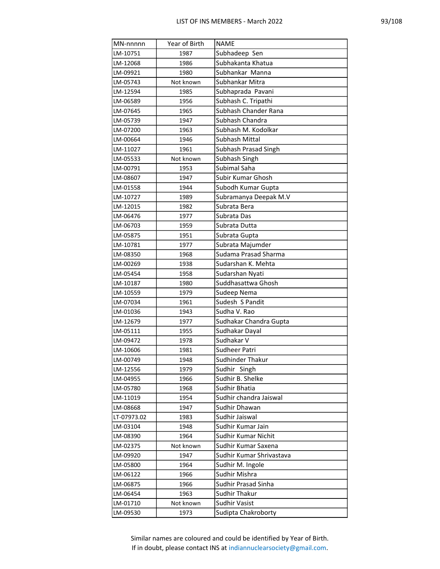| MN-nnnnn    | Year of Birth | <b>NAME</b>                |
|-------------|---------------|----------------------------|
| LM-10751    | 1987          | Subhadeep Sen              |
| LM-12068    | 1986          | Subhakanta Khatua          |
| LM-09921    | 1980          | Subhankar Manna            |
| LM-05743    | Not known     | Subhankar Mitra            |
| LM-12594    | 1985          | Subhaprada Pavani          |
| LM-06589    | 1956          | Subhash C. Tripathi        |
| LM-07645    | 1965          | Subhash Chander Rana       |
| LM-05739    | 1947          | Subhash Chandra            |
| LM-07200    | 1963          | Subhash M. Kodolkar        |
| LM-00664    | 1946          | Subhash Mittal             |
| LM-11027    | 1961          | Subhash Prasad Singh       |
| LM-05533    | Not known     | Subhash Singh              |
| LM-00791    | 1953          | Subimal Saha               |
| LM-08607    | 1947          | Subir Kumar Ghosh          |
| LM-01558    | 1944          | Subodh Kumar Gupta         |
| LM-10727    | 1989          | Subramanya Deepak M.V      |
| LM-12015    | 1982          | Subrata Bera               |
| LM-06476    | 1977          | Subrata Das                |
| LM-06703    | 1959          | Subrata Dutta              |
| LM-05875    | 1951          | Subrata Gupta              |
| LM-10781    | 1977          | Subrata Majumder           |
| LM-08350    | 1968          | Sudama Prasad Sharma       |
| LM-00269    | 1938          | Sudarshan K. Mehta         |
| LM-05454    | 1958          | Sudarshan Nyati            |
| LM-10187    | 1980          | Suddhasattwa Ghosh         |
| LM-10559    | 1979          | Sudeep Nema                |
| LM-07034    | 1961          | Sudesh S Pandit            |
| LM-01036    | 1943          | Sudha V. Rao               |
| LM-12679    | 1977          | Sudhakar Chandra Gupta     |
| LM-05111    | 1955          | Sudhakar Dayal             |
| LM-09472    | 1978          | Sudhakar V                 |
| LM-10606    | 1981          | <b>Sudheer Patri</b>       |
| LM-00749    | 1948          | Sudhinder Thakur           |
| LM-12556    | 1979          | Sudhir Singh               |
| LM-04955    | 1966          | Sudhir B. Shelke           |
| LM-05780    | 1968          | Sudhir Bhatia              |
| LM-11019    | 1954          | Sudhir chandra Jaiswal     |
| LM-08668    | 1947          | Sudhir Dhawan              |
| LT-07973.02 | 1983          | Sudhir Jaiswal             |
| LM-03104    | 1948          | Sudhir Kumar Jain          |
| LM-08390    | 1964          | Sudhir Kumar Nichit        |
| LM-02375    | Not known     | Sudhir Kumar Saxena        |
| LM-09920    | 1947          | Sudhir Kumar Shrivastava   |
| LM-05800    | 1964          | Sudhir M. Ingole           |
| LM-06122    | 1966          | Sudhir Mishra              |
| LM-06875    | 1966          | <b>Sudhir Prasad Sinha</b> |
| LM-06454    | 1963          | Sudhir Thakur              |
| LM-01710    | Not known     | <b>Sudhir Vasist</b>       |
| LM-09530    | 1973          | Sudipta Chakroborty        |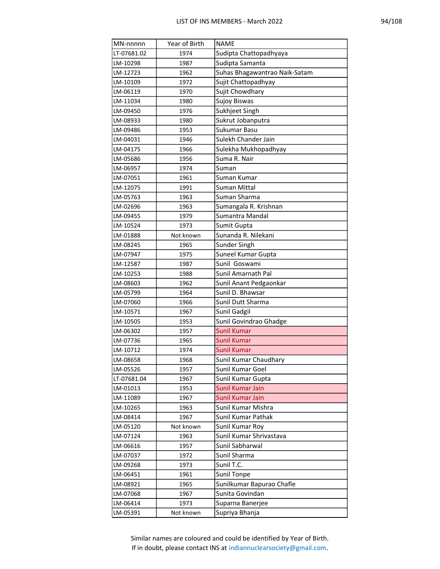| MN-nnnnn    | Year of Birth | <b>NAME</b>                   |
|-------------|---------------|-------------------------------|
| LT-07681.02 | 1974          | Sudipta Chattopadhyaya        |
| LM-10298    | 1987          | Sudipta Samanta               |
| LM-12723    | 1962          | Suhas Bhagawantrao Naik-Satam |
| LM-10109    | 1972          | Sujit Chattopadhyay           |
| LM-06119    | 1970          | Sujit Chowdhary               |
| LM-11034    | 1980          | <b>Sujoy Biswas</b>           |
| LM-09450    | 1976          | Sukhjeet Singh                |
| LM-08933    | 1980          | Sukrut Jobanputra             |
| LM-09486    | 1953          | Sukumar Basu                  |
| LM-04031    | 1946          | Sulekh Chander Jain           |
| LM-04175    | 1966          | Sulekha Mukhopadhyay          |
| LM-05686    | 1956          | Suma R. Nair                  |
| LM-06957    | 1974          | Suman                         |
| LM-07051    | 1961          | Suman Kumar                   |
| LM-12075    | 1991          | Suman Mittal                  |
| LM-05763    | 1963          | Suman Sharma                  |
| LM-02696    | 1963          | Sumangala R. Krishnan         |
| LM-09455    | 1979          | Sumantra Mandal               |
| LM-10524    | 1973          | Sumit Gupta                   |
| LM-01888    | Not known     | Sunanda R. Nilekani           |
| LM-08245    | 1965          | Sunder Singh                  |
| LM-07947    | 1975          | Suneel Kumar Gupta            |
| LM-12587    | 1987          | Sunil Goswami                 |
| LM-10253    | 1988          | Sunil Amarnath Pal            |
| LM-08603    | 1962          | Sunil Anant Pedgaonkar        |
| LM-05799    | 1964          | Sunil D. Bhawsar              |
| LM-07060    | 1966          | Sunil Dutt Sharma             |
| LM-10571    | 1967          | Sunil Gadgil                  |
| LM-10505    | 1953          | Sunil Govindrao Ghadge        |
| LM-06302    | 1957          | <b>Sunil Kumar</b>            |
| LM-07736    | 1965          | <b>Sunil Kumar</b>            |
| LM-10712    | 1974          | <b>Sunil Kumar</b>            |
| LM-08658    | 1968          | Sunil Kumar Chaudhary         |
| LM-05526    | 1957          | Sunil Kumar Goel              |
| LT-07681.04 | 1967          | Sunil Kumar Gupta             |
| LM-01013    | 1953          | Sunil Kumar Jain              |
| LM-11089    | 1967          | Sunil Kumar Jain              |
| LM-10265    | 1963          | Sunil Kumar Mishra            |
| LM-08414    | 1967          | Sunil Kumar Pathak            |
| LM-05120    | Not known     | Sunil Kumar Roy               |
| LM-07124    | 1963          | Sunil Kumar Shrivastava       |
| LM-06616    | 1957          | Sunil Sabharwal               |
| LM-07037    | 1972          | Sunil Sharma                  |
| LM-09268    | 1973          | Sunil T.C.                    |
| LM-06451    | 1961          | <b>Sunil Tonpe</b>            |
| LM-08921    | 1965          | Sunilkumar Bapurao Chafle     |
| LM-07068    | 1967          | Sunita Govindan               |
| LM-06414    | 1973          | Suparna Banerjee              |
| LM-05391    | Not known     | Supriya Bhanja                |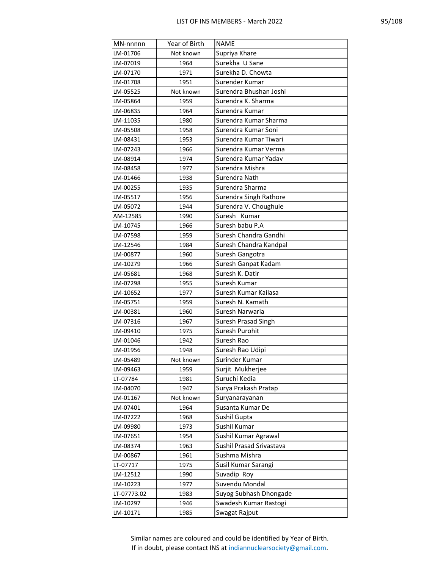| MN-nnnnn    | Year of Birth | <b>NAME</b>              |
|-------------|---------------|--------------------------|
| LM-01706    | Not known     | Supriya Khare            |
| LM-07019    | 1964          | Surekha U Sane           |
| LM-07170    | 1971          | Surekha D. Chowta        |
| LM-01708    | 1951          | Surender Kumar           |
| LM-05525    | Not known     | Surendra Bhushan Joshi   |
| LM-05864    | 1959          | Surendra K. Sharma       |
| LM-06835    | 1964          | Surendra Kumar           |
| LM-11035    | 1980          | Surendra Kumar Sharma    |
| LM-05508    | 1958          | Surendra Kumar Soni      |
| LM-08431    | 1953          | Surendra Kumar Tiwari    |
| LM-07243    | 1966          | Surendra Kumar Verma     |
| LM-08914    | 1974          | Surendra Kumar Yadav     |
| LM-08458    | 1977          | Surendra Mishra          |
| LM-01466    | 1938          | Surendra Nath            |
| LM-00255    | 1935          | Surendra Sharma          |
| LM-05517    | 1956          | Surendra Singh Rathore   |
| LM-05072    | 1944          | Surendra V. Choughule    |
| AM-12585    | 1990          | Suresh Kumar             |
| LM-10745    | 1966          | Suresh babu P.A          |
| LM-07598    | 1959          | Suresh Chandra Gandhi    |
| LM-12546    | 1984          | Suresh Chandra Kandpal   |
| LM-00877    | 1960          | Suresh Gangotra          |
| LM-10279    | 1966          | Suresh Ganpat Kadam      |
| LM-05681    | 1968          | Suresh K. Datir          |
| LM-07298    | 1955          | Suresh Kumar             |
| LM-10652    | 1977          | Suresh Kumar Kailasa     |
| LM-05751    | 1959          | Suresh N. Kamath         |
| LM-00381    | 1960          | Suresh Narwaria          |
| LM-07316    | 1967          | Suresh Prasad Singh      |
| LM-09410    | 1975          | Suresh Purohit           |
| LM-01046    | 1942          | Suresh Rao               |
| LM-01956    | 1948          | Suresh Rao Udipi         |
| LM-05489    | Not known     | Surinder Kumar           |
| LM-09463    | 1959          | Surjit Mukherjee         |
| LT-07784    | 1981          | Suruchi Kedia            |
| LM-04070    | 1947          | Surya Prakash Pratap     |
| LM-01167    | Not known     | Suryanarayanan           |
| LM-07401    | 1964          | Susanta Kumar De         |
| LM-07222    | 1968          | Sushil Gupta             |
| LM-09980    | 1973          | Sushil Kumar             |
| LM-07651    | 1954          | Sushil Kumar Agrawal     |
| LM-08374    | 1963          | Sushil Prasad Srivastava |
| LM-00867    | 1961          | Sushma Mishra            |
| LT-07717    | 1975          | Susil Kumar Sarangi      |
| LM-12512    | 1990          | Suvadip Roy              |
| LM-10223    | 1977          | Suvendu Mondal           |
| LT-07773.02 | 1983          | Suyog Subhash Dhongade   |
| LM-10297    | 1946          | Swadesh Kumar Rastogi    |
| LM-10171    | 1985          | Swagat Rajput            |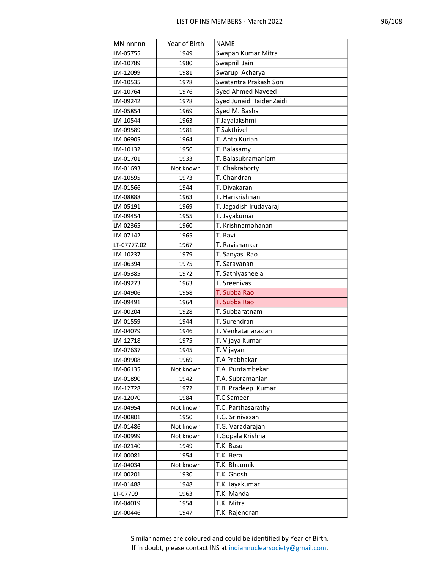| MN-nnnnn    | Year of Birth | NAME                     |
|-------------|---------------|--------------------------|
| LM-05755    | 1949          | Swapan Kumar Mitra       |
| LM-10789    | 1980          | Swapnil Jain             |
| LM-12099    | 1981          | Swarup Acharya           |
| LM-10535    | 1978          | Swatantra Prakash Soni   |
| LM-10764    | 1976          | <b>Syed Ahmed Naveed</b> |
| LM-09242    | 1978          | Syed Junaid Haider Zaidi |
| LM-05854    | 1969          | Syed M. Basha            |
| LM-10544    | 1963          | T Jayalakshmi            |
| LM-09589    | 1981          | T Sakthivel              |
| LM-06905    | 1964          | T. Anto Kurian           |
| LM-10132    | 1956          | T. Balasamy              |
| LM-01701    | 1933          | T. Balasubramaniam       |
| LM-01693    | Not known     | T. Chakraborty           |
| LM-10595    | 1973          | T. Chandran              |
| LM-01566    | 1944          | T. Divakaran             |
| LM-08888    | 1963          | T. Harikrishnan          |
| LM-05191    | 1969          | T. Jagadish Irudayaraj   |
| LM-09454    | 1955          | T. Jayakumar             |
| LM-02365    | 1960          | T. Krishnamohanan        |
| LM-07142    | 1965          | T. Ravi                  |
| LT-07777.02 | 1967          | T. Ravishankar           |
| LM-10237    | 1979          | T. Sanyasi Rao           |
| LM-06394    | 1975          | T. Saravanan             |
| LM-05385    | 1972          | T. Sathiyasheela         |
| LM-09273    | 1963          | T. Sreenivas             |
| LM-04906    | 1958          | T. Subba Rao             |
| LM-09491    | 1964          | T. Subba Rao             |
| LM-00204    | 1928          | T. Subbaratnam           |
| LM-01559    | 1944          | T. Surendran             |
| LM-04079    | 1946          | T. Venkatanarasiah       |
| LM-12718    | 1975          | T. Vijaya Kumar          |
| LM-07637    | 1945          | T. Vijayan               |
| LM-09908    | 1969          | T.A Prabhakar            |
| LM-06135    | Not known     | T.A. Puntambekar         |
| LM-01890    | 1942          | T.A. Subramanian         |
| LM-12728    | 1972          | T.B. Pradeep Kumar       |
| LM-12070    | 1984          | T.C Sameer               |
| LM-04954    | Not known     | T.C. Parthasarathy       |
| LM-00801    | 1950          | T.G. Srinivasan          |
| LM-01486    | Not known     | T.G. Varadarajan         |
| LM-00999    | Not known     | T.Gopala Krishna         |
| LM-02140    | 1949          | T.K. Basu                |
| LM-00081    | 1954          | T.K. Bera                |
| LM-04034    | Not known     | T.K. Bhaumik             |
| LM-00201    | 1930          | T.K. Ghosh               |
| LM-01488    | 1948          | T.K. Jayakumar           |
| LT-07709    | 1963          | T.K. Mandal              |
| LM-04019    | 1954          | T.K. Mitra               |
| LM-00446    | 1947          | T.K. Rajendran           |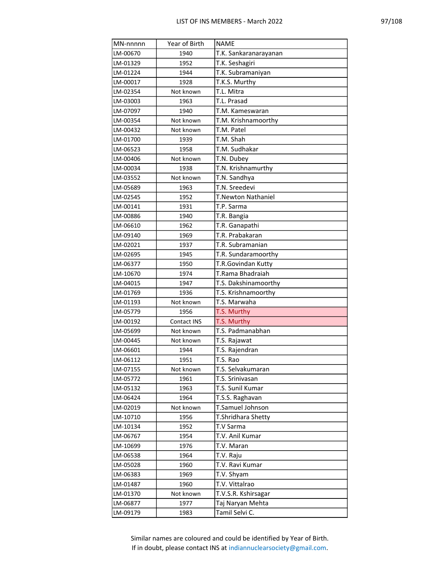| MN-nnnnn | Year of Birth | <b>NAME</b>                             |
|----------|---------------|-----------------------------------------|
| LM-00670 | 1940          | T.K. Sankaranarayanan                   |
| LM-01329 | 1952          | T.K. Seshagiri                          |
| LM-01224 | 1944          | T.K. Subramaniyan                       |
| LM-00017 | 1928          | T.K.S. Murthy                           |
| LM-02354 | Not known     | T.L. Mitra                              |
| LM-03003 | 1963          | T.L. Prasad                             |
| LM-07097 | 1940          | T.M. Kameswaran                         |
| LM-00354 | Not known     | T.M. Krishnamoorthy                     |
| LM-00432 | Not known     | T.M. Patel                              |
| LM-01700 | 1939          | T.M. Shah                               |
| LM-06523 | 1958          | T.M. Sudhakar                           |
| LM-00406 | Not known     | T.N. Dubey                              |
| LM-00034 | 1938          | T.N. Krishnamurthy                      |
| LM-03552 | Not known     | T.N. Sandhya                            |
| LM-05689 | 1963          | T.N. Sreedevi                           |
| LM-02545 | 1952          | <b>T.Newton Nathaniel</b>               |
| LM-00141 | 1931          | T.P. Sarma                              |
| LM-00886 | 1940          | T.R. Bangia                             |
| LM-06610 | 1962          | T.R. Ganapathi                          |
| LM-09140 | 1969          | T.R. Prabakaran                         |
| LM-02021 | 1937          | T.R. Subramanian                        |
| LM-02695 | 1945          | T.R. Sundaramoorthy                     |
| LM-06377 | 1950          | T.R.Govindan Kutty                      |
| LM-10670 | 1974          | T.Rama Bhadraiah                        |
| LM-04015 | 1947          | T.S. Dakshinamoorthy                    |
| LM-01769 | 1936          | T.S. Krishnamoorthy                     |
| LM-01193 | Not known     | T.S. Marwaha                            |
| LM-05779 | 1956          | T.S. Murthy                             |
| LM-00192 | Contact INS   | T.S. Murthy                             |
| LM-05699 | Not known     | T.S. Padmanabhan                        |
| LM-00445 | Not known     | T.S. Rajawat                            |
| LM-06601 | 1944          | T.S. Rajendran                          |
| LM-06112 | 1951          | T.S. Rao                                |
| LM-07155 | Not known     | T.S. Selvakumaran                       |
| LM-05772 | 1961          | T.S. Srinivasan                         |
| LM-05132 | 1963          | T.S. Sunil Kumar                        |
| LM-06424 | 1964          | T.S.S. Raghavan                         |
| LM-02019 | Not known     | T.Samuel Johnson                        |
| LM-10710 | 1956          | T.Shridhara Shetty                      |
| LM-10134 | 1952          | T.V Sarma                               |
| LM-06767 | 1954          | T.V. Anil Kumar                         |
| LM-10699 | 1976<br>1964  | T.V. Maran                              |
| LM-06538 |               | T.V. Raju                               |
| LM-05028 | 1960          | T.V. Ravi Kumar                         |
| LM-06383 | 1969          | T.V. Shyam<br>T.V. Vittalrao            |
| LM-01487 | 1960          |                                         |
| LM-01370 | Not known     | T.V.S.R. Kshirsagar<br>Taj Naryan Mehta |
| LM-06877 | 1977          |                                         |
| LM-09179 | 1983          | Tamil Selvi C.                          |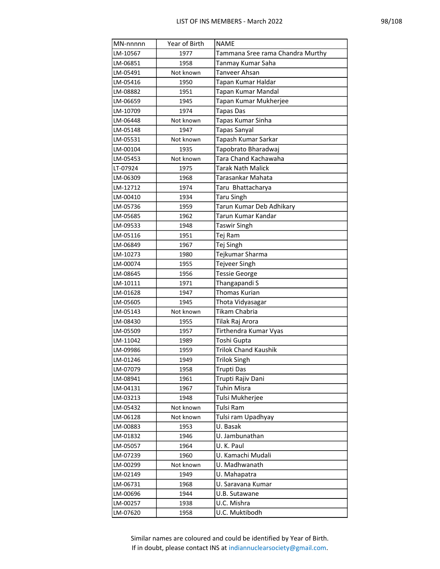| MN-nnnnn | Year of Birth | <b>NAME</b>                      |
|----------|---------------|----------------------------------|
| LM-10567 | 1977          | Tammana Sree rama Chandra Murthy |
| LM-06851 | 1958          | Tanmay Kumar Saha                |
| LM-05491 | Not known     | Tanveer Ahsan                    |
| LM-05416 | 1950          | Tapan Kumar Haldar               |
| LM-08882 | 1951          | Tapan Kumar Mandal               |
| LM-06659 | 1945          | Tapan Kumar Mukherjee            |
| LM-10709 | 1974          | <b>Tapas Das</b>                 |
| LM-06448 | Not known     | Tapas Kumar Sinha                |
| LM-05148 | 1947          | Tapas Sanyal                     |
| LM-05531 | Not known     | Tapash Kumar Sarkar              |
| LM-00104 | 1935          | Tapobrato Bharadwaj              |
| LM-05453 | Not known     | Tara Chand Kachawaha             |
| LT-07924 | 1975          | <b>Tarak Nath Malick</b>         |
| LM-06309 | 1968          | Tarasankar Mahata                |
| LM-12712 | 1974          | Taru Bhattacharya                |
| LM-00410 | 1934          | <b>Taru Singh</b>                |
| LM-05736 | 1959          | Tarun Kumar Deb Adhikary         |
| LM-05685 | 1962          | Tarun Kumar Kandar               |
| LM-09533 | 1948          | <b>Taswir Singh</b>              |
| LM-05116 | 1951          | Tej Ram                          |
| LM-06849 | 1967          | Tej Singh                        |
| LM-10273 | 1980          | Tejkumar Sharma                  |
| LM-00074 | 1955          | Tejveer Singh                    |
| LM-08645 | 1956          | <b>Tessie George</b>             |
| LM-10111 | 1971          | Thangapandi S                    |
| LM-01628 | 1947          | Thomas Kurian                    |
| LM-05605 | 1945          | Thota Vidyasagar                 |
| LM-05143 | Not known     | Tikam Chabria                    |
| LM-08430 | 1955          | Tilak Raj Arora                  |
| LM-05509 | 1957          | Tirthendra Kumar Vyas            |
| LM-11042 | 1989          | Toshi Gupta                      |
| LM-09986 | 1959          | <b>Trilok Chand Kaushik</b>      |
| LM-01246 | 1949          | <b>Trilok Singh</b>              |
| LM-07079 | 1958          | Trupti Das                       |
| LM-08941 | 1961          | Trupti Rajiv Dani                |
| LM-04131 | 1967          | Tuhin Misra                      |
| LM-03213 | 1948          | Tulsi Mukherjee                  |
| LM-05432 | Not known     | Tulsi Ram                        |
| LM-06128 | Not known     | Tulsi ram Upadhyay               |
| LM-00883 | 1953          | U. Basak                         |
| LM-01832 | 1946          | U. Jambunathan                   |
| LM-05057 | 1964          | U.K. Paul                        |
| LM-07239 | 1960          | U. Kamachi Mudali                |
| LM-00299 | Not known     | U. Madhwanath                    |
| LM-02149 | 1949          | U. Mahapatra                     |
| LM-06731 | 1968          | U. Saravana Kumar                |
| LM-00696 | 1944          | U.B. Sutawane                    |
| LM-00257 | 1938          | U.C. Mishra                      |
| LM-07620 | 1958          | U.C. Muktibodh                   |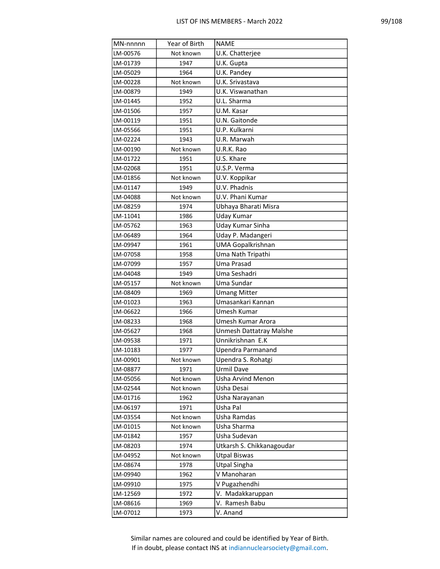| MN-nnnnn | Year of Birth | <b>NAME</b>               |
|----------|---------------|---------------------------|
| LM-00576 | Not known     | U.K. Chatterjee           |
| LM-01739 | 1947          | U.K. Gupta                |
| LM-05029 | 1964          | U.K. Pandey               |
| LM-00228 | Not known     | U.K. Srivastava           |
| LM-00879 | 1949          | U.K. Viswanathan          |
| LM-01445 | 1952          | U.L. Sharma               |
| LM-01506 | 1957          | U.M. Kasar                |
| LM-00119 | 1951          | U.N. Gaitonde             |
| LM-05566 | 1951          | U.P. Kulkarni             |
| LM-02224 | 1943          | U.R. Marwah               |
| LM-00190 | Not known     | U.R.K. Rao                |
| LM-01722 | 1951          | U.S. Khare                |
| LM-02068 | 1951          | U.S.P. Verma              |
| LM-01856 | Not known     | U.V. Koppikar             |
| LM-01147 | 1949          | U.V. Phadnis              |
| LM-04088 | Not known     | U.V. Phani Kumar          |
| LM-08259 | 1974          | Ubhaya Bharati Misra      |
| LM-11041 | 1986          | Uday Kumar                |
| LM-05762 | 1963          | Uday Kumar Sinha          |
| LM-06489 | 1964          | Uday P. Madangeri         |
| LM-09947 | 1961          | <b>UMA Gopalkrishnan</b>  |
| LM-07058 | 1958          | Uma Nath Tripathi         |
| LM-07099 | 1957          | Uma Prasad                |
| LM-04048 | 1949          | Uma Seshadri              |
| LM-05157 | Not known     | Uma Sundar                |
| LM-08409 | 1969          | <b>Umang Mitter</b>       |
| LM-01023 | 1963          | Umasankari Kannan         |
| LM-06622 | 1966          | Umesh Kumar               |
| LM-08233 | 1968          | Umesh Kumar Arora         |
| LM-05627 | 1968          | Unmesh Dattatray Malshe   |
| LM-09538 | 1971          | Unnikrishnan E.K          |
| LM-10183 | 1977          | <b>Upendra Parmanand</b>  |
| LM-00901 | Not known     | Upendra S. Rohatgi        |
| LM-08877 | 1971          | Urmil Dave                |
| LM-05056 | Not known     | <b>Usha Arvind Menon</b>  |
| LM-02544 | Not known     | Usha Desai                |
| LM-01716 | 1962          | Usha Narayanan            |
| LM-06197 | 1971          | Usha Pal                  |
| LM-03554 | Not known     | Usha Ramdas               |
| LM-01015 | Not known     | Usha Sharma               |
| LM-01842 | 1957          | Usha Sudevan              |
| LM-08203 | 1974          | Utkarsh S. Chikkanagoudar |
| LM-04952 | Not known     | <b>Utpal Biswas</b>       |
| LM-08674 | 1978          | <b>Utpal Singha</b>       |
| LM-09940 | 1962          | V Manoharan               |
| LM-09910 | 1975          | V Pugazhendhi             |
| LM-12569 | 1972          | V. Madakkaruppan          |
| LM-08616 | 1969          | V. Ramesh Babu            |
| LM-07012 | 1973          | V. Anand                  |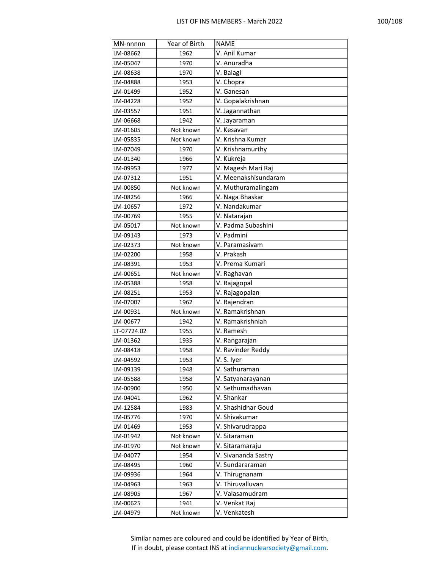| MN-nnnnn    | Year of Birth | <b>NAME</b>          |
|-------------|---------------|----------------------|
| LM-08662    | 1962          | V. Anil Kumar        |
| LM-05047    | 1970          | V. Anuradha          |
| LM-08638    | 1970          | V. Balagi            |
| LM-04888    | 1953          | V. Chopra            |
| LM-01499    | 1952          | V. Ganesan           |
| LM-04228    | 1952          | V. Gopalakrishnan    |
| LM-03557    | 1951          | V. Jagannathan       |
| LM-06668    | 1942          | V. Jayaraman         |
| LM-01605    | Not known     | V. Kesavan           |
| LM-05835    | Not known     | V. Krishna Kumar     |
| LM-07049    | 1970          | V. Krishnamurthy     |
| LM-01340    | 1966          | V. Kukreja           |
| LM-09953    | 1977          | V. Magesh Mari Raj   |
| LM-07312    | 1951          | V. Meenakshisundaram |
| LM-00850    | Not known     | V. Muthuramalingam   |
| LM-08256    | 1966          | V. Naga Bhaskar      |
| LM-10657    | 1972          | V. Nandakumar        |
| LM-00769    | 1955          | V. Natarajan         |
| LM-05017    | Not known     | V. Padma Subashini   |
| LM-09143    | 1973          | V. Padmini           |
| LM-02373    | Not known     | V. Paramasivam       |
| LM-02200    | 1958          | V. Prakash           |
| LM-08391    | 1953          | V. Prema Kumari      |
| LM-00651    | Not known     | V. Raghavan          |
| LM-05388    | 1958          | V. Rajagopal         |
| LM-08251    | 1953          | V. Rajagopalan       |
| LM-07007    | 1962          | V. Rajendran         |
| LM-00931    | Not known     | V. Ramakrishnan      |
| LM-00677    | 1942          | V. Ramakrishniah     |
| LT-07724.02 | 1955          | V. Ramesh            |
| LM-01362    | 1935          | V. Rangarajan        |
| LM-08418    | 1958          | V. Ravinder Reddy    |
| LM-04592    | 1953          | V. S. Iyer           |
| LM-09139    | 1948          | V. Sathuraman        |
| LM-05588    | 1958          | V. Satyanarayanan    |
| LM-00900    | 1950          | V. Sethumadhavan     |
| LM-04041    | 1962          | V. Shankar           |
| LM-12584    | 1983          | V. Shashidhar Goud   |
| LM-05776    | 1970          | V. Shivakumar        |
| LM-01469    | 1953          | V. Shivarudrappa     |
| LM-01942    | Not known     | V. Sitaraman         |
| LM-01970    | Not known     | V. Sitaramaraju      |
| LM-04077    | 1954          | V. Sivananda Sastry  |
| LM-08495    | 1960          | V. Sundararaman      |
| LM-09936    | 1964          | V. Thirugnanam       |
| LM-04963    | 1963          | V. Thiruvalluvan     |
| LM-08905    | 1967          | V. Valasamudram      |
| LM-00625    | 1941          | V. Venkat Raj        |
| LM-04979    | Not known     | V. Venkatesh         |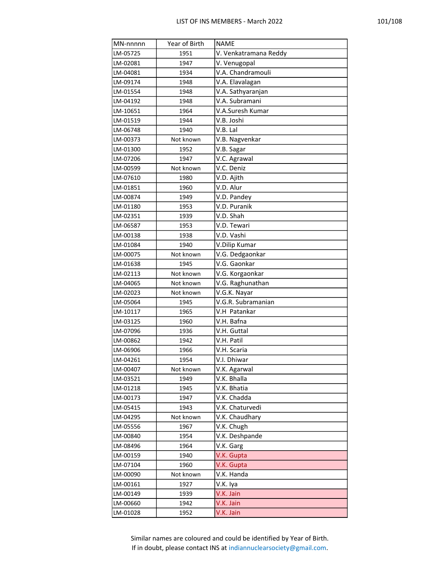| MN-nnnnn | Year of Birth | <b>NAME</b>           |
|----------|---------------|-----------------------|
| LM-05725 | 1951          | V. Venkatramana Reddy |
| LM-02081 | 1947          | V. Venugopal          |
| LM-04081 | 1934          | V.A. Chandramouli     |
| LM-09174 | 1948          | V.A. Elavalagan       |
| LM-01554 | 1948          | V.A. Sathyaranjan     |
| LM-04192 | 1948          | V.A. Subramani        |
| LM-10651 | 1964          | V.A.Suresh Kumar      |
| LM-01519 | 1944          | V.B. Joshi            |
| LM-06748 | 1940          | V.B. Lal              |
| LM-00373 | Not known     | V.B. Nagvenkar        |
| LM-01300 | 1952          | V.B. Sagar            |
| LM-07206 | 1947          | V.C. Agrawal          |
| LM-00599 | Not known     | V.C. Deniz            |
| LM-07610 | 1980          | V.D. Ajith            |
| LM-01851 | 1960          | V.D. Alur             |
| LM-00874 | 1949          | V.D. Pandey           |
| LM-01180 | 1953          | V.D. Puranik          |
| LM-02351 | 1939          | V.D. Shah             |
| LM-06587 | 1953          | V.D. Tewari           |
| LM-00138 | 1938          | V.D. Vashi            |
| LM-01084 | 1940          | V.Dilip Kumar         |
| LM-00075 | Not known     | V.G. Dedgaonkar       |
| LM-01638 | 1945          | V.G. Gaonkar          |
| LM-02113 | Not known     | V.G. Korgaonkar       |
| LM-04065 | Not known     | V.G. Raghunathan      |
| LM-02023 | Not known     | V.G.K. Nayar          |
| LM-05064 | 1945          | V.G.R. Subramanian    |
| LM-10117 | 1965          | V.H Patankar          |
| LM-03125 | 1960          | V.H. Bafna            |
| LM-07096 | 1936          | V.H. Guttal           |
| LM-00862 | 1942          | V.H. Patil            |
| LM-06906 | 1966          | V.H. Scaria           |
| LM-04261 | 1954          | V.I. Dhiwar           |
| LM-00407 | Not known     | V.K. Agarwal          |
| LM-03521 | 1949          | V.K. Bhalla           |
| LM-01218 | 1945          | V.K. Bhatia           |
| LM-00173 | 1947          | V.K. Chadda           |
| LM-05415 | 1943          | V.K. Chaturvedi       |
| LM-04295 | Not known     | V.K. Chaudhary        |
| LM-05556 | 1967          | V.K. Chugh            |
| LM-00840 | 1954          | V.K. Deshpande        |
| LM-08496 | 1964          | V.K. Garg             |
| LM-00159 | 1940          | V.K. Gupta            |
| LM-07104 | 1960          | V.K. Gupta            |
| LM-00090 | Not known     | V.K. Handa            |
| LM-00161 | 1927          | V.K. Iya              |
| LM-00149 | 1939          | V.K. Jain             |
| LM-00660 | 1942          | V.K. Jain             |
| LM-01028 | 1952          | V.K. Jain             |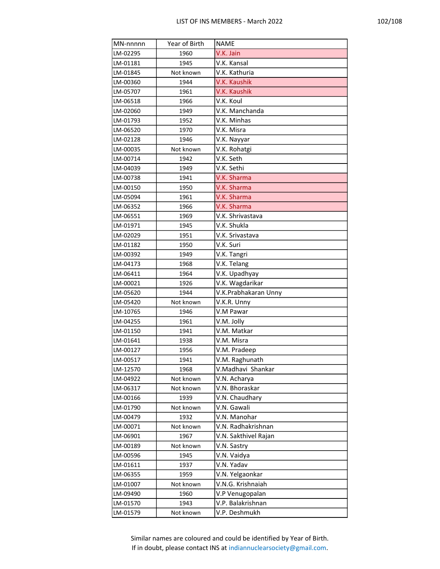| MN-nnnnn | Year of Birth | <b>NAME</b>          |
|----------|---------------|----------------------|
| LM-02295 | 1960          | V.K. Jain            |
| LM-01181 | 1945          | V.K. Kansal          |
| LM-01845 | Not known     | V.K. Kathuria        |
| LM-00360 | 1944          | V.K. Kaushik         |
| LM-05707 | 1961          | V.K. Kaushik         |
| LM-06518 | 1966          | V.K. Koul            |
| LM-02060 | 1949          | V.K. Manchanda       |
| LM-01793 | 1952          | V.K. Minhas          |
| LM-06520 | 1970          | V.K. Misra           |
| LM-02128 | 1946          | V.K. Nayyar          |
| LM-00035 | Not known     | V.K. Rohatgi         |
| LM-00714 | 1942          | V.K. Seth            |
| LM-04039 | 1949          | V.K. Sethi           |
| LM-00738 | 1941          | V.K. Sharma          |
| LM-00150 | 1950          | V.K. Sharma          |
| LM-05094 | 1961          | V.K. Sharma          |
| LM-06352 | 1966          | V.K. Sharma          |
| LM-06551 | 1969          | V.K. Shrivastava     |
| LM-01971 | 1945          | V.K. Shukla          |
| LM-02029 | 1951          | V.K. Srivastava      |
| LM-01182 | 1950          | V.K. Suri            |
| LM-00392 | 1949          | V.K. Tangri          |
| LM-04173 | 1968          | V.K. Telang          |
| LM-06411 | 1964          | V.K. Upadhyay        |
| LM-00021 | 1926          | V.K. Wagdarikar      |
| LM-05620 | 1944          | V.K.Prabhakaran Unny |
| LM-05420 | Not known     | V.K.R. Unny          |
| LM-10765 | 1946          | V.M Pawar            |
| LM-04255 | 1961          | V.M. Jolly           |
| LM-01150 | 1941          | V.M. Matkar          |
| LM-01641 | 1938          | V.M. Misra           |
| LM-00127 | 1956          | V.M. Pradeep         |
| LM-00517 | 1941          | V.M. Raghunath       |
| LM-12570 | 1968          | V.Madhavi Shankar    |
| LM-04922 | Not known     | V.N. Acharya         |
| LM-06317 | Not known     | V.N. Bhoraskar       |
| LM-00166 | 1939          | V.N. Chaudhary       |
| LM-01790 | Not known     | V.N. Gawali          |
| LM-00479 | 1932          | V.N. Manohar         |
| LM-00071 | Not known     | V.N. Radhakrishnan   |
| LM-06901 | 1967          | V.N. Sakthivel Rajan |
| LM-00189 | Not known     | V.N. Sastry          |
| LM-00596 | 1945          | V.N. Vaidya          |
| LM-01611 | 1937          | V.N. Yadav           |
| LM-06355 | 1959          | V.N. Yelgaonkar      |
| LM-01007 | Not known     | V.N.G. Krishnaiah    |
| LM-09490 | 1960          | V.P Venugopalan      |
| LM-01570 | 1943          | V.P. Balakrishnan    |
| LM-01579 | Not known     | V.P. Deshmukh        |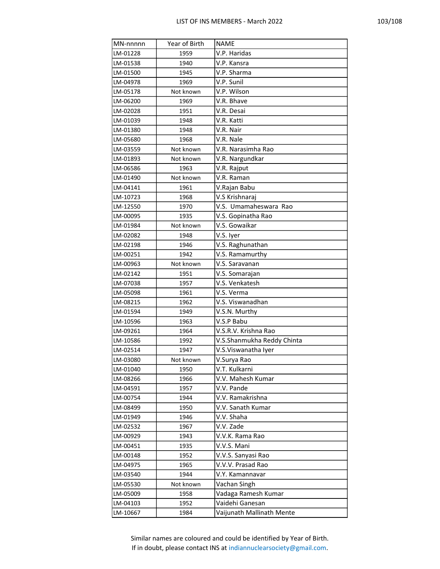| MN-nnnnn | Year of Birth | <b>NAME</b>                |
|----------|---------------|----------------------------|
| LM-01228 | 1959          | V.P. Haridas               |
| LM-01538 | 1940          | V.P. Kansra                |
| LM-01500 | 1945          | V.P. Sharma                |
| LM-04978 | 1969          | V.P. Sunil                 |
| LM-05178 | Not known     | V.P. Wilson                |
| LM-06200 | 1969          | V.R. Bhave                 |
| LM-02028 | 1951          | V.R. Desai                 |
| LM-01039 | 1948          | V.R. Katti                 |
| LM-01380 | 1948          | V.R. Nair                  |
| LM-05680 | 1968          | V.R. Nale                  |
| LM-03559 | Not known     | V.R. Narasimha Rao         |
| LM-01893 | Not known     | V.R. Nargundkar            |
| LM-06586 | 1963          | V.R. Rajput                |
| LM-01490 | Not known     | V.R. Raman                 |
| LM-04141 | 1961          | V.Rajan Babu               |
| LM-10723 | 1968          | V.S Krishnaraj             |
| LM-12550 | 1970          | V.S. Umamaheswara Rao      |
| LM-00095 | 1935          | V.S. Gopinatha Rao         |
| LM-01984 | Not known     | V.S. Gowaikar              |
| LM-02082 | 1948          | V.S. Iyer                  |
| LM-02198 | 1946          | V.S. Raghunathan           |
| LM-00251 | 1942          | V.S. Ramamurthy            |
| LM-00963 | Not known     | V.S. Saravanan             |
| LM-02142 | 1951          | V.S. Somarajan             |
| LM-07038 | 1957          | V.S. Venkatesh             |
| LM-05098 | 1961          | V.S. Verma                 |
| LM-08215 | 1962          | V.S. Viswanadhan           |
| LM-01594 | 1949          | V.S.N. Murthy              |
| LM-10596 | 1963          | V.S.P Babu                 |
| LM-09261 | 1964          | V.S.R.V. Krishna Rao       |
| LM-10586 | 1992          | V.S.Shanmukha Reddy Chinta |
| LM-02514 | 1947          | V.S.Viswanatha Iyer        |
| LM-03080 | Not known     | V.Surya Rao                |
| LM-01040 | 1950          | V.T. Kulkarni              |
| LM-08266 | 1966          | V.V. Mahesh Kumar          |
| LM-04591 | 1957          | V.V. Pande                 |
| LM-00754 | 1944          | V.V. Ramakrishna           |
| LM-08499 | 1950          | V.V. Sanath Kumar          |
| LM-01949 | 1946          | V.V. Shaha                 |
| LM-02532 | 1967          | V.V. Zade                  |
| LM-00929 | 1943          | V.V.K. Rama Rao            |
| LM-00451 | 1935          | V.V.S. Mani                |
| LM-00148 | 1952          | V.V.S. Sanyasi Rao         |
| LM-04975 | 1965          | V.V.V. Prasad Rao          |
| LM-03540 | 1944          | V.Y. Kamannavar            |
| LM-05530 | Not known     | Vachan Singh               |
| LM-05009 | 1958          | Vadaga Ramesh Kumar        |
| LM-04103 | 1952          | Vaidehi Ganesan            |
| LM-10667 | 1984          | Vaijunath Mallinath Mente  |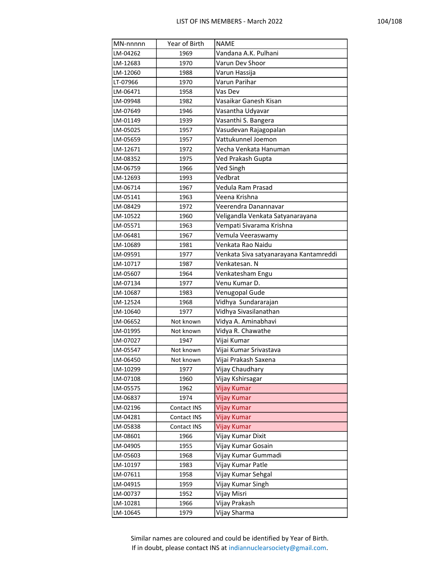| MN-nnnnn | Year of Birth | <b>NAME</b>                            |
|----------|---------------|----------------------------------------|
| LM-04262 | 1969          | Vandana A.K. Pulhani                   |
| LM-12683 | 1970          | Varun Dev Shoor                        |
| LM-12060 | 1988          | Varun Hassija                          |
| LT-07966 | 1970          | Varun Parihar                          |
| LM-06471 | 1958          | Vas Dev                                |
| LM-09948 | 1982          | Vasaikar Ganesh Kisan                  |
| LM-07649 | 1946          | Vasantha Udyavar                       |
| LM-01149 | 1939          | Vasanthi S. Bangera                    |
| LM-05025 | 1957          | Vasudevan Rajagopalan                  |
| LM-05659 | 1957          | Vattukunnel Joemon                     |
| LM-12671 | 1972          | Vecha Venkata Hanuman                  |
| LM-08352 | 1975          | Ved Prakash Gupta                      |
| LM-06759 | 1966          | Ved Singh                              |
| LM-12693 | 1993          | Vedbrat                                |
| LM-06714 | 1967          | Vedula Ram Prasad                      |
| LM-05141 | 1963          | Veena Krishna                          |
| LM-08429 | 1972          | Veerendra Danannavar                   |
| LM-10522 | 1960          | Veligandla Venkata Satyanarayana       |
| LM-05571 | 1963          | Vempati Sivarama Krishna               |
| LM-06481 | 1967          | Vemula Veeraswamy                      |
| LM-10689 | 1981          | Venkata Rao Naidu                      |
| LM-09591 | 1977          | Venkata Siva satyanarayana Kantamreddi |
| LM-10717 | 1987          | Venkatesan. N                          |
| LM-05607 | 1964          | Venkatesham Engu                       |
| LM-07134 | 1977          | Venu Kumar D.                          |
| LM-10687 | 1983          | Venugopal Gude                         |
| LM-12524 | 1968          | Vidhya Sundararajan                    |
| LM-10640 | 1977          | Vidhya Sivasilanathan                  |
| LM-06652 | Not known     | Vidya A. Aminabhavi                    |
| LM-01995 | Not known     | Vidya R. Chawathe                      |
| LM-07027 | 1947          | Vijai Kumar                            |
| LM-05547 | Not known     | Vijai Kumar Srivastava                 |
| LM-06450 | Not known     | Vijai Prakash Saxena                   |
| LM-10299 | 1977          | Vijay Chaudhary                        |
| LM-07108 | 1960          | Vijay Kshirsagar                       |
| LM-05575 | 1962          | Vijay Kumar                            |
| LM-06837 | 1974          | Vijay Kumar                            |
| LM-02196 | Contact INS   | Vijay Kumar                            |
| LM-04281 | Contact INS   | Vijay Kumar                            |
| LM-05838 | Contact INS   | Vijay Kumar                            |
| LM-08601 | 1966          | Vijay Kumar Dixit                      |
| LM-04905 | 1955          | Vijay Kumar Gosain                     |
| LM-05603 | 1968          | Vijay Kumar Gummadi                    |
| LM-10197 | 1983          | Vijay Kumar Patle                      |
| LM-07611 | 1958          | Vijay Kumar Sehgal                     |
| LM-04915 | 1959          | Vijay Kumar Singh                      |
| LM-00737 | 1952          | Vijay Misri                            |
| LM-10281 | 1966          | Vijay Prakash                          |
| LM-10645 | 1979          | Vijay Sharma                           |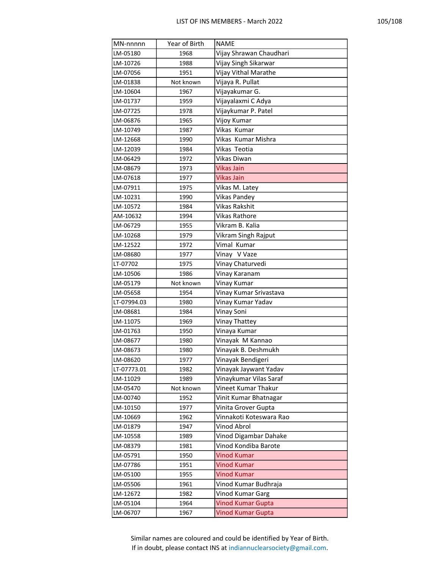| MN-nnnnn    | Year of Birth | <b>NAME</b>              |
|-------------|---------------|--------------------------|
| LM-05180    | 1968          | Vijay Shrawan Chaudhari  |
| LM-10726    | 1988          | Vijay Singh Sikarwar     |
| LM-07056    | 1951          | Vijay Vithal Marathe     |
| LM-01838    | Not known     | Vijaya R. Pullat         |
| LM-10604    | 1967          | Vijayakumar G.           |
| LM-01737    | 1959          | Vijayalaxmi C Adya       |
| LM-07725    | 1978          | Vijaykumar P. Patel      |
| LM-06876    | 1965          | Vijoy Kumar              |
| LM-10749    | 1987          | Vikas Kumar              |
| LM-12668    | 1990          | Vikas Kumar Mishra       |
| LM-12039    | 1984          | Vikas Teotia             |
| LM-06429    | 1972          | Vikas Diwan              |
| LM-08679    | 1973          | <b>Vikas Jain</b>        |
| LM-07618    | 1977          | Vikas Jain               |
| LM-07911    | 1975          | Vikas M. Latey           |
| LM-10231    | 1990          | Vikas Pandey             |
| LM-10572    | 1984          | Vikas Rakshit            |
| AM-10632    | 1994          | Vikas Rathore            |
| LM-06729    | 1955          | Vikram B. Kalia          |
| LM-10268    | 1979          | Vikram Singh Rajput      |
| LM-12522    | 1972          | Vimal Kumar              |
| LM-08680    | 1977          | Vinay V Vaze             |
| LT-07702    | 1975          | Vinay Chaturvedi         |
| LM-10506    | 1986          | Vinay Karanam            |
| LM-05179    | Not known     | Vinay Kumar              |
| LM-05658    | 1954          | Vinay Kumar Srivastava   |
| LT-07994.03 | 1980          | Vinay Kumar Yadav        |
| LM-08681    | 1984          | Vinay Soni               |
| LM-11075    | 1969          | Vinay Thattey            |
| LM-01763    | 1950          | Vinaya Kumar             |
| LM-08677    | 1980          | Vinayak M Kannao         |
| LM-08673    | 1980          | Vinayak B. Deshmukh      |
| LM-08620    | 1977          | Vinayak Bendigeri        |
| LT-07773.01 | 1982          | Vinayak Jaywant Yadav    |
| LM-11029    | 1989          | Vinaykumar Vilas Saraf   |
| LM-05470    | Not known     | Vineet Kumar Thakur      |
| LM-00740    | 1952          | Vinit Kumar Bhatnagar    |
| LM-10150    | 1977          | Vinita Grover Gupta      |
| LM-10669    | 1962          | Vinnakoti Koteswara Rao  |
| LM-01879    | 1947          | Vinod Abrol              |
| LM-10558    | 1989          | Vinod Digambar Dahake    |
| LM-08379    | 1981          | Vinod Kondiba Barote     |
| LM-05791    | 1950          | <b>Vinod Kumar</b>       |
| LM-07786    | 1951          | <b>Vinod Kumar</b>       |
| LM-05100    | 1955          | <b>Vinod Kumar</b>       |
| LM-05506    | 1961          | Vinod Kumar Budhraja     |
| LM-12672    | 1982          | Vinod Kumar Garg         |
| LM-05104    | 1964          | <b>Vinod Kumar Gupta</b> |
| LM-06707    | 1967          | Vinod Kumar Gupta        |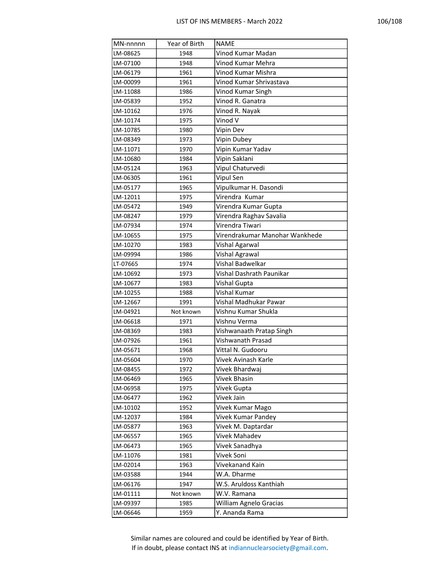| MN-nnnnn | Year of Birth | <b>NAME</b>                    |
|----------|---------------|--------------------------------|
| LM-08625 | 1948          | Vinod Kumar Madan              |
| LM-07100 | 1948          | Vinod Kumar Mehra              |
| LM-06179 | 1961          | Vinod Kumar Mishra             |
| LM-00099 | 1961          | Vinod Kumar Shrivastava        |
| LM-11088 | 1986          | Vinod Kumar Singh              |
| LM-05839 | 1952          | Vinod R. Ganatra               |
| LM-10162 | 1976          | Vinod R. Nayak                 |
| LM-10174 | 1975          | Vinod V                        |
| LM-10785 | 1980          | Vipin Dev                      |
| LM-08349 | 1973          | Vipin Dubey                    |
| LM-11071 | 1970          | Vipin Kumar Yadav              |
| LM-10680 | 1984          | Vipin Saklani                  |
| LM-05124 | 1963          | Vipul Chaturvedi               |
| LM-06305 | 1961          | Vipul Sen                      |
| LM-05177 | 1965          | Vipulkumar H. Dasondi          |
| LM-12011 | 1975          | Virendra Kumar                 |
| LM-05472 | 1949          | Virendra Kumar Gupta           |
| LM-08247 | 1979          | Virendra Raghav Savalia        |
| LM-07934 | 1974          | Virendra Tiwari                |
| LM-10655 | 1975          | Virendrakumar Manohar Wankhede |
| LM-10270 | 1983          | Vishal Agarwal                 |
| LM-09994 | 1986          | Vishal Agrawal                 |
| LT-07665 | 1974          | Vishal Badwelkar               |
| LM-10692 | 1973          | Vishal Dashrath Paunikar       |
| LM-10677 | 1983          | Vishal Gupta                   |
| LM-10255 | 1988          | Vishal Kumar                   |
| LM-12667 | 1991          | Vishal Madhukar Pawar          |
| LM-04921 | Not known     | Vishnu Kumar Shukla            |
| LM-06618 | 1971          | Vishnu Verma                   |
| LM-08369 | 1983          | Vishwanaath Pratap Singh       |
| LM-07926 | 1961          | Vishwanath Prasad              |
| LM-05671 | 1968          | Vittal N. Gudooru              |
| LM-05604 | 1970          | Vivek Avinash Karle            |
| LM-08455 | 1972          | Vivek Bhardwaj                 |
| LM-06469 | 1965          | <b>Vivek Bhasin</b>            |
| LM-06958 | 1975          | Vivek Gupta                    |
| LM-06477 | 1962          | Vivek Jain                     |
| LM-10102 | 1952          | Vivek Kumar Mago               |
| LM-12037 | 1984          | Vivek Kumar Pandey             |
| LM-05877 | 1963          | Vivek M. Daptardar             |
| LM-06557 | 1965          | Vivek Mahadev                  |
| LM-06473 | 1965          | Vivek Sanadhya                 |
| LM-11076 | 1981          | Vivek Soni                     |
| LM-02014 | 1963          | Vivekanand Kain                |
| LM-03588 | 1944          | W.A. Dharme                    |
| LM-06176 | 1947          | W.S. Aruldoss Kanthiah         |
| LM-01111 | Not known     | W.V. Ramana                    |
| LM-09397 | 1985          | William Agnelo Gracias         |
| LM-06646 | 1959          | Y. Ananda Rama                 |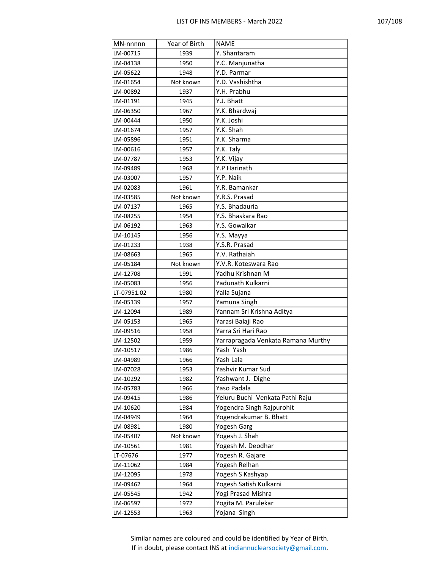| MN-nnnnn    | Year of Birth | <b>NAME</b>                        |
|-------------|---------------|------------------------------------|
| LM-00715    | 1939          | Y. Shantaram                       |
| LM-04138    | 1950          | Y.C. Manjunatha                    |
| LM-05622    | 1948          | Y.D. Parmar                        |
| LM-01654    | Not known     | Y.D. Vashishtha                    |
| LM-00892    | 1937          | Y.H. Prabhu                        |
| LM-01191    | 1945          | Y.J. Bhatt                         |
| LM-06350    | 1967          | Y.K. Bhardwaj                      |
| LM-00444    | 1950          | Y.K. Joshi                         |
| LM-01674    | 1957          | Y.K. Shah                          |
| LM-05896    | 1951          | Y.K. Sharma                        |
| LM-00616    | 1957          | Y.K. Taly                          |
| LM-07787    | 1953          | Y.K. Vijay                         |
| LM-09489    | 1968          | Y.P Harinath                       |
| LM-03007    | 1957          | Y.P. Naik                          |
| LM-02083    | 1961          | Y.R. Bamankar                      |
| LM-03585    | Not known     | Y.R.S. Prasad                      |
| LM-07137    | 1965          | Y.S. Bhadauria                     |
| LM-08255    | 1954          | Y.S. Bhaskara Rao                  |
| LM-06192    | 1963          | Y.S. Gowaikar                      |
| LM-10145    | 1956          | Y.S. Mayya                         |
| LM-01233    | 1938          | Y.S.R. Prasad                      |
| LM-08663    | 1965          | Y.V. Rathaiah                      |
| LM-05184    | Not known     | Y.V.R. Koteswara Rao               |
| LM-12708    | 1991          | Yadhu Krishnan M                   |
| LM-05083    | 1956          | Yadunath Kulkarni                  |
| LT-07951.02 | 1980          | Yalla Sujana                       |
| LM-05139    | 1957          | Yamuna Singh                       |
| LM-12094    | 1989          | Yannam Sri Krishna Aditya          |
| LM-05153    | 1965          | Yarasi Balaji Rao                  |
| LM-09516    | 1958          | Yarra Sri Hari Rao                 |
| LM-12502    | 1959          | Yarrapragada Venkata Ramana Murthy |
| LM-10517    | 1986          | Yash Yash                          |
| LM-04989    | 1966          | Yash Lala                          |
| LM-07028    | 1953          | Yashvir Kumar Sud                  |
| LM-10292    | 1982          | Yashwant J. Dighe                  |
| LM-05783    | 1966          | Yaso Padala                        |
| LM-09415    | 1986          | Yeluru Buchi Venkata Pathi Raju    |
| LM-10620    | 1984          | Yogendra Singh Rajpurohit          |
| LM-04949    | 1964          | Yogendrakumar B. Bhatt             |
| LM-08981    | 1980          | <b>Yogesh Garg</b>                 |
| LM-05407    | Not known     | Yogesh J. Shah                     |
| LM-10561    | 1981          | Yogesh M. Deodhar                  |
| LT-07676    | 1977          | Yogesh R. Gajare                   |
| LM-11062    | 1984          | Yogesh Relhan                      |
| LM-12095    | 1978          | Yogesh S Kashyap                   |
| LM-09462    | 1964          | Yogesh Satish Kulkarni             |
| LM-05545    | 1942          | Yogi Prasad Mishra                 |
| LM-06597    | 1972          | Yogita M. Parulekar                |
| LM-12553    | 1963          | Yojana Singh                       |